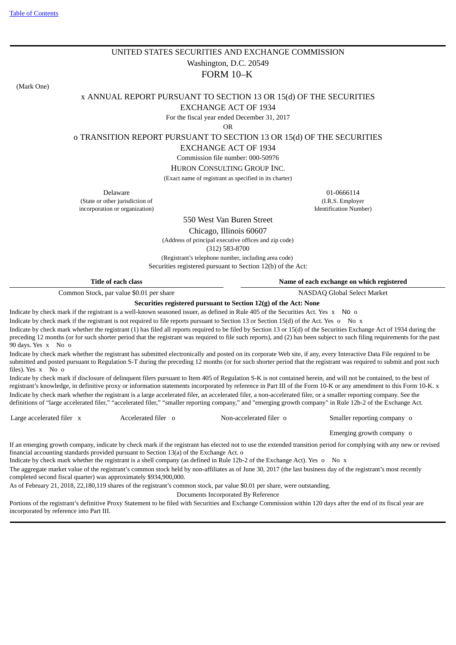# UNITED STATES SECURITIES AND EXCHANGE COMMISSION Washington, D.C. 20549 FORM 10–K

(Mark One)

x ANNUAL REPORT PURSUANT TO SECTION 13 OR 15(d) OF THE SECURITIES

EXCHANGE ACT OF 1934

For the fiscal year ended December 31, 2017

OR

o TRANSITION REPORT PURSUANT TO SECTION 13 OR 15(d) OF THE SECURITIES

EXCHANGE ACT OF 1934

Commission file number: 000-50976 HURON CONSULTING GROUP INC.

(Exact name of registrant as specified in its charter)

Delaware

01-0666114 (I.R.S. Employer Identification Number)

(State or other jurisdiction of incorporation or organization)

> 550 West Van Buren Street Chicago, Illinois 60607 (Address of principal executive offices and zip code) (312) 583-8700 (Registrant's telephone number, including area code)

Securities registered pursuant to Section 12(b) of the Act:

**Title of each class Name of each exchange on which registered**

Common Stock, par value \$0.01 per share NASDAQ Global Select Market

**Securities registered pursuant to Section 12(g) of the Act: None**

Indicate by check mark if the registrant is a well-known seasoned issuer, as defined in Rule 405 of the Securities Act. Yes x No o

Indicate by check mark if the registrant is not required to file reports pursuant to Section 13 or Section 15(d) of the Act. Yes o No x

Indicate by check mark whether the registrant (1) has filed all reports required to be filed by Section 13 or 15(d) of the Securities Exchange Act of 1934 during the preceding 12 months (or for such shorter period that the registrant was required to file such reports), and (2) has been subject to such filing requirements for the past 90 days. Yes x No o

Indicate by check mark whether the registrant has submitted electronically and posted on its corporate Web site, if any, every Interactive Data File required to be submitted and posted pursuant to Regulation S-T during the preceding 12 months (or for such shorter period that the registrant was required to submit and post such files). Yes x No o

Indicate by check mark if disclosure of delinquent filers pursuant to Item 405 of Regulation S-K is not contained herein, and will not be contained, to the best of registrant's knowledge, in definitive proxy or information statements incorporated by reference in Part III of the Form 10-K or any amendment to this Form 10-K. x Indicate by check mark whether the registrant is a large accelerated filer, an accelerated filer, a non-accelerated filer, or a smaller reporting company. See the definitions of "large accelerated filer," "accelerated filer," "smaller reporting company," and "emerging growth company" in Rule 12b-2 of the Exchange Act.

Large accelerated filer x Accelerated filer o Non-accelerated filer o Smaller reporting company o

Emerging growth company o

If an emerging growth company, indicate by check mark if the registrant has elected not to use the extended transition period for complying with any new or revised financial accounting standards provided pursuant to Section 13(a) of the Exchange Act. o

Indicate by check mark whether the registrant is a shell company (as defined in Rule 12b-2 of the Exchange Act). Yes o No x

The aggregate market value of the registrant's common stock held by non-affiliates as of June 30, 2017 (the last business day of the registrant's most recently completed second fiscal quarter) was approximately \$934,900,000.

As of February 21, 2018, 22,180,119 shares of the registrant's common stock, par value \$0.01 per share, were outstanding.

Documents Incorporated By Reference

Portions of the registrant's definitive Proxy Statement to be filed with Securities and Exchange Commission within 120 days after the end of its fiscal year are incorporated by reference into Part III.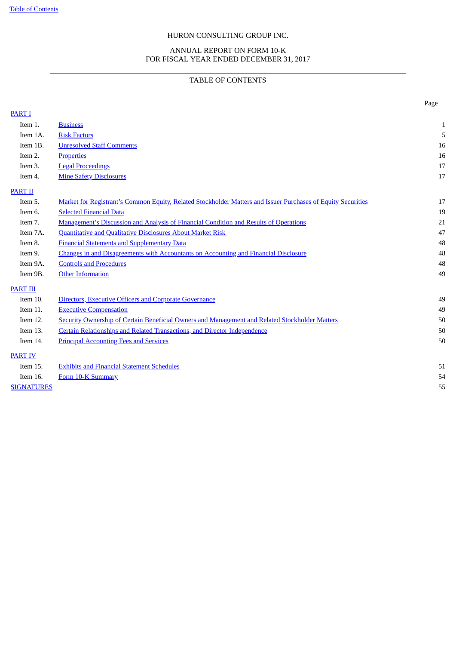# HURON CONSULTING GROUP INC.

# ANNUAL REPORT ON FORM 10-K FOR FISCAL YEAR ENDED DECEMBER 31, 2017

# TABLE OF CONTENTS

<span id="page-1-0"></span>

|                 |                                                                                                              | Page         |
|-----------------|--------------------------------------------------------------------------------------------------------------|--------------|
| <b>PART I</b>   |                                                                                                              |              |
| Item 1.         | <b>Business</b>                                                                                              | $\mathbf{1}$ |
| Item 1A.        | <b>Risk Factors</b>                                                                                          | 5            |
| Item 1B.        | <b>Unresolved Staff Comments</b>                                                                             | 16           |
| Item 2.         | <b>Properties</b>                                                                                            | 16           |
| Item 3.         | <b>Legal Proceedings</b>                                                                                     | 17           |
| Item 4.         | <b>Mine Safety Disclosures</b>                                                                               | 17           |
| <b>PART II</b>  |                                                                                                              |              |
| Item 5.         | Market for Registrant's Common Equity, Related Stockholder Matters and Issuer Purchases of Equity Securities | 17           |
| Item 6.         | <b>Selected Financial Data</b>                                                                               | 19           |
| Item 7.         | Management's Discussion and Analysis of Financial Condition and Results of Operations                        | 21           |
| Item 7A.        | <b>Quantitative and Qualitative Disclosures About Market Risk</b>                                            | 47           |
| Item 8.         | <b>Financial Statements and Supplementary Data</b>                                                           | 48           |
| Item 9.         | Changes in and Disagreements with Accountants on Accounting and Financial Disclosure                         | 48           |
| Item 9A.        | <b>Controls and Procedures</b>                                                                               | 48           |
| Item 9B.        | <b>Other Information</b>                                                                                     | 49           |
| <b>PART III</b> |                                                                                                              |              |
| Item 10.        | <b>Directors, Executive Officers and Corporate Governance</b>                                                | 49           |
| Item 11.        | <b>Executive Compensation</b>                                                                                | 49           |
| Item 12.        | <b>Security Ownership of Certain Beneficial Owners and Management and Related Stockholder Matters</b>        | 50           |
| Item 13.        | Certain Relationships and Related Transactions, and Director Independence                                    | 50           |
| Item 14.        | <b>Principal Accounting Fees and Services</b>                                                                | 50           |
| <b>PART IV</b>  |                                                                                                              |              |
| Item 15.        | <b>Exhibits and Financial Statement Schedules</b>                                                            | 51           |
| Item 16.        | Form 10-K Summary                                                                                            | 54           |

<u>[SIGNATURES](#page-56-0)</u> [55](#page-56-0)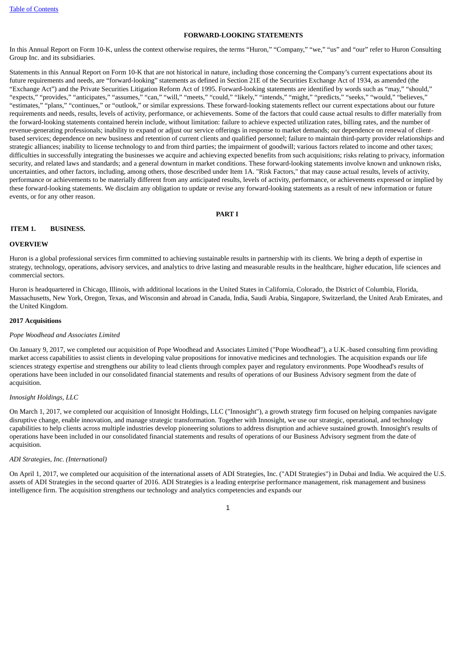### **FORWARD-LOOKING STATEMENTS**

In this Annual Report on Form 10-K, unless the context otherwise requires, the terms "Huron," "Company," "we," "us" and "our" refer to Huron Consulting Group Inc. and its subsidiaries.

Statements in this Annual Report on Form 10-K that are not historical in nature, including those concerning the Company's current expectations about its future requirements and needs, are "forward-looking" statements as defined in Section 21E of the Securities Exchange Act of 1934, as amended (the "Exchange Act") and the Private Securities Litigation Reform Act of 1995. Forward-looking statements are identified by words such as "may," "should," "expects," "provides," "anticipates," "assumes," "can," "will," "meets," "could," "likely," "intends," "might," "predicts," "seeks," "would," "believes," "estimates," "plans," "continues," or "outlook," or similar expressions. These forward-looking statements reflect our current expectations about our future requirements and needs, results, levels of activity, performance, or achievements. Some of the factors that could cause actual results to differ materially from the forward-looking statements contained herein include, without limitation: failure to achieve expected utilization rates, billing rates, and the number of revenue-generating professionals; inability to expand or adjust our service offerings in response to market demands; our dependence on renewal of clientbased services; dependence on new business and retention of current clients and qualified personnel; failure to maintain third-party provider relationships and strategic alliances; inability to license technology to and from third parties; the impairment of goodwill; various factors related to income and other taxes; difficulties in successfully integrating the businesses we acquire and achieving expected benefits from such acquisitions; risks relating to privacy, information security, and related laws and standards; and a general downturn in market conditions. These forward-looking statements involve known and unknown risks, uncertainties, and other factors, including, among others, those described under Item 1A. "Risk Factors," that may cause actual results, levels of activity, performance or achievements to be materially different from any anticipated results, levels of activity, performance, or achievements expressed or implied by these forward-looking statements. We disclaim any obligation to update or revise any forward-looking statements as a result of new information or future events, or for any other reason.

#### **PART I**

#### <span id="page-2-1"></span><span id="page-2-0"></span>**ITEM 1. BUSINESS.**

#### **OVERVIEW**

Huron is a global professional services firm committed to achieving sustainable results in partnership with its clients. We bring a depth of expertise in strategy, technology, operations, advisory services, and analytics to drive lasting and measurable results in the healthcare, higher education, life sciences and commercial sectors.

Huron is headquartered in Chicago, Illinois, with additional locations in the United States in California, Colorado, the District of Columbia, Florida, Massachusetts, New York, Oregon, Texas, and Wisconsin and abroad in Canada, India, Saudi Arabia, Singapore, Switzerland, the United Arab Emirates, and the United Kingdom.

#### **2017 Acquisitions**

#### *Pope Woodhead and Associates Limited*

On January 9, 2017, we completed our acquisition of Pope Woodhead and Associates Limited ("Pope Woodhead"), a U.K.-based consulting firm providing market access capabilities to assist clients in developing value propositions for innovative medicines and technologies. The acquisition expands our life sciences strategy expertise and strengthens our ability to lead clients through complex payer and regulatory environments. Pope Woodhead's results of operations have been included in our consolidated financial statements and results of operations of our Business Advisory segment from the date of acquisition.

### *Innosight Holdings, LLC*

On March 1, 2017, we completed our acquisition of Innosight Holdings, LLC ("Innosight"), a growth strategy firm focused on helping companies navigate disruptive change, enable innovation, and manage strategic transformation. Together with Innosight, we use our strategic, operational, and technology capabilities to help clients across multiple industries develop pioneering solutions to address disruption and achieve sustained growth. Innosight's results of operations have been included in our consolidated financial statements and results of operations of our Business Advisory segment from the date of acquisition.

#### *ADI Strategies, Inc. (International)*

On April 1, 2017, we completed our acquisition of the international assets of ADI Strategies, Inc. ("ADI Strategies") in Dubai and India. We acquired the U.S. assets of ADI Strategies in the second quarter of 2016. ADI Strategies is a leading enterprise performance management, risk management and business intelligence firm. The acquisition strengthens our technology and analytics competencies and expands our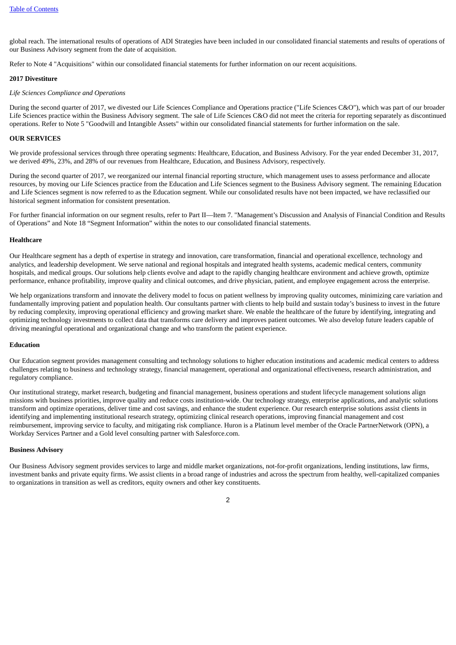global reach. The international results of operations of ADI Strategies have been included in our consolidated financial statements and results of operations of our Business Advisory segment from the date of acquisition.

Refer to Note 4 "Acquisitions" within our consolidated financial statements for further information on our recent acquisitions.

#### **2017 Divestiture**

#### *Life Sciences Compliance and Operations*

During the second quarter of 2017, we divested our Life Sciences Compliance and Operations practice ("Life Sciences C&O"), which was part of our broader Life Sciences practice within the Business Advisory segment. The sale of Life Sciences C&O did not meet the criteria for reporting separately as discontinued operations. Refer to Note 5 "Goodwill and Intangible Assets" within our consolidated financial statements for further information on the sale.

# **OUR SERVICES**

We provide professional services through three operating segments: Healthcare, Education, and Business Advisory. For the year ended December 31, 2017, we derived 49%, 23%, and 28% of our revenues from Healthcare, Education, and Business Advisory, respectively.

During the second quarter of 2017, we reorganized our internal financial reporting structure, which management uses to assess performance and allocate resources, by moving our Life Sciences practice from the Education and Life Sciences segment to the Business Advisory segment. The remaining Education and Life Sciences segment is now referred to as the Education segment. While our consolidated results have not been impacted, we have reclassified our historical segment information for consistent presentation.

For further financial information on our segment results, refer to Part II—Item 7. "Management's Discussion and Analysis of Financial Condition and Results of Operations" and Note 18 "Segment Information" within the notes to our consolidated financial statements.

#### **Healthcare**

Our Healthcare segment has a depth of expertise in strategy and innovation, care transformation, financial and operational excellence, technology and analytics, and leadership development. We serve national and regional hospitals and integrated health systems, academic medical centers, community hospitals, and medical groups. Our solutions help clients evolve and adapt to the rapidly changing healthcare environment and achieve growth, optimize performance, enhance profitability, improve quality and clinical outcomes, and drive physician, patient, and employee engagement across the enterprise.

We help organizations transform and innovate the delivery model to focus on patient wellness by improving quality outcomes, minimizing care variation and fundamentally improving patient and population health. Our consultants partner with clients to help build and sustain today's business to invest in the future by reducing complexity, improving operational efficiency and growing market share. We enable the healthcare of the future by identifying, integrating and optimizing technology investments to collect data that transforms care delivery and improves patient outcomes. We also develop future leaders capable of driving meaningful operational and organizational change and who transform the patient experience.

#### **Education**

Our Education segment provides management consulting and technology solutions to higher education institutions and academic medical centers to address challenges relating to business and technology strategy, financial management, operational and organizational effectiveness, research administration, and regulatory compliance.

Our institutional strategy, market research, budgeting and financial management, business operations and student lifecycle management solutions align missions with business priorities, improve quality and reduce costs institution-wide. Our technology strategy, enterprise applications, and analytic solutions transform and optimize operations, deliver time and cost savings, and enhance the student experience. Our research enterprise solutions assist clients in identifying and implementing institutional research strategy, optimizing clinical research operations, improving financial management and cost reimbursement, improving service to faculty, and mitigating risk compliance. Huron is a Platinum level member of the Oracle PartnerNetwork (OPN), a Workday Services Partner and a Gold level consulting partner with Salesforce.com.

#### **Business Advisory**

Our Business Advisory segment provides services to large and middle market organizations, not-for-profit organizations, lending institutions, law firms, investment banks and private equity firms. We assist clients in a broad range of industries and across the spectrum from healthy, well-capitalized companies to organizations in transition as well as creditors, equity owners and other key constituents.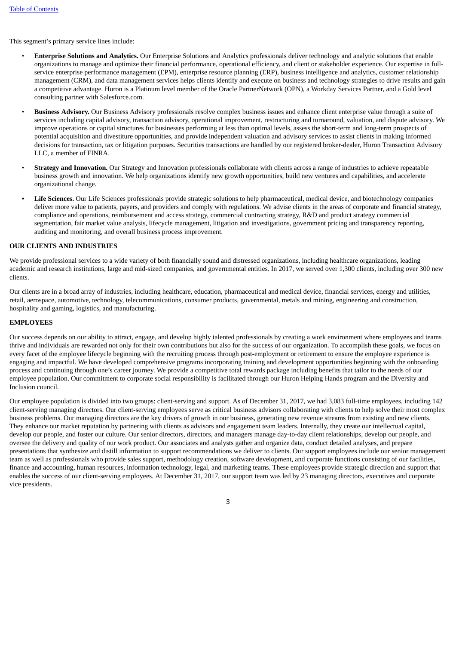This segment's primary service lines include:

- **Enterprise Solutions and Analytics.** Our Enterprise Solutions and Analytics professionals deliver technology and analytic solutions that enable organizations to manage and optimize their financial performance, operational efficiency, and client or stakeholder experience. Our expertise in fullservice enterprise performance management (EPM), enterprise resource planning (ERP), business intelligence and analytics, customer relationship management (CRM), and data management services helps clients identify and execute on business and technology strategies to drive results and gain a competitive advantage. Huron is a Platinum level member of the Oracle PartnerNetwork (OPN), a Workday Services Partner, and a Gold level consulting partner with Salesforce.com.
- **Business Advisory.** Our Business Advisory professionals resolve complex business issues and enhance client enterprise value through a suite of services including capital advisory, transaction advisory, operational improvement, restructuring and turnaround, valuation, and dispute advisory. We improve operations or capital structures for businesses performing at less than optimal levels, assess the short-term and long-term prospects of potential acquisition and divestiture opportunities, and provide independent valuation and advisory services to assist clients in making informed decisions for transaction, tax or litigation purposes. Securities transactions are handled by our registered broker-dealer, Huron Transaction Advisory LLC, a member of FINRA.
- **Strategy and Innovation.** Our Strategy and Innovation professionals collaborate with clients across a range of industries to achieve repeatable business growth and innovation. We help organizations identify new growth opportunities, build new ventures and capabilities, and accelerate organizational change.
- **• Life Sciences.** Our Life Sciences professionals provide strategic solutions to help pharmaceutical, medical device, and biotechnology companies deliver more value to patients, payers, and providers and comply with regulations. We advise clients in the areas of corporate and financial strategy, compliance and operations, reimbursement and access strategy, commercial contracting strategy, R&D and product strategy commercial segmentation, fair market value analysis, lifecycle management, litigation and investigations, government pricing and transparency reporting, auditing and monitoring, and overall business process improvement.

#### **OUR CLIENTS AND INDUSTRIES**

We provide professional services to a wide variety of both financially sound and distressed organizations, including healthcare organizations, leading academic and research institutions, large and mid-sized companies, and governmental entities. In 2017, we served over 1,300 clients, including over 300 new clients.

Our clients are in a broad array of industries, including healthcare, education, pharmaceutical and medical device, financial services, energy and utilities, retail, aerospace, automotive, technology, telecommunications, consumer products, governmental, metals and mining, engineering and construction, hospitality and gaming, logistics, and manufacturing.

### **EMPLOYEES**

Our success depends on our ability to attract, engage, and develop highly talented professionals by creating a work environment where employees and teams thrive and individuals are rewarded not only for their own contributions but also for the success of our organization. To accomplish these goals, we focus on every facet of the employee lifecycle beginning with the recruiting process through post-employment or retirement to ensure the employee experience is engaging and impactful. We have developed comprehensive programs incorporating training and development opportunities beginning with the onboarding process and continuing through one's career journey. We provide a competitive total rewards package including benefits that tailor to the needs of our employee population. Our commitment to corporate social responsibility is facilitated through our Huron Helping Hands program and the Diversity and Inclusion council.

Our employee population is divided into two groups: client-serving and support. As of December 31, 2017, we had 3,083 full-time employees, including 142 client-serving managing directors. Our client-serving employees serve as critical business advisors collaborating with clients to help solve their most complex business problems. Our managing directors are the key drivers of growth in our business, generating new revenue streams from existing and new clients. They enhance our market reputation by partnering with clients as advisors and engagement team leaders. Internally, they create our intellectual capital, develop our people, and foster our culture. Our senior directors, directors, and managers manage day-to-day client relationships, develop our people, and oversee the delivery and quality of our work product. Our associates and analysts gather and organize data, conduct detailed analyses, and prepare presentations that synthesize and distill information to support recommendations we deliver to clients. Our support employees include our senior management team as well as professionals who provide sales support, methodology creation, software development, and corporate functions consisting of our facilities, finance and accounting, human resources, information technology, legal, and marketing teams. These employees provide strategic direction and support that enables the success of our client-serving employees. At December 31, 2017, our support team was led by 23 managing directors, executives and corporate vice presidents.

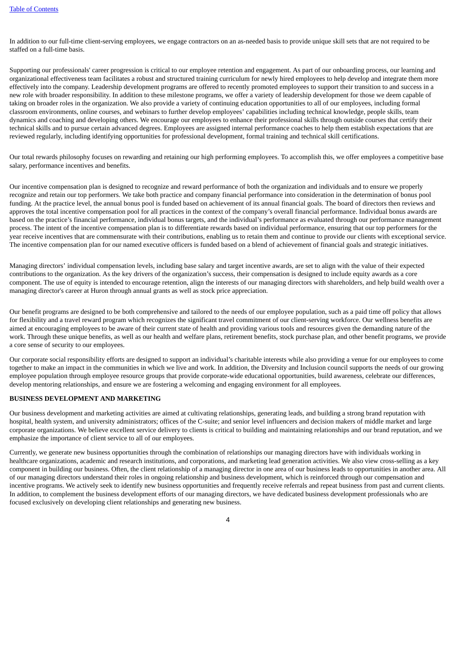In addition to our full-time client-serving employees, we engage contractors on an as-needed basis to provide unique skill sets that are not required to be staffed on a full-time basis.

Supporting our professionals' career progression is critical to our employee retention and engagement. As part of our onboarding process, our learning and organizational effectiveness team facilitates a robust and structured training curriculum for newly hired employees to help develop and integrate them more effectively into the company. Leadership development programs are offered to recently promoted employees to support their transition to and success in a new role with broader responsibility. In addition to these milestone programs, we offer a variety of leadership development for those we deem capable of taking on broader roles in the organization. We also provide a variety of continuing education opportunities to all of our employees, including formal classroom environments, online courses, and webinars to further develop employees' capabilities including technical knowledge, people skills, team dynamics and coaching and developing others. We encourage our employees to enhance their professional skills through outside courses that certify their technical skills and to pursue certain advanced degrees. Employees are assigned internal performance coaches to help them establish expectations that are reviewed regularly, including identifying opportunities for professional development, formal training and technical skill certifications.

Our total rewards philosophy focuses on rewarding and retaining our high performing employees. To accomplish this, we offer employees a competitive base salary, performance incentives and benefits.

Our incentive compensation plan is designed to recognize and reward performance of both the organization and individuals and to ensure we properly recognize and retain our top performers. We take both practice and company financial performance into consideration in the determination of bonus pool funding. At the practice level, the annual bonus pool is funded based on achievement of its annual financial goals. The board of directors then reviews and approves the total incentive compensation pool for all practices in the context of the company's overall financial performance. Individual bonus awards are based on the practice's financial performance, individual bonus targets, and the individual's performance as evaluated through our performance management process. The intent of the incentive compensation plan is to differentiate rewards based on individual performance, ensuring that our top performers for the year receive incentives that are commensurate with their contributions, enabling us to retain them and continue to provide our clients with exceptional service. The incentive compensation plan for our named executive officers is funded based on a blend of achievement of financial goals and strategic initiatives.

Managing directors' individual compensation levels, including base salary and target incentive awards, are set to align with the value of their expected contributions to the organization. As the key drivers of the organization's success, their compensation is designed to include equity awards as a core component. The use of equity is intended to encourage retention, align the interests of our managing directors with shareholders, and help build wealth over a managing director's career at Huron through annual grants as well as stock price appreciation.

Our benefit programs are designed to be both comprehensive and tailored to the needs of our employee population, such as a paid time off policy that allows for flexibility and a travel reward program which recognizes the significant travel commitment of our client-serving workforce. Our wellness benefits are aimed at encouraging employees to be aware of their current state of health and providing various tools and resources given the demanding nature of the work. Through these unique benefits, as well as our health and welfare plans, retirement benefits, stock purchase plan, and other benefit programs, we provide a core sense of security to our employees.

Our corporate social responsibility efforts are designed to support an individual's charitable interests while also providing a venue for our employees to come together to make an impact in the communities in which we live and work. In addition, the Diversity and Inclusion council supports the needs of our growing employee population through employee resource groups that provide corporate-wide educational opportunities, build awareness, celebrate our differences, develop mentoring relationships, and ensure we are fostering a welcoming and engaging environment for all employees.

# **BUSINESS DEVELOPMENT AND MARKETING**

Our business development and marketing activities are aimed at cultivating relationships, generating leads, and building a strong brand reputation with hospital, health system, and university administrators; offices of the C-suite; and senior level influencers and decision makers of middle market and large corporate organizations. We believe excellent service delivery to clients is critical to building and maintaining relationships and our brand reputation, and we emphasize the importance of client service to all of our employees.

Currently, we generate new business opportunities through the combination of relationships our managing directors have with individuals working in healthcare organizations, academic and research institutions, and corporations, and marketing lead generation activities. We also view cross-selling as a key component in building our business. Often, the client relationship of a managing director in one area of our business leads to opportunities in another area. All of our managing directors understand their roles in ongoing relationship and business development, which is reinforced through our compensation and incentive programs. We actively seek to identify new business opportunities and frequently receive referrals and repeat business from past and current clients. In addition, to complement the business development efforts of our managing directors, we have dedicated business development professionals who are focused exclusively on developing client relationships and generating new business.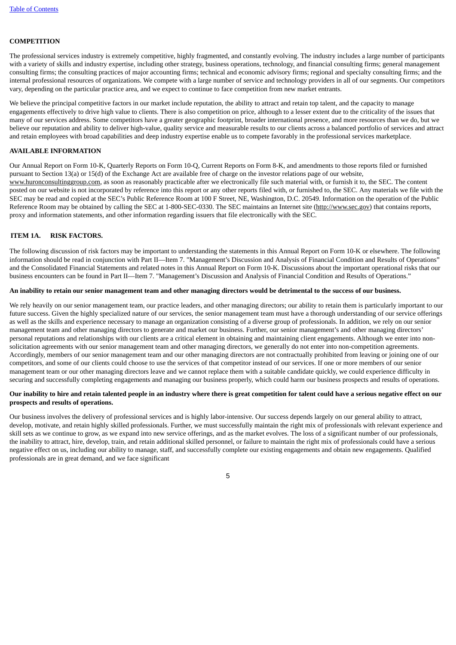# **COMPETITION**

The professional services industry is extremely competitive, highly fragmented, and constantly evolving. The industry includes a large number of participants with a variety of skills and industry expertise, including other strategy, business operations, technology, and financial consulting firms; general management consulting firms; the consulting practices of major accounting firms; technical and economic advisory firms; regional and specialty consulting firms; and the internal professional resources of organizations. We compete with a large number of service and technology providers in all of our segments. Our competitors vary, depending on the particular practice area, and we expect to continue to face competition from new market entrants.

We believe the principal competitive factors in our market include reputation, the ability to attract and retain top talent, and the capacity to manage engagements effectively to drive high value to clients. There is also competition on price, although to a lesser extent due to the criticality of the issues that many of our services address. Some competitors have a greater geographic footprint, broader international presence, and more resources than we do, but we believe our reputation and ability to deliver high-value, quality service and measurable results to our clients across a balanced portfolio of services and attract and retain employees with broad capabilities and deep industry expertise enable us to compete favorably in the professional services marketplace.

### **AVAILABLE INFORMATION**

Our Annual Report on Form 10-K, Quarterly Reports on Form 10-Q, Current Reports on Form 8-K, and amendments to those reports filed or furnished pursuant to Section 13(a) or 15(d) of the Exchange Act are available free of charge on the investor relations page of our website, www.huronconsultinggroup.com, as soon as reasonably practicable after we electronically file such material with, or furnish it to, the SEC. The content posted on our website is not incorporated by reference into this report or any other reports filed with, or furnished to, the SEC. Any materials we file with the SEC may be read and copied at the SEC's Public Reference Room at 100 F Street, NE, Washington, D.C. 20549. Information on the operation of the Public Reference Room may be obtained by calling the SEC at 1-800-SEC-0330. The SEC maintains an Internet site (http://www.sec.gov) that contains reports, proxy and information statements, and other information regarding issuers that file electronically with the SEC.

#### <span id="page-6-0"></span>**ITEM 1A. RISK FACTORS.**

The following discussion of risk factors may be important to understanding the statements in this Annual Report on Form 10-K or elsewhere. The following information should be read in conjunction with Part II—Item 7. "Management's Discussion and Analysis of Financial Condition and Results of Operations" and the Consolidated Financial Statements and related notes in this Annual Report on Form 10-K. Discussions about the important operational risks that our business encounters can be found in Part II—Item 7. "Management's Discussion and Analysis of Financial Condition and Results of Operations."

#### An inability to retain our senior management team and other managing directors would be detrimental to the success of our business.

We rely heavily on our senior management team, our practice leaders, and other managing directors; our ability to retain them is particularly important to our future success. Given the highly specialized nature of our services, the senior management team must have a thorough understanding of our service offerings as well as the skills and experience necessary to manage an organization consisting of a diverse group of professionals. In addition, we rely on our senior management team and other managing directors to generate and market our business. Further, our senior management's and other managing directors' personal reputations and relationships with our clients are a critical element in obtaining and maintaining client engagements. Although we enter into nonsolicitation agreements with our senior management team and other managing directors, we generally do not enter into non-competition agreements. Accordingly, members of our senior management team and our other managing directors are not contractually prohibited from leaving or joining one of our competitors, and some of our clients could choose to use the services of that competitor instead of our services. If one or more members of our senior management team or our other managing directors leave and we cannot replace them with a suitable candidate quickly, we could experience difficulty in securing and successfully completing engagements and managing our business properly, which could harm our business prospects and results of operations.

### Our inability to hire and retain talented people in an industry where there is great competition for talent could have a serious negative effect on our **prospects and results of operations.**

Our business involves the delivery of professional services and is highly labor-intensive. Our success depends largely on our general ability to attract, develop, motivate, and retain highly skilled professionals. Further, we must successfully maintain the right mix of professionals with relevant experience and skill sets as we continue to grow, as we expand into new service offerings, and as the market evolves. The loss of a significant number of our professionals, the inability to attract, hire, develop, train, and retain additional skilled personnel, or failure to maintain the right mix of professionals could have a serious negative effect on us, including our ability to manage, staff, and successfully complete our existing engagements and obtain new engagements. Qualified professionals are in great demand, and we face significant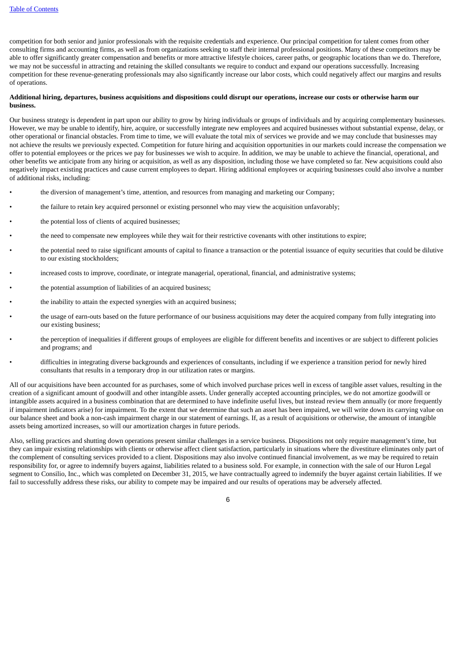competition for both senior and junior professionals with the requisite credentials and experience. Our principal competition for talent comes from other consulting firms and accounting firms, as well as from organizations seeking to staff their internal professional positions. Many of these competitors may be able to offer significantly greater compensation and benefits or more attractive lifestyle choices, career paths, or geographic locations than we do. Therefore, we may not be successful in attracting and retaining the skilled consultants we require to conduct and expand our operations successfully. Increasing competition for these revenue-generating professionals may also significantly increase our labor costs, which could negatively affect our margins and results of operations.

### Additional hiring, departures, business acquisitions and dispositions could disrupt our operations, increase our costs or otherwise harm our **business.**

Our business strategy is dependent in part upon our ability to grow by hiring individuals or groups of individuals and by acquiring complementary businesses. However, we may be unable to identify, hire, acquire, or successfully integrate new employees and acquired businesses without substantial expense, delay, or other operational or financial obstacles. From time to time, we will evaluate the total mix of services we provide and we may conclude that businesses may not achieve the results we previously expected. Competition for future hiring and acquisition opportunities in our markets could increase the compensation we offer to potential employees or the prices we pay for businesses we wish to acquire. In addition, we may be unable to achieve the financial, operational, and other benefits we anticipate from any hiring or acquisition, as well as any disposition, including those we have completed so far. New acquisitions could also negatively impact existing practices and cause current employees to depart. Hiring additional employees or acquiring businesses could also involve a number of additional risks, including:

- the diversion of management's time, attention, and resources from managing and marketing our Company;
- the failure to retain key acquired personnel or existing personnel who may view the acquisition unfavorably;
- the potential loss of clients of acquired businesses;
- the need to compensate new employees while they wait for their restrictive covenants with other institutions to expire;
- the potential need to raise significant amounts of capital to finance a transaction or the potential issuance of equity securities that could be dilutive to our existing stockholders;
- increased costs to improve, coordinate, or integrate managerial, operational, financial, and administrative systems;
- the potential assumption of liabilities of an acquired business;
- the inability to attain the expected synergies with an acquired business;
- the usage of earn-outs based on the future performance of our business acquisitions may deter the acquired company from fully integrating into our existing business;
- the perception of inequalities if different groups of employees are eligible for different benefits and incentives or are subject to different policies and programs; and
- difficulties in integrating diverse backgrounds and experiences of consultants, including if we experience a transition period for newly hired consultants that results in a temporary drop in our utilization rates or margins.

All of our acquisitions have been accounted for as purchases, some of which involved purchase prices well in excess of tangible asset values, resulting in the creation of a significant amount of goodwill and other intangible assets. Under generally accepted accounting principles, we do not amortize goodwill or intangible assets acquired in a business combination that are determined to have indefinite useful lives, but instead review them annually (or more frequently if impairment indicators arise) for impairment. To the extent that we determine that such an asset has been impaired, we will write down its carrying value on our balance sheet and book a non-cash impairment charge in our statement of earnings. If, as a result of acquisitions or otherwise, the amount of intangible assets being amortized increases, so will our amortization charges in future periods.

Also, selling practices and shutting down operations present similar challenges in a service business. Dispositions not only require management's time, but they can impair existing relationships with clients or otherwise affect client satisfaction, particularly in situations where the divestiture eliminates only part of the complement of consulting services provided to a client. Dispositions may also involve continued financial involvement, as we may be required to retain responsibility for, or agree to indemnify buyers against, liabilities related to a business sold. For example, in connection with the sale of our Huron Legal segment to Consilio, Inc., which was completed on December 31, 2015, we have contractually agreed to indemnify the buyer against certain liabilities. If we fail to successfully address these risks, our ability to compete may be impaired and our results of operations may be adversely affected.

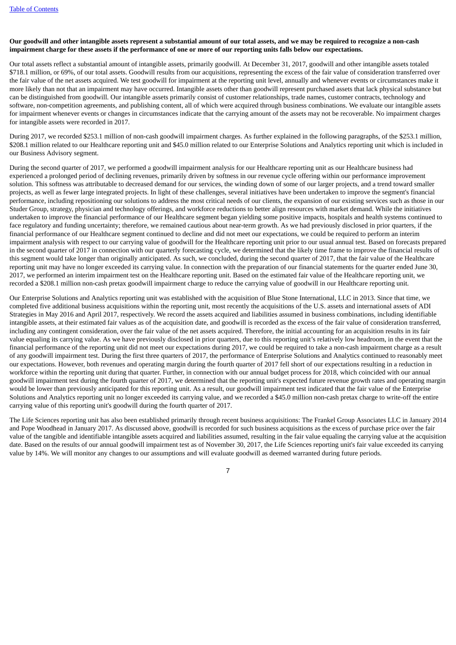### Our goodwill and other intangible assets represent a substantial amount of our total assets, and we may be required to recognize a non-cash impairment charge for these assets if the performance of one or more of our reporting units falls below our expectations.

Our total assets reflect a substantial amount of intangible assets, primarily goodwill. At December 31, 2017, goodwill and other intangible assets totaled \$718.1 million, or 69%, of our total assets. Goodwill results from our acquisitions, representing the excess of the fair value of consideration transferred over the fair value of the net assets acquired. We test goodwill for impairment at the reporting unit level, annually and whenever events or circumstances make it more likely than not that an impairment may have occurred. Intangible assets other than goodwill represent purchased assets that lack physical substance but can be distinguished from goodwill. Our intangible assets primarily consist of customer relationships, trade names, customer contracts, technology and software, non-competition agreements, and publishing content, all of which were acquired through business combinations. We evaluate our intangible assets for impairment whenever events or changes in circumstances indicate that the carrying amount of the assets may not be recoverable. No impairment charges for intangible assets were recorded in 2017.

During 2017, we recorded \$253.1 million of non-cash goodwill impairment charges. As further explained in the following paragraphs, of the \$253.1 million, \$208.1 million related to our Healthcare reporting unit and \$45.0 million related to our Enterprise Solutions and Analytics reporting unit which is included in our Business Advisory segment.

During the second quarter of 2017, we performed a goodwill impairment analysis for our Healthcare reporting unit as our Healthcare business had experienced a prolonged period of declining revenues, primarily driven by softness in our revenue cycle offering within our performance improvement solution. This softness was attributable to decreased demand for our services, the winding down of some of our larger projects, and a trend toward smaller projects, as well as fewer large integrated projects. In light of these challenges, several initiatives have been undertaken to improve the segment's financial performance, including repositioning our solutions to address the most critical needs of our clients, the expansion of our existing services such as those in our Studer Group, strategy, physician and technology offerings, and workforce reductions to better align resources with market demand. While the initiatives undertaken to improve the financial performance of our Healthcare segment began yielding some positive impacts, hospitals and health systems continued to face regulatory and funding uncertainty; therefore, we remained cautious about near-term growth. As we had previously disclosed in prior quarters, if the financial performance of our Healthcare segment continued to decline and did not meet our expectations, we could be required to perform an interim impairment analysis with respect to our carrying value of goodwill for the Healthcare reporting unit prior to our usual annual test. Based on forecasts prepared in the second quarter of 2017 in connection with our quarterly forecasting cycle, we determined that the likely time frame to improve the financial results of this segment would take longer than originally anticipated. As such, we concluded, during the second quarter of 2017, that the fair value of the Healthcare reporting unit may have no longer exceeded its carrying value. In connection with the preparation of our financial statements for the quarter ended June 30, 2017, we performed an interim impairment test on the Healthcare reporting unit. Based on the estimated fair value of the Healthcare reporting unit, we recorded a \$208.1 million non-cash pretax goodwill impairment charge to reduce the carrying value of goodwill in our Healthcare reporting unit.

Our Enterprise Solutions and Analytics reporting unit was established with the acquisition of Blue Stone International, LLC in 2013. Since that time, we completed five additional business acquisitions within the reporting unit, most recently the acquisitions of the U.S. assets and international assets of ADI Strategies in May 2016 and April 2017, respectively. We record the assets acquired and liabilities assumed in business combinations, including identifiable intangible assets, at their estimated fair values as of the acquisition date, and goodwill is recorded as the excess of the fair value of consideration transferred, including any contingent consideration, over the fair value of the net assets acquired. Therefore, the initial accounting for an acquisition results in its fair value equaling its carrying value. As we have previously disclosed in prior quarters, due to this reporting unit's relatively low headroom, in the event that the financial performance of the reporting unit did not meet our expectations during 2017, we could be required to take a non-cash impairment charge as a result of any goodwill impairment test. During the first three quarters of 2017, the performance of Enterprise Solutions and Analytics continued to reasonably meet our expectations. However, both revenues and operating margin during the fourth quarter of 2017 fell short of our expectations resulting in a reduction in workforce within the reporting unit during that quarter. Further, in connection with our annual budget process for 2018, which coincided with our annual goodwill impairment test during the fourth quarter of 2017, we determined that the reporting unit's expected future revenue growth rates and operating margin would be lower than previously anticipated for this reporting unit. As a result, our goodwill impairment test indicated that the fair value of the Enterprise Solutions and Analytics reporting unit no longer exceeded its carrying value, and we recorded a \$45.0 million non-cash pretax charge to write-off the entire carrying value of this reporting unit's goodwill during the fourth quarter of 2017.

The Life Sciences reporting unit has also been established primarily through recent business acquisitions: The Frankel Group Associates LLC in January 2014 and Pope Woodhead in January 2017. As discussed above, goodwill is recorded for such business acquisitions as the excess of purchase price over the fair value of the tangible and identifiable intangible assets acquired and liabilities assumed, resulting in the fair value equaling the carrying value at the acquisition date. Based on the results of our annual goodwill impairment test as of November 30, 2017, the Life Sciences reporting unit's fair value exceeded its carrying value by 14%. We will monitor any changes to our assumptions and will evaluate goodwill as deemed warranted during future periods.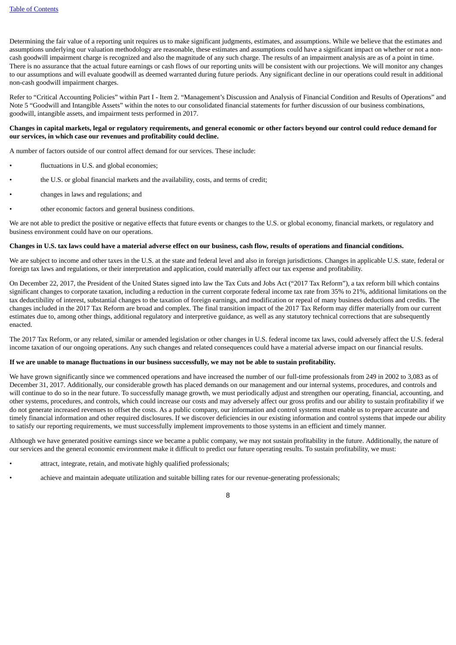Determining the fair value of a reporting unit requires us to make significant judgments, estimates, and assumptions. While we believe that the estimates and assumptions underlying our valuation methodology are reasonable, these estimates and assumptions could have a significant impact on whether or not a noncash goodwill impairment charge is recognized and also the magnitude of any such charge. The results of an impairment analysis are as of a point in time. There is no assurance that the actual future earnings or cash flows of our reporting units will be consistent with our projections. We will monitor any changes to our assumptions and will evaluate goodwill as deemed warranted during future periods. Any significant decline in our operations could result in additional non-cash goodwill impairment charges.

Refer to "Critical Accounting Policies" within Part I - Item 2. "Management's Discussion and Analysis of Financial Condition and Results of Operations" and Note 5 "Goodwill and Intangible Assets" within the notes to our consolidated financial statements for further discussion of our business combinations, goodwill, intangible assets, and impairment tests performed in 2017.

### Changes in capital markets, legal or regulatory requirements, and general economic or other factors beyond our control could reduce demand for **our services, in which case our revenues and profitability could decline.**

A number of factors outside of our control affect demand for our services. These include:

- fluctuations in U.S. and global economies;
- the U.S. or global financial markets and the availability, costs, and terms of credit;
- changes in laws and regulations; and
	- other economic factors and general business conditions.

We are not able to predict the positive or negative effects that future events or changes to the U.S. or global economy, financial markets, or regulatory and business environment could have on our operations.

#### Changes in U.S. tax laws could have a material adverse effect on our business, cash flow, results of operations and financial conditions.

We are subject to income and other taxes in the U.S. at the state and federal level and also in foreign jurisdictions. Changes in applicable U.S. state, federal or foreign tax laws and regulations, or their interpretation and application, could materially affect our tax expense and profitability.

On December 22, 2017, the President of the United States signed into law the Tax Cuts and Jobs Act ("2017 Tax Reform"), a tax reform bill which contains significant changes to corporate taxation, including a reduction in the current corporate federal income tax rate from 35% to 21%, additional limitations on the tax deductibility of interest, substantial changes to the taxation of foreign earnings, and modification or repeal of many business deductions and credits. The changes included in the 2017 Tax Reform are broad and complex. The final transition impact of the 2017 Tax Reform may differ materially from our current estimates due to, among other things, additional regulatory and interpretive guidance, as well as any statutory technical corrections that are subsequently enacted.

The 2017 Tax Reform, or any related, similar or amended legislation or other changes in U.S. federal income tax laws, could adversely affect the U.S. federal income taxation of our ongoing operations. Any such changes and related consequences could have a material adverse impact on our financial results.

#### If we are unable to manage fluctuations in our business successfully, we may not be able to sustain profitability.

We have grown significantly since we commenced operations and have increased the number of our full-time professionals from 249 in 2002 to 3,083 as of December 31, 2017. Additionally, our considerable growth has placed demands on our management and our internal systems, procedures, and controls and will continue to do so in the near future. To successfully manage growth, we must periodically adjust and strengthen our operating, financial, accounting, and other systems, procedures, and controls, which could increase our costs and may adversely affect our gross profits and our ability to sustain profitability if we do not generate increased revenues to offset the costs. As a public company, our information and control systems must enable us to prepare accurate and timely financial information and other required disclosures. If we discover deficiencies in our existing information and control systems that impede our ability to satisfy our reporting requirements, we must successfully implement improvements to those systems in an efficient and timely manner.

Although we have generated positive earnings since we became a public company, we may not sustain profitability in the future. Additionally, the nature of our services and the general economic environment make it difficult to predict our future operating results. To sustain profitability, we must:

- attract, integrate, retain, and motivate highly qualified professionals;
	- achieve and maintain adequate utilization and suitable billing rates for our revenue-generating professionals;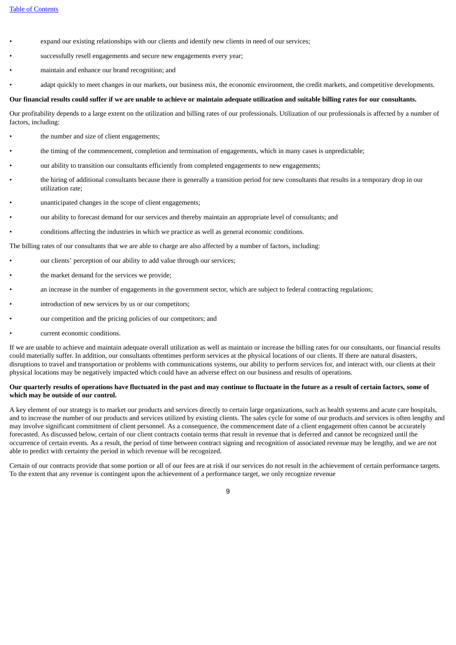- expand our existing relationships with our clients and identify new clients in need of our services;
- successfully resell engagements and secure new engagements every year;
- maintain and enhance our brand recognition; and
- adapt quickly to meet changes in our markets, our business mix, the economic environment, the credit markets, and competitive developments.

#### Our financial results could suffer if we are unable to achieve or maintain adequate utilization and suitable billing rates for our consultants.

Our profitability depends to a large extent on the utilization and billing rates of our professionals. Utilization of our professionals is affected by a number of factors, including:

- the number and size of client engagements;
- the timing of the commencement, completion and termination of engagements, which in many cases is unpredictable;
- our ability to transition our consultants efficiently from completed engagements to new engagements;
- the hiring of additional consultants because there is generally a transition period for new consultants that results in a temporary drop in our utilization rate;
- unanticipated changes in the scope of client engagements;
- our ability to forecast demand for our services and thereby maintain an appropriate level of consultants; and
- conditions affecting the industries in which we practice as well as general economic conditions.

The billing rates of our consultants that we are able to charge are also affected by a number of factors, including:

- our clients' perception of our ability to add value through our services;
- the market demand for the services we provide;
- an increase in the number of engagements in the government sector, which are subject to federal contracting regulations;
- introduction of new services by us or our competitors;
- our competition and the pricing policies of our competitors; and
- current economic conditions.

If we are unable to achieve and maintain adequate overall utilization as well as maintain or increase the billing rates for our consultants, our financial results could materially suffer. In addition, our consultants oftentimes perform services at the physical locations of our clients. If there are natural disasters, disruptions to travel and transportation or problems with communications systems, our ability to perform services for, and interact with, our clients at their physical locations may be negatively impacted which could have an adverse effect on our business and results of operations.

## Our quarterly results of operations have fluctuated in the past and may continue to fluctuate in the future as a result of certain factors, some of **which may be outside of our control.**

A key element of our strategy is to market our products and services directly to certain large organizations, such as health systems and acute care hospitals, and to increase the number of our products and services utilized by existing clients. The sales cycle for some of our products and services is often lengthy and may involve significant commitment of client personnel. As a consequence, the commencement date of a client engagement often cannot be accurately forecasted. As discussed below, certain of our client contracts contain terms that result in revenue that is deferred and cannot be recognized until the occurrence of certain events. As a result, the period of time between contract signing and recognition of associated revenue may be lengthy, and we are not able to predict with certainty the period in which revenue will be recognized.

Certain of our contracts provide that some portion or all of our fees are at risk if our services do not result in the achievement of certain performance targets. To the extent that any revenue is contingent upon the achievement of a performance target, we only recognize revenue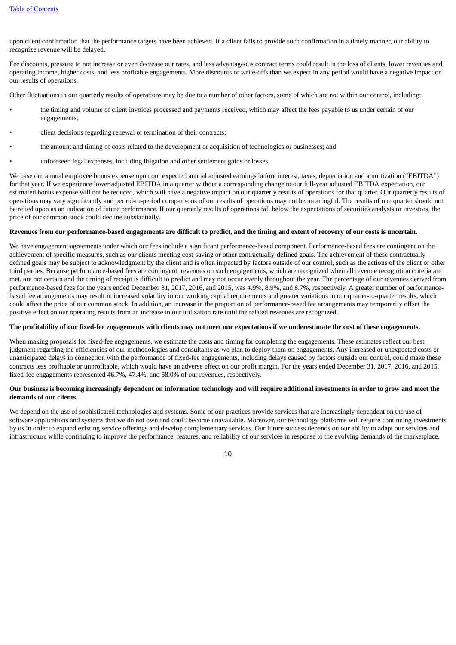upon client confirmation that the performance targets have been achieved. If a client fails to provide such confirmation in a timely manner, our ability to recognize revenue will be delayed.

Fee discounts, pressure to not increase or even decrease our rates, and less advantageous contract terms could result in the loss of clients, lower revenues and operating income, higher costs, and less profitable engagements. More discounts or write-offs than we expect in any period would have a negative impact on our results of operations.

Other fluctuations in our quarterly results of operations may be due to a number of other factors, some of which are not within our control, including:

- the timing and volume of client invoices processed and payments received, which may affect the fees payable to us under certain of our engagements;
- client decisions regarding renewal or termination of their contracts;
- the amount and timing of costs related to the development or acquisition of technologies or businesses; and
- unforeseen legal expenses, including litigation and other settlement gains or losses.

We base our annual employee bonus expense upon our expected annual adjusted earnings before interest, taxes, depreciation and amortization ("EBITDA") for that year. If we experience lower adjusted EBITDA in a quarter without a corresponding change to our full-year adjusted EBITDA expectation, our estimated bonus expense will not be reduced, which will have a negative impact on our quarterly results of operations for that quarter. Our quarterly results of operations may vary significantly and period-to-period comparisons of our results of operations may not be meaningful. The results of one quarter should not be relied upon as an indication of future performance. If our quarterly results of operations fall below the expectations of securities analysts or investors, the price of our common stock could decline substantially.

### Revenues from our performance-based engagements are difficult to predict, and the timing and extent of recovery of our costs is uncertain.

We have engagement agreements under which our fees include a significant performance-based component. Performance-based fees are contingent on the achievement of specific measures, such as our clients meeting cost-saving or other contractually-defined goals. The achievement of these contractuallydefined goals may be subject to acknowledgment by the client and is often impacted by factors outside of our control, such as the actions of the client or other third parties. Because performance-based fees are contingent, revenues on such engagements, which are recognized when all revenue recognition criteria are met, are not certain and the timing of receipt is difficult to predict and may not occur evenly throughout the year. The percentage of our revenues derived from performance-based fees for the years ended December 31, 2017, 2016, and 2015, was 4.9%, 8.9%, and 8.7%, respectively. A greater number of performancebased fee arrangements may result in increased volatility in our working capital requirements and greater variations in our quarter-to-quarter results, which could affect the price of our common stock. In addition, an increase in the proportion of performance-based fee arrangements may temporarily offset the positive effect on our operating results from an increase in our utilization rate until the related revenues are recognized.

#### The profitability of our fixed-fee engagements with clients may not meet our expectations if we underestimate the cost of these engagements.

When making proposals for fixed-fee engagements, we estimate the costs and timing for completing the engagements. These estimates reflect our best judgment regarding the efficiencies of our methodologies and consultants as we plan to deploy them on engagements. Any increased or unexpected costs or unanticipated delays in connection with the performance of fixed-fee engagements, including delays caused by factors outside our control, could make these contracts less profitable or unprofitable, which would have an adverse effect on our profit margin. For the years ended December 31, 2017, 2016, and 2015, fixed-fee engagements represented 46.7%, 47.4%, and 58.0% of our revenues, respectively.

## Our business is becoming increasingly dependent on information technology and will require additional investments in order to grow and meet the **demands of our clients.**

We depend on the use of sophisticated technologies and systems. Some of our practices provide services that are increasingly dependent on the use of software applications and systems that we do not own and could become unavailable. Moreover, our technology platforms will require continuing investments by us in order to expand existing service offerings and develop complementary services. Our future success depends on our ability to adapt our services and infrastructure while continuing to improve the performance, features, and reliability of our services in response to the evolving demands of the marketplace.

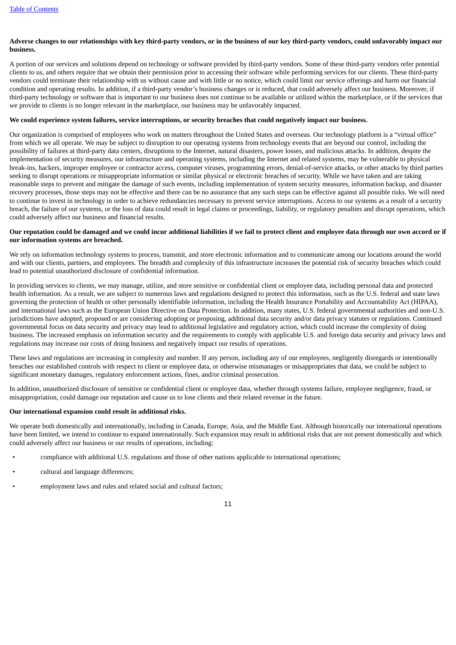# Adverse changes to our relationships with key third-party vendors, or in the business of our key third-party vendors, could unfavorably impact our **business.**

A portion of our services and solutions depend on technology or software provided by third-party vendors. Some of these third-party vendors refer potential clients to us, and others require that we obtain their permission prior to accessing their software while performing services for our clients. These third-party vendors could terminate their relationship with us without cause and with little or no notice, which could limit our service offerings and harm our financial condition and operating results. In addition, if a third-party vendor's business changes or is reduced, that could adversely affect our business. Moreover, if third-party technology or software that is important to our business does not continue to be available or utilized within the marketplace, or if the services that we provide to clients is no longer relevant in the marketplace, our business may be unfavorably impacted.

#### We could experience system failures, service interruptions, or security breaches that could negatively impact our business.

Our organization is comprised of employees who work on matters throughout the United States and overseas. Our technology platform is a "virtual office" from which we all operate. We may be subject to disruption to our operating systems from technology events that are beyond our control, including the possibility of failures at third-party data centers, disruptions to the Internet, natural disasters, power losses, and malicious attacks. In addition, despite the implementation of security measures, our infrastructure and operating systems, including the Internet and related systems, may be vulnerable to physical break-ins, hackers, improper employee or contractor access, computer viruses, programming errors, denial-of-service attacks, or other attacks by third parties seeking to disrupt operations or misappropriate information or similar physical or electronic breaches of security. While we have taken and are taking reasonable steps to prevent and mitigate the damage of such events, including implementation of system security measures, information backup, and disaster recovery processes, those steps may not be effective and there can be no assurance that any such steps can be effective against all possible risks. We will need to continue to invest in technology in order to achieve redundancies necessary to prevent service interruptions. Access to our systems as a result of a security breach, the failure of our systems, or the loss of data could result in legal claims or proceedings, liability, or regulatory penalties and disrupt operations, which could adversely affect our business and financial results.

### Our reputation could be damaged and we could incur additional liabilities if we fail to protect client and employee data through our own accord or if **our information systems are breached.**

We rely on information technology systems to process, transmit, and store electronic information and to communicate among our locations around the world and with our clients, partners, and employees. The breadth and complexity of this infrastructure increases the potential risk of security breaches which could lead to potential unauthorized disclosure of confidential information.

In providing services to clients, we may manage, utilize, and store sensitive or confidential client or employee data, including personal data and protected health information. As a result, we are subject to numerous laws and regulations designed to protect this information, such as the U.S. federal and state laws governing the protection of health or other personally identifiable information, including the Health Insurance Portability and Accountability Act (HIPAA), and international laws such as the European Union Directive on Data Protection. In addition, many states, U.S. federal governmental authorities and non-U.S. jurisdictions have adopted, proposed or are considering adopting or proposing, additional data security and/or data privacy statutes or regulations. Continued governmental focus on data security and privacy may lead to additional legislative and regulatory action, which could increase the complexity of doing business. The increased emphasis on information security and the requirements to comply with applicable U.S. and foreign data security and privacy laws and regulations may increase our costs of doing business and negatively impact our results of operations.

These laws and regulations are increasing in complexity and number. If any person, including any of our employees, negligently disregards or intentionally breaches our established controls with respect to client or employee data, or otherwise mismanages or misappropriates that data, we could be subject to significant monetary damages, regulatory enforcement actions, fines, and/or criminal prosecution.

In addition, unauthorized disclosure of sensitive or confidential client or employee data, whether through systems failure, employee negligence, fraud, or misappropriation, could damage our reputation and cause us to lose clients and their related revenue in the future.

#### **Our international expansion could result in additional risks.**

We operate both domestically and internationally, including in Canada, Europe, Asia, and the Middle East. Although historically our international operations have been limited, we intend to continue to expand internationally. Such expansion may result in additional risks that are not present domestically and which could adversely affect our business or our results of operations, including:

- compliance with additional U.S. regulations and those of other nations applicable to international operations;
- cultural and language differences;
- employment laws and rules and related social and cultural factors;
	- 11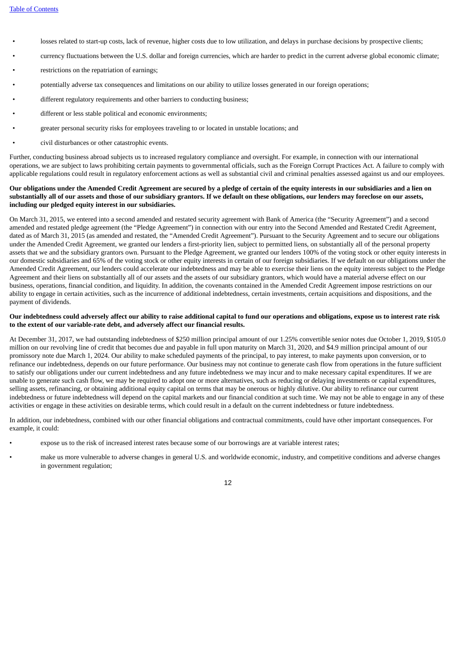- losses related to start-up costs, lack of revenue, higher costs due to low utilization, and delays in purchase decisions by prospective clients;
- currency fluctuations between the U.S. dollar and foreign currencies, which are harder to predict in the current adverse global economic climate;
- restrictions on the repatriation of earnings;
- potentially adverse tax consequences and limitations on our ability to utilize losses generated in our foreign operations;
- different regulatory requirements and other barriers to conducting business;
- different or less stable political and economic environments;
- greater personal security risks for employees traveling to or located in unstable locations; and
- civil disturbances or other catastrophic events.

Further, conducting business abroad subjects us to increased regulatory compliance and oversight. For example, in connection with our international operations, we are subject to laws prohibiting certain payments to governmental officials, such as the Foreign Corrupt Practices Act. A failure to comply with applicable regulations could result in regulatory enforcement actions as well as substantial civil and criminal penalties assessed against us and our employees.

### Our obligations under the Amended Credit Agreement are secured by a pledge of certain of the equity interests in our subsidiaries and a lien on substantially all of our assets and those of our subsidiary grantors. If we default on these obligations, our lenders may foreclose on our assets, **including our pledged equity interest in our subsidiaries.**

On March 31, 2015, we entered into a second amended and restated security agreement with Bank of America (the "Security Agreement") and a second amended and restated pledge agreement (the "Pledge Agreement") in connection with our entry into the Second Amended and Restated Credit Agreement, dated as of March 31, 2015 (as amended and restated, the "Amended Credit Agreement"). Pursuant to the Security Agreement and to secure our obligations under the Amended Credit Agreement, we granted our lenders a first-priority lien, subject to permitted liens, on substantially all of the personal property assets that we and the subsidiary grantors own. Pursuant to the Pledge Agreement, we granted our lenders 100% of the voting stock or other equity interests in our domestic subsidiaries and 65% of the voting stock or other equity interests in certain of our foreign subsidiaries. If we default on our obligations under the Amended Credit Agreement, our lenders could accelerate our indebtedness and may be able to exercise their liens on the equity interests subject to the Pledge Agreement and their liens on substantially all of our assets and the assets of our subsidiary grantors, which would have a material adverse effect on our business, operations, financial condition, and liquidity. In addition, the covenants contained in the Amended Credit Agreement impose restrictions on our ability to engage in certain activities, such as the incurrence of additional indebtedness, certain investments, certain acquisitions and dispositions, and the payment of dividends.

### Our indebtedness could adversely affect our ability to raise additional capital to fund our operations and obligations, expose us to interest rate risk **to the extent of our variable-rate debt, and adversely affect our financial results.**

At December 31, 2017, we had outstanding indebtedness of \$250 million principal amount of our 1.25% convertible senior notes due October 1, 2019, \$105.0 million on our revolving line of credit that becomes due and payable in full upon maturity on March 31, 2020, and \$4.9 million principal amount of our promissory note due March 1, 2024. Our ability to make scheduled payments of the principal, to pay interest, to make payments upon conversion, or to refinance our indebtedness, depends on our future performance. Our business may not continue to generate cash flow from operations in the future sufficient to satisfy our obligations under our current indebtedness and any future indebtedness we may incur and to make necessary capital expenditures. If we are unable to generate such cash flow, we may be required to adopt one or more alternatives, such as reducing or delaying investments or capital expenditures, selling assets, refinancing, or obtaining additional equity capital on terms that may be onerous or highly dilutive. Our ability to refinance our current indebtedness or future indebtedness will depend on the capital markets and our financial condition at such time. We may not be able to engage in any of these activities or engage in these activities on desirable terms, which could result in a default on the current indebtedness or future indebtedness.

In addition, our indebtedness, combined with our other financial obligations and contractual commitments, could have other important consequences. For example, it could:

- expose us to the risk of increased interest rates because some of our borrowings are at variable interest rates;
- make us more vulnerable to adverse changes in general U.S. and worldwide economic, industry, and competitive conditions and adverse changes in government regulation;

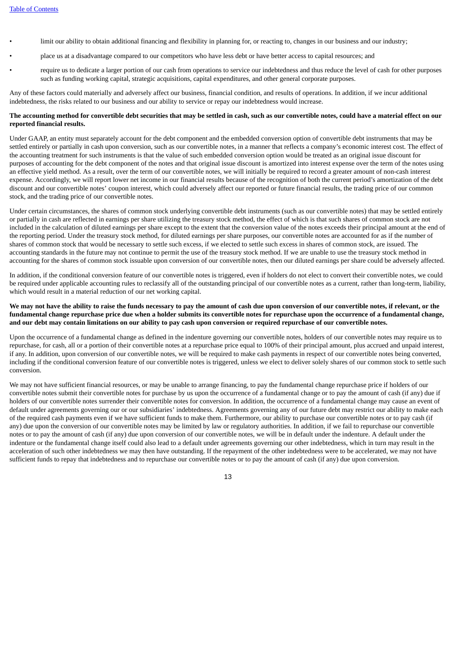- limit our ability to obtain additional financing and flexibility in planning for, or reacting to, changes in our business and our industry;
- place us at a disadvantage compared to our competitors who have less debt or have better access to capital resources; and
- require us to dedicate a larger portion of our cash from operations to service our indebtedness and thus reduce the level of cash for other purposes such as funding working capital, strategic acquisitions, capital expenditures, and other general corporate purposes.

Any of these factors could materially and adversely affect our business, financial condition, and results of operations. In addition, if we incur additional indebtedness, the risks related to our business and our ability to service or repay our indebtedness would increase.

### The accounting method for convertible debt securities that may be settled in cash, such as our convertible notes, could have a material effect on our **reported financial results.**

Under GAAP, an entity must separately account for the debt component and the embedded conversion option of convertible debt instruments that may be settled entirely or partially in cash upon conversion, such as our convertible notes, in a manner that reflects a company's economic interest cost. The effect of the accounting treatment for such instruments is that the value of such embedded conversion option would be treated as an original issue discount for purposes of accounting for the debt component of the notes and that original issue discount is amortized into interest expense over the term of the notes using an effective yield method. As a result, over the term of our convertible notes, we will initially be required to record a greater amount of non-cash interest expense. Accordingly, we will report lower net income in our financial results because of the recognition of both the current period's amortization of the debt discount and our convertible notes' coupon interest, which could adversely affect our reported or future financial results, the trading price of our common stock, and the trading price of our convertible notes.

Under certain circumstances, the shares of common stock underlying convertible debt instruments (such as our convertible notes) that may be settled entirely or partially in cash are reflected in earnings per share utilizing the treasury stock method, the effect of which is that such shares of common stock are not included in the calculation of diluted earnings per share except to the extent that the conversion value of the notes exceeds their principal amount at the end of the reporting period. Under the treasury stock method, for diluted earnings per share purposes, our convertible notes are accounted for as if the number of shares of common stock that would be necessary to settle such excess, if we elected to settle such excess in shares of common stock, are issued. The accounting standards in the future may not continue to permit the use of the treasury stock method. If we are unable to use the treasury stock method in accounting for the shares of common stock issuable upon conversion of our convertible notes, then our diluted earnings per share could be adversely affected.

In addition, if the conditional conversion feature of our convertible notes is triggered, even if holders do not elect to convert their convertible notes, we could be required under applicable accounting rules to reclassify all of the outstanding principal of our convertible notes as a current, rather than long-term, liability, which would result in a material reduction of our net working capital.

## We may not have the ability to raise the funds necessary to pay the amount of cash due upon conversion of our convertible notes, if relevant, or the fundamental change repurchase price due when a holder submits its convertible notes for repurchase upon the occurrence of a fundamental change, and our debt may contain limitations on our ability to pay cash upon conversion or required repurchase of our convertible notes.

Upon the occurrence of a fundamental change as defined in the indenture governing our convertible notes, holders of our convertible notes may require us to repurchase, for cash, all or a portion of their convertible notes at a repurchase price equal to 100% of their principal amount, plus accrued and unpaid interest, if any. In addition, upon conversion of our convertible notes, we will be required to make cash payments in respect of our convertible notes being converted, including if the conditional conversion feature of our convertible notes is triggered, unless we elect to deliver solely shares of our common stock to settle such conversion.

We may not have sufficient financial resources, or may be unable to arrange financing, to pay the fundamental change repurchase price if holders of our convertible notes submit their convertible notes for purchase by us upon the occurrence of a fundamental change or to pay the amount of cash (if any) due if holders of our convertible notes surrender their convertible notes for conversion. In addition, the occurrence of a fundamental change may cause an event of default under agreements governing our or our subsidiaries' indebtedness. Agreements governing any of our future debt may restrict our ability to make each of the required cash payments even if we have sufficient funds to make them. Furthermore, our ability to purchase our convertible notes or to pay cash (if any) due upon the conversion of our convertible notes may be limited by law or regulatory authorities. In addition, if we fail to repurchase our convertible notes or to pay the amount of cash (if any) due upon conversion of our convertible notes, we will be in default under the indenture. A default under the indenture or the fundamental change itself could also lead to a default under agreements governing our other indebtedness, which in turn may result in the acceleration of such other indebtedness we may then have outstanding. If the repayment of the other indebtedness were to be accelerated, we may not have sufficient funds to repay that indebtedness and to repurchase our convertible notes or to pay the amount of cash (if any) due upon conversion.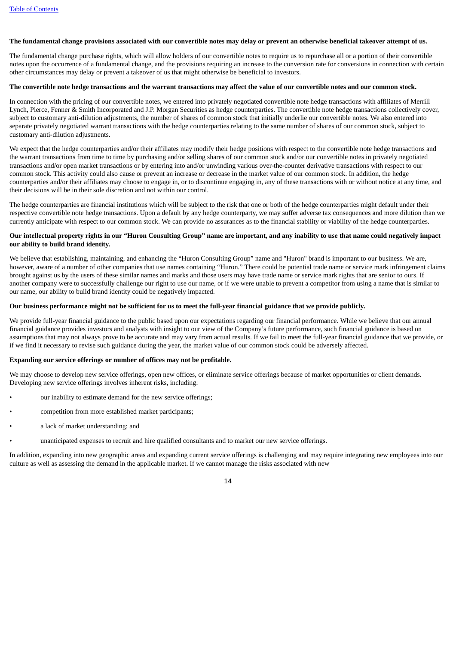#### The fundamental change provisions associated with our convertible notes may delay or prevent an otherwise beneficial takeover attempt of us.

The fundamental change purchase rights, which will allow holders of our convertible notes to require us to repurchase all or a portion of their convertible notes upon the occurrence of a fundamental change, and the provisions requiring an increase to the conversion rate for conversions in connection with certain other circumstances may delay or prevent a takeover of us that might otherwise be beneficial to investors.

#### The convertible note hedge transactions and the warrant transactions may affect the value of our convertible notes and our common stock.

In connection with the pricing of our convertible notes, we entered into privately negotiated convertible note hedge transactions with affiliates of Merrill Lynch, Pierce, Fenner & Smith Incorporated and J.P. Morgan Securities as hedge counterparties. The convertible note hedge transactions collectively cover, subject to customary anti-dilution adjustments, the number of shares of common stock that initially underlie our convertible notes. We also entered into separate privately negotiated warrant transactions with the hedge counterparties relating to the same number of shares of our common stock, subject to customary anti-dilution adjustments.

We expect that the hedge counterparties and/or their affiliates may modify their hedge positions with respect to the convertible note hedge transactions and the warrant transactions from time to time by purchasing and/or selling shares of our common stock and/or our convertible notes in privately negotiated transactions and/or open market transactions or by entering into and/or unwinding various over-the-counter derivative transactions with respect to our common stock. This activity could also cause or prevent an increase or decrease in the market value of our common stock. In addition, the hedge counterparties and/or their affiliates may choose to engage in, or to discontinue engaging in, any of these transactions with or without notice at any time, and their decisions will be in their sole discretion and not within our control.

The hedge counterparties are financial institutions which will be subject to the risk that one or both of the hedge counterparties might default under their respective convertible note hedge transactions. Upon a default by any hedge counterparty, we may suffer adverse tax consequences and more dilution than we currently anticipate with respect to our common stock. We can provide no assurances as to the financial stability or viability of the hedge counterparties.

### Our intellectual property rights in our "Huron Consulting Group" name are important, and any inability to use that name could negatively impact **our ability to build brand identity.**

We believe that establishing, maintaining, and enhancing the "Huron Consulting Group" name and "Huron" brand is important to our business. We are, however, aware of a number of other companies that use names containing "Huron." There could be potential trade name or service mark infringement claims brought against us by the users of these similar names and marks and those users may have trade name or service mark rights that are senior to ours. If another company were to successfully challenge our right to use our name, or if we were unable to prevent a competitor from using a name that is similar to our name, our ability to build brand identity could be negatively impacted.

# Our business performance might not be sufficient for us to meet the full-year financial guidance that we provide publicly.

We provide full-year financial guidance to the public based upon our expectations regarding our financial performance. While we believe that our annual financial guidance provides investors and analysts with insight to our view of the Company's future performance, such financial guidance is based on assumptions that may not always prove to be accurate and may vary from actual results. If we fail to meet the full-year financial guidance that we provide, or if we find it necessary to revise such guidance during the year, the market value of our common stock could be adversely affected.

#### **Expanding our service offerings or number of offices may not be profitable.**

We may choose to develop new service offerings, open new offices, or eliminate service offerings because of market opportunities or client demands. Developing new service offerings involves inherent risks, including:

- our inability to estimate demand for the new service offerings;
- competition from more established market participants;
- a lack of market understanding; and
- unanticipated expenses to recruit and hire qualified consultants and to market our new service offerings.

In addition, expanding into new geographic areas and expanding current service offerings is challenging and may require integrating new employees into our culture as well as assessing the demand in the applicable market. If we cannot manage the risks associated with new

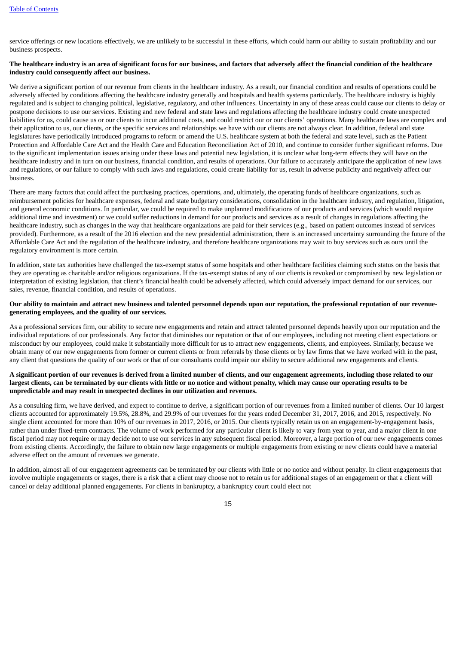service offerings or new locations effectively, we are unlikely to be successful in these efforts, which could harm our ability to sustain profitability and our business prospects.

#### The healthcare industry is an area of significant focus for our business, and factors that adversely affect the financial condition of the healthcare **industry could consequently affect our business.**

We derive a significant portion of our revenue from clients in the healthcare industry. As a result, our financial condition and results of operations could be adversely affected by conditions affecting the healthcare industry generally and hospitals and health systems particularly. The healthcare industry is highly regulated and is subject to changing political, legislative, regulatory, and other influences. Uncertainty in any of these areas could cause our clients to delay or postpone decisions to use our services. Existing and new federal and state laws and regulations affecting the healthcare industry could create unexpected liabilities for us, could cause us or our clients to incur additional costs, and could restrict our or our clients' operations. Many healthcare laws are complex and their application to us, our clients, or the specific services and relationships we have with our clients are not always clear. In addition, federal and state legislatures have periodically introduced programs to reform or amend the U.S. healthcare system at both the federal and state level, such as the Patient Protection and Affordable Care Act and the Health Care and Education Reconciliation Act of 2010, and continue to consider further significant reforms. Due to the significant implementation issues arising under these laws and potential new legislation, it is unclear what long-term effects they will have on the healthcare industry and in turn on our business, financial condition, and results of operations. Our failure to accurately anticipate the application of new laws and regulations, or our failure to comply with such laws and regulations, could create liability for us, result in adverse publicity and negatively affect our business.

There are many factors that could affect the purchasing practices, operations, and, ultimately, the operating funds of healthcare organizations, such as reimbursement policies for healthcare expenses, federal and state budgetary considerations, consolidation in the healthcare industry, and regulation, litigation, and general economic conditions. In particular, we could be required to make unplanned modifications of our products and services (which would require additional time and investment) or we could suffer reductions in demand for our products and services as a result of changes in regulations affecting the healthcare industry, such as changes in the way that healthcare organizations are paid for their services (e.g., based on patient outcomes instead of services provided). Furthermore, as a result of the 2016 election and the new presidential administration, there is an increased uncertainty surrounding the future of the Affordable Care Act and the regulation of the healthcare industry, and therefore healthcare organizations may wait to buy services such as ours until the regulatory environment is more certain.

In addition, state tax authorities have challenged the tax-exempt status of some hospitals and other healthcare facilities claiming such status on the basis that they are operating as charitable and/or religious organizations. If the tax-exempt status of any of our clients is revoked or compromised by new legislation or interpretation of existing legislation, that client's financial health could be adversely affected, which could adversely impact demand for our services, our sales, revenue, financial condition, and results of operations.

#### Our ability to maintain and attract new business and talented personnel depends upon our reputation, the professional reputation of our revenue**generating employees, and the quality of our services.**

As a professional services firm, our ability to secure new engagements and retain and attract talented personnel depends heavily upon our reputation and the individual reputations of our professionals. Any factor that diminishes our reputation or that of our employees, including not meeting client expectations or misconduct by our employees, could make it substantially more difficult for us to attract new engagements, clients, and employees. Similarly, because we obtain many of our new engagements from former or current clients or from referrals by those clients or by law firms that we have worked with in the past, any client that questions the quality of our work or that of our consultants could impair our ability to secure additional new engagements and clients.

## A significant portion of our revenues is derived from a limited number of clients, and our engagement agreements, including those related to our largest clients, can be terminated by our clients with little or no notice and without penalty, which may cause our operating results to be **unpredictable and may result in unexpected declines in our utilization and revenues.**

As a consulting firm, we have derived, and expect to continue to derive, a significant portion of our revenues from a limited number of clients. Our 10 largest clients accounted for approximately 19.5%, 28.8%, and 29.9% of our revenues for the years ended December 31, 2017, 2016, and 2015, respectively. No single client accounted for more than 10% of our revenues in 2017, 2016, or 2015. Our clients typically retain us on an engagement-by-engagement basis, rather than under fixed-term contracts. The volume of work performed for any particular client is likely to vary from year to year, and a major client in one fiscal period may not require or may decide not to use our services in any subsequent fiscal period. Moreover, a large portion of our new engagements comes from existing clients. Accordingly, the failure to obtain new large engagements or multiple engagements from existing or new clients could have a material adverse effect on the amount of revenues we generate.

In addition, almost all of our engagement agreements can be terminated by our clients with little or no notice and without penalty. In client engagements that involve multiple engagements or stages, there is a risk that a client may choose not to retain us for additional stages of an engagement or that a client will cancel or delay additional planned engagements. For clients in bankruptcy, a bankruptcy court could elect not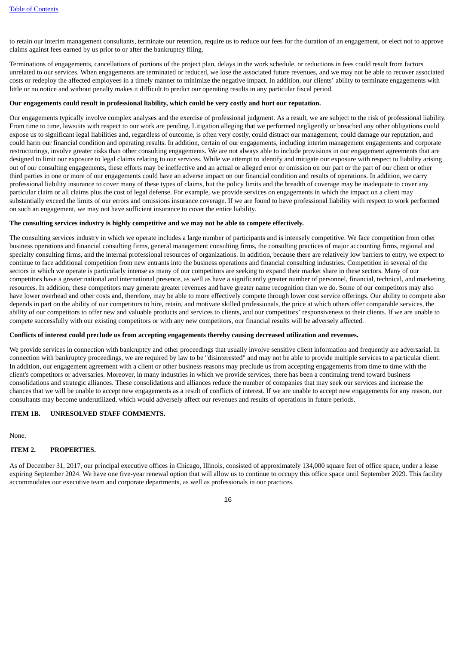to retain our interim management consultants, terminate our retention, require us to reduce our fees for the duration of an engagement, or elect not to approve claims against fees earned by us prior to or after the bankruptcy filing.

Terminations of engagements, cancellations of portions of the project plan, delays in the work schedule, or reductions in fees could result from factors unrelated to our services. When engagements are terminated or reduced, we lose the associated future revenues, and we may not be able to recover associated costs or redeploy the affected employees in a timely manner to minimize the negative impact. In addition, our clients' ability to terminate engagements with little or no notice and without penalty makes it difficult to predict our operating results in any particular fiscal period.

### **Our engagements could result in professional liability, which could be very costly and hurt our reputation.**

Our engagements typically involve complex analyses and the exercise of professional judgment. As a result, we are subject to the risk of professional liability. From time to time, lawsuits with respect to our work are pending. Litigation alleging that we performed negligently or breached any other obligations could expose us to significant legal liabilities and, regardless of outcome, is often very costly, could distract our management, could damage our reputation, and could harm our financial condition and operating results. In addition, certain of our engagements, including interim management engagements and corporate restructurings, involve greater risks than other consulting engagements. We are not always able to include provisions in our engagement agreements that are designed to limit our exposure to legal claims relating to our services. While we attempt to identify and mitigate our exposure with respect to liability arising out of our consulting engagements, these efforts may be ineffective and an actual or alleged error or omission on our part or the part of our client or other third parties in one or more of our engagements could have an adverse impact on our financial condition and results of operations. In addition, we carry professional liability insurance to cover many of these types of claims, but the policy limits and the breadth of coverage may be inadequate to cover any particular claim or all claims plus the cost of legal defense. For example, we provide services on engagements in which the impact on a client may substantially exceed the limits of our errors and omissions insurance coverage. If we are found to have professional liability with respect to work performed on such an engagement, we may not have sufficient insurance to cover the entire liability.

#### **The consulting services industry is highly competitive and we may not be able to compete effectively.**

The consulting services industry in which we operate includes a large number of participants and is intensely competitive. We face competition from other business operations and financial consulting firms, general management consulting firms, the consulting practices of major accounting firms, regional and specialty consulting firms, and the internal professional resources of organizations. In addition, because there are relatively low barriers to entry, we expect to continue to face additional competition from new entrants into the business operations and financial consulting industries. Competition in several of the sectors in which we operate is particularly intense as many of our competitors are seeking to expand their market share in these sectors. Many of our competitors have a greater national and international presence, as well as have a significantly greater number of personnel, financial, technical, and marketing resources. In addition, these competitors may generate greater revenues and have greater name recognition than we do. Some of our competitors may also have lower overhead and other costs and, therefore, may be able to more effectively compete through lower cost service offerings. Our ability to compete also depends in part on the ability of our competitors to hire, retain, and motivate skilled professionals, the price at which others offer comparable services, the ability of our competitors to offer new and valuable products and services to clients, and our competitors' responsiveness to their clients. If we are unable to compete successfully with our existing competitors or with any new competitors, our financial results will be adversely affected.

#### **Conflicts of interest could preclude us from accepting engagements thereby causing decreased utilization and revenues.**

We provide services in connection with bankruptcy and other proceedings that usually involve sensitive client information and frequently are adversarial. In connection with bankruptcy proceedings, we are required by law to be "disinterested" and may not be able to provide multiple services to a particular client. In addition, our engagement agreement with a client or other business reasons may preclude us from accepting engagements from time to time with the client's competitors or adversaries. Moreover, in many industries in which we provide services, there has been a continuing trend toward business consolidations and strategic alliances. These consolidations and alliances reduce the number of companies that may seek our services and increase the chances that we will be unable to accept new engagements as a result of conflicts of interest. If we are unable to accept new engagements for any reason, our consultants may become underutilized, which would adversely affect our revenues and results of operations in future periods.

## <span id="page-17-0"></span>**ITEM 1B. UNRESOLVED STAFF COMMENTS.**

None.

# <span id="page-17-1"></span>**ITEM 2. PROPERTIES.**

As of December 31, 2017, our principal executive offices in Chicago, Illinois, consisted of approximately 134,000 square feet of office space, under a lease expiring September 2024. We have one five-year renewal option that will allow us to continue to occupy this office space until September 2029. This facility accommodates our executive team and corporate departments, as well as professionals in our practices.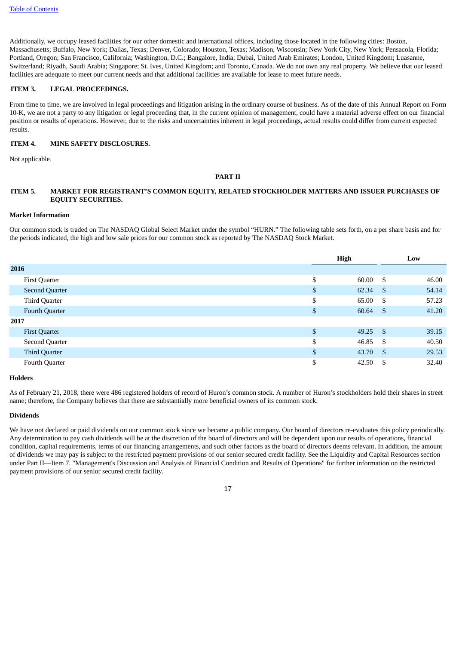Additionally, we occupy leased facilities for our other domestic and international offices, including those located in the following cities: Boston, Massachusetts; Buffalo, New York; Dallas, Texas; Denver, Colorado; Houston, Texas; Madison, Wisconsin; New York City, New York; Pensacola, Florida; Portland, Oregon; San Francisco, California; Washington, D.C.; Bangalore, India; Dubai, United Arab Emirates; London, United Kingdom; Luasanne, Switzerland; Riyadh, Saudi Arabia; Singapore; St. Ives, United Kingdom; and Toronto, Canada. We do not own any real property. We believe that our leased facilities are adequate to meet our current needs and that additional facilities are available for lease to meet future needs.

### <span id="page-18-0"></span>**ITEM 3. LEGAL PROCEEDINGS.**

From time to time, we are involved in legal proceedings and litigation arising in the ordinary course of business. As of the date of this Annual Report on Form 10-K, we are not a party to any litigation or legal proceeding that, in the current opinion of management, could have a material adverse effect on our financial position or results of operations. However, due to the risks and uncertainties inherent in legal proceedings, actual results could differ from current expected results.

## <span id="page-18-1"></span>**ITEM 4. MINE SAFETY DISCLOSURES.**

<span id="page-18-2"></span>Not applicable.

#### **PART II**

## <span id="page-18-3"></span>**ITEM 5. MARKET FOR REGISTRANT'S COMMON EQUITY, RELATED STOCKHOLDER MATTERS AND ISSUER PURCHASES OF EQUITY SECURITIES.**

#### **Market Information**

Our common stock is traded on The NASDAQ Global Select Market under the symbol "HURN." The following table sets forth, on a per share basis and for the periods indicated, the high and low sale prices for our common stock as reported by The NASDAQ Stock Market.

|                       | <b>High</b> |            |              | Low   |
|-----------------------|-------------|------------|--------------|-------|
| 2016                  |             |            |              |       |
| <b>First Quarter</b>  | \$          | 60.00      | \$           | 46.00 |
| <b>Second Quarter</b> | \$          | 62.34      | - \$         | 54.14 |
| Third Quarter         | \$          | 65.00      | \$           | 57.23 |
| <b>Fourth Quarter</b> | \$          | 60.64      | - \$         | 41.20 |
| 2017                  |             |            |              |       |
| <b>First Quarter</b>  | \$          | $49.25$ \$ |              | 39.15 |
| Second Quarter        | \$          | 46.85      | - \$         | 40.50 |
| Third Quarter         | \$          | 43.70      | $\mathbf{s}$ | 29.53 |
| Fourth Quarter        | \$          | 42.50      | \$           | 32.40 |

#### **Holders**

As of February 21, 2018, there were 486 registered holders of record of Huron's common stock. A number of Huron's stockholders hold their shares in street name; therefore, the Company believes that there are substantially more beneficial owners of its common stock.

#### **Dividends**

We have not declared or paid dividends on our common stock since we became a public company. Our board of directors re-evaluates this policy periodically. Any determination to pay cash dividends will be at the discretion of the board of directors and will be dependent upon our results of operations, financial condition, capital requirements, terms of our financing arrangements, and such other factors as the board of directors deems relevant. In addition, the amount of dividends we may pay is subject to the restricted payment provisions of our senior secured credit facility. See the Liquidity and Capital Resources section under Part II—Item 7. "Management's Discussion and Analysis of Financial Condition and Results of Operations" for further information on the restricted payment provisions of our senior secured credit facility.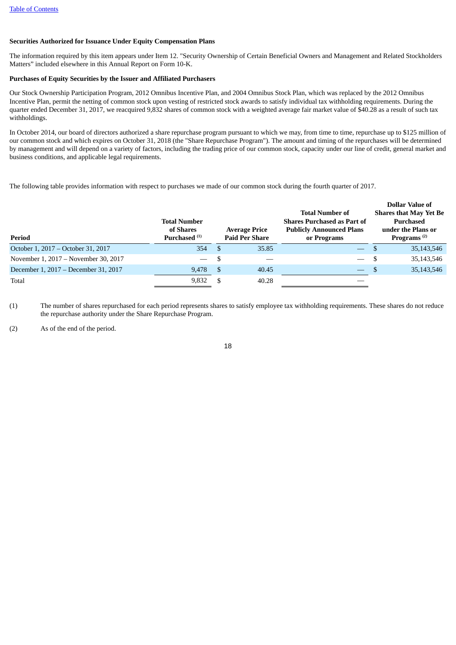### **Securities Authorized for Issuance Under Equity Compensation Plans**

The information required by this item appears under Item 12. "Security Ownership of Certain Beneficial Owners and Management and Related Stockholders Matters" included elsewhere in this Annual Report on Form 10-K.

### **Purchases of Equity Securities by the Issuer and Affiliated Purchasers**

Our Stock Ownership Participation Program, 2012 Omnibus Incentive Plan, and 2004 Omnibus Stock Plan, which was replaced by the 2012 Omnibus Incentive Plan, permit the netting of common stock upon vesting of restricted stock awards to satisfy individual tax withholding requirements. During the quarter ended December 31, 2017, we reacquired 9,832 shares of common stock with a weighted average fair market value of \$40.28 as a result of such tax withholdings.

In October 2014, our board of directors authorized a share repurchase program pursuant to which we may, from time to time, repurchase up to \$125 million of our common stock and which expires on October 31, 2018 (the "Share Repurchase Program"). The amount and timing of the repurchases will be determined by management and will depend on a variety of factors, including the trading price of our common stock, capacity under our line of credit, general market and business conditions, and applicable legal requirements.

The following table provides information with respect to purchases we made of our common stock during the fourth quarter of 2017.

| Period                               | <b>Total Number</b><br>of Shares<br><b>Average Price</b><br>Purchased <sup>(1)</sup><br><b>Paid Per Share</b> |      |       | <b>Total Number of</b><br><b>Shares Purchased as Part of</b><br><b>Publicly Announced Plans</b><br>or Programs | <b>Dollar Value of</b><br><b>Shares that May Yet Be</b><br><b>Purchased</b><br>under the Plans or<br>Programs $(2)$ |            |  |  |
|--------------------------------------|---------------------------------------------------------------------------------------------------------------|------|-------|----------------------------------------------------------------------------------------------------------------|---------------------------------------------------------------------------------------------------------------------|------------|--|--|
| October 1, 2017 – October 31, 2017   | 354                                                                                                           | -S   | 35.85 |                                                                                                                | - 5                                                                                                                 | 35,143,546 |  |  |
| November 1, 2017 – November 30, 2017 |                                                                                                               | - \$ |       | $\overline{\phantom{m}}$                                                                                       | - 5                                                                                                                 | 35,143,546 |  |  |
| December 1, 2017 – December 31, 2017 | 9.478                                                                                                         | -S   | 40.45 | $\overline{\phantom{a}}$                                                                                       | - S                                                                                                                 | 35,143,546 |  |  |
| Total                                | 9,832                                                                                                         | \$.  | 40.28 |                                                                                                                |                                                                                                                     |            |  |  |

(1) The number of shares repurchased for each period represents shares to satisfy employee tax withholding requirements. These shares do not reduce the repurchase authority under the Share Repurchase Program.

(2) As of the end of the period.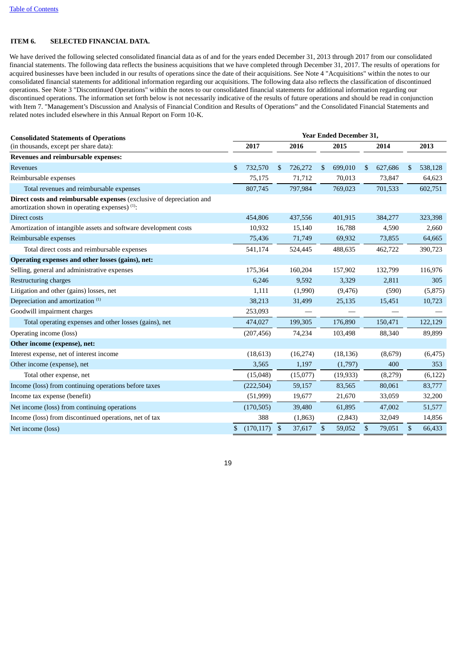# <span id="page-20-0"></span>**ITEM 6. SELECTED FINANCIAL DATA.**

We have derived the following selected consolidated financial data as of and for the years ended December 31, 2013 through 2017 from our consolidated financial statements. The following data reflects the business acquisitions that we have completed through December 31, 2017. The results of operations for acquired businesses have been included in our results of operations since the date of their acquisitions. See Note 4 "Acquisitions" within the notes to our consolidated financial statements for additional information regarding our acquisitions. The following data also reflects the classification of discontinued operations. See Note 3 "Discontinued Operations" within the notes to our consolidated financial statements for additional information regarding our discontinued operations. The information set forth below is not necessarily indicative of the results of future operations and should be read in conjunction with Item 7. "Management's Discussion and Analysis of Financial Condition and Results of Operations" and the Consolidated Financial Statements and related notes included elsewhere in this Annual Report on Form 10-K.

| <b>Consolidated Statements of Operations</b><br>(in thousands, except per share data):                                              |               | <b>Year Ended December 31,</b> |              |           |               |           |               |         |               |          |  |  |
|-------------------------------------------------------------------------------------------------------------------------------------|---------------|--------------------------------|--------------|-----------|---------------|-----------|---------------|---------|---------------|----------|--|--|
|                                                                                                                                     |               | 2017                           |              | 2016      |               | 2015      |               | 2014    |               | 2013     |  |  |
| Revenues and reimbursable expenses:                                                                                                 |               |                                |              |           |               |           |               |         |               |          |  |  |
| Revenues                                                                                                                            | <sup>\$</sup> | 732,570                        | \$           | 726,272   | <sup>\$</sup> | 699,010   | <sup>\$</sup> | 627,686 | <sup>\$</sup> | 538,128  |  |  |
| Reimbursable expenses                                                                                                               |               | 75,175                         |              | 71,712    |               | 70,013    |               | 73,847  |               | 64,623   |  |  |
| Total revenues and reimbursable expenses                                                                                            |               | 807,745                        |              | 797,984   |               | 769,023   |               | 701,533 |               | 602,751  |  |  |
| Direct costs and reimbursable expenses (exclusive of depreciation and<br>amortization shown in operating expenses) <sup>(1)</sup> : |               |                                |              |           |               |           |               |         |               |          |  |  |
| Direct costs                                                                                                                        |               | 454,806                        |              | 437,556   |               | 401,915   |               | 384,277 |               | 323,398  |  |  |
| Amortization of intangible assets and software development costs                                                                    |               | 10,932                         |              | 15,140    |               | 16,788    |               | 4,590   |               | 2,660    |  |  |
| Reimbursable expenses                                                                                                               |               | 75,436                         |              | 71,749    |               | 69,932    |               | 73,855  |               | 64,665   |  |  |
| Total direct costs and reimbursable expenses                                                                                        |               | 541,174                        |              | 524,445   |               | 488,635   |               | 462,722 |               | 390,723  |  |  |
| Operating expenses and other losses (gains), net:                                                                                   |               |                                |              |           |               |           |               |         |               |          |  |  |
| Selling, general and administrative expenses                                                                                        |               | 175,364                        |              | 160,204   |               | 157,902   |               | 132,799 |               | 116,976  |  |  |
| <b>Restructuring charges</b>                                                                                                        |               | 6,246                          |              | 9,592     |               | 3,329     |               | 2,811   |               | 305      |  |  |
| Litigation and other (gains) losses, net                                                                                            |               | 1,111                          |              | (1,990)   |               | (9, 476)  |               | (590)   |               | (5,875)  |  |  |
| Depreciation and amortization <sup>(1)</sup>                                                                                        |               | 38,213                         |              | 31,499    |               | 25,135    |               | 15,451  |               | 10,723   |  |  |
| Goodwill impairment charges                                                                                                         |               | 253,093                        |              |           |               |           |               |         |               |          |  |  |
| Total operating expenses and other losses (gains), net                                                                              |               | 474,027                        |              | 199,305   |               | 176,890   |               | 150,471 |               | 122,129  |  |  |
| Operating income (loss)                                                                                                             |               | (207, 456)                     |              | 74,234    |               | 103,498   |               | 88,340  |               | 89,899   |  |  |
| Other income (expense), net:                                                                                                        |               |                                |              |           |               |           |               |         |               |          |  |  |
| Interest expense, net of interest income                                                                                            |               | (18, 613)                      |              | (16, 274) |               | (18, 136) |               | (8,679) |               | (6, 475) |  |  |
| Other income (expense), net                                                                                                         |               | 3,565                          |              | 1,197     |               | (1,797)   |               | 400     |               | 353      |  |  |
| Total other expense, net                                                                                                            |               | (15,048)                       |              | (15,077)  |               | (19, 933) |               | (8,279) |               | (6, 122) |  |  |
| Income (loss) from continuing operations before taxes                                                                               |               | (222, 504)                     |              | 59,157    |               | 83,565    |               | 80,061  |               | 83,777   |  |  |
| Income tax expense (benefit)                                                                                                        |               | (51, 999)                      |              | 19,677    |               | 21,670    |               | 33,059  |               | 32,200   |  |  |
| Net income (loss) from continuing operations                                                                                        |               | (170, 505)                     |              | 39,480    |               | 61,895    |               | 47,002  |               | 51,577   |  |  |
| Income (loss) from discontinued operations, net of tax                                                                              |               | 388                            |              | (1,863)   |               | (2, 843)  |               | 32,049  |               | 14,856   |  |  |
| Net income (loss)                                                                                                                   | \$            | (170, 117)                     | $\mathbb{S}$ | 37,617    | \$            | 59,052    | \$            | 79,051  | \$            | 66,433   |  |  |
|                                                                                                                                     |               |                                |              |           |               |           |               |         |               |          |  |  |

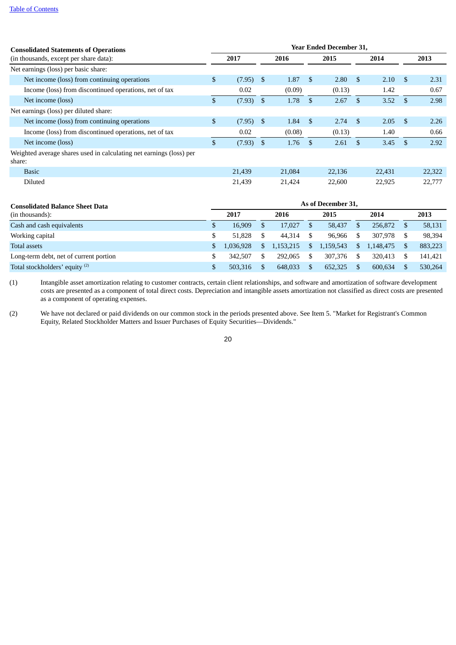| <b>Consolidated Statements of Operations</b><br>(in thousands, except per share data): |    | <b>Year Ended December 31,</b> |    |        |                |        |               |         |                |        |  |  |  |  |
|----------------------------------------------------------------------------------------|----|--------------------------------|----|--------|----------------|--------|---------------|---------|----------------|--------|--|--|--|--|
|                                                                                        |    | 2017                           |    | 2016   |                | 2015   |               | 2014    |                | 2013   |  |  |  |  |
| Net earnings (loss) per basic share:                                                   |    |                                |    |        |                |        |               |         |                |        |  |  |  |  |
| Net income (loss) from continuing operations                                           | \$ | (7.95)                         | \$ | 1.87   | \$             | 2.80   | \$            | 2.10    | $\mathbb{S}$   | 2.31   |  |  |  |  |
| Income (loss) from discontinued operations, net of tax                                 |    | 0.02                           |    | (0.09) |                | (0.13) |               | 1.42    |                | 0.67   |  |  |  |  |
| Net income (loss)                                                                      | \$ | (7.93)                         | \$ | 1.78   | $\mathfrak{S}$ | 2.67   | $\mathbb{S}$  | 3.52    | $\mathfrak{S}$ | 2.98   |  |  |  |  |
| Net earnings (loss) per diluted share:                                                 |    |                                |    |        |                |        |               |         |                |        |  |  |  |  |
| Net income (loss) from continuing operations                                           | \$ | (7.95)                         | \$ | 1.84   | $\mathbb{S}$   | 2.74   | $\mathcal{S}$ | 2.05    | $\mathbb{S}$   | 2.26   |  |  |  |  |
| Income (loss) from discontinued operations, net of tax                                 |    | 0.02                           |    | (0.08) |                | (0.13) |               | 1.40    |                | 0.66   |  |  |  |  |
| Net income (loss)                                                                      | \$ | (7.93)                         | \$ | 1.76   | \$             | 2.61   | <sup>\$</sup> | 3.45    | $\mathbb{S}$   | 2.92   |  |  |  |  |
| Weighted average shares used in calculating net earnings (loss) per<br>share:          |    |                                |    |        |                |        |               |         |                |        |  |  |  |  |
| <b>Basic</b>                                                                           |    | 21,439                         |    | 21,084 |                | 22,136 |               | 22,431  |                | 22,322 |  |  |  |  |
| Diluted                                                                                |    | 21,439                         |    | 21,424 |                | 22,600 |               | 22,925  |                | 22,777 |  |  |  |  |
| <b>Consolidated Balance Sheet Data</b>                                                 |    | As of December 31,             |    |        |                |        |               |         |                |        |  |  |  |  |
| (in thousands):                                                                        |    | 2017                           |    | 2016   |                | 2015   |               | 2014    |                | 2013   |  |  |  |  |
| Cash and cash equivalents                                                              | \$ | 16,909                         | \$ | 17,027 | $\mathfrak{S}$ | 58,437 | $\mathbb{S}$  | 256,872 | $\mathbb{S}$   | 58,131 |  |  |  |  |
| Working capital                                                                        | \$ | 51.828                         | \$ | 44.314 | \$             | 96.966 | \$            | 307,978 | \$             | 98.394 |  |  |  |  |

Working capital \$ 51,828 \$ 44,314 \$ 96,966 \$ 307,978 \$ 98,394 Total assets \$ 1,036,928 \$ 1,153,215 \$ 1,159,543 \$ 1,148,475 \$ 883,223 Long-term debt, net of current portion \$ 342,507 \$ 292,065 \$ 307,376 \$ 320,413 \$ 141,421 Total stockholders' equity (2)  $\text{503,316} \quad \text{$} \quad \text{503,316} \quad \text{$} \quad \text{648,033} \quad \text{$} \quad \text{652,325} \quad \text{$} \quad \text{600,634} \quad \text{$} \quad \text{530,264}$ 

(1) Intangible asset amortization relating to customer contracts, certain client relationships, and software and amortization of software development costs are presented as a component of total direct costs. Depreciation and intangible assets amortization not classified as direct costs are presented as a component of operating expenses.

(2) We have not declared or paid dividends on our common stock in the periods presented above. See Item 5. "Market for Registrant's Common Equity, Related Stockholder Matters and Issuer Purchases of Equity Securities—Dividends."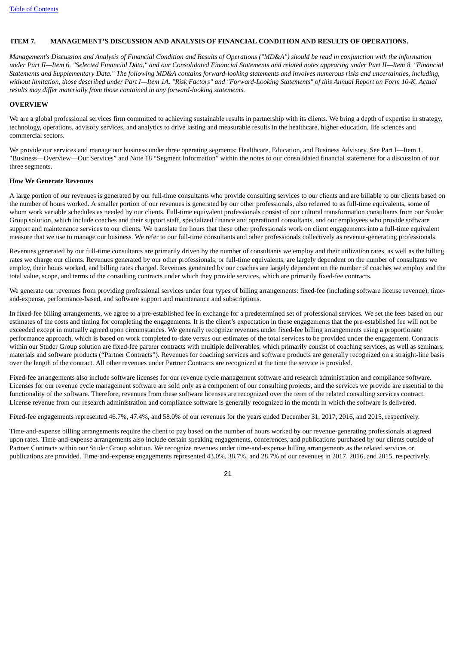### <span id="page-22-0"></span>**ITEM 7. MANAGEMENT'S DISCUSSION AND ANALYSIS OF FINANCIAL CONDITION AND RESULTS OF OPERATIONS.**

Management's Discussion and Analysis of Financial Condition and Results of Operations ("MD&A") should be read in conjunction with the information under Part II—Item 6. "Selected Financial Data." and our Consolidated Financial Statements and related notes appearing under Part II—Item 8. "Financial Statements and Supplementary Data." The followina MD&A contains forward-lookina statements and involves numerous risks and uncertainties, includina, without limitation, those described under Part I-Item 1A. "Risk Factors" and "Forward-Looking Statements" of this Annual Report on Form 10-K. Actual *results may differ materially from those contained in any forward-looking statements.*

#### **OVERVIEW**

We are a global professional services firm committed to achieving sustainable results in partnership with its clients. We bring a depth of expertise in strategy, technology, operations, advisory services, and analytics to drive lasting and measurable results in the healthcare, higher education, life sciences and commercial sectors.

We provide our services and manage our business under three operating segments: Healthcare, Education, and Business Advisory. See Part I—Item 1. "Business—Overview—Our Services" and Note 18 "Segment Information" within the notes to our consolidated financial statements for a discussion of our three segments.

#### **How We Generate Revenues**

A large portion of our revenues is generated by our full-time consultants who provide consulting services to our clients and are billable to our clients based on the number of hours worked. A smaller portion of our revenues is generated by our other professionals, also referred to as full-time equivalents, some of whom work variable schedules as needed by our clients. Full-time equivalent professionals consist of our cultural transformation consultants from our Studer Group solution, which include coaches and their support staff, specialized finance and operational consultants, and our employees who provide software support and maintenance services to our clients. We translate the hours that these other professionals work on client engagements into a full-time equivalent measure that we use to manage our business. We refer to our full-time consultants and other professionals collectively as revenue-generating professionals.

Revenues generated by our full-time consultants are primarily driven by the number of consultants we employ and their utilization rates, as well as the billing rates we charge our clients. Revenues generated by our other professionals, or full-time equivalents, are largely dependent on the number of consultants we employ, their hours worked, and billing rates charged. Revenues generated by our coaches are largely dependent on the number of coaches we employ and the total value, scope, and terms of the consulting contracts under which they provide services, which are primarily fixed-fee contracts.

We generate our revenues from providing professional services under four types of billing arrangements: fixed-fee (including software license revenue), timeand-expense, performance-based, and software support and maintenance and subscriptions.

In fixed-fee billing arrangements, we agree to a pre-established fee in exchange for a predetermined set of professional services. We set the fees based on our estimates of the costs and timing for completing the engagements. It is the client's expectation in these engagements that the pre-established fee will not be exceeded except in mutually agreed upon circumstances. We generally recognize revenues under fixed-fee billing arrangements using a proportionate performance approach, which is based on work completed to-date versus our estimates of the total services to be provided under the engagement. Contracts within our Studer Group solution are fixed-fee partner contracts with multiple deliverables, which primarily consist of coaching services, as well as seminars, materials and software products ("Partner Contracts"). Revenues for coaching services and software products are generally recognized on a straight-line basis over the length of the contract. All other revenues under Partner Contracts are recognized at the time the service is provided.

Fixed-fee arrangements also include software licenses for our revenue cycle management software and research administration and compliance software. Licenses for our revenue cycle management software are sold only as a component of our consulting projects, and the services we provide are essential to the functionality of the software. Therefore, revenues from these software licenses are recognized over the term of the related consulting services contract. License revenue from our research administration and compliance software is generally recognized in the month in which the software is delivered.

Fixed-fee engagements represented 46.7%, 47.4%, and 58.0% of our revenues for the years ended December 31, 2017, 2016, and 2015, respectively.

Time-and-expense billing arrangements require the client to pay based on the number of hours worked by our revenue-generating professionals at agreed upon rates. Time-and-expense arrangements also include certain speaking engagements, conferences, and publications purchased by our clients outside of Partner Contracts within our Studer Group solution. We recognize revenues under time-and-expense billing arrangements as the related services or publications are provided. Time-and-expense engagements represented 43.0%, 38.7%, and 28.7% of our revenues in 2017, 2016, and 2015, respectively.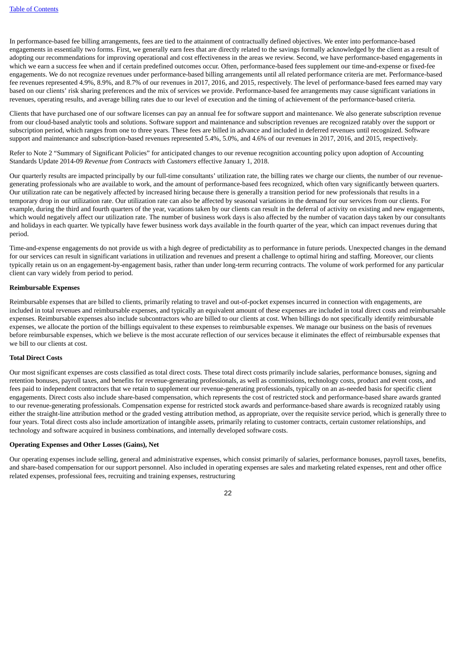In performance-based fee billing arrangements, fees are tied to the attainment of contractually defined objectives. We enter into performance-based engagements in essentially two forms. First, we generally earn fees that are directly related to the savings formally acknowledged by the client as a result of adopting our recommendations for improving operational and cost effectiveness in the areas we review. Second, we have performance-based engagements in which we earn a success fee when and if certain predefined outcomes occur. Often, performance-based fees supplement our time-and-expense or fixed-fee engagements. We do not recognize revenues under performance-based billing arrangements until all related performance criteria are met. Performance-based fee revenues represented 4.9%, 8.9%, and 8.7% of our revenues in 2017, 2016, and 2015, respectively. The level of performance-based fees earned may vary based on our clients' risk sharing preferences and the mix of services we provide. Performance-based fee arrangements may cause significant variations in revenues, operating results, and average billing rates due to our level of execution and the timing of achievement of the performance-based criteria.

Clients that have purchased one of our software licenses can pay an annual fee for software support and maintenance. We also generate subscription revenue from our cloud-based analytic tools and solutions. Software support and maintenance and subscription revenues are recognized ratably over the support or subscription period, which ranges from one to three years. These fees are billed in advance and included in deferred revenues until recognized. Software support and maintenance and subscription-based revenues represented 5.4%, 5.0%, and 4.6% of our revenues in 2017, 2016, and 2015, respectively.

Refer to Note 2 "Summary of Significant Policies" for anticipated changes to our revenue recognition accounting policy upon adoption of Accounting Standards Update 2014-09 *Revenue from Contracts with Customers* effective January 1, 2018.

Our quarterly results are impacted principally by our full-time consultants' utilization rate, the billing rates we charge our clients, the number of our revenuegenerating professionals who are available to work, and the amount of performance-based fees recognized, which often vary significantly between quarters. Our utilization rate can be negatively affected by increased hiring because there is generally a transition period for new professionals that results in a temporary drop in our utilization rate. Our utilization rate can also be affected by seasonal variations in the demand for our services from our clients. For example, during the third and fourth quarters of the year, vacations taken by our clients can result in the deferral of activity on existing and new engagements, which would negatively affect our utilization rate. The number of business work days is also affected by the number of vacation days taken by our consultants and holidays in each quarter. We typically have fewer business work days available in the fourth quarter of the year, which can impact revenues during that period.

Time-and-expense engagements do not provide us with a high degree of predictability as to performance in future periods. Unexpected changes in the demand for our services can result in significant variations in utilization and revenues and present a challenge to optimal hiring and staffing. Moreover, our clients typically retain us on an engagement-by-engagement basis, rather than under long-term recurring contracts. The volume of work performed for any particular client can vary widely from period to period.

### **Reimbursable Expenses**

Reimbursable expenses that are billed to clients, primarily relating to travel and out-of-pocket expenses incurred in connection with engagements, are included in total revenues and reimbursable expenses, and typically an equivalent amount of these expenses are included in total direct costs and reimbursable expenses. Reimbursable expenses also include subcontractors who are billed to our clients at cost. When billings do not specifically identify reimbursable expenses, we allocate the portion of the billings equivalent to these expenses to reimbursable expenses. We manage our business on the basis of revenues before reimbursable expenses, which we believe is the most accurate reflection of our services because it eliminates the effect of reimbursable expenses that we bill to our clients at cost.

### **Total Direct Costs**

Our most significant expenses are costs classified as total direct costs. These total direct costs primarily include salaries, performance bonuses, signing and retention bonuses, payroll taxes, and benefits for revenue-generating professionals, as well as commissions, technology costs, product and event costs, and fees paid to independent contractors that we retain to supplement our revenue-generating professionals, typically on an as-needed basis for specific client engagements. Direct costs also include share-based compensation, which represents the cost of restricted stock and performance-based share awards granted to our revenue-generating professionals. Compensation expense for restricted stock awards and performance-based share awards is recognized ratably using either the straight-line attribution method or the graded vesting attribution method, as appropriate, over the requisite service period, which is generally three to four years. Total direct costs also include amortization of intangible assets, primarily relating to customer contracts, certain customer relationships, and technology and software acquired in business combinations, and internally developed software costs.

#### **Operating Expenses and Other Losses (Gains), Net**

Our operating expenses include selling, general and administrative expenses, which consist primarily of salaries, performance bonuses, payroll taxes, benefits, and share-based compensation for our support personnel. Also included in operating expenses are sales and marketing related expenses, rent and other office related expenses, professional fees, recruiting and training expenses, restructuring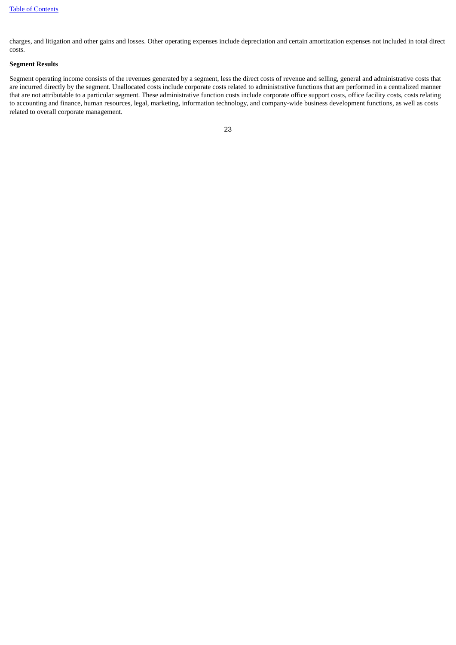charges, and litigation and other gains and losses. Other operating expenses include depreciation and certain amortization expenses not included in total direct costs.

#### **Segment Results**

Segment operating income consists of the revenues generated by a segment, less the direct costs of revenue and selling, general and administrative costs that are incurred directly by the segment. Unallocated costs include corporate costs related to administrative functions that are performed in a centralized manner that are not attributable to a particular segment. These administrative function costs include corporate office support costs, office facility costs, costs relating to accounting and finance, human resources, legal, marketing, information technology, and company-wide business development functions, as well as costs related to overall corporate management.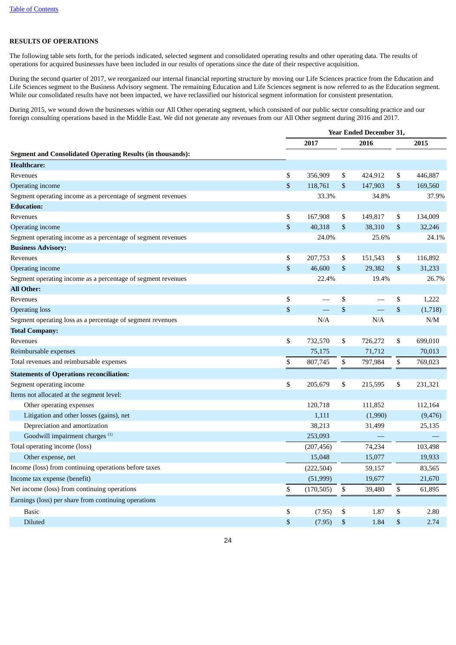# **RESULTS OF OPERATIONS**

The following table sets forth, for the periods indicated, selected segment and consolidated operating results and other operating data. The results of operations for acquired businesses have been included in our results of operations since the date of their respective acquisition.

During the second quarter of 2017, we reorganized our internal financial reporting structure by moving our Life Sciences practice from the Education and Life Sciences segment to the Business Advisory segment. The remaining Education and Life Sciences segment is now referred to as the Education segment. While our consolidated results have not been impacted, we have reclassified our historical segment information for consistent presentation.

During 2015, we wound down the businesses within our All Other operating segment, which consisted of our public sector consulting practice and our foreign consulting operations based in the Middle East. We did not generate any revenues from our All Other segment during 2016 and 2017.

|                                                                   | <b>Year Ended December 31,</b> |                           |         |              |                         |  |
|-------------------------------------------------------------------|--------------------------------|---------------------------|---------|--------------|-------------------------|--|
|                                                                   | 2017                           |                           | 2016    |              | 2015                    |  |
| <b>Segment and Consolidated Operating Results (in thousands):</b> |                                |                           |         |              |                         |  |
| <b>Healthcare:</b>                                                |                                |                           |         |              |                         |  |
| Revenues                                                          | \$<br>356,909                  | \$                        | 424,912 | \$           | 446,887                 |  |
| Operating income                                                  | \$<br>118,761                  | \$                        | 147,903 | \$           | 169,560                 |  |
| Segment operating income as a percentage of segment revenues      | 33.3%                          |                           | 34.8%   |              | 37.9%                   |  |
| <b>Education:</b>                                                 |                                |                           |         |              |                         |  |
| Revenues                                                          | \$<br>167,908                  | \$                        | 149,817 | \$           | 134,009                 |  |
| Operating income                                                  | \$<br>40,318                   | \$                        | 38,310  | \$           | 32,246                  |  |
| Segment operating income as a percentage of segment revenues      | 24.0%                          |                           | 25.6%   |              | 24.1%                   |  |
| <b>Business Advisory:</b>                                         |                                |                           |         |              |                         |  |
| Revenues                                                          | \$<br>207,753                  | \$                        | 151,543 | \$           | 116,892                 |  |
| <b>Operating income</b>                                           | \$<br>46,600                   | $\mathbb{S}$              | 29,382  | \$           | 31,233                  |  |
| Segment operating income as a percentage of segment revenues      | 22.4%                          |                           | 19.4%   |              | 26.7%                   |  |
| <b>All Other:</b>                                                 |                                |                           |         |              |                         |  |
| Revenues                                                          | \$                             | \$                        |         | \$           | 1,222                   |  |
| <b>Operating loss</b>                                             | \$                             | $\boldsymbol{\mathsf{S}}$ |         | \$           | (1,718)                 |  |
| Segment operating loss as a percentage of segment revenues        | N/A                            |                           | N/A     |              | $\mathrm{N}/\mathrm{M}$ |  |
| <b>Total Company:</b>                                             |                                |                           |         |              |                         |  |
| Revenues                                                          | \$<br>732,570                  | \$                        | 726,272 | \$           | 699,010                 |  |
| Reimbursable expenses                                             | 75,175                         |                           | 71,712  |              | 70,013                  |  |
| Total revenues and reimbursable expenses                          | \$<br>807,745                  | \$                        | 797,984 | \$           | 769,023                 |  |
| <b>Statements of Operations reconciliation:</b>                   |                                |                           |         |              |                         |  |
| Segment operating income                                          | \$<br>205,679                  | \$                        | 215,595 | \$           | 231,321                 |  |
| Items not allocated at the segment level:                         |                                |                           |         |              |                         |  |
| Other operating expenses                                          | 120,718                        |                           | 111,852 |              | 112,164                 |  |
| Litigation and other losses (gains), net                          | 1,111                          |                           | (1,990) |              | (9, 476)                |  |
| Depreciation and amortization                                     | 38,213                         |                           | 31,499  |              | 25,135                  |  |
| Goodwill impairment charges <sup>(1)</sup>                        | 253,093                        |                           |         |              |                         |  |
| Total operating income (loss)                                     | (207, 456)                     |                           | 74,234  |              | 103,498                 |  |
| Other expense, net                                                | 15,048                         |                           | 15,077  |              | 19,933                  |  |
| Income (loss) from continuing operations before taxes             | (222, 504)                     |                           | 59,157  |              | 83,565                  |  |
| Income tax expense (benefit)                                      | (51,999)                       |                           | 19,677  |              | 21,670                  |  |
| Net income (loss) from continuing operations                      | \$<br>(170, 505)               | \$                        | 39,480  | \$           | 61,895                  |  |
| Earnings (loss) per share from continuing operations              |                                |                           |         |              |                         |  |
| <b>Basic</b>                                                      | \$<br>(7.95)                   | \$                        | 1.87    | \$           | 2.80                    |  |
| <b>Diluted</b>                                                    | \$<br>(7.95)                   | $\mathbb{S}$              | 1.84    | $\mathbb{S}$ | 2.74                    |  |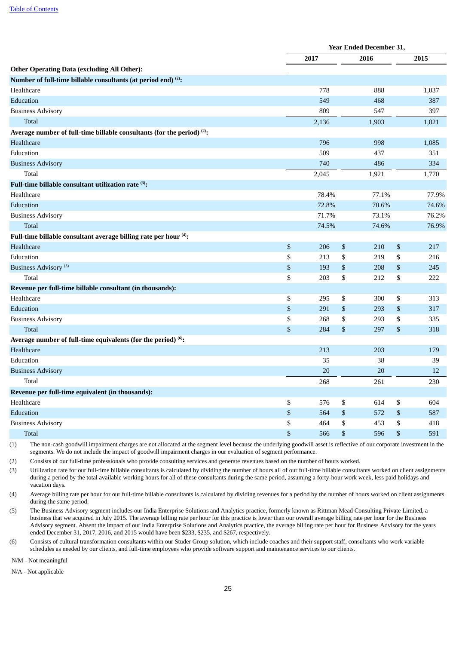|                                                                               | <b>Year Ended December 31,</b> |                                           |       |              |       |  |  |
|-------------------------------------------------------------------------------|--------------------------------|-------------------------------------------|-------|--------------|-------|--|--|
|                                                                               | 2017                           |                                           | 2016  |              | 2015  |  |  |
| <b>Other Operating Data (excluding All Other):</b>                            |                                |                                           |       |              |       |  |  |
| Number of full-time billable consultants (at period end) <sup>(2)</sup> :     |                                |                                           |       |              |       |  |  |
| Healthcare                                                                    | 778                            |                                           | 888   |              | 1,037 |  |  |
| Education                                                                     | 549                            |                                           | 468   |              | 387   |  |  |
| <b>Business Advisory</b>                                                      | 809                            |                                           | 547   |              | 397   |  |  |
| Total                                                                         | 2,136                          |                                           | 1,903 |              | 1,821 |  |  |
| Average number of full-time billable consultants (for the period) $^{(2)}$ :  |                                |                                           |       |              |       |  |  |
| Healthcare                                                                    | 796                            |                                           | 998   |              | 1,085 |  |  |
| Education                                                                     | 509                            |                                           | 437   |              | 351   |  |  |
| <b>Business Advisory</b>                                                      | 740                            |                                           | 486   |              | 334   |  |  |
| Total                                                                         | 2,045                          |                                           | 1,921 |              | 1,770 |  |  |
| Full-time billable consultant utilization rate $^{\scriptscriptstyle{(3)}}$ : |                                |                                           |       |              |       |  |  |
| Healthcare                                                                    | 78.4%                          |                                           | 77.1% |              | 77.9% |  |  |
| Education                                                                     | 72.8%                          |                                           | 70.6% |              | 74.6% |  |  |
| <b>Business Advisory</b>                                                      | 71.7%                          |                                           | 73.1% |              | 76.2% |  |  |
| <b>Total</b>                                                                  | 74.5%                          |                                           | 74.6% |              | 76.9% |  |  |
| Full-time billable consultant average billing rate per hour (4):              |                                |                                           |       |              |       |  |  |
| Healthcare                                                                    | \$<br>206                      | \$                                        | 210   | \$           | 217   |  |  |
| Education                                                                     | \$<br>213                      | \$                                        | 219   | \$           | 216   |  |  |
| Business Advisory <sup>(5)</sup>                                              | \$<br>193                      | $\$$                                      | 208   | \$           | 245   |  |  |
| Total                                                                         | \$<br>203                      | \$                                        | 212   | \$           | 222   |  |  |
| Revenue per full-time billable consultant (in thousands):                     |                                |                                           |       |              |       |  |  |
| Healthcare                                                                    | \$<br>295                      | \$                                        | 300   | \$           | 313   |  |  |
| Education                                                                     | \$<br>291                      | $\, \, \raisebox{12pt}{$\scriptstyle \$}$ | 293   | $\mathbb{S}$ | 317   |  |  |
| <b>Business Advisory</b>                                                      | \$<br>268                      | \$                                        | 293   | \$           | 335   |  |  |
| Total                                                                         | \$<br>284                      | \$                                        | 297   | $\$$         | 318   |  |  |
| Average number of full-time equivalents (for the period) (6):                 |                                |                                           |       |              |       |  |  |
| Healthcare                                                                    | 213                            |                                           | 203   |              | 179   |  |  |
| Education                                                                     | 35                             |                                           | 38    |              | 39    |  |  |
| <b>Business Advisory</b>                                                      | 20                             |                                           | 20    |              | 12    |  |  |
| Total                                                                         | 268                            |                                           | 261   |              | 230   |  |  |
| Revenue per full-time equivalent (in thousands):                              |                                |                                           |       |              |       |  |  |
| Healthcare                                                                    | \$<br>576                      | \$                                        | 614   | \$           | 604   |  |  |
| Education                                                                     | \$<br>564                      | \$                                        | 572   | \$           | 587   |  |  |
| <b>Business Advisory</b>                                                      | \$<br>464                      | \$                                        | 453   | \$           | 418   |  |  |
| <b>Total</b>                                                                  | \$<br>566                      | \$                                        | 596   | \$           | 591   |  |  |

(1) The non-cash goodwill impairment charges are not allocated at the segment level because the underlying goodwill asset is reflective of our corporate investment in the segments. We do not include the impact of goodwill impairment charges in our evaluation of segment performance.

(2) Consists of our full-time professionals who provide consulting services and generate revenues based on the number of hours worked.

(3) Utilization rate for our full-time billable consultants is calculated by dividing the number of hours all of our full-time billable consultants worked on client assignments during a period by the total available working hours for all of these consultants during the same period, assuming a forty-hour work week, less paid holidays and vacation days.

(4) Average billing rate per hour for our full-time billable consultants is calculated by dividing revenues for a period by the number of hours worked on client assignments during the same period.

(5) The Business Advisory segment includes our India Enterprise Solutions and Analytics practice, formerly known as Rittman Mead Consulting Private Limited, a business that we acquired in July 2015. The average billing rate per hour for this practice is lower than our overall average billing rate per hour for the Business Advisory segment. Absent the impact of our India Enterprise Solutions and Analytics practice, the average billing rate per hour for Business Advisory for the years ended December 31, 2017, 2016, and 2015 would have been \$233, \$235, and \$267, respectively.

(6) Consists of cultural transformation consultants within our Studer Group solution, which include coaches and their support staff, consultants who work variable schedules as needed by our clients, and full-time employees who provide software support and maintenance services to our clients.

N/M - Not meaningful

N/A - Not applicable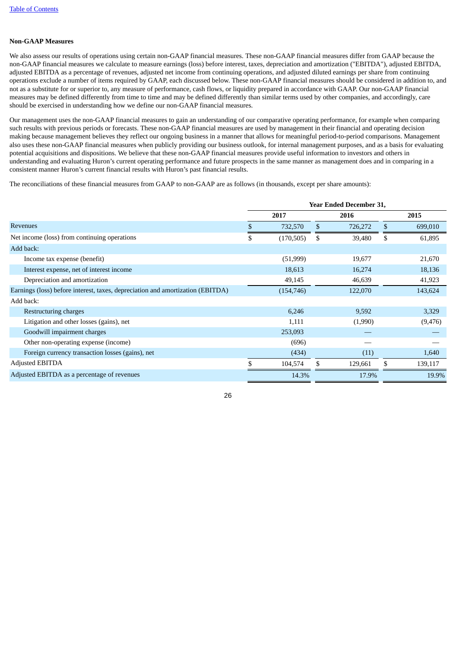### **Non-GAAP Measures**

We also assess our results of operations using certain non-GAAP financial measures. These non-GAAP financial measures differ from GAAP because the non-GAAP financial measures we calculate to measure earnings (loss) before interest, taxes, depreciation and amortization ("EBITDA"), adjusted EBITDA, adjusted EBITDA as a percentage of revenues, adjusted net income from continuing operations, and adjusted diluted earnings per share from continuing operations exclude a number of items required by GAAP, each discussed below. These non-GAAP financial measures should be considered in addition to, and not as a substitute for or superior to, any measure of performance, cash flows, or liquidity prepared in accordance with GAAP. Our non-GAAP financial measures may be defined differently from time to time and may be defined differently than similar terms used by other companies, and accordingly, care should be exercised in understanding how we define our non-GAAP financial measures.

Our management uses the non-GAAP financial measures to gain an understanding of our comparative operating performance, for example when comparing such results with previous periods or forecasts. These non-GAAP financial measures are used by management in their financial and operating decision making because management believes they reflect our ongoing business in a manner that allows for meaningful period-to-period comparisons. Management also uses these non-GAAP financial measures when publicly providing our business outlook, for internal management purposes, and as a basis for evaluating potential acquisitions and dispositions. We believe that these non-GAAP financial measures provide useful information to investors and others in understanding and evaluating Huron's current operating performance and future prospects in the same manner as management does and in comparing in a consistent manner Huron's current financial results with Huron's past financial results.

The reconciliations of these financial measures from GAAP to non-GAAP are as follows (in thousands, except per share amounts):

|                                                                                | <b>Year Ended December 31,</b> |            |     |         |    |          |  |  |
|--------------------------------------------------------------------------------|--------------------------------|------------|-----|---------|----|----------|--|--|
|                                                                                | 2017                           |            |     | 2016    |    | 2015     |  |  |
| <b>Revenues</b>                                                                |                                | 732,570    |     | 726,272 | \$ | 699,010  |  |  |
| Net income (loss) from continuing operations                                   |                                | (170, 505) | \$. | 39,480  | \$ | 61,895   |  |  |
| Add back:                                                                      |                                |            |     |         |    |          |  |  |
| Income tax expense (benefit)                                                   |                                | (51,999)   |     | 19,677  |    | 21,670   |  |  |
| Interest expense, net of interest income                                       |                                | 18,613     |     | 16,274  |    | 18,136   |  |  |
| Depreciation and amortization                                                  |                                | 49,145     |     | 46,639  |    | 41,923   |  |  |
| Earnings (loss) before interest, taxes, depreciation and amortization (EBITDA) |                                | (154, 746) |     | 122,070 |    | 143,624  |  |  |
| Add back:                                                                      |                                |            |     |         |    |          |  |  |
| Restructuring charges                                                          |                                | 6,246      |     | 9,592   |    | 3,329    |  |  |
| Litigation and other losses (gains), net                                       |                                | 1,111      |     | (1,990) |    | (9, 476) |  |  |
| Goodwill impairment charges                                                    |                                | 253,093    |     |         |    |          |  |  |
| Other non-operating expense (income)                                           |                                | (696)      |     |         |    |          |  |  |
| Foreign currency transaction losses (gains), net                               |                                | (434)      |     | (11)    |    | 1,640    |  |  |
| <b>Adjusted EBITDA</b>                                                         |                                | 104,574    |     | 129,661 | \$ | 139,117  |  |  |
| Adjusted EBITDA as a percentage of revenues                                    |                                | 14.3%      |     | 17.9%   |    | 19.9%    |  |  |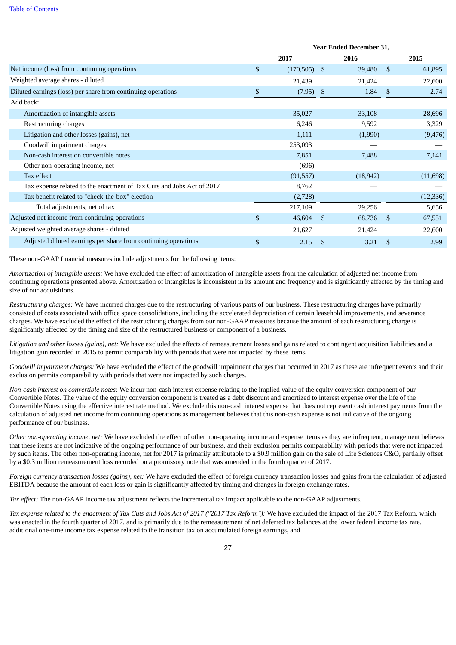|                                                                       | <b>Year Ended December 31,</b> |                |    |           |     |           |  |  |
|-----------------------------------------------------------------------|--------------------------------|----------------|----|-----------|-----|-----------|--|--|
|                                                                       |                                | 2017           |    | 2016      |     | 2015      |  |  |
| Net income (loss) from continuing operations                          | \$                             | $(170,505)$ \$ |    | 39,480    | \$  | 61,895    |  |  |
| Weighted average shares - diluted                                     |                                | 21,439         |    | 21,424    |     | 22,600    |  |  |
| Diluted earnings (loss) per share from continuing operations          | \$                             | $(7.95)$ \$    |    | 1.84      | \$. | 2.74      |  |  |
| Add back:                                                             |                                |                |    |           |     |           |  |  |
| Amortization of intangible assets                                     |                                | 35,027         |    | 33,108    |     | 28,696    |  |  |
| Restructuring charges                                                 |                                | 6,246          |    | 9,592     |     | 3,329     |  |  |
| Litigation and other losses (gains), net                              |                                | 1,111          |    | (1,990)   |     | (9, 476)  |  |  |
| Goodwill impairment charges                                           |                                | 253,093        |    |           |     |           |  |  |
| Non-cash interest on convertible notes                                |                                | 7,851          |    | 7,488     |     | 7,141     |  |  |
| Other non-operating income, net                                       |                                | (696)          |    |           |     |           |  |  |
| Tax effect                                                            |                                | (91, 557)      |    | (18, 942) |     | (11,698)  |  |  |
| Tax expense related to the enactment of Tax Cuts and Jobs Act of 2017 |                                | 8,762          |    |           |     |           |  |  |
| Tax benefit related to "check-the-box" election                       |                                | (2,728)        |    |           |     | (12, 336) |  |  |
| Total adjustments, net of tax                                         |                                | 217,109        |    | 29,256    |     | 5,656     |  |  |
| Adjusted net income from continuing operations                        | $\mathbb{S}$                   | 46,604         | -S | 68,736    | S   | 67,551    |  |  |
| Adjusted weighted average shares - diluted                            |                                | 21,627         |    | 21,424    |     | 22,600    |  |  |
| Adjusted diluted earnings per share from continuing operations        | \$                             | 2.15           |    | 3.21      |     | 2.99      |  |  |

These non-GAAP financial measures include adjustments for the following items:

*Amortization of intangible assets:* We have excluded the effect of amortization of intangible assets from the calculation of adjusted net income from continuing operations presented above. Amortization of intangibles is inconsistent in its amount and frequency and is significantly affected by the timing and size of our acquisitions.

*Restructuring charges:* We have incurred charges due to the restructuring of various parts of our business. These restructuring charges have primarily consisted of costs associated with office space consolidations, including the accelerated depreciation of certain leasehold improvements, and severance charges. We have excluded the effect of the restructuring charges from our non-GAAP measures because the amount of each restructuring charge is significantly affected by the timing and size of the restructured business or component of a business.

*Litigation and other losses (gains), net:* We have excluded the effects of remeasurement losses and gains related to contingent acquisition liabilities and a litigation gain recorded in 2015 to permit comparability with periods that were not impacted by these items.

*Goodwill impairment charges:* We have excluded the effect of the goodwill impairment charges that occurred in 2017 as these are infrequent events and their exclusion permits comparability with periods that were not impacted by such charges.

*Non-cash interest on convertible notes:* We incur non-cash interest expense relating to the implied value of the equity conversion component of our Convertible Notes. The value of the equity conversion component is treated as a debt discount and amortized to interest expense over the life of the Convertible Notes using the effective interest rate method. We exclude this non-cash interest expense that does not represent cash interest payments from the calculation of adjusted net income from continuing operations as management believes that this non-cash expense is not indicative of the ongoing performance of our business.

*Other non-operating income, net:* We have excluded the effect of other non-operating income and expense items as they are infrequent, management believes that these items are not indicative of the ongoing performance of our business, and their exclusion permits comparability with periods that were not impacted by such items. The other non-operating income, net for 2017 is primarily attributable to a \$0.9 million gain on the sale of Life Sciences C&O, partially offset by a \$0.3 million remeasurement loss recorded on a promissory note that was amended in the fourth quarter of 2017.

*Foreign currency transaction losses (gains), net:* We have excluded the effect of foreign currency transaction losses and gains from the calculation of adjusted EBITDA because the amount of each loss or gain is significantly affected by timing and changes in foreign exchange rates.

*Tax effect:* The non-GAAP income tax adjustment reflects the incremental tax impact applicable to the non-GAAP adjustments.

Tax expense related to the enactment of Tax Cuts and Jobs Act of 2017 ("2017 Tax Reform"): We have excluded the impact of the 2017 Tax Reform, which was enacted in the fourth quarter of 2017, and is primarily due to the remeasurement of net deferred tax balances at the lower federal income tax rate, additional one-time income tax expense related to the transition tax on accumulated foreign earnings, and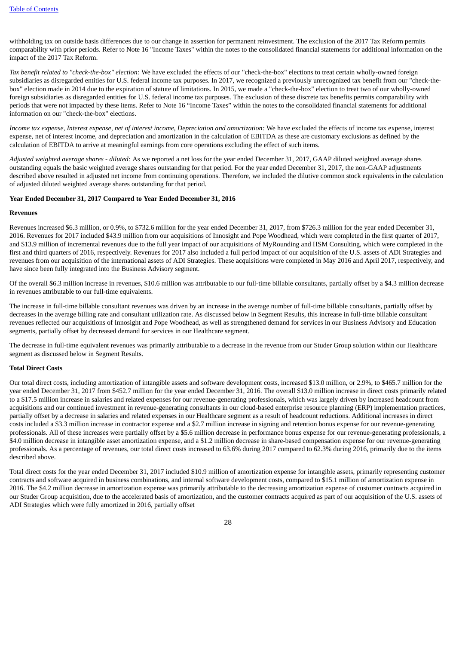withholding tax on outside basis differences due to our change in assertion for permanent reinvestment. The exclusion of the 2017 Tax Reform permits comparability with prior periods. Refer to Note 16 "Income Taxes" within the notes to the consolidated financial statements for additional information on the impact of the 2017 Tax Reform.

*Tax benefit related to "check-the-box" election:* We have excluded the effects of our "check-the-box" elections to treat certain wholly-owned foreign subsidiaries as disregarded entities for U.S. federal income tax purposes. In 2017, we recognized a previously unrecognized tax benefit from our "check-thebox" election made in 2014 due to the expiration of statute of limitations. In 2015, we made a "check-the-box" election to treat two of our wholly-owned foreign subsidiaries as disregarded entities for U.S. federal income tax purposes. The exclusion of these discrete tax benefits permits comparability with periods that were not impacted by these items. Refer to Note 16 "Income Taxes" within the notes to the consolidated financial statements for additional information on our "check-the-box" elections.

Income tax expense, Interest expense, net of interest income, Depreciation and amortization: We have excluded the effects of income tax expense, interest expense, net of interest income, and depreciation and amortization in the calculation of EBITDA as these are customary exclusions as defined by the calculation of EBITDA to arrive at meaningful earnings from core operations excluding the effect of such items.

*Adjusted weighted average shares - diluted:* As we reported a net loss for the year ended December 31, 2017, GAAP diluted weighted average shares outstanding equals the basic weighted average shares outstanding for that period. For the year ended December 31, 2017, the non-GAAP adjustments described above resulted in adjusted net income from continuing operations. Therefore, we included the dilutive common stock equivalents in the calculation of adjusted diluted weighted average shares outstanding for that period.

#### **Year Ended December 31, 2017 Compared to Year Ended December 31, 2016**

#### **Revenues**

Revenues increased \$6.3 million, or 0.9%, to \$732.6 million for the year ended December 31, 2017, from \$726.3 million for the year ended December 31, 2016. Revenues for 2017 included \$43.9 million from our acquisitions of Innosight and Pope Woodhead, which were completed in the first quarter of 2017, and \$13.9 million of incremental revenues due to the full year impact of our acquisitions of MyRounding and HSM Consulting, which were completed in the first and third quarters of 2016, respectively. Revenues for 2017 also included a full period impact of our acquisition of the U.S. assets of ADI Strategies and revenues from our acquisition of the international assets of ADI Strategies. These acquisitions were completed in May 2016 and April 2017, respectively, and have since been fully integrated into the Business Advisory segment.

Of the overall \$6.3 million increase in revenues, \$10.6 million was attributable to our full-time billable consultants, partially offset by a \$4.3 million decrease in revenues attributable to our full-time equivalents.

The increase in full-time billable consultant revenues was driven by an increase in the average number of full-time billable consultants, partially offset by decreases in the average billing rate and consultant utilization rate. As discussed below in Segment Results, this increase in full-time billable consultant revenues reflected our acquisitions of Innosight and Pope Woodhead, as well as strengthened demand for services in our Business Advisory and Education segments, partially offset by decreased demand for services in our Healthcare segment.

The decrease in full-time equivalent revenues was primarily attributable to a decrease in the revenue from our Studer Group solution within our Healthcare segment as discussed below in Segment Results.

## **Total Direct Costs**

Our total direct costs, including amortization of intangible assets and software development costs, increased \$13.0 million, or 2.9%, to \$465.7 million for the year ended December 31, 2017 from \$452.7 million for the year ended December 31, 2016. The overall \$13.0 million increase in direct costs primarily related to a \$17.5 million increase in salaries and related expenses for our revenue-generating professionals, which was largely driven by increased headcount from acquisitions and our continued investment in revenue-generating consultants in our cloud-based enterprise resource planning (ERP) implementation practices, partially offset by a decrease in salaries and related expenses in our Healthcare segment as a result of headcount reductions. Additional increases in direct costs included a \$3.3 million increase in contractor expense and a \$2.7 million increase in signing and retention bonus expense for our revenue-generating professionals. All of these increases were partially offset by a \$5.6 million decrease in performance bonus expense for our revenue-generating professionals, a \$4.0 million decrease in intangible asset amortization expense, and a \$1.2 million decrease in share-based compensation expense for our revenue-generating professionals. As a percentage of revenues, our total direct costs increased to 63.6% during 2017 compared to 62.3% during 2016, primarily due to the items described above.

Total direct costs for the year ended December 31, 2017 included \$10.9 million of amortization expense for intangible assets, primarily representing customer contracts and software acquired in business combinations, and internal software development costs, compared to \$15.1 million of amortization expense in 2016. The \$4.2 million decrease in amortization expense was primarily attributable to the decreasing amortization expense of customer contracts acquired in our Studer Group acquisition, due to the accelerated basis of amortization, and the customer contracts acquired as part of our acquisition of the U.S. assets of ADI Strategies which were fully amortized in 2016, partially offset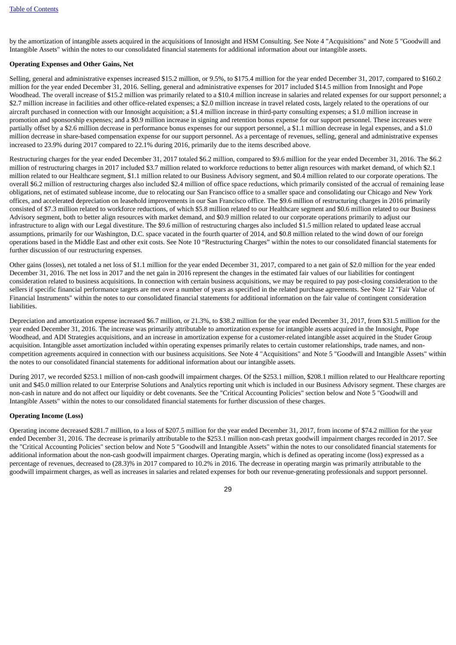by the amortization of intangible assets acquired in the acquisitions of Innosight and HSM Consulting. See Note 4 "Acquisitions" and Note 5 "Goodwill and Intangible Assets" within the notes to our consolidated financial statements for additional information about our intangible assets.

## **Operating Expenses and Other Gains, Net**

Selling, general and administrative expenses increased \$15.2 million, or 9.5%, to \$175.4 million for the year ended December 31, 2017, compared to \$160.2 million for the year ended December 31, 2016. Selling, general and administrative expenses for 2017 included \$14.5 million from Innosight and Pope Woodhead. The overall increase of \$15.2 million was primarily related to a \$10.4 million increase in salaries and related expenses for our support personnel; a \$2.7 million increase in facilities and other office-related expenses; a \$2.0 million increase in travel related costs, largely related to the operations of our aircraft purchased in connection with our Innosight acquisition; a \$1.4 million increase in third-party consulting expenses; a \$1.0 million increase in promotion and sponsorship expenses; and a \$0.9 million increase in signing and retention bonus expense for our support personnel. These increases were partially offset by a \$2.6 million decrease in performance bonus expenses for our support personnel, a \$1.1 million decrease in legal expenses, and a \$1.0 million decrease in share-based compensation expense for our support personnel. As a percentage of revenues, selling, general and administrative expenses increased to 23.9% during 2017 compared to 22.1% during 2016, primarily due to the items described above.

Restructuring charges for the year ended December 31, 2017 totaled \$6.2 million, compared to \$9.6 million for the year ended December 31, 2016. The \$6.2 million of restructuring charges in 2017 included \$3.7 million related to workforce reductions to better align resources with market demand, of which \$2.1 million related to our Healthcare segment, \$1.1 million related to our Business Advisory segment, and \$0.4 million related to our corporate operations. The overall \$6.2 million of restructuring charges also included \$2.4 million of office space reductions, which primarily consisted of the accrual of remaining lease obligations, net of estimated sublease income, due to relocating our San Francisco office to a smaller space and consolidating our Chicago and New York offices, and accelerated depreciation on leasehold improvements in our San Francisco office. The \$9.6 million of restructuring charges in 2016 primarily consisted of \$7.3 million related to workforce reductions, of which \$5.8 million related to our Healthcare segment and \$0.6 million related to our Business Advisory segment, both to better align resources with market demand, and \$0.9 million related to our corporate operations primarily to adjust our infrastructure to align with our Legal divestiture. The \$9.6 million of restructuring charges also included \$1.5 million related to updated lease accrual assumptions, primarily for our Washington, D.C. space vacated in the fourth quarter of 2014, and \$0.8 million related to the wind down of our foreign operations based in the Middle East and other exit costs. See Note 10 "Restructuring Charges" within the notes to our consolidated financial statements for further discussion of our restructuring expenses.

Other gains (losses), net totaled a net loss of \$1.1 million for the year ended December 31, 2017, compared to a net gain of \$2.0 million for the year ended December 31, 2016. The net loss in 2017 and the net gain in 2016 represent the changes in the estimated fair values of our liabilities for contingent consideration related to business acquisitions. In connection with certain business acquisitions, we may be required to pay post-closing consideration to the sellers if specific financial performance targets are met over a number of years as specified in the related purchase agreements. See Note 12 "Fair Value of Financial Instruments" within the notes to our consolidated financial statements for additional information on the fair value of contingent consideration liabilities.

Depreciation and amortization expense increased \$6.7 million, or 21.3%, to \$38.2 million for the year ended December 31, 2017, from \$31.5 million for the year ended December 31, 2016. The increase was primarily attributable to amortization expense for intangible assets acquired in the Innosight, Pope Woodhead, and ADI Strategies acquisitions, and an increase in amortization expense for a customer-related intangible asset acquired in the Studer Group acquisition. Intangible asset amortization included within operating expenses primarily relates to certain customer relationships, trade names, and noncompetition agreements acquired in connection with our business acquisitions. See Note 4 "Acquisitions" and Note 5 "Goodwill and Intangible Assets" within the notes to our consolidated financial statements for additional information about our intangible assets.

During 2017, we recorded \$253.1 million of non-cash goodwill impairment charges. Of the \$253.1 million, \$208.1 million related to our Healthcare reporting unit and \$45.0 million related to our Enterprise Solutions and Analytics reporting unit which is included in our Business Advisory segment. These charges are non-cash in nature and do not affect our liquidity or debt covenants. See the "Critical Accounting Policies" section below and Note 5 "Goodwill and Intangible Assets" within the notes to our consolidated financial statements for further discussion of these charges.

## **Operating Income (Loss)**

Operating income decreased \$281.7 million, to a loss of \$207.5 million for the year ended December 31, 2017, from income of \$74.2 million for the year ended December 31, 2016. The decrease is primarily attributable to the \$253.1 million non-cash pretax goodwill impairment charges recorded in 2017. See the "Critical Accounting Policies" section below and Note 5 "Goodwill and Intangible Assets" within the notes to our consolidated financial statements for additional information about the non-cash goodwill impairment charges. Operating margin, which is defined as operating income (loss) expressed as a percentage of revenues, decreased to (28.3)% in 2017 compared to 10.2% in 2016. The decrease in operating margin was primarily attributable to the goodwill impairment charges, as well as increases in salaries and related expenses for both our revenue-generating professionals and support personnel.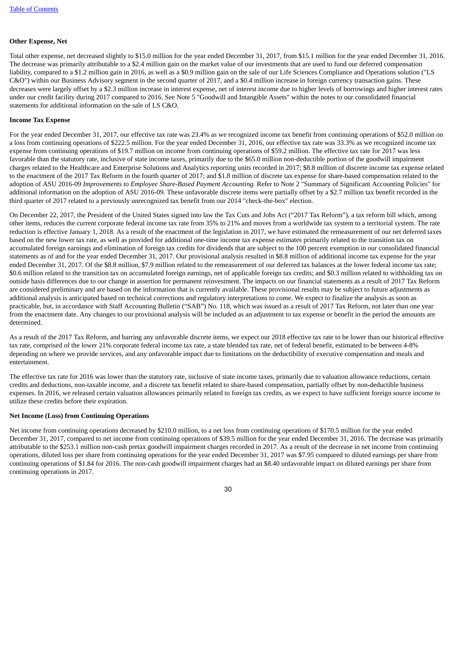# **Other Expense, Net**

Total other expense, net decreased slightly to \$15.0 million for the year ended December 31, 2017, from \$15.1 million for the year ended December 31, 2016. The decrease was primarily attributable to a \$2.4 million gain on the market value of our investments that are used to fund our deferred compensation liability, compared to a \$1.2 million gain in 2016, as well as a \$0.9 million gain on the sale of our Life Sciences Compliance and Operations solution ("LS C&O") within our Business Advisory segment in the second quarter of 2017, and a \$0.4 million increase in foreign currency transaction gains. These decreases were largely offset by a \$2.3 million increase in interest expense, net of interest income due to higher levels of borrowings and higher interest rates under our credit facility during 2017 compared to 2016. See Note 5 "Goodwill and Intangible Assets" within the notes to our consolidated financial statements for additional information on the sale of LS C&O.

### **Income Tax Expense**

For the year ended December 31, 2017, our effective tax rate was 23.4% as we recognized income tax benefit from continuing operations of \$52.0 million on a loss from continuing operations of \$222.5 million. For the year ended December 31, 2016, our effective tax rate was 33.3% as we recognized income tax expense from continuing operations of \$19.7 million on income from continuing operations of \$59.2 million. The effective tax rate for 2017 was less favorable than the statutory rate, inclusive of state income taxes, primarily due to the \$65.0 million non-deductible portion of the goodwill impairment charges related to the Healthcare and Enterprise Solutions and Analytics reporting units recorded in 2017; \$8.8 million of discrete income tax expense related to the enactment of the 2017 Tax Reform in the fourth quarter of 2017; and \$1.8 million of discrete tax expense for share-based compensation related to the adoption of ASU 2016-09 *Improvements to Employee Share-Based Payment Accounting.* Refer to Note 2 "Summary of Significant Accounting Policies" for additional information on the adoption of ASU 2016-09. These unfavorable discrete items were partially offset by a \$2.7 million tax benefit recorded in the third quarter of 2017 related to a previously unrecognized tax benefit from our 2014 "check-the-box" election.

On December 22, 2017, the President of the United States signed into law the Tax Cuts and Jobs Act ("2017 Tax Reform"), a tax reform bill which, among other items, reduces the current corporate federal income tax rate from 35% to 21% and moves from a worldwide tax system to a territorial system. The rate reduction is effective January 1, 2018. As a result of the enactment of the legislation in 2017, we have estimated the remeasurement of our net deferred taxes based on the new lower tax rate, as well as provided for additional one-time income tax expense estimates primarily related to the transition tax on accumulated foreign earnings and elimination of foreign tax credits for dividends that are subject to the 100 percent exemption in our consolidated financial statements as of and for the year ended December 31, 2017. Our provisional analysis resulted in \$8.8 million of additional income tax expense for the year ended December 31, 2017. Of the \$8.8 million, \$7.9 million related to the remeasurement of our deferred tax balances at the lower federal income tax rate; \$0.6 million related to the transition tax on accumulated foreign earnings, net of applicable foreign tax credits; and \$0.3 million related to withholding tax on outside basis differences due to our change in assertion for permanent reinvestment. The impacts on our financial statements as a result of 2017 Tax Reform are considered preliminary and are based on the information that is currently available. These provisional results may be subject to future adjustments as additional analysis is anticipated based on technical corrections and regulatory interpretations to come. We expect to finalize the analysis as soon as practicable, but, in accordance with Staff Accounting Bulletin ("SAB") No. 118, which was issued as a result of 2017 Tax Reform, not later than one year from the enactment date. Any changes to our provisional analysis will be included as an adjustment to tax expense or benefit in the period the amounts are determined.

As a result of the 2017 Tax Reform, and barring any unfavorable discrete items, we expect our 2018 effective tax rate to be lower than our historical effective tax rate, comprised of the lower 21% corporate federal income tax rate, a state blended tax rate, net of federal benefit, estimated to be between 4-8% depending on where we provide services, and any unfavorable impact due to limitations on the deductibility of executive compensation and meals and entertainment.

The effective tax rate for 2016 was lower than the statutory rate, inclusive of state income taxes, primarily due to valuation allowance reductions, certain credits and deductions, non-taxable income, and a discrete tax benefit related to share-based compensation, partially offset by non-deductible business expenses. In 2016, we released certain valuation allowances primarily related to foreign tax credits, as we expect to have sufficient foreign source income to utilize these credits before their expiration.

### **Net Income (Loss) from Continuing Operations**

Net income from continuing operations decreased by \$210.0 million, to a net loss from continuing operations of \$170.5 million for the year ended December 31, 2017, compared to net income from continuing operations of \$39.5 million for the year ended December 31, 2016. The decrease was primarily attributable to the \$253.1 million non-cash pretax goodwill impairment charges recorded in 2017. As a result of the decrease in net income from continuing operations, diluted loss per share from continuing operations for the year ended December 31, 2017 was \$7.95 compared to diluted earnings per share from continuing operations of \$1.84 for 2016. The non-cash goodwill impairment charges had an \$8.40 unfavorable impact on diluted earnings per share from continuing operations in 2017.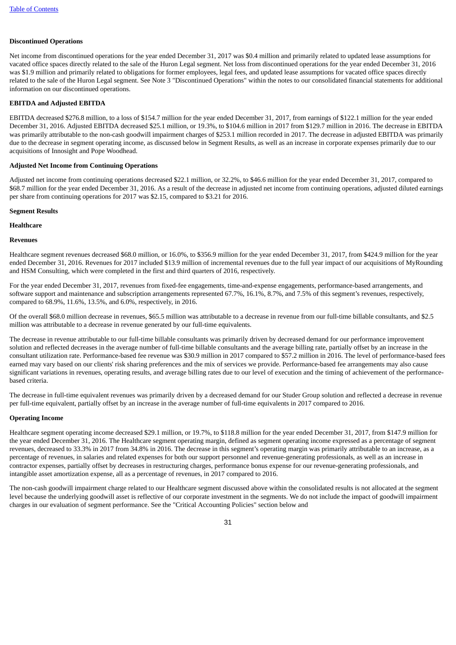# **Discontinued Operations**

Net income from discontinued operations for the year ended December 31, 2017 was \$0.4 million and primarily related to updated lease assumptions for vacated office spaces directly related to the sale of the Huron Legal segment. Net loss from discontinued operations for the year ended December 31, 2016 was \$1.9 million and primarily related to obligations for former employees, legal fees, and updated lease assumptions for vacated office spaces directly related to the sale of the Huron Legal segment. See Note 3 "Discontinued Operations" within the notes to our consolidated financial statements for additional information on our discontinued operations.

## **EBITDA and Adjusted EBITDA**

EBITDA decreased \$276.8 million, to a loss of \$154.7 million for the year ended December 31, 2017, from earnings of \$122.1 million for the year ended December 31, 2016. Adjusted EBITDA decreased \$25.1 million, or 19.3%, to \$104.6 million in 2017 from \$129.7 million in 2016. The decrease in EBITDA was primarily attributable to the non-cash goodwill impairment charges of \$253.1 million recorded in 2017. The decrease in adjusted EBITDA was primarily due to the decrease in segment operating income, as discussed below in Segment Results, as well as an increase in corporate expenses primarily due to our acquisitions of Innosight and Pope Woodhead.

## **Adjusted Net Income from Continuing Operations**

Adjusted net income from continuing operations decreased \$22.1 million, or 32.2%, to \$46.6 million for the year ended December 31, 2017, compared to \$68.7 million for the year ended December 31, 2016. As a result of the decrease in adjusted net income from continuing operations, adjusted diluted earnings per share from continuing operations for 2017 was \$2.15, compared to \$3.21 for 2016.

#### **Segment Results**

## **Healthcare**

#### **Revenues**

Healthcare segment revenues decreased \$68.0 million, or 16.0%, to \$356.9 million for the year ended December 31, 2017, from \$424.9 million for the year ended December 31, 2016. Revenues for 2017 included \$13.9 million of incremental revenues due to the full year impact of our acquisitions of MyRounding and HSM Consulting, which were completed in the first and third quarters of 2016, respectively.

For the year ended December 31, 2017, revenues from fixed-fee engagements, time-and-expense engagements, performance-based arrangements, and software support and maintenance and subscription arrangements represented 67.7%, 16.1%, 8.7%, and 7.5% of this segment's revenues, respectively, compared to 68.9%, 11.6%, 13.5%, and 6.0%, respectively, in 2016.

Of the overall \$68.0 million decrease in revenues, \$65.5 million was attributable to a decrease in revenue from our full-time billable consultants, and \$2.5 million was attributable to a decrease in revenue generated by our full-time equivalents.

The decrease in revenue attributable to our full-time billable consultants was primarily driven by decreased demand for our performance improvement solution and reflected decreases in the average number of full-time billable consultants and the average billing rate, partially offset by an increase in the consultant utilization rate. Performance-based fee revenue was \$30.9 million in 2017 compared to \$57.2 million in 2016. The level of performance-based fees earned may vary based on our clients' risk sharing preferences and the mix of services we provide. Performance-based fee arrangements may also cause significant variations in revenues, operating results, and average billing rates due to our level of execution and the timing of achievement of the performancebased criteria.

The decrease in full-time equivalent revenues was primarily driven by a decreased demand for our Studer Group solution and reflected a decrease in revenue per full-time equivalent, partially offset by an increase in the average number of full-time equivalents in 2017 compared to 2016.

## **Operating Income**

Healthcare segment operating income decreased \$29.1 million, or 19.7%, to \$118.8 million for the year ended December 31, 2017, from \$147.9 million for the year ended December 31, 2016. The Healthcare segment operating margin, defined as segment operating income expressed as a percentage of segment revenues, decreased to 33.3% in 2017 from 34.8% in 2016. The decrease in this segment's operating margin was primarily attributable to an increase, as a percentage of revenues, in salaries and related expenses for both our support personnel and revenue-generating professionals, as well as an increase in contractor expenses, partially offset by decreases in restructuring charges, performance bonus expense for our revenue-generating professionals, and intangible asset amortization expense, all as a percentage of revenues, in 2017 compared to 2016.

The non-cash goodwill impairment charge related to our Healthcare segment discussed above within the consolidated results is not allocated at the segment level because the underlying goodwill asset is reflective of our corporate investment in the segments. We do not include the impact of goodwill impairment charges in our evaluation of segment performance. See the "Critical Accounting Policies" section below and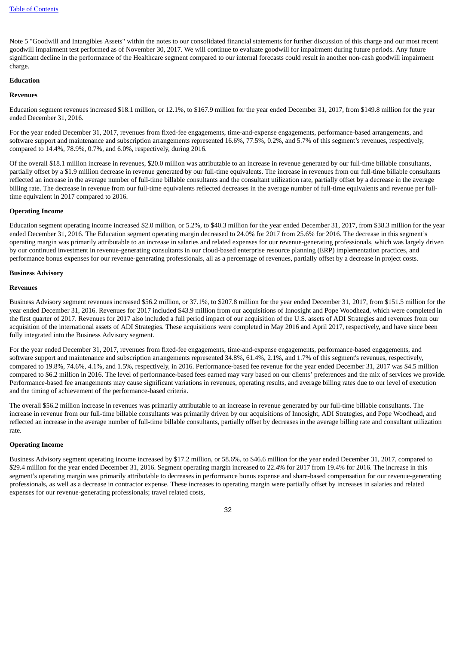Note 5 "Goodwill and Intangibles Assets" within the notes to our consolidated financial statements for further discussion of this charge and our most recent goodwill impairment test performed as of November 30, 2017. We will continue to evaluate goodwill for impairment during future periods. Any future significant decline in the performance of the Healthcare segment compared to our internal forecasts could result in another non-cash goodwill impairment charge.

### **Education**

#### **Revenues**

Education segment revenues increased \$18.1 million, or 12.1%, to \$167.9 million for the year ended December 31, 2017, from \$149.8 million for the year ended December 31, 2016.

For the year ended December 31, 2017, revenues from fixed-fee engagements, time-and-expense engagements, performance-based arrangements, and software support and maintenance and subscription arrangements represented 16.6%, 77.5%, 0.2%, and 5.7% of this segment's revenues, respectively, compared to 14.4%, 78.9%, 0.7%, and 6.0%, respectively, during 2016.

Of the overall \$18.1 million increase in revenues, \$20.0 million was attributable to an increase in revenue generated by our full-time billable consultants, partially offset by a \$1.9 million decrease in revenue generated by our full-time equivalents. The increase in revenues from our full-time billable consultants reflected an increase in the average number of full-time billable consultants and the consultant utilization rate, partially offset by a decrease in the average billing rate. The decrease in revenue from our full-time equivalents reflected decreases in the average number of full-time equivalents and revenue per fulltime equivalent in 2017 compared to 2016.

#### **Operating Income**

Education segment operating income increased \$2.0 million, or 5.2%, to \$40.3 million for the year ended December 31, 2017, from \$38.3 million for the year ended December 31, 2016. The Education segment operating margin decreased to 24.0% for 2017 from 25.6% for 2016. The decrease in this segment's operating margin was primarily attributable to an increase in salaries and related expenses for our revenue-generating professionals, which was largely driven by our continued investment in revenue-generating consultants in our cloud-based enterprise resource planning (ERP) implementation practices, and performance bonus expenses for our revenue-generating professionals, all as a percentage of revenues, partially offset by a decrease in project costs.

#### **Business Advisory**

#### **Revenues**

Business Advisory segment revenues increased \$56.2 million, or 37.1%, to \$207.8 million for the year ended December 31, 2017, from \$151.5 million for the year ended December 31, 2016. Revenues for 2017 included \$43.9 million from our acquisitions of Innosight and Pope Woodhead, which were completed in the first quarter of 2017. Revenues for 2017 also included a full period impact of our acquisition of the U.S. assets of ADI Strategies and revenues from our acquisition of the international assets of ADI Strategies. These acquisitions were completed in May 2016 and April 2017, respectively, and have since been fully integrated into the Business Advisory segment.

For the year ended December 31, 2017, revenues from fixed-fee engagements, time-and-expense engagements, performance-based engagements, and software support and maintenance and subscription arrangements represented 34.8%, 61.4%, 2.1%, and 1.7% of this segment's revenues, respectively, compared to 19.8%, 74.6%, 4.1%, and 1.5%, respectively, in 2016. Performance-based fee revenue for the year ended December 31, 2017 was \$4.5 million compared to \$6.2 million in 2016. The level of performance-based fees earned may vary based on our clients' preferences and the mix of services we provide. Performance-based fee arrangements may cause significant variations in revenues, operating results, and average billing rates due to our level of execution and the timing of achievement of the performance-based criteria.

The overall \$56.2 million increase in revenues was primarily attributable to an increase in revenue generated by our full-time billable consultants. The increase in revenue from our full-time billable consultants was primarily driven by our acquisitions of Innosight, ADI Strategies, and Pope Woodhead, and reflected an increase in the average number of full-time billable consultants, partially offset by decreases in the average billing rate and consultant utilization rate.

#### **Operating Income**

Business Advisory segment operating income increased by \$17.2 million, or 58.6%, to \$46.6 million for the year ended December 31, 2017, compared to \$29.4 million for the year ended December 31, 2016. Segment operating margin increased to 22.4% for 2017 from 19.4% for 2016. The increase in this segment's operating margin was primarily attributable to decreases in performance bonus expense and share-based compensation for our revenue-generating professionals, as well as a decrease in contractor expense. These increases to operating margin were partially offset by increases in salaries and related expenses for our revenue-generating professionals; travel related costs,

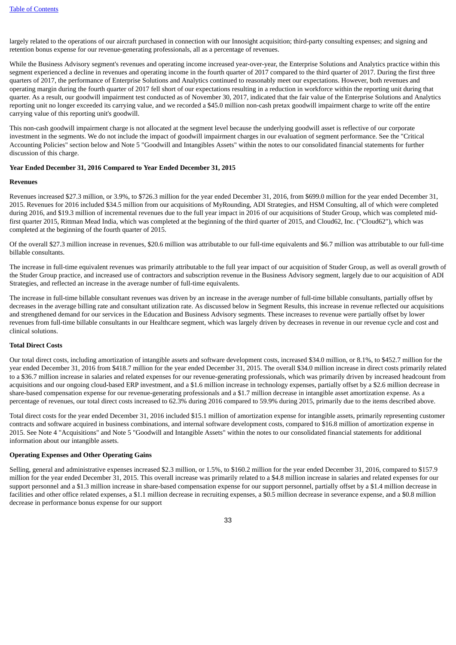largely related to the operations of our aircraft purchased in connection with our Innosight acquisition; third-party consulting expenses; and signing and retention bonus expense for our revenue-generating professionals, all as a percentage of revenues.

While the Business Advisory segment's revenues and operating income increased year-over-year, the Enterprise Solutions and Analytics practice within this segment experienced a decline in revenues and operating income in the fourth quarter of 2017 compared to the third quarter of 2017. During the first three quarters of 2017, the performance of Enterprise Solutions and Analytics continued to reasonably meet our expectations. However, both revenues and operating margin during the fourth quarter of 2017 fell short of our expectations resulting in a reduction in workforce within the reporting unit during that quarter. As a result, our goodwill impairment test conducted as of November 30, 2017, indicated that the fair value of the Enterprise Solutions and Analytics reporting unit no longer exceeded its carrying value, and we recorded a \$45.0 million non-cash pretax goodwill impairment charge to write off the entire carrying value of this reporting unit's goodwill.

This non-cash goodwill impairment charge is not allocated at the segment level because the underlying goodwill asset is reflective of our corporate investment in the segments. We do not include the impact of goodwill impairment charges in our evaluation of segment performance. See the "Critical Accounting Policies" section below and Note 5 "Goodwill and Intangibles Assets" within the notes to our consolidated financial statements for further discussion of this charge.

### **Year Ended December 31, 2016 Compared to Year Ended December 31, 2015**

#### **Revenues**

Revenues increased \$27.3 million, or 3.9%, to \$726.3 million for the year ended December 31, 2016, from \$699.0 million for the year ended December 31, 2015. Revenues for 2016 included \$34.5 million from our acquisitions of MyRounding, ADI Strategies, and HSM Consulting, all of which were completed during 2016, and \$19.3 million of incremental revenues due to the full year impact in 2016 of our acquisitions of Studer Group, which was completed midfirst quarter 2015, Rittman Mead India, which was completed at the beginning of the third quarter of 2015, and Cloud62, Inc. ("Cloud62"), which was completed at the beginning of the fourth quarter of 2015.

Of the overall \$27.3 million increase in revenues, \$20.6 million was attributable to our full-time equivalents and \$6.7 million was attributable to our full-time billable consultants.

The increase in full-time equivalent revenues was primarily attributable to the full year impact of our acquisition of Studer Group, as well as overall growth of the Studer Group practice, and increased use of contractors and subscription revenue in the Business Advisory segment, largely due to our acquisition of ADI Strategies, and reflected an increase in the average number of full-time equivalents.

The increase in full-time billable consultant revenues was driven by an increase in the average number of full-time billable consultants, partially offset by decreases in the average billing rate and consultant utilization rate. As discussed below in Segment Results, this increase in revenue reflected our acquisitions and strengthened demand for our services in the Education and Business Advisory segments. These increases to revenue were partially offset by lower revenues from full-time billable consultants in our Healthcare segment, which was largely driven by decreases in revenue in our revenue cycle and cost and clinical solutions.

## **Total Direct Costs**

Our total direct costs, including amortization of intangible assets and software development costs, increased \$34.0 million, or 8.1%, to \$452.7 million for the year ended December 31, 2016 from \$418.7 million for the year ended December 31, 2015. The overall \$34.0 million increase in direct costs primarily related to a \$36.7 million increase in salaries and related expenses for our revenue-generating professionals, which was primarily driven by increased headcount from acquisitions and our ongoing cloud-based ERP investment, and a \$1.6 million increase in technology expenses, partially offset by a \$2.6 million decrease in share-based compensation expense for our revenue-generating professionals and a \$1.7 million decrease in intangible asset amortization expense. As a percentage of revenues, our total direct costs increased to 62.3% during 2016 compared to 59.9% during 2015, primarily due to the items described above.

Total direct costs for the year ended December 31, 2016 included \$15.1 million of amortization expense for intangible assets, primarily representing customer contracts and software acquired in business combinations, and internal software development costs, compared to \$16.8 million of amortization expense in 2015. See Note 4 "Acquisitions" and Note 5 "Goodwill and Intangible Assets" within the notes to our consolidated financial statements for additional information about our intangible assets.

### **Operating Expenses and Other Operating Gains**

Selling, general and administrative expenses increased \$2.3 million, or 1.5%, to \$160.2 million for the year ended December 31, 2016, compared to \$157.9 million for the year ended December 31, 2015. This overall increase was primarily related to a \$4.8 million increase in salaries and related expenses for our support personnel and a \$1.3 million increase in share-based compensation expense for our support personnel, partially offset by a \$1.4 million decrease in facilities and other office related expenses, a \$1.1 million decrease in recruiting expenses, a \$0.5 million decrease in severance expense, and a \$0.8 million decrease in performance bonus expense for our support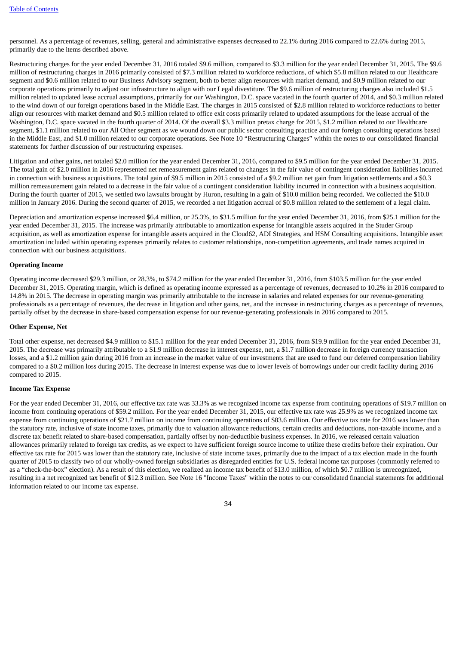personnel. As a percentage of revenues, selling, general and administrative expenses decreased to 22.1% during 2016 compared to 22.6% during 2015, primarily due to the items described above.

Restructuring charges for the year ended December 31, 2016 totaled \$9.6 million, compared to \$3.3 million for the year ended December 31, 2015. The \$9.6 million of restructuring charges in 2016 primarily consisted of \$7.3 million related to workforce reductions, of which \$5.8 million related to our Healthcare segment and \$0.6 million related to our Business Advisory segment, both to better align resources with market demand, and \$0.9 million related to our corporate operations primarily to adjust our infrastructure to align with our Legal divestiture. The \$9.6 million of restructuring charges also included \$1.5 million related to updated lease accrual assumptions, primarily for our Washington, D.C. space vacated in the fourth quarter of 2014, and \$0.3 million related to the wind down of our foreign operations based in the Middle East. The charges in 2015 consisted of \$2.8 million related to workforce reductions to better align our resources with market demand and \$0.5 million related to office exit costs primarily related to updated assumptions for the lease accrual of the Washington, D.C. space vacated in the fourth quarter of 2014. Of the overall \$3.3 million pretax charge for 2015, \$1.2 million related to our Healthcare segment, \$1.1 million related to our All Other segment as we wound down our public sector consulting practice and our foreign consulting operations based in the Middle East, and \$1.0 million related to our corporate operations. See Note 10 "Restructuring Charges" within the notes to our consolidated financial statements for further discussion of our restructuring expenses.

Litigation and other gains, net totaled \$2.0 million for the year ended December 31, 2016, compared to \$9.5 million for the year ended December 31, 2015. The total gain of \$2.0 million in 2016 represented net remeasurement gains related to changes in the fair value of contingent consideration liabilities incurred in connection with business acquisitions. The total gain of \$9.5 million in 2015 consisted of a \$9.2 million net gain from litigation settlements and a \$0.3 million remeasurement gain related to a decrease in the fair value of a contingent consideration liability incurred in connection with a business acquisition. During the fourth quarter of 2015, we settled two lawsuits brought by Huron, resulting in a gain of \$10.0 million being recorded. We collected the \$10.0 million in January 2016. During the second quarter of 2015, we recorded a net litigation accrual of \$0.8 million related to the settlement of a legal claim.

Depreciation and amortization expense increased \$6.4 million, or 25.3%, to \$31.5 million for the year ended December 31, 2016, from \$25.1 million for the year ended December 31, 2015. The increase was primarily attributable to amortization expense for intangible assets acquired in the Studer Group acquisition, as well as amortization expense for intangible assets acquired in the Cloud62, ADI Strategies, and HSM Consulting acquisitions. Intangible asset amortization included within operating expenses primarily relates to customer relationships, non-competition agreements, and trade names acquired in connection with our business acquisitions.

#### **Operating Income**

Operating income decreased \$29.3 million, or 28.3%, to \$74.2 million for the year ended December 31, 2016, from \$103.5 million for the year ended December 31, 2015. Operating margin, which is defined as operating income expressed as a percentage of revenues, decreased to 10.2% in 2016 compared to 14.8% in 2015. The decrease in operating margin was primarily attributable to the increase in salaries and related expenses for our revenue-generating professionals as a percentage of revenues, the decrease in litigation and other gains, net, and the increase in restructuring charges as a percentage of revenues, partially offset by the decrease in share-based compensation expense for our revenue-generating professionals in 2016 compared to 2015.

#### **Other Expense, Net**

Total other expense, net decreased \$4.9 million to \$15.1 million for the year ended December 31, 2016, from \$19.9 million for the year ended December 31, 2015. The decrease was primarily attributable to a \$1.9 million decrease in interest expense, net, a \$1.7 million decrease in foreign currency transaction losses, and a \$1.2 million gain during 2016 from an increase in the market value of our investments that are used to fund our deferred compensation liability compared to a \$0.2 million loss during 2015. The decrease in interest expense was due to lower levels of borrowings under our credit facility during 2016 compared to 2015.

## **Income Tax Expense**

For the year ended December 31, 2016, our effective tax rate was 33.3% as we recognized income tax expense from continuing operations of \$19.7 million on income from continuing operations of \$59.2 million. For the year ended December 31, 2015, our effective tax rate was 25.9% as we recognized income tax expense from continuing operations of \$21.7 million on income from continuing operations of \$83.6 million. Our effective tax rate for 2016 was lower than the statutory rate, inclusive of state income taxes, primarily due to valuation allowance reductions, certain credits and deductions, non-taxable income, and a discrete tax benefit related to share-based compensation, partially offset by non-deductible business expenses. In 2016, we released certain valuation allowances primarily related to foreign tax credits, as we expect to have sufficient foreign source income to utilize these credits before their expiration. Our effective tax rate for 2015 was lower than the statutory rate, inclusive of state income taxes, primarily due to the impact of a tax election made in the fourth quarter of 2015 to classify two of our wholly-owned foreign subsidiaries as disregarded entities for U.S. federal income tax purposes (commonly referred to as a "check-the-box" election). As a result of this election, we realized an income tax benefit of \$13.0 million, of which \$0.7 million is unrecognized, resulting in a net recognized tax benefit of \$12.3 million. See Note 16 "Income Taxes" within the notes to our consolidated financial statements for additional information related to our income tax expense.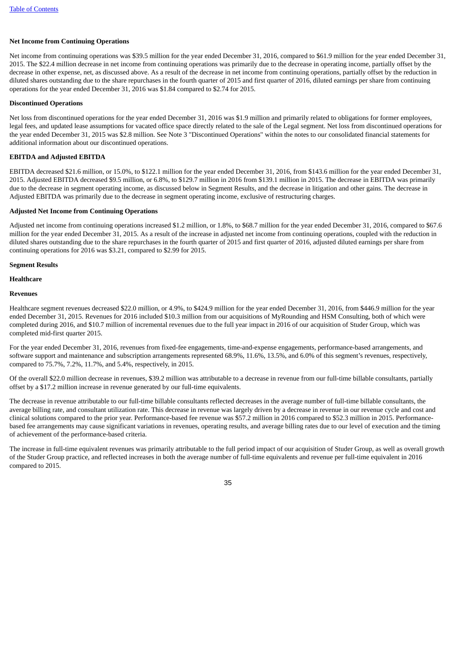## **Net Income from Continuing Operations**

Net income from continuing operations was \$39.5 million for the year ended December 31, 2016, compared to \$61.9 million for the year ended December 31, 2015. The \$22.4 million decrease in net income from continuing operations was primarily due to the decrease in operating income, partially offset by the decrease in other expense, net, as discussed above. As a result of the decrease in net income from continuing operations, partially offset by the reduction in diluted shares outstanding due to the share repurchases in the fourth quarter of 2015 and first quarter of 2016, diluted earnings per share from continuing operations for the year ended December 31, 2016 was \$1.84 compared to \$2.74 for 2015.

## **Discontinued Operations**

Net loss from discontinued operations for the year ended December 31, 2016 was \$1.9 million and primarily related to obligations for former employees, legal fees, and updated lease assumptions for vacated office space directly related to the sale of the Legal segment. Net loss from discontinued operations for the year ended December 31, 2015 was \$2.8 million. See Note 3 "Discontinued Operations" within the notes to our consolidated financial statements for additional information about our discontinued operations.

#### **EBITDA and Adjusted EBITDA**

EBITDA decreased \$21.6 million, or 15.0%, to \$122.1 million for the year ended December 31, 2016, from \$143.6 million for the year ended December 31, 2015. Adjusted EBITDA decreased \$9.5 million, or 6.8%, to \$129.7 million in 2016 from \$139.1 million in 2015. The decrease in EBITDA was primarily due to the decrease in segment operating income, as discussed below in Segment Results, and the decrease in litigation and other gains. The decrease in Adjusted EBITDA was primarily due to the decrease in segment operating income, exclusive of restructuring charges.

# **Adjusted Net Income from Continuing Operations**

Adjusted net income from continuing operations increased \$1.2 million, or 1.8%, to \$68.7 million for the year ended December 31, 2016, compared to \$67.6 million for the year ended December 31, 2015. As a result of the increase in adjusted net income from continuing operations, coupled with the reduction in diluted shares outstanding due to the share repurchases in the fourth quarter of 2015 and first quarter of 2016, adjusted diluted earnings per share from continuing operations for 2016 was \$3.21, compared to \$2.99 for 2015.

#### **Segment Results**

#### **Healthcare**

#### **Revenues**

Healthcare segment revenues decreased \$22.0 million, or 4.9%, to \$424.9 million for the year ended December 31, 2016, from \$446.9 million for the year ended December 31, 2015. Revenues for 2016 included \$10.3 million from our acquisitions of MyRounding and HSM Consulting, both of which were completed during 2016, and \$10.7 million of incremental revenues due to the full year impact in 2016 of our acquisition of Studer Group, which was completed mid-first quarter 2015.

For the year ended December 31, 2016, revenues from fixed-fee engagements, time-and-expense engagements, performance-based arrangements, and software support and maintenance and subscription arrangements represented 68.9%, 11.6%, 13.5%, and 6.0% of this segment's revenues, respectively, compared to 75.7%, 7.2%, 11.7%, and 5.4%, respectively, in 2015.

Of the overall \$22.0 million decrease in revenues, \$39.2 million was attributable to a decrease in revenue from our full-time billable consultants, partially offset by a \$17.2 million increase in revenue generated by our full-time equivalents.

The decrease in revenue attributable to our full-time billable consultants reflected decreases in the average number of full-time billable consultants, the average billing rate, and consultant utilization rate. This decrease in revenue was largely driven by a decrease in revenue in our revenue cycle and cost and clinical solutions compared to the prior year. Performance-based fee revenue was \$57.2 million in 2016 compared to \$52.3 million in 2015. Performancebased fee arrangements may cause significant variations in revenues, operating results, and average billing rates due to our level of execution and the timing of achievement of the performance-based criteria.

The increase in full-time equivalent revenues was primarily attributable to the full period impact of our acquisition of Studer Group, as well as overall growth of the Studer Group practice, and reflected increases in both the average number of full-time equivalents and revenue per full-time equivalent in 2016 compared to 2015.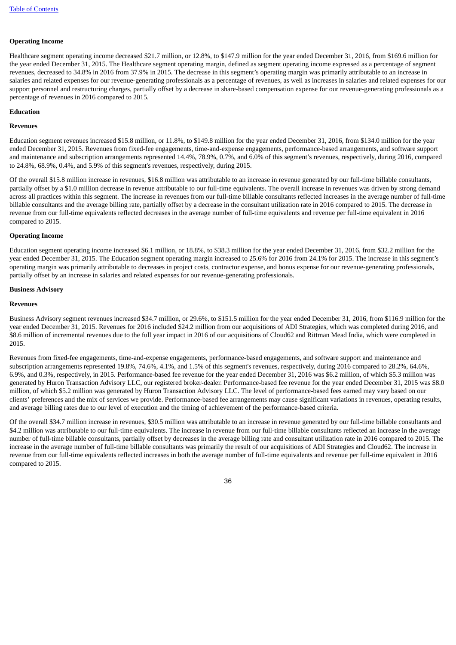# **Operating Income**

Healthcare segment operating income decreased \$21.7 million, or 12.8%, to \$147.9 million for the year ended December 31, 2016, from \$169.6 million for the year ended December 31, 2015. The Healthcare segment operating margin, defined as segment operating income expressed as a percentage of segment revenues, decreased to 34.8% in 2016 from 37.9% in 2015. The decrease in this segment's operating margin was primarily attributable to an increase in salaries and related expenses for our revenue-generating professionals as a percentage of revenues, as well as increases in salaries and related expenses for our support personnel and restructuring charges, partially offset by a decrease in share-based compensation expense for our revenue-generating professionals as a percentage of revenues in 2016 compared to 2015.

# **Education**

#### **Revenues**

Education segment revenues increased \$15.8 million, or 11.8%, to \$149.8 million for the year ended December 31, 2016, from \$134.0 million for the year ended December 31, 2015. Revenues from fixed-fee engagements, time-and-expense engagements, performance-based arrangements, and software support and maintenance and subscription arrangements represented 14.4%, 78.9%, 0.7%, and 6.0% of this segment's revenues, respectively, during 2016, compared to 24.8%, 68.9%, 0.4%, and 5.9% of this segment's revenues, respectively, during 2015.

Of the overall \$15.8 million increase in revenues, \$16.8 million was attributable to an increase in revenue generated by our full-time billable consultants, partially offset by a \$1.0 million decrease in revenue attributable to our full-time equivalents. The overall increase in revenues was driven by strong demand across all practices within this segment. The increase in revenues from our full-time billable consultants reflected increases in the average number of full-time billable consultants and the average billing rate, partially offset by a decrease in the consultant utilization rate in 2016 compared to 2015. The decrease in revenue from our full-time equivalents reflected decreases in the average number of full-time equivalents and revenue per full-time equivalent in 2016 compared to 2015.

#### **Operating Income**

Education segment operating income increased \$6.1 million, or 18.8%, to \$38.3 million for the year ended December 31, 2016, from \$32.2 million for the year ended December 31, 2015. The Education segment operating margin increased to 25.6% for 2016 from 24.1% for 2015. The increase in this segment's operating margin was primarily attributable to decreases in project costs, contractor expense, and bonus expense for our revenue-generating professionals, partially offset by an increase in salaries and related expenses for our revenue-generating professionals.

#### **Business Advisory**

#### **Revenues**

Business Advisory segment revenues increased \$34.7 million, or 29.6%, to \$151.5 million for the year ended December 31, 2016, from \$116.9 million for the year ended December 31, 2015. Revenues for 2016 included \$24.2 million from our acquisitions of ADI Strategies, which was completed during 2016, and \$8.6 million of incremental revenues due to the full year impact in 2016 of our acquisitions of Cloud62 and Rittman Mead India, which were completed in 2015.

Revenues from fixed-fee engagements, time-and-expense engagements, performance-based engagements, and software support and maintenance and subscription arrangements represented 19.8%, 74.6%, 4.1%, and 1.5% of this segment's revenues, respectively, during 2016 compared to 28.2%, 64.6%, 6.9%, and 0.3%, respectively, in 2015. Performance-based fee revenue for the year ended December 31, 2016 was \$6.2 million, of which \$5.3 million was generated by Huron Transaction Advisory LLC, our registered broker-dealer. Performance-based fee revenue for the year ended December 31, 2015 was \$8.0 million, of which \$5.2 million was generated by Huron Transaction Advisory LLC. The level of performance-based fees earned may vary based on our clients' preferences and the mix of services we provide. Performance-based fee arrangements may cause significant variations in revenues, operating results, and average billing rates due to our level of execution and the timing of achievement of the performance-based criteria.

Of the overall \$34.7 million increase in revenues, \$30.5 million was attributable to an increase in revenue generated by our full-time billable consultants and \$4.2 million was attributable to our full-time equivalents. The increase in revenue from our full-time billable consultants reflected an increase in the average number of full-time billable consultants, partially offset by decreases in the average billing rate and consultant utilization rate in 2016 compared to 2015. The increase in the average number of full-time billable consultants was primarily the result of our acquisitions of ADI Strategies and Cloud62. The increase in revenue from our full-time equivalents reflected increases in both the average number of full-time equivalents and revenue per full-time equivalent in 2016 compared to 2015.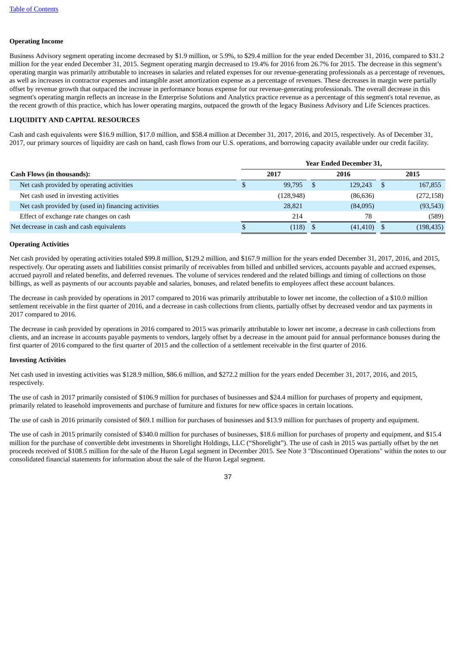#### **Operating Income**

Business Advisory segment operating income decreased by \$1.9 million, or 5.9%, to \$29.4 million for the year ended December 31, 2016, compared to \$31.2 million for the year ended December 31, 2015. Segment operating margin decreased to 19.4% for 2016 from 26.7% for 2015. The decrease in this segment's operating margin was primarily attributable to increases in salaries and related expenses for our revenue-generating professionals as a percentage of revenues, as well as increases in contractor expenses and intangible asset amortization expense as a percentage of revenues. These decreases in margin were partially offset by revenue growth that outpaced the increase in performance bonus expense for our revenue-generating professionals. The overall decrease in this segment's operating margin reflects an increase in the Enterprise Solutions and Analytics practice revenue as a percentage of this segment's total revenue, as the recent growth of this practice, which has lower operating margins, outpaced the growth of the legacy Business Advisory and Life Sciences practices.

## **LIQUIDITY AND CAPITAL RESOURCES**

Cash and cash equivalents were \$16.9 million, \$17.0 million, and \$58.4 million at December 31, 2017, 2016, and 2015, respectively. As of December 31, 2017, our primary sources of liquidity are cash on hand, cash flows from our U.S. operations, and borrowing capacity available under our credit facility.

|                                                     | <b>Year Ended December 31,</b> |            |      |                |      |            |  |  |  |  |
|-----------------------------------------------------|--------------------------------|------------|------|----------------|------|------------|--|--|--|--|
| <b>Cash Flows (in thousands):</b>                   |                                | 2017       | 2016 |                | 2015 |            |  |  |  |  |
| Net cash provided by operating activities           | Φ                              | 99,795     | -S   | 129,243        | -S   | 167,855    |  |  |  |  |
| Net cash used in investing activities               |                                | (128, 948) |      | (86, 636)      |      | (272, 158) |  |  |  |  |
| Net cash provided by (used in) financing activities |                                | 28,821     |      | (84,095)       |      | (93, 543)  |  |  |  |  |
| Effect of exchange rate changes on cash             |                                | 214        |      | 78             |      | (589)      |  |  |  |  |
| Net decrease in cash and cash equivalents           |                                | (118)      |      | $(41, 410)$ \$ |      | (198, 435) |  |  |  |  |

#### **Operating Activities**

Net cash provided by operating activities totaled \$99.8 million, \$129.2 million, and \$167.9 million for the years ended December 31, 2017, 2016, and 2015, respectively. Our operating assets and liabilities consist primarily of receivables from billed and unbilled services, accounts payable and accrued expenses, accrued payroll and related benefits, and deferred revenues. The volume of services rendered and the related billings and timing of collections on those billings, as well as payments of our accounts payable and salaries, bonuses, and related benefits to employees affect these account balances.

The decrease in cash provided by operations in 2017 compared to 2016 was primarily attributable to lower net income, the collection of a \$10.0 million settlement receivable in the first quarter of 2016, and a decrease in cash collections from clients, partially offset by decreased vendor and tax payments in 2017 compared to 2016.

The decrease in cash provided by operations in 2016 compared to 2015 was primarily attributable to lower net income, a decrease in cash collections from clients, and an increase in accounts payable payments to vendors, largely offset by a decrease in the amount paid for annual performance bonuses during the first quarter of 2016 compared to the first quarter of 2015 and the collection of a settlement receivable in the first quarter of 2016.

#### **Investing Activities**

Net cash used in investing activities was \$128.9 million, \$86.6 million, and \$272.2 million for the years ended December 31, 2017, 2016, and 2015, respectively.

The use of cash in 2017 primarily consisted of \$106.9 million for purchases of businesses and \$24.4 million for purchases of property and equipment, primarily related to leasehold improvements and purchase of furniture and fixtures for new office spaces in certain locations.

The use of cash in 2016 primarily consisted of \$69.1 million for purchases of businesses and \$13.9 million for purchases of property and equipment.

The use of cash in 2015 primarily consisted of \$340.0 million for purchases of businesses, \$18.6 million for purchases of property and equipment, and \$15.4 million for the purchase of convertible debt investments in Shorelight Holdings, LLC ("Shorelight"). The use of cash in 2015 was partially offset by the net proceeds received of \$108.5 million for the sale of the Huron Legal segment in December 2015. See Note 3 "Discontinued Operations" within the notes to our consolidated financial statements for information about the sale of the Huron Legal segment.

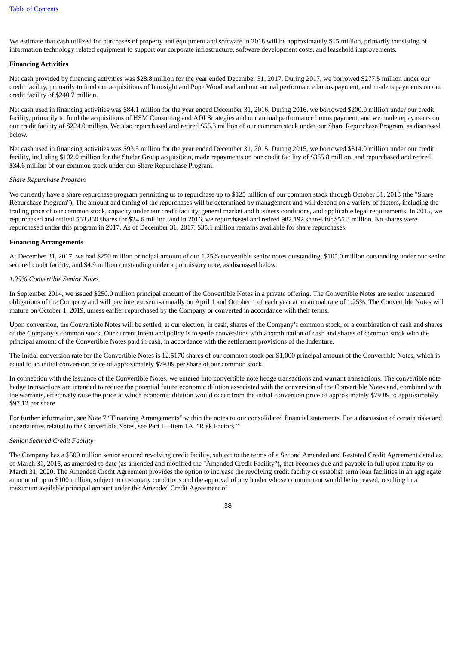We estimate that cash utilized for purchases of property and equipment and software in 2018 will be approximately \$15 million, primarily consisting of information technology related equipment to support our corporate infrastructure, software development costs, and leasehold improvements.

#### **Financing Activities**

Net cash provided by financing activities was \$28.8 million for the year ended December 31, 2017. During 2017, we borrowed \$277.5 million under our credit facility, primarily to fund our acquisitions of Innosight and Pope Woodhead and our annual performance bonus payment, and made repayments on our credit facility of \$240.7 million.

Net cash used in financing activities was \$84.1 million for the year ended December 31, 2016. During 2016, we borrowed \$200.0 million under our credit facility, primarily to fund the acquisitions of HSM Consulting and ADI Strategies and our annual performance bonus payment, and we made repayments on our credit facility of \$224.0 million. We also repurchased and retired \$55.3 million of our common stock under our Share Repurchase Program, as discussed below.

Net cash used in financing activities was \$93.5 million for the year ended December 31, 2015. During 2015, we borrowed \$314.0 million under our credit facility, including \$102.0 million for the Studer Group acquisition, made repayments on our credit facility of \$365.8 million, and repurchased and retired \$34.6 million of our common stock under our Share Repurchase Program.

#### *Share Repurchase Program*

We currently have a share repurchase program permitting us to repurchase up to \$125 million of our common stock through October 31, 2018 (the "Share Repurchase Program"). The amount and timing of the repurchases will be determined by management and will depend on a variety of factors, including the trading price of our common stock, capacity under our credit facility, general market and business conditions, and applicable legal requirements. In 2015, we repurchased and retired 583,880 shares for \$34.6 million, and in 2016, we repurchased and retired 982,192 shares for \$55.3 million. No shares were repurchased under this program in 2017. As of December 31, 2017, \$35.1 million remains available for share repurchases.

#### **Financing Arrangements**

At December 31, 2017, we had \$250 million principal amount of our 1.25% convertible senior notes outstanding, \$105.0 million outstanding under our senior secured credit facility, and \$4.9 million outstanding under a promissory note, as discussed below.

#### *1.25% Convertible Senior Notes*

In September 2014, we issued \$250.0 million principal amount of the Convertible Notes in a private offering. The Convertible Notes are senior unsecured obligations of the Company and will pay interest semi-annually on April 1 and October 1 of each year at an annual rate of 1.25%. The Convertible Notes will mature on October 1, 2019, unless earlier repurchased by the Company or converted in accordance with their terms.

Upon conversion, the Convertible Notes will be settled, at our election, in cash, shares of the Company's common stock, or a combination of cash and shares of the Company's common stock. Our current intent and policy is to settle conversions with a combination of cash and shares of common stock with the principal amount of the Convertible Notes paid in cash, in accordance with the settlement provisions of the Indenture.

The initial conversion rate for the Convertible Notes is 12.5170 shares of our common stock per \$1,000 principal amount of the Convertible Notes, which is equal to an initial conversion price of approximately \$79.89 per share of our common stock.

In connection with the issuance of the Convertible Notes, we entered into convertible note hedge transactions and warrant transactions. The convertible note hedge transactions are intended to reduce the potential future economic dilution associated with the conversion of the Convertible Notes and, combined with the warrants, effectively raise the price at which economic dilution would occur from the initial conversion price of approximately \$79.89 to approximately \$97.12 per share.

For further information, see Note 7 "Financing Arrangements" within the notes to our consolidated financial statements. For a discussion of certain risks and uncertainties related to the Convertible Notes, see Part I—Item 1A. "Risk Factors."

#### *Senior Secured Credit Facility*

The Company has a \$500 million senior secured revolving credit facility, subject to the terms of a Second Amended and Restated Credit Agreement dated as of March 31, 2015, as amended to date (as amended and modified the "Amended Credit Facility"), that becomes due and payable in full upon maturity on March 31, 2020. The Amended Credit Agreement provides the option to increase the revolving credit facility or establish term loan facilities in an aggregate amount of up to \$100 million, subject to customary conditions and the approval of any lender whose commitment would be increased, resulting in a maximum available principal amount under the Amended Credit Agreement of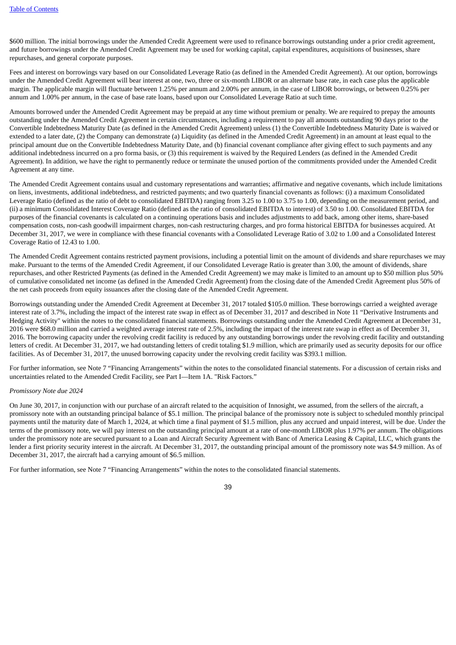\$600 million. The initial borrowings under the Amended Credit Agreement were used to refinance borrowings outstanding under a prior credit agreement, and future borrowings under the Amended Credit Agreement may be used for working capital, capital expenditures, acquisitions of businesses, share repurchases, and general corporate purposes.

Fees and interest on borrowings vary based on our Consolidated Leverage Ratio (as defined in the Amended Credit Agreement). At our option, borrowings under the Amended Credit Agreement will bear interest at one, two, three or six-month LIBOR or an alternate base rate, in each case plus the applicable margin. The applicable margin will fluctuate between 1.25% per annum and 2.00% per annum, in the case of LIBOR borrowings, or between 0.25% per annum and 1.00% per annum, in the case of base rate loans, based upon our Consolidated Leverage Ratio at such time.

Amounts borrowed under the Amended Credit Agreement may be prepaid at any time without premium or penalty. We are required to prepay the amounts outstanding under the Amended Credit Agreement in certain circumstances, including a requirement to pay all amounts outstanding 90 days prior to the Convertible Indebtedness Maturity Date (as defined in the Amended Credit Agreement) unless (1) the Convertible Indebtedness Maturity Date is waived or extended to a later date, (2) the Company can demonstrate (a) Liquidity (as defined in the Amended Credit Agreement) in an amount at least equal to the principal amount due on the Convertible Indebtedness Maturity Date, and (b) financial covenant compliance after giving effect to such payments and any additional indebtedness incurred on a pro forma basis, or (3) this requirement is waived by the Required Lenders (as defined in the Amended Credit Agreement). In addition, we have the right to permanently reduce or terminate the unused portion of the commitments provided under the Amended Credit Agreement at any time.

The Amended Credit Agreement contains usual and customary representations and warranties; affirmative and negative covenants, which include limitations on liens, investments, additional indebtedness, and restricted payments; and two quarterly financial covenants as follows: (i) a maximum Consolidated Leverage Ratio (defined as the ratio of debt to consolidated EBITDA) ranging from 3.25 to 1.00 to 3.75 to 1.00, depending on the measurement period, and (ii) a minimum Consolidated Interest Coverage Ratio (defined as the ratio of consolidated EBITDA to interest) of 3.50 to 1.00. Consolidated EBITDA for purposes of the financial covenants is calculated on a continuing operations basis and includes adjustments to add back, among other items, share-based compensation costs, non-cash goodwill impairment charges, non-cash restructuring charges, and pro forma historical EBITDA for businesses acquired. At December 31, 2017, we were in compliance with these financial covenants with a Consolidated Leverage Ratio of 3.02 to 1.00 and a Consolidated Interest Coverage Ratio of 12.43 to 1.00.

The Amended Credit Agreement contains restricted payment provisions, including a potential limit on the amount of dividends and share repurchases we may make. Pursuant to the terms of the Amended Credit Agreement, if our Consolidated Leverage Ratio is greater than 3.00, the amount of dividends, share repurchases, and other Restricted Payments (as defined in the Amended Credit Agreement) we may make is limited to an amount up to \$50 million plus 50% of cumulative consolidated net income (as defined in the Amended Credit Agreement) from the closing date of the Amended Credit Agreement plus 50% of the net cash proceeds from equity issuances after the closing date of the Amended Credit Agreement.

Borrowings outstanding under the Amended Credit Agreement at December 31, 2017 totaled \$105.0 million. These borrowings carried a weighted average interest rate of 3.7%, including the impact of the interest rate swap in effect as of December 31, 2017 and described in Note 11 "Derivative Instruments and Hedging Activity" within the notes to the consolidated financial statements. Borrowings outstanding under the Amended Credit Agreement at December 31, 2016 were \$68.0 million and carried a weighted average interest rate of 2.5%, including the impact of the interest rate swap in effect as of December 31, 2016. The borrowing capacity under the revolving credit facility is reduced by any outstanding borrowings under the revolving credit facility and outstanding letters of credit. At December 31, 2017, we had outstanding letters of credit totaling \$1.9 million, which are primarily used as security deposits for our office facilities. As of December 31, 2017, the unused borrowing capacity under the revolving credit facility was \$393.1 million.

For further information, see Note 7 "Financing Arrangements" within the notes to the consolidated financial statements. For a discussion of certain risks and uncertainties related to the Amended Credit Facility, see Part I—Item 1A. "Risk Factors."

#### *Promissory Note due 2024*

On June 30, 2017, in conjunction with our purchase of an aircraft related to the acquisition of Innosight, we assumed, from the sellers of the aircraft, a promissory note with an outstanding principal balance of \$5.1 million. The principal balance of the promissory note is subject to scheduled monthly principal payments until the maturity date of March 1, 2024, at which time a final payment of \$1.5 million, plus any accrued and unpaid interest, will be due. Under the terms of the promissory note, we will pay interest on the outstanding principal amount at a rate of one-month LIBOR plus 1.97% per annum. The obligations under the promissory note are secured pursuant to a Loan and Aircraft Security Agreement with Banc of America Leasing & Capital, LLC, which grants the lender a first priority security interest in the aircraft. At December 31, 2017, the outstanding principal amount of the promissory note was \$4.9 million. As of December 31, 2017, the aircraft had a carrying amount of \$6.5 million.

For further information, see Note 7 "Financing Arrangements" within the notes to the consolidated financial statements.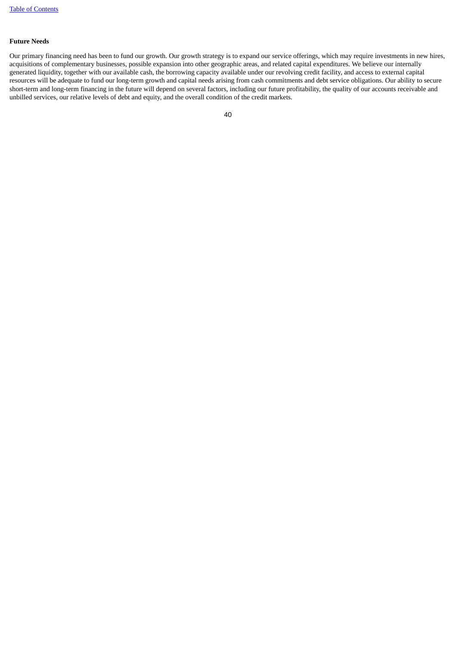# **Future Needs**

Our primary financing need has been to fund our growth. Our growth strategy is to expand our service offerings, which may require investments in new hires, acquisitions of complementary businesses, possible expansion into other geographic areas, and related capital expenditures. We believe our internally generated liquidity, together with our available cash, the borrowing capacity available under our revolving credit facility, and access to external capital resources will be adequate to fund our long-term growth and capital needs arising from cash commitments and debt service obligations. Our ability to secure short-term and long-term financing in the future will depend on several factors, including our future profitability, the quality of our accounts receivable and unbilled services, our relative levels of debt and equity, and the overall condition of the credit markets.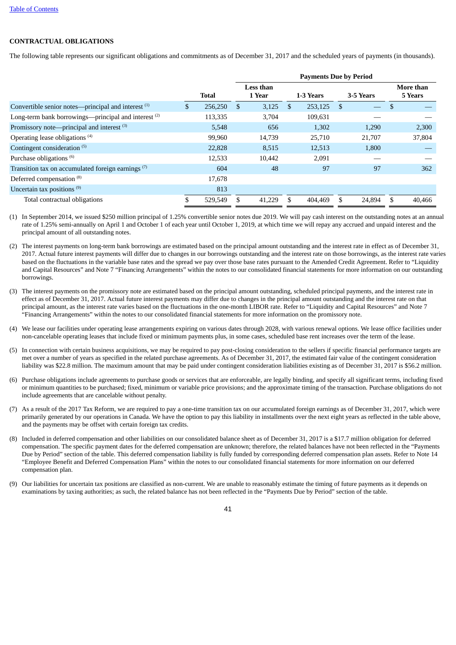# **CONTRACTUAL OBLIGATIONS**

The following table represents our significant obligations and commitments as of December 31, 2017 and the scheduled years of payments (in thousands).

|                                                                 |    |              | <b>Payments Due by Period</b> |                     |    |           |     |                          |      |                      |
|-----------------------------------------------------------------|----|--------------|-------------------------------|---------------------|----|-----------|-----|--------------------------|------|----------------------|
|                                                                 |    | <b>Total</b> |                               | Less than<br>1 Year |    | 1-3 Years |     | 3-5 Years                |      | More than<br>5 Years |
| Convertible senior notes—principal and interest <sup>(1)</sup>  | S. | 256,250      | \$                            | 3,125               | \$ | 253,125   | -\$ | $\overline{\phantom{0}}$ | - \$ |                      |
| Long-term bank borrowings—principal and interest <sup>(2)</sup> |    | 113,335      |                               | 3.704               |    | 109,631   |     |                          |      |                      |
| Promissory note—principal and interest <sup>(3)</sup>           |    | 5,548        |                               | 656                 |    | 1,302     |     | 1,290                    |      | 2,300                |
| Operating lease obligations <sup>(4)</sup>                      |    | 99,960       |                               | 14,739              |    | 25,710    |     | 21,707                   |      | 37,804               |
| Contingent consideration <sup>(5)</sup>                         |    | 22,828       |                               | 8,515               |    | 12,513    |     | 1,800                    |      |                      |
| Purchase obligations <sup>(6)</sup>                             |    | 12,533       |                               | 10,442              |    | 2,091     |     |                          |      |                      |
| Transition tax on accumulated foreign earnings $(7)$            |    | 604          |                               | 48                  |    | 97        |     | 97                       |      | 362                  |
| Deferred compensation <sup>(8)</sup>                            |    | 17,678       |                               |                     |    |           |     |                          |      |                      |
| Uncertain tax positions $(9)$                                   |    | 813          |                               |                     |    |           |     |                          |      |                      |
| Total contractual obligations                                   |    | 529,549      | \$                            | 41,229              |    | 404,469   | \$  | 24,894                   |      | 40,466               |

(1) In September 2014, we issued \$250 million principal of 1.25% convertible senior notes due 2019. We will pay cash interest on the outstanding notes at an annual rate of 1.25% semi-annually on April 1 and October 1 of each year until October 1, 2019, at which time we will repay any accrued and unpaid interest and the principal amount of all outstanding notes.

(2) The interest payments on long-term bank borrowings are estimated based on the principal amount outstanding and the interest rate in effect as of December 31, 2017. Actual future interest payments will differ due to changes in our borrowings outstanding and the interest rate on those borrowings, as the interest rate varies based on the fluctuations in the variable base rates and the spread we pay over those base rates pursuant to the Amended Credit Agreement. Refer to "Liquidity and Capital Resources" and Note 7 "Financing Arrangements" within the notes to our consolidated financial statements for more information on our outstanding borrowings.

- (3) The interest payments on the promissory note are estimated based on the principal amount outstanding, scheduled principal payments, and the interest rate in effect as of December 31, 2017. Actual future interest payments may differ due to changes in the principal amount outstanding and the interest rate on that principal amount, as the interest rate varies based on the fluctuations in the one-month LIBOR rate. Refer to "Liquidity and Capital Resources" and Note 7 "Financing Arrangements" within the notes to our consolidated financial statements for more information on the promissory note.
- (4) We lease our facilities under operating lease arrangements expiring on various dates through 2028, with various renewal options. We lease office facilities under non-cancelable operating leases that include fixed or minimum payments plus, in some cases, scheduled base rent increases over the term of the lease.
- (5) In connection with certain business acquisitions, we may be required to pay post-closing consideration to the sellers if specific financial performance targets are met over a number of years as specified in the related purchase agreements. As of December 31, 2017, the estimated fair value of the contingent consideration liability was \$22.8 million. The maximum amount that may be paid under contingent consideration liabilities existing as of December 31, 2017 is \$56.2 million.
- (6) Purchase obligations include agreements to purchase goods or services that are enforceable, are legally binding, and specify all significant terms, including fixed or minimum quantities to be purchased; fixed, minimum or variable price provisions; and the approximate timing of the transaction. Purchase obligations do not include agreements that are cancelable without penalty.
- (7) As a result of the 2017 Tax Reform, we are required to pay a one-time transition tax on our accumulated foreign earnings as of December 31, 2017, which were primarily generated by our operations in Canada. We have the option to pay this liability in installments over the next eight years as reflected in the table above, and the payments may be offset with certain foreign tax credits.
- (8) Included in deferred compensation and other liabilities on our consolidated balance sheet as of December 31, 2017 is a \$17.7 million obligation for deferred compensation. The specific payment dates for the deferred compensation are unknown; therefore, the related balances have not been reflected in the "Payments Due by Period" section of the table. This deferred compensation liability is fully funded by corresponding deferred compensation plan assets. Refer to Note 14 "Employee Benefit and Deferred Compensation Plans" within the notes to our consolidated financial statements for more information on our deferred compensation plan.
- (9) Our liabilities for uncertain tax positions are classified as non-current. We are unable to reasonably estimate the timing of future payments as it depends on examinations by taxing authorities; as such, the related balance has not been reflected in the "Payments Due by Period" section of the table.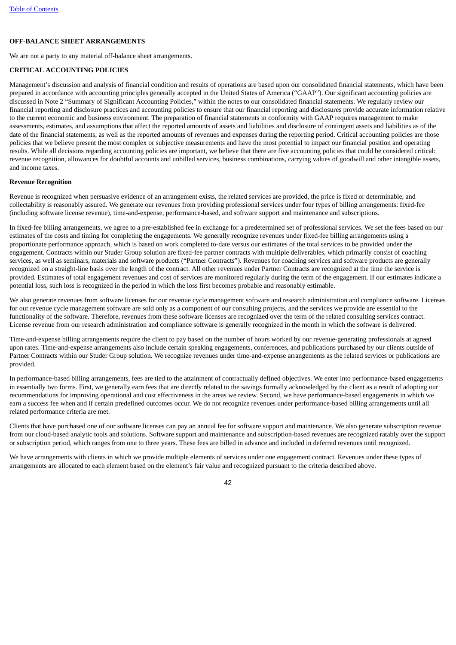# **OFF-BALANCE SHEET ARRANGEMENTS**

We are not a party to any material off-balance sheet arrangements.

# **CRITICAL ACCOUNTING POLICIES**

Management's discussion and analysis of financial condition and results of operations are based upon our consolidated financial statements, which have been prepared in accordance with accounting principles generally accepted in the United States of America ("GAAP"). Our significant accounting policies are discussed in Note 2 "Summary of Significant Accounting Policies," within the notes to our consolidated financial statements. We regularly review our financial reporting and disclosure practices and accounting policies to ensure that our financial reporting and disclosures provide accurate information relative to the current economic and business environment. The preparation of financial statements in conformity with GAAP requires management to make assessments, estimates, and assumptions that affect the reported amounts of assets and liabilities and disclosure of contingent assets and liabilities as of the date of the financial statements, as well as the reported amounts of revenues and expenses during the reporting period. Critical accounting policies are those policies that we believe present the most complex or subjective measurements and have the most potential to impact our financial position and operating results. While all decisions regarding accounting policies are important, we believe that there are five accounting policies that could be considered critical: revenue recognition, allowances for doubtful accounts and unbilled services, business combinations, carrying values of goodwill and other intangible assets, and income taxes.

## **Revenue Recognition**

Revenue is recognized when persuasive evidence of an arrangement exists, the related services are provided, the price is fixed or determinable, and collectability is reasonably assured. We generate our revenues from providing professional services under four types of billing arrangements: fixed-fee (including software license revenue), time-and-expense, performance-based, and software support and maintenance and subscriptions.

In fixed-fee billing arrangements, we agree to a pre-established fee in exchange for a predetermined set of professional services. We set the fees based on our estimates of the costs and timing for completing the engagements. We generally recognize revenues under fixed-fee billing arrangements using a proportionate performance approach, which is based on work completed to-date versus our estimates of the total services to be provided under the engagement. Contracts within our Studer Group solution are fixed-fee partner contracts with multiple deliverables, which primarily consist of coaching services, as well as seminars, materials and software products ("Partner Contracts"). Revenues for coaching services and software products are generally recognized on a straight-line basis over the length of the contract. All other revenues under Partner Contracts are recognized at the time the service is provided. Estimates of total engagement revenues and cost of services are monitored regularly during the term of the engagement. If our estimates indicate a potential loss, such loss is recognized in the period in which the loss first becomes probable and reasonably estimable.

We also generate revenues from software licenses for our revenue cycle management software and research administration and compliance software. Licenses for our revenue cycle management software are sold only as a component of our consulting projects, and the services we provide are essential to the functionality of the software. Therefore, revenues from these software licenses are recognized over the term of the related consulting services contract. License revenue from our research administration and compliance software is generally recognized in the month in which the software is delivered.

Time-and-expense billing arrangements require the client to pay based on the number of hours worked by our revenue-generating professionals at agreed upon rates. Time-and-expense arrangements also include certain speaking engagements, conferences, and publications purchased by our clients outside of Partner Contracts within our Studer Group solution. We recognize revenues under time-and-expense arrangements as the related services or publications are provided.

In performance-based billing arrangements, fees are tied to the attainment of contractually defined objectives. We enter into performance-based engagements in essentially two forms. First, we generally earn fees that are directly related to the savings formally acknowledged by the client as a result of adopting our recommendations for improving operational and cost effectiveness in the areas we review. Second, we have performance-based engagements in which we earn a success fee when and if certain predefined outcomes occur. We do not recognize revenues under performance-based billing arrangements until all related performance criteria are met.

Clients that have purchased one of our software licenses can pay an annual fee for software support and maintenance. We also generate subscription revenue from our cloud-based analytic tools and solutions. Software support and maintenance and subscription-based revenues are recognized ratably over the support or subscription period, which ranges from one to three years. These fees are billed in advance and included in deferred revenues until recognized.

We have arrangements with clients in which we provide multiple elements of services under one engagement contract. Revenues under these types of arrangements are allocated to each element based on the element's fair value and recognized pursuant to the criteria described above.

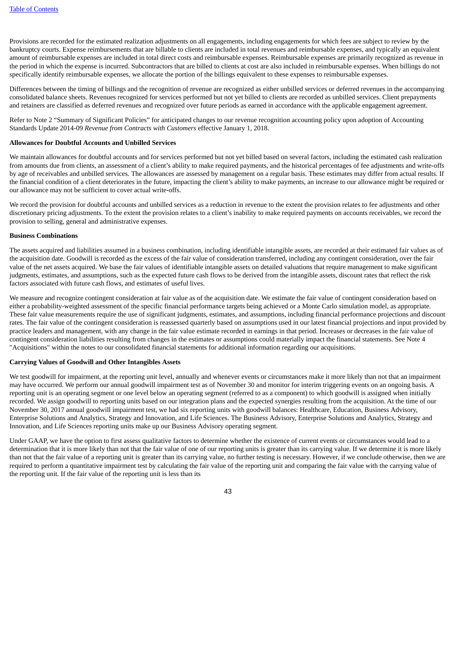Provisions are recorded for the estimated realization adjustments on all engagements, including engagements for which fees are subject to review by the bankruptcy courts. Expense reimbursements that are billable to clients are included in total revenues and reimbursable expenses, and typically an equivalent amount of reimbursable expenses are included in total direct costs and reimbursable expenses. Reimbursable expenses are primarily recognized as revenue in the period in which the expense is incurred. Subcontractors that are billed to clients at cost are also included in reimbursable expenses. When billings do not specifically identify reimbursable expenses, we allocate the portion of the billings equivalent to these expenses to reimbursable expenses.

Differences between the timing of billings and the recognition of revenue are recognized as either unbilled services or deferred revenues in the accompanying consolidated balance sheets. Revenues recognized for services performed but not yet billed to clients are recorded as unbilled services. Client prepayments and retainers are classified as deferred revenues and recognized over future periods as earned in accordance with the applicable engagement agreement.

Refer to Note 2 "Summary of Significant Policies" for anticipated changes to our revenue recognition accounting policy upon adoption of Accounting Standards Update 2014-09 *Revenue from Contracts with Customers* effective January 1, 2018.

#### **Allowances for Doubtful Accounts and Unbilled Services**

We maintain allowances for doubtful accounts and for services performed but not yet billed based on several factors, including the estimated cash realization from amounts due from clients, an assessment of a client's ability to make required payments, and the historical percentages of fee adjustments and write-offs by age of receivables and unbilled services. The allowances are assessed by management on a regular basis. These estimates may differ from actual results. If the financial condition of a client deteriorates in the future, impacting the client's ability to make payments, an increase to our allowance might be required or our allowance may not be sufficient to cover actual write-offs.

We record the provision for doubtful accounts and unbilled services as a reduction in revenue to the extent the provision relates to fee adjustments and other discretionary pricing adjustments. To the extent the provision relates to a client's inability to make required payments on accounts receivables, we record the provision to selling, general and administrative expenses.

#### **Business Combinations**

The assets acquired and liabilities assumed in a business combination, including identifiable intangible assets, are recorded at their estimated fair values as of the acquisition date. Goodwill is recorded as the excess of the fair value of consideration transferred, including any contingent consideration, over the fair value of the net assets acquired. We base the fair values of identifiable intangible assets on detailed valuations that require management to make significant judgments, estimates, and assumptions, such as the expected future cash flows to be derived from the intangible assets, discount rates that reflect the risk factors associated with future cash flows, and estimates of useful lives.

We measure and recognize contingent consideration at fair value as of the acquisition date. We estimate the fair value of contingent consideration based on either a probability-weighted assessment of the specific financial performance targets being achieved or a Monte Carlo simulation model, as appropriate. These fair value measurements require the use of significant judgments, estimates, and assumptions, including financial performance projections and discount rates. The fair value of the contingent consideration is reassessed quarterly based on assumptions used in our latest financial projections and input provided by practice leaders and management, with any change in the fair value estimate recorded in earnings in that period. Increases or decreases in the fair value of contingent consideration liabilities resulting from changes in the estimates or assumptions could materially impact the financial statements. See Note 4 "Acquisitions" within the notes to our consolidated financial statements for additional information regarding our acquisitions.

# **Carrying Values of Goodwill and Other Intangibles Assets**

We test goodwill for impairment, at the reporting unit level, annually and whenever events or circumstances make it more likely than not that an impairment may have occurred. We perform our annual goodwill impairment test as of November 30 and monitor for interim triggering events on an ongoing basis. A reporting unit is an operating segment or one level below an operating segment (referred to as a component) to which goodwill is assigned when initially recorded. We assign goodwill to reporting units based on our integration plans and the expected synergies resulting from the acquisition. At the time of our November 30, 2017 annual goodwill impairment test, we had six reporting units with goodwill balances: Healthcare, Education, Business Advisory, Enterprise Solutions and Analytics, Strategy and Innovation, and Life Sciences. The Business Advisory, Enterprise Solutions and Analytics, Strategy and Innovation, and Life Sciences reporting units make up our Business Advisory operating segment.

Under GAAP, we have the option to first assess qualitative factors to determine whether the existence of current events or circumstances would lead to a determination that it is more likely than not that the fair value of one of our reporting units is greater than its carrying value. If we determine it is more likely than not that the fair value of a reporting unit is greater than its carrying value, no further testing is necessary. However, if we conclude otherwise, then we are required to perform a quantitative impairment test by calculating the fair value of the reporting unit and comparing the fair value with the carrying value of the reporting unit. If the fair value of the reporting unit is less than its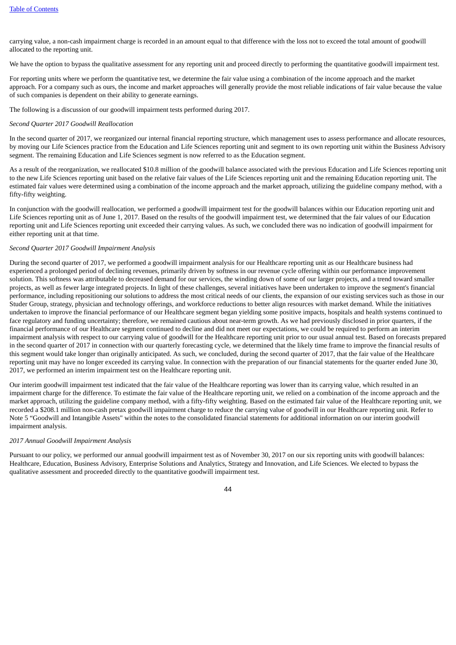carrying value, a non-cash impairment charge is recorded in an amount equal to that difference with the loss not to exceed the total amount of goodwill allocated to the reporting unit.

We have the option to bypass the qualitative assessment for any reporting unit and proceed directly to performing the quantitative goodwill impairment test.

For reporting units where we perform the quantitative test, we determine the fair value using a combination of the income approach and the market approach. For a company such as ours, the income and market approaches will generally provide the most reliable indications of fair value because the value of such companies is dependent on their ability to generate earnings.

The following is a discussion of our goodwill impairment tests performed during 2017.

#### *Second Quarter 2017 Goodwill Reallocation*

In the second quarter of 2017, we reorganized our internal financial reporting structure, which management uses to assess performance and allocate resources, by moving our Life Sciences practice from the Education and Life Sciences reporting unit and segment to its own reporting unit within the Business Advisory segment. The remaining Education and Life Sciences segment is now referred to as the Education segment.

As a result of the reorganization, we reallocated \$10.8 million of the goodwill balance associated with the previous Education and Life Sciences reporting unit to the new Life Sciences reporting unit based on the relative fair values of the Life Sciences reporting unit and the remaining Education reporting unit. The estimated fair values were determined using a combination of the income approach and the market approach, utilizing the guideline company method, with a fifty-fifty weighting.

In conjunction with the goodwill reallocation, we performed a goodwill impairment test for the goodwill balances within our Education reporting unit and Life Sciences reporting unit as of June 1, 2017. Based on the results of the goodwill impairment test, we determined that the fair values of our Education reporting unit and Life Sciences reporting unit exceeded their carrying values. As such, we concluded there was no indication of goodwill impairment for either reporting unit at that time.

# *Second Quarter 2017 Goodwill Impairment Analysis*

During the second quarter of 2017, we performed a goodwill impairment analysis for our Healthcare reporting unit as our Healthcare business had experienced a prolonged period of declining revenues, primarily driven by softness in our revenue cycle offering within our performance improvement solution. This softness was attributable to decreased demand for our services, the winding down of some of our larger projects, and a trend toward smaller projects, as well as fewer large integrated projects. In light of these challenges, several initiatives have been undertaken to improve the segment's financial performance, including repositioning our solutions to address the most critical needs of our clients, the expansion of our existing services such as those in our Studer Group, strategy, physician and technology offerings, and workforce reductions to better align resources with market demand. While the initiatives undertaken to improve the financial performance of our Healthcare segment began yielding some positive impacts, hospitals and health systems continued to face regulatory and funding uncertainty; therefore, we remained cautious about near-term growth. As we had previously disclosed in prior quarters, if the financial performance of our Healthcare segment continued to decline and did not meet our expectations, we could be required to perform an interim impairment analysis with respect to our carrying value of goodwill for the Healthcare reporting unit prior to our usual annual test. Based on forecasts prepared in the second quarter of 2017 in connection with our quarterly forecasting cycle, we determined that the likely time frame to improve the financial results of this segment would take longer than originally anticipated. As such, we concluded, during the second quarter of 2017, that the fair value of the Healthcare reporting unit may have no longer exceeded its carrying value. In connection with the preparation of our financial statements for the quarter ended June 30, 2017, we performed an interim impairment test on the Healthcare reporting unit.

Our interim goodwill impairment test indicated that the fair value of the Healthcare reporting was lower than its carrying value, which resulted in an impairment charge for the difference. To estimate the fair value of the Healthcare reporting unit, we relied on a combination of the income approach and the market approach, utilizing the guideline company method, with a fifty-fifty weighting. Based on the estimated fair value of the Healthcare reporting unit, we recorded a \$208.1 million non-cash pretax goodwill impairment charge to reduce the carrying value of goodwill in our Healthcare reporting unit. Refer to Note 5 "Goodwill and Intangible Assets" within the notes to the consolidated financial statements for additional information on our interim goodwill impairment analysis.

#### *2017 Annual Goodwill Impairment Analysis*

Pursuant to our policy, we performed our annual goodwill impairment test as of November 30, 2017 on our six reporting units with goodwill balances: Healthcare, Education, Business Advisory, Enterprise Solutions and Analytics, Strategy and Innovation, and Life Sciences. We elected to bypass the qualitative assessment and proceeded directly to the quantitative goodwill impairment test.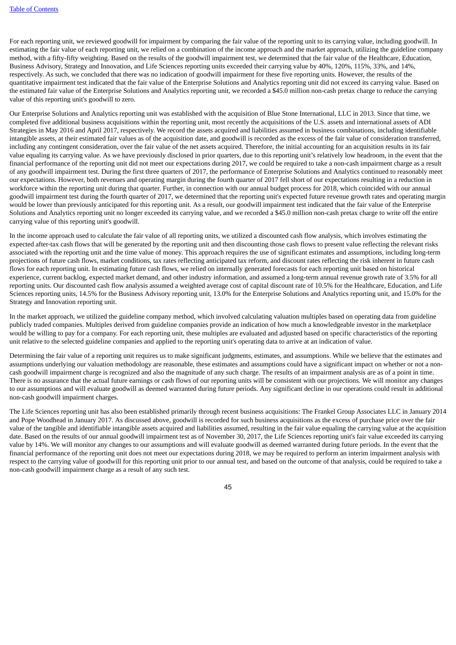For each reporting unit, we reviewed goodwill for impairment by comparing the fair value of the reporting unit to its carrying value, including goodwill. In estimating the fair value of each reporting unit, we relied on a combination of the income approach and the market approach, utilizing the guideline company method, with a fifty-fifty weighting. Based on the results of the goodwill impairment test, we determined that the fair value of the Healthcare, Education, Business Advisory, Strategy and Innovation, and Life Sciences reporting units exceeded their carrying value by 40%, 120%, 115%, 33%, and 14%, respectively. As such, we concluded that there was no indication of goodwill impairment for these five reporting units. However, the results of the quantitative impairment test indicated that the fair value of the Enterprise Solutions and Analytics reporting unit did not exceed its carrying value. Based on the estimated fair value of the Enterprise Solutions and Analytics reporting unit, we recorded a \$45.0 million non-cash pretax charge to reduce the carrying value of this reporting unit's goodwill to zero.

Our Enterprise Solutions and Analytics reporting unit was established with the acquisition of Blue Stone International, LLC in 2013. Since that time, we completed five additional business acquisitions within the reporting unit, most recently the acquisitions of the U.S. assets and international assets of ADI Strategies in May 2016 and April 2017, respectively. We record the assets acquired and liabilities assumed in business combinations, including identifiable intangible assets, at their estimated fair values as of the acquisition date, and goodwill is recorded as the excess of the fair value of consideration transferred, including any contingent consideration, over the fair value of the net assets acquired. Therefore, the initial accounting for an acquisition results in its fair value equaling its carrying value. As we have previously disclosed in prior quarters, due to this reporting unit's relatively low headroom, in the event that the financial performance of the reporting unit did not meet our expectations during 2017, we could be required to take a non-cash impairment charge as a result of any goodwill impairment test. During the first three quarters of 2017, the performance of Enterprise Solutions and Analytics continued to reasonably meet our expectations. However, both revenues and operating margin during the fourth quarter of 2017 fell short of our expectations resulting in a reduction in workforce within the reporting unit during that quarter. Further, in connection with our annual budget process for 2018, which coincided with our annual goodwill impairment test during the fourth quarter of 2017, we determined that the reporting unit's expected future revenue growth rates and operating margin would be lower than previously anticipated for this reporting unit. As a result, our goodwill impairment test indicated that the fair value of the Enterprise Solutions and Analytics reporting unit no longer exceeded its carrying value, and we recorded a \$45.0 million non-cash pretax charge to write off the entire carrying value of this reporting unit's goodwill.

In the income approach used to calculate the fair value of all reporting units, we utilized a discounted cash flow analysis, which involves estimating the expected after-tax cash flows that will be generated by the reporting unit and then discounting those cash flows to present value reflecting the relevant risks associated with the reporting unit and the time value of money. This approach requires the use of significant estimates and assumptions, including long-term projections of future cash flows, market conditions, tax rates reflecting anticipated tax reform, and discount rates reflecting the risk inherent in future cash flows for each reporting unit. In estimating future cash flows, we relied on internally generated forecasts for each reporting unit based on historical experience, current backlog, expected market demand, and other industry information, and assumed a long-term annual revenue growth rate of 3.5% for all reporting units. Our discounted cash flow analysis assumed a weighted average cost of capital discount rate of 10.5% for the Healthcare, Education, and Life Sciences reporting units, 14.5% for the Business Advisory reporting unit, 13.0% for the Enterprise Solutions and Analytics reporting unit, and 15.0% for the Strategy and Innovation reporting unit.

In the market approach, we utilized the guideline company method, which involved calculating valuation multiples based on operating data from guideline publicly traded companies. Multiples derived from guideline companies provide an indication of how much a knowledgeable investor in the marketplace would be willing to pay for a company. For each reporting unit, these multiples are evaluated and adjusted based on specific characteristics of the reporting unit relative to the selected guideline companies and applied to the reporting unit's operating data to arrive at an indication of value.

Determining the fair value of a reporting unit requires us to make significant judgments, estimates, and assumptions. While we believe that the estimates and assumptions underlying our valuation methodology are reasonable, these estimates and assumptions could have a significant impact on whether or not a noncash goodwill impairment charge is recognized and also the magnitude of any such charge. The results of an impairment analysis are as of a point in time. There is no assurance that the actual future earnings or cash flows of our reporting units will be consistent with our projections. We will monitor any changes to our assumptions and will evaluate goodwill as deemed warranted during future periods. Any significant decline in our operations could result in additional non-cash goodwill impairment charges.

The Life Sciences reporting unit has also been established primarily through recent business acquisitions: The Frankel Group Associates LLC in January 2014 and Pope Woodhead in January 2017. As discussed above, goodwill is recorded for such business acquisitions as the excess of purchase price over the fair value of the tangible and identifiable intangible assets acquired and liabilities assumed, resulting in the fair value equaling the carrying value at the acquisition date. Based on the results of our annual goodwill impairment test as of November 30, 2017, the Life Sciences reporting unit's fair value exceeded its carrying value by 14%. We will monitor any changes to our assumptions and will evaluate goodwill as deemed warranted during future periods. In the event that the financial performance of the reporting unit does not meet our expectations during 2018, we may be required to perform an interim impairment analysis with respect to the carrying value of goodwill for this reporting unit prior to our annual test, and based on the outcome of that analysis, could be required to take a non-cash goodwill impairment charge as a result of any such test.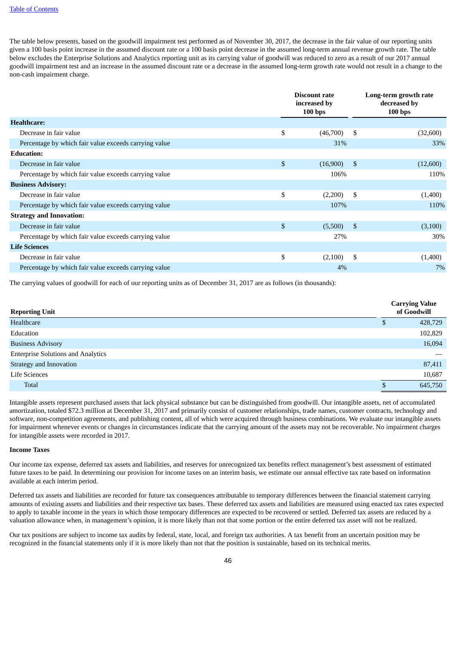The table below presents, based on the goodwill impairment test performed as of November 30, 2017, the decrease in the fair value of our reporting units given a 100 basis point increase in the assumed discount rate or a 100 basis point decrease in the assumed long-term annual revenue growth rate. The table below excludes the Enterprise Solutions and Analytics reporting unit as its carrying value of goodwill was reduced to zero as a result of our 2017 annual goodwill impairment test and an increase in the assumed discount rate or a decrease in the assumed long-term growth rate would not result in a change to the non-cash impairment charge.

|                                                       |              | Discount rate<br>increased by<br>100 bps |      | Long-term growth rate<br>decreased by<br>100 bps |
|-------------------------------------------------------|--------------|------------------------------------------|------|--------------------------------------------------|
| <b>Healthcare:</b>                                    |              |                                          |      |                                                  |
| Decrease in fair value                                | \$           | (46,700)                                 | -\$  | (32,600)                                         |
| Percentage by which fair value exceeds carrying value |              | 31%                                      |      | 33%                                              |
| <b>Education:</b>                                     |              |                                          |      |                                                  |
| Decrease in fair value                                | \$           | (16,900)                                 | - \$ | (12,600)                                         |
| Percentage by which fair value exceeds carrying value |              | 106%                                     |      | 110%                                             |
| <b>Business Advisory:</b>                             |              |                                          |      |                                                  |
| Decrease in fair value                                | \$           | (2,200)                                  | \$   | (1,400)                                          |
| Percentage by which fair value exceeds carrying value |              | 107%                                     |      | 110%                                             |
| <b>Strategy and Innovation:</b>                       |              |                                          |      |                                                  |
| Decrease in fair value                                | $\mathbb{S}$ | (5,500)                                  | \$   | (3,100)                                          |
| Percentage by which fair value exceeds carrying value |              | 27%                                      |      | 30%                                              |
| <b>Life Sciences</b>                                  |              |                                          |      |                                                  |
| Decrease in fair value                                | \$           | (2,100)                                  | \$   | (1,400)                                          |
| Percentage by which fair value exceeds carrying value |              | 4%                                       |      | 7%                                               |

The carrying values of goodwill for each of our reporting units as of December 31, 2017 are as follows (in thousands):

| <b>Reporting Unit</b>                     |   | <b>Carrying Value</b><br>of Goodwill |
|-------------------------------------------|---|--------------------------------------|
| Healthcare                                | Φ | 428,729                              |
| Education                                 |   | 102,829                              |
| <b>Business Advisory</b>                  |   | 16,094                               |
| <b>Enterprise Solutions and Analytics</b> |   |                                      |
| <b>Strategy and Innovation</b>            |   | 87,411                               |
| <b>Life Sciences</b>                      |   | 10,687                               |
| <b>Total</b>                              |   | 645,750                              |

Intangible assets represent purchased assets that lack physical substance but can be distinguished from goodwill. Our intangible assets, net of accumulated amortization, totaled \$72.3 million at December 31, 2017 and primarily consist of customer relationships, trade names, customer contracts, technology and software, non-competition agreements, and publishing content, all of which were acquired through business combinations. We evaluate our intangible assets for impairment whenever events or changes in circumstances indicate that the carrying amount of the assets may not be recoverable. No impairment charges for intangible assets were recorded in 2017.

#### **Income Taxes**

Our income tax expense, deferred tax assets and liabilities, and reserves for unrecognized tax benefits reflect management's best assessment of estimated future taxes to be paid. In determining our provision for income taxes on an interim basis, we estimate our annual effective tax rate based on information available at each interim period.

Deferred tax assets and liabilities are recorded for future tax consequences attributable to temporary differences between the financial statement carrying amounts of existing assets and liabilities and their respective tax bases. These deferred tax assets and liabilities are measured using enacted tax rates expected to apply to taxable income in the years in which those temporary differences are expected to be recovered or settled. Deferred tax assets are reduced by a valuation allowance when, in management's opinion, it is more likely than not that some portion or the entire deferred tax asset will not be realized.

Our tax positions are subject to income tax audits by federal, state, local, and foreign tax authorities. A tax benefit from an uncertain position may be recognized in the financial statements only if it is more likely than not that the position is sustainable, based on its technical merits.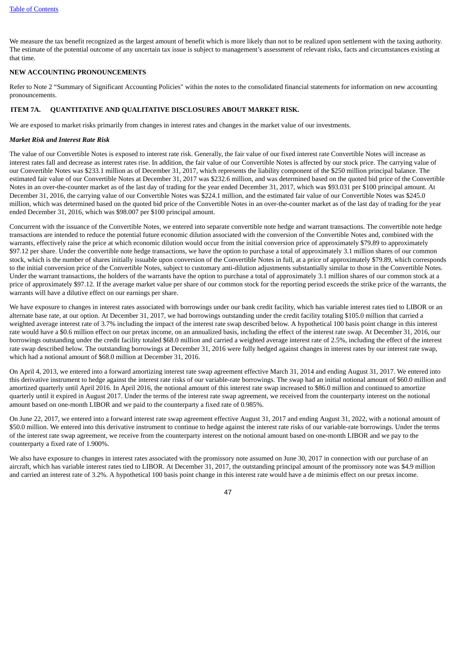We measure the tax benefit recognized as the largest amount of benefit which is more likely than not to be realized upon settlement with the taxing authority. The estimate of the potential outcome of any uncertain tax issue is subject to management's assessment of relevant risks, facts and circumstances existing at that time.

## **NEW ACCOUNTING PRONOUNCEMENTS**

Refer to Note 2 "Summary of Significant Accounting Policies" within the notes to the consolidated financial statements for information on new accounting pronouncements.

## **ITEM 7A. QUANTITATIVE AND QUALITATIVE DISCLOSURES ABOUT MARKET RISK.**

We are exposed to market risks primarily from changes in interest rates and changes in the market value of our investments.

#### *Market Risk and Interest Rate Risk*

The value of our Convertible Notes is exposed to interest rate risk. Generally, the fair value of our fixed interest rate Convertible Notes will increase as interest rates fall and decrease as interest rates rise. In addition, the fair value of our Convertible Notes is affected by our stock price. The carrying value of our Convertible Notes was \$233.1 million as of December 31, 2017, which represents the liability component of the \$250 million principal balance. The estimated fair value of our Convertible Notes at December 31, 2017 was \$232.6 million, and was determined based on the quoted bid price of the Convertible Notes in an over-the-counter market as of the last day of trading for the year ended December 31, 2017, which was \$93.031 per \$100 principal amount. At December 31, 2016, the carrying value of our Convertible Notes was \$224.1 million, and the estimated fair value of our Convertible Notes was \$245.0 million, which was determined based on the quoted bid price of the Convertible Notes in an over-the-counter market as of the last day of trading for the year ended December 31, 2016, which was \$98.007 per \$100 principal amount.

Concurrent with the issuance of the Convertible Notes, we entered into separate convertible note hedge and warrant transactions. The convertible note hedge transactions are intended to reduce the potential future economic dilution associated with the conversion of the Convertible Notes and, combined with the warrants, effectively raise the price at which economic dilution would occur from the initial conversion price of approximately \$79.89 to approximately \$97.12 per share. Under the convertible note hedge transactions, we have the option to purchase a total of approximately 3.1 million shares of our common stock, which is the number of shares initially issuable upon conversion of the Convertible Notes in full, at a price of approximately \$79.89, which corresponds to the initial conversion price of the Convertible Notes, subject to customary anti-dilution adjustments substantially similar to those in the Convertible Notes. Under the warrant transactions, the holders of the warrants have the option to purchase a total of approximately 3.1 million shares of our common stock at a price of approximately \$97.12. If the average market value per share of our common stock for the reporting period exceeds the strike price of the warrants, the warrants will have a dilutive effect on our earnings per share.

We have exposure to changes in interest rates associated with borrowings under our bank credit facility, which has variable interest rates tied to LIBOR or an alternate base rate, at our option. At December 31, 2017, we had borrowings outstanding under the credit facility totaling \$105.0 million that carried a weighted average interest rate of 3.7% including the impact of the interest rate swap described below. A hypothetical 100 basis point change in this interest rate would have a \$0.6 million effect on our pretax income, on an annualized basis, including the effect of the interest rate swap. At December 31, 2016, our borrowings outstanding under the credit facility totaled \$68.0 million and carried a weighted average interest rate of 2.5%, including the effect of the interest rate swap described below. The outstanding borrowings at December 31, 2016 were fully hedged against changes in interest rates by our interest rate swap, which had a notional amount of \$68.0 million at December 31, 2016.

On April 4, 2013, we entered into a forward amortizing interest rate swap agreement effective March 31, 2014 and ending August 31, 2017. We entered into this derivative instrument to hedge against the interest rate risks of our variable-rate borrowings. The swap had an initial notional amount of \$60.0 million and amortized quarterly until April 2016. In April 2016, the notional amount of this interest rate swap increased to \$86.0 million and continued to amortize quarterly until it expired in August 2017. Under the terms of the interest rate swap agreement, we received from the counterparty interest on the notional amount based on one-month LIBOR and we paid to the counterparty a fixed rate of 0.985%.

On June 22, 2017, we entered into a forward interest rate swap agreement effective August 31, 2017 and ending August 31, 2022, with a notional amount of \$50.0 million. We entered into this derivative instrument to continue to hedge against the interest rate risks of our variable-rate borrowings. Under the terms of the interest rate swap agreement, we receive from the counterparty interest on the notional amount based on one-month LIBOR and we pay to the counterparty a fixed rate of 1.900%.

We also have exposure to changes in interest rates associated with the promissory note assumed on June 30, 2017 in connection with our purchase of an aircraft, which has variable interest rates tied to LIBOR. At December 31, 2017, the outstanding principal amount of the promissory note was \$4.9 million and carried an interest rate of 3.2%. A hypothetical 100 basis point change in this interest rate would have a de minimis effect on our pretax income.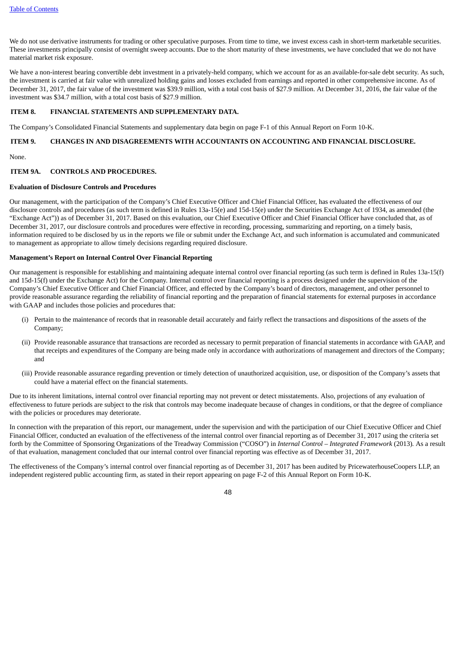We do not use derivative instruments for trading or other speculative purposes. From time to time, we invest excess cash in short-term marketable securities. These investments principally consist of overnight sweep accounts. Due to the short maturity of these investments, we have concluded that we do not have material market risk exposure.

We have a non-interest bearing convertible debt investment in a privately-held company, which we account for as an available-for-sale debt security. As such, the investment is carried at fair value with unrealized holding gains and losses excluded from earnings and reported in other comprehensive income. As of December 31, 2017, the fair value of the investment was \$39.9 million, with a total cost basis of \$27.9 million. At December 31, 2016, the fair value of the investment was \$34.7 million, with a total cost basis of \$27.9 million.

#### **ITEM 8. FINANCIAL STATEMENTS AND SUPPLEMENTARY DATA.**

The Company's Consolidated Financial Statements and supplementary data begin on page F-1 of this Annual Report on Form 10-K.

#### **ITEM 9. CHANGES IN AND DISAGREEMENTS WITH ACCOUNTANTS ON ACCOUNTING AND FINANCIAL DISCLOSURE.**

None.

#### **ITEM 9A. CONTROLS AND PROCEDURES.**

#### **Evaluation of Disclosure Controls and Procedures**

Our management, with the participation of the Company's Chief Executive Officer and Chief Financial Officer, has evaluated the effectiveness of our disclosure controls and procedures (as such term is defined in Rules 13a-15(e) and 15d-15(e) under the Securities Exchange Act of 1934, as amended (the "Exchange Act")) as of December 31, 2017. Based on this evaluation, our Chief Executive Officer and Chief Financial Officer have concluded that, as of December 31, 2017, our disclosure controls and procedures were effective in recording, processing, summarizing and reporting, on a timely basis, information required to be disclosed by us in the reports we file or submit under the Exchange Act, and such information is accumulated and communicated to management as appropriate to allow timely decisions regarding required disclosure.

#### **Management's Report on Internal Control Over Financial Reporting**

Our management is responsible for establishing and maintaining adequate internal control over financial reporting (as such term is defined in Rules 13a-15(f) and 15d-15(f) under the Exchange Act) for the Company. Internal control over financial reporting is a process designed under the supervision of the Company's Chief Executive Officer and Chief Financial Officer, and effected by the Company's board of directors, management, and other personnel to provide reasonable assurance regarding the reliability of financial reporting and the preparation of financial statements for external purposes in accordance with GAAP and includes those policies and procedures that:

- (i) Pertain to the maintenance of records that in reasonable detail accurately and fairly reflect the transactions and dispositions of the assets of the Company;
- (ii) Provide reasonable assurance that transactions are recorded as necessary to permit preparation of financial statements in accordance with GAAP, and that receipts and expenditures of the Company are being made only in accordance with authorizations of management and directors of the Company; and
- (iii) Provide reasonable assurance regarding prevention or timely detection of unauthorized acquisition, use, or disposition of the Company's assets that could have a material effect on the financial statements.

Due to its inherent limitations, internal control over financial reporting may not prevent or detect misstatements. Also, projections of any evaluation of effectiveness to future periods are subject to the risk that controls may become inadequate because of changes in conditions, or that the degree of compliance with the policies or procedures may deteriorate.

In connection with the preparation of this report, our management, under the supervision and with the participation of our Chief Executive Officer and Chief Financial Officer, conducted an evaluation of the effectiveness of the internal control over financial reporting as of December 31, 2017 using the criteria set forth by the Committee of Sponsoring Organizations of the Treadway Commission ("COSO") in *Internal Control – Integrated Framework* (2013)*.* As a result of that evaluation, management concluded that our internal control over financial reporting was effective as of December 31, 2017.

The effectiveness of the Company's internal control over financial reporting as of December 31, 2017 has been audited by PricewaterhouseCoopers LLP, an independent registered public accounting firm, as stated in their report appearing on page F-2 of this Annual Report on Form 10-K.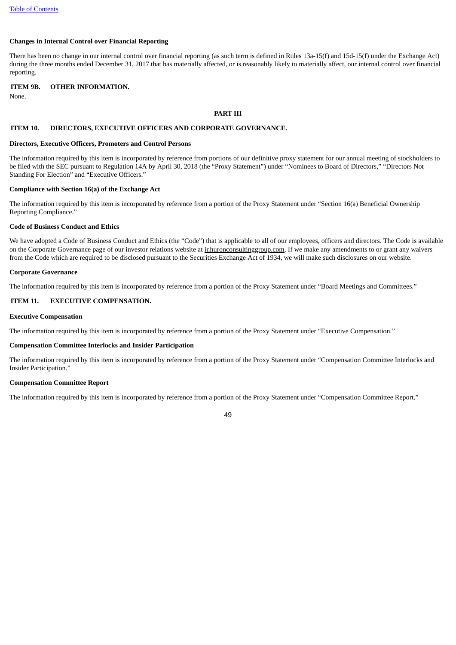## **Changes in Internal Control over Financial Reporting**

There has been no change in our internal control over financial reporting (as such term is defined in Rules 13a-15(f) and 15d-15(f) under the Exchange Act) during the three months ended December 31, 2017 that has materially affected, or is reasonably likely to materially affect, our internal control over financial reporting.

# **ITEM 9B. OTHER INFORMATION.**

None.

#### **PART III**

# **ITEM 10. DIRECTORS, EXECUTIVE OFFICERS AND CORPORATE GOVERNANCE.**

#### **Directors, Executive Officers, Promoters and Control Persons**

The information required by this item is incorporated by reference from portions of our definitive proxy statement for our annual meeting of stockholders to be filed with the SEC pursuant to Regulation 14A by April 30, 2018 (the "Proxy Statement") under "Nominees to Board of Directors," "Directors Not Standing For Election" and "Executive Officers."

# **Compliance with Section 16(a) of the Exchange Act**

The information required by this item is incorporated by reference from a portion of the Proxy Statement under "Section 16(a) Beneficial Ownership Reporting Compliance."

#### **Code of Business Conduct and Ethics**

We have adopted a Code of Business Conduct and Ethics (the "Code") that is applicable to all of our employees, officers and directors. The Code is available on the Corporate Governance page of our investor relations website at ir.huronconsultinggroup.com. If we make any amendments to or grant any waivers from the Code which are required to be disclosed pursuant to the Securities Exchange Act of 1934, we will make such disclosures on our website.

#### **Corporate Governance**

The information required by this item is incorporated by reference from a portion of the Proxy Statement under "Board Meetings and Committees."

## **ITEM 11. EXECUTIVE COMPENSATION.**

#### **Executive Compensation**

The information required by this item is incorporated by reference from a portion of the Proxy Statement under "Executive Compensation."

## **Compensation Committee Interlocks and Insider Participation**

The information required by this item is incorporated by reference from a portion of the Proxy Statement under "Compensation Committee Interlocks and Insider Participation."

#### **Compensation Committee Report**

The information required by this item is incorporated by reference from a portion of the Proxy Statement under "Compensation Committee Report."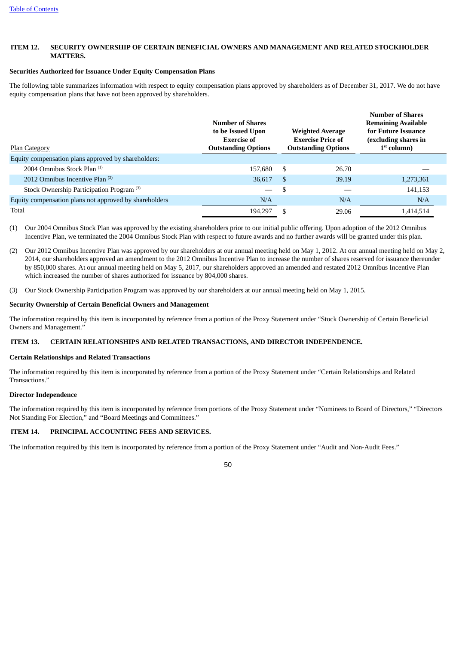# **ITEM 12. SECURITY OWNERSHIP OF CERTAIN BENEFICIAL OWNERS AND MANAGEMENT AND RELATED STOCKHOLDER MATTERS.**

## **Securities Authorized for Issuance Under Equity Compensation Plans**

The following table summarizes information with respect to equity compensation plans approved by shareholders as of December 31, 2017. We do not have equity compensation plans that have not been approved by shareholders.

| <b>Plan Category</b>                                   | <b>Number of Shares</b><br>to be Issued Upon<br><b>Exercise of</b><br><b>Outstanding Options</b> | <b>Number of Shares</b><br><b>Remaining Available</b><br>for Future Issuance<br>(excluding shares in<br>$1st$ column) |       |           |  |
|--------------------------------------------------------|--------------------------------------------------------------------------------------------------|-----------------------------------------------------------------------------------------------------------------------|-------|-----------|--|
| Equity compensation plans approved by shareholders:    |                                                                                                  |                                                                                                                       |       |           |  |
| 2004 Omnibus Stock Plan <sup>(1)</sup>                 | 157,680                                                                                          | S                                                                                                                     | 26.70 |           |  |
| 2012 Omnibus Incentive Plan <sup>(2)</sup>             | 36,617                                                                                           | S                                                                                                                     | 39.19 | 1,273,361 |  |
| Stock Ownership Participation Program <sup>(3)</sup>   |                                                                                                  | ۰D                                                                                                                    |       | 141,153   |  |
| Equity compensation plans not approved by shareholders | N/A                                                                                              |                                                                                                                       | N/A   | N/A       |  |
| Total                                                  | 194.297                                                                                          |                                                                                                                       | 29.06 | 1,414,514 |  |

(1) Our 2004 Omnibus Stock Plan was approved by the existing shareholders prior to our initial public offering. Upon adoption of the 2012 Omnibus Incentive Plan, we terminated the 2004 Omnibus Stock Plan with respect to future awards and no further awards will be granted under this plan.

- (2) Our 2012 Omnibus Incentive Plan was approved by our shareholders at our annual meeting held on May 1, 2012. At our annual meeting held on May 2, 2014, our shareholders approved an amendment to the 2012 Omnibus Incentive Plan to increase the number of shares reserved for issuance thereunder by 850,000 shares. At our annual meeting held on May 5, 2017, our shareholders approved an amended and restated 2012 Omnibus Incentive Plan which increased the number of shares authorized for issuance by 804,000 shares.
- (3) Our Stock Ownership Participation Program was approved by our shareholders at our annual meeting held on May 1, 2015.

#### **Security Ownership of Certain Beneficial Owners and Management**

The information required by this item is incorporated by reference from a portion of the Proxy Statement under "Stock Ownership of Certain Beneficial Owners and Management."

# **ITEM 13. CERTAIN RELATIONSHIPS AND RELATED TRANSACTIONS, AND DIRECTOR INDEPENDENCE.**

#### **Certain Relationships and Related Transactions**

The information required by this item is incorporated by reference from a portion of the Proxy Statement under "Certain Relationships and Related Transactions."

#### **Director Independence**

The information required by this item is incorporated by reference from portions of the Proxy Statement under "Nominees to Board of Directors," "Directors Not Standing For Election," and "Board Meetings and Committees."

# **ITEM 14. PRINCIPAL ACCOUNTING FEES AND SERVICES.**

The information required by this item is incorporated by reference from a portion of the Proxy Statement under "Audit and Non-Audit Fees."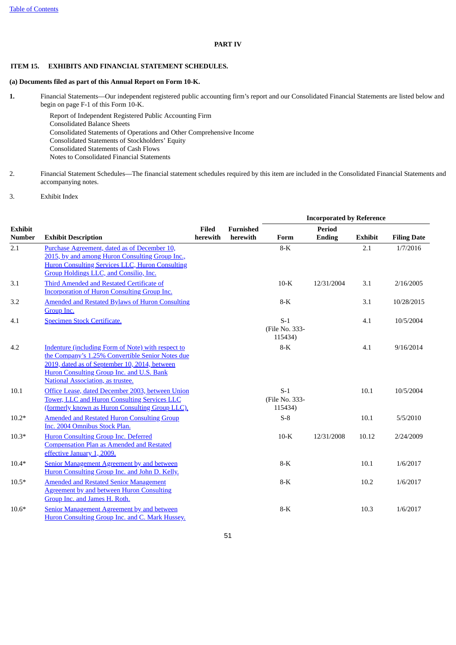#### **PART IV**

## **ITEM 15. EXHIBITS AND FINANCIAL STATEMENT SCHEDULES.**

#### **(a) Documents filed as part of this Annual Report on Form 10-K.**

**1.** Financial Statements—Our independent registered public accounting firm's report and our Consolidated Financial Statements are listed below and begin on page F-1 of this Form 10-K.

Report of Independent Registered Public Accounting Firm Consolidated Balance Sheets Consolidated Statements of Operations and Other Comprehensive Income Consolidated Statements of Stockholders' Equity Consolidated Statements of Cash Flows Notes to Consolidated Financial Statements

- 2. Financial Statement Schedules—The financial statement schedules required by this item are included in the Consolidated Financial Statements and accompanying notes.
- 3. Exhibit Index

|                |                                                                                                                                                                                                                                                  |              |                  |                                    | <b>Incorporated by Reference</b> |                |                    |  |  |  |
|----------------|--------------------------------------------------------------------------------------------------------------------------------------------------------------------------------------------------------------------------------------------------|--------------|------------------|------------------------------------|----------------------------------|----------------|--------------------|--|--|--|
| <b>Exhibit</b> |                                                                                                                                                                                                                                                  | <b>Filed</b> | <b>Furnished</b> |                                    | <b>Period</b>                    |                |                    |  |  |  |
| <b>Number</b>  | <b>Exhibit Description</b>                                                                                                                                                                                                                       | herewith     | herewith         | Form                               | <b>Ending</b>                    | <b>Exhibit</b> | <b>Filing Date</b> |  |  |  |
| 2.1            | Purchase Agreement, dated as of December 10,<br>2015, by and among Huron Consulting Group Inc.,<br><b>Huron Consulting Services LLC, Huron Consulting</b><br>Group Holdings LLC, and Consilio, Inc.                                              |              |                  | $8-K$                              |                                  | 2.1            | 1/7/2016           |  |  |  |
| 3.1            | Third Amended and Restated Certificate of<br><b>Incorporation of Huron Consulting Group Inc.</b>                                                                                                                                                 |              |                  | $10-K$                             | 12/31/2004                       | 3.1            | 2/16/2005          |  |  |  |
| 3.2            | <b>Amended and Restated Bylaws of Huron Consulting</b><br><b>Group Inc.</b>                                                                                                                                                                      |              |                  | $8-K$                              |                                  | 3.1            | 10/28/2015         |  |  |  |
| 4.1            | <b>Specimen Stock Certificate.</b>                                                                                                                                                                                                               |              |                  | $S-1$<br>(File No. 333-<br>115434) |                                  | 4.1            | 10/5/2004          |  |  |  |
| 4.2            | Indenture (including Form of Note) with respect to<br>the Company's 1.25% Convertible Senior Notes due<br>2019, dated as of September 10, 2014, between<br>Huron Consulting Group Inc. and U.S. Bank<br><b>National Association, as trustee.</b> |              |                  | $8-K$                              |                                  | 4.1            | 9/16/2014          |  |  |  |
| 10.1           | Office Lease, dated December 2003, between Union<br><b>Tower, LLC and Huron Consulting Services LLC</b><br>(formerly known as Huron Consulting Group LLC).                                                                                       |              |                  | $S-1$<br>(File No. 333-<br>115434) |                                  | 10.1           | 10/5/2004          |  |  |  |
| $10.2*$        | <b>Amended and Restated Huron Consulting Group</b><br>Inc. 2004 Omnibus Stock Plan.                                                                                                                                                              |              |                  | $S-8$                              |                                  | 10.1           | 5/5/2010           |  |  |  |
| $10.3*$        | <b>Huron Consulting Group Inc. Deferred</b><br><b>Compensation Plan as Amended and Restated</b><br>effective January 1, 2009.                                                                                                                    |              |                  | $10-K$                             | 12/31/2008                       | 10.12          | 2/24/2009          |  |  |  |
| $10.4*$        | <b>Senior Management Agreement by and between</b><br>Huron Consulting Group Inc. and John D. Kelly.                                                                                                                                              |              |                  | $8-K$                              |                                  | 10.1           | 1/6/2017           |  |  |  |
| $10.5*$        | <b>Amended and Restated Senior Management</b><br><b>Agreement by and between Huron Consulting</b><br>Group Inc. and James H. Roth.                                                                                                               |              |                  | $8-K$                              |                                  | 10.2           | 1/6/2017           |  |  |  |
| $10.6*$        | <b>Senior Management Agreement by and between</b><br>Huron Consulting Group Inc. and C. Mark Hussey.                                                                                                                                             |              |                  | $8-K$                              |                                  | 10.3           | 1/6/2017           |  |  |  |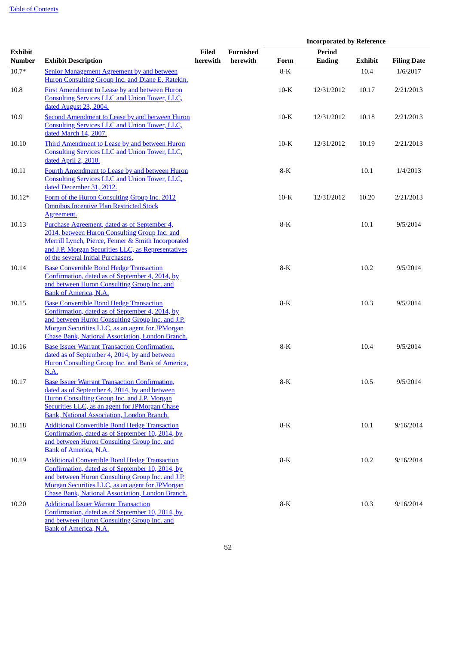|                                 |                                                                                                                                                                                                                                                                     |                          |                              |        | <b>Incorporated by Reference</b> |                |                    |
|---------------------------------|---------------------------------------------------------------------------------------------------------------------------------------------------------------------------------------------------------------------------------------------------------------------|--------------------------|------------------------------|--------|----------------------------------|----------------|--------------------|
| <b>Exhibit</b><br><b>Number</b> | <b>Exhibit Description</b>                                                                                                                                                                                                                                          | <b>Filed</b><br>herewith | <b>Furnished</b><br>herewith | Form   | <b>Period</b><br><b>Ending</b>   | <b>Exhibit</b> | <b>Filing Date</b> |
| $10.7*$                         | <b>Senior Management Agreement by and between</b><br>Huron Consulting Group Inc. and Diane E. Ratekin.                                                                                                                                                              |                          |                              | $8-K$  |                                  | 10.4           | 1/6/2017           |
| 10.8                            | First Amendment to Lease by and between Huron<br><b>Consulting Services LLC and Union Tower, LLC,</b><br>dated August 23, 2004.                                                                                                                                     |                          |                              | $10-K$ | 12/31/2012                       | 10.17          | 2/21/2013          |
| 10.9                            | <b>Second Amendment to Lease by and between Huron</b><br><b>Consulting Services LLC and Union Tower, LLC,</b><br>dated March 14, 2007.                                                                                                                              |                          |                              | $10-K$ | 12/31/2012                       | 10.18          | 2/21/2013          |
| 10.10                           | Third Amendment to Lease by and between Huron<br><b>Consulting Services LLC and Union Tower, LLC,</b><br>dated April 2, 2010.                                                                                                                                       |                          |                              | $10-K$ | 12/31/2012                       | 10.19          | 2/21/2013          |
| 10.11                           | Fourth Amendment to Lease by and between Huron<br><b>Consulting Services LLC and Union Tower, LLC,</b><br>dated December 31, 2012.                                                                                                                                  |                          |                              | $8-K$  |                                  | 10.1           | 1/4/2013           |
| $10.12*$                        | Form of the Huron Consulting Group Inc. 2012<br><b>Omnibus Incentive Plan Restricted Stock</b><br>Agreement.                                                                                                                                                        |                          |                              | $10-K$ | 12/31/2012                       | 10.20          | 2/21/2013          |
| 10.13                           | Purchase Agreement, dated as of September 4,<br>2014, between Huron Consulting Group Inc. and<br>Merrill Lynch, Pierce, Fenner & Smith Incorporated<br>and J.P. Morgan Securities LLC, as Representatives<br>of the several Initial Purchasers.                     |                          |                              | $8-K$  |                                  | 10.1           | 9/5/2014           |
| 10.14                           | <b>Base Convertible Bond Hedge Transaction</b><br>Confirmation, dated as of September 4, 2014, by<br>and between Huron Consulting Group Inc. and<br><b>Bank of America, N.A.</b>                                                                                    |                          |                              | $8-K$  |                                  | 10.2           | 9/5/2014           |
| 10.15                           | <b>Base Convertible Bond Hedge Transaction</b><br>Confirmation, dated as of September 4, 2014, by<br>and between Huron Consulting Group Inc. and J.P.<br>Morgan Securities LLC, as an agent for JPMorgan<br>Chase Bank, National Association, London Branch.        |                          |                              | $8-K$  |                                  | 10.3           | 9/5/2014           |
| 10.16                           | <b>Base Issuer Warrant Transaction Confirmation,</b><br>dated as of September 4, 2014, by and between<br>Huron Consulting Group Inc. and Bank of America,<br><b>N.A.</b>                                                                                            |                          |                              | $8-K$  |                                  | 10.4           | 9/5/2014           |
| 10.17                           | <b>Base Issuer Warrant Transaction Confirmation,</b><br>dated as of September 4, 2014, by and between<br>Huron Consulting Group Inc. and J.P. Morgan<br>Securities LLC, as an agent for JPMorgan Chase<br>Bank, National Association, London Branch.                |                          |                              | $8-K$  |                                  | $10.5\,$       | 9/5/2014           |
| 10.18                           | <b>Additional Convertible Bond Hedge Transaction</b><br>Confirmation, dated as of September 10, 2014, by<br>and between Huron Consulting Group Inc. and<br><b>Bank of America, N.A.</b>                                                                             |                          |                              | 8-K    |                                  | 10.1           | 9/16/2014          |
| 10.19                           | <b>Additional Convertible Bond Hedge Transaction</b><br>Confirmation, dated as of September 10, 2014, by<br>and between Huron Consulting Group Inc. and J.P.<br>Morgan Securities LLC, as an agent for JPMorgan<br>Chase Bank, National Association, London Branch. |                          |                              | $8-K$  |                                  | 10.2           | 9/16/2014          |
| 10.20                           | <b>Additional Issuer Warrant Transaction</b><br>Confirmation, dated as of September 10, 2014, by<br>and between Huron Consulting Group Inc. and<br><b>Bank of America, N.A.</b>                                                                                     |                          |                              | 8-K    |                                  | 10.3           | 9/16/2014          |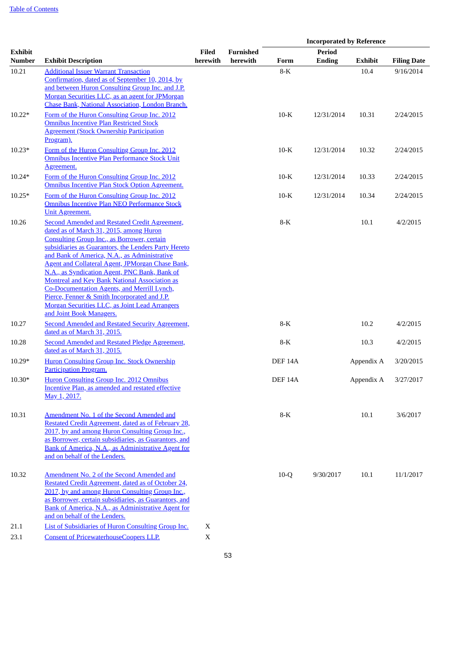|                                 |                                                                                                                                                                                                                                                                                                                                                                                                                                                                                                                                                                                                                       |                          |                              |                     | <b>Incorporated by Reference</b> |                |                    |
|---------------------------------|-----------------------------------------------------------------------------------------------------------------------------------------------------------------------------------------------------------------------------------------------------------------------------------------------------------------------------------------------------------------------------------------------------------------------------------------------------------------------------------------------------------------------------------------------------------------------------------------------------------------------|--------------------------|------------------------------|---------------------|----------------------------------|----------------|--------------------|
| <b>Exhibit</b><br><b>Number</b> | <b>Exhibit Description</b>                                                                                                                                                                                                                                                                                                                                                                                                                                                                                                                                                                                            | <b>Filed</b><br>herewith | <b>Furnished</b><br>herewith | Form                | <b>Period</b><br><b>Ending</b>   | <b>Exhibit</b> | <b>Filing Date</b> |
| 10.21                           | <b>Additional Issuer Warrant Transaction</b><br>Confirmation, dated as of September 10, 2014, by<br>and between Huron Consulting Group Inc. and J.P.<br>Morgan Securities LLC, as an agent for JPMorgan<br>Chase Bank, National Association, London Branch.                                                                                                                                                                                                                                                                                                                                                           |                          |                              | $8-K$               |                                  | 10.4           | 9/16/2014          |
| $10.22*$                        | Form of the Huron Consulting Group Inc. 2012<br><b>Omnibus Incentive Plan Restricted Stock</b><br><b>Agreement (Stock Ownership Participation</b><br>Program).                                                                                                                                                                                                                                                                                                                                                                                                                                                        |                          |                              | $10-K$              | 12/31/2014                       | 10.31          | 2/24/2015          |
| $10.23*$                        | Form of the Huron Consulting Group Inc. 2012<br><b>Omnibus Incentive Plan Performance Stock Unit</b><br>Agreement.                                                                                                                                                                                                                                                                                                                                                                                                                                                                                                    |                          |                              | $10-K$              | 12/31/2014                       | 10.32          | 2/24/2015          |
| 10.24*                          | Form of the Huron Consulting Group Inc. 2012<br>Omnibus Incentive Plan Stock Option Agreement.                                                                                                                                                                                                                                                                                                                                                                                                                                                                                                                        |                          |                              | $10-K$              | 12/31/2014                       | 10.33          | 2/24/2015          |
| 10.25*                          | Form of the Huron Consulting Group Inc. 2012<br><b>Omnibus Incentive Plan NEO Performance Stock</b><br><b>Unit Agreement.</b>                                                                                                                                                                                                                                                                                                                                                                                                                                                                                         |                          |                              | $10-K$              | 12/31/2014                       | 10.34          | 2/24/2015          |
| 10.26                           | <b>Second Amended and Restated Credit Agreement,</b><br>dated as of March 31, 2015, among Huron<br><b>Consulting Group Inc., as Borrower, certain</b><br>subsidiaries as Guarantors, the Lenders Party Hereto<br>and Bank of America, N.A., as Administrative<br><b>Agent and Collateral Agent, JPMorgan Chase Bank,</b><br>N.A., as Syndication Agent, PNC Bank, Bank of<br><b>Montreal and Key Bank National Association as</b><br>Co-Documentation Agents, and Merrill Lynch,<br>Pierce, Fenner & Smith Incorporated and J.P.<br><b>Morgan Securities LLC, as Joint Lead Arrangers</b><br>and Joint Book Managers. |                          |                              | 8-K                 |                                  | 10.1           | 4/2/2015           |
| 10.27                           | <b>Second Amended and Restated Security Agreement,</b><br>dated as of March 31, 2015.                                                                                                                                                                                                                                                                                                                                                                                                                                                                                                                                 |                          |                              | $8-K$               |                                  | 10.2           | 4/2/2015           |
| 10.28                           | <b>Second Amended and Restated Pledge Agreement,</b><br>dated as of March 31, 2015.                                                                                                                                                                                                                                                                                                                                                                                                                                                                                                                                   |                          |                              | $8-K$               |                                  | 10.3           | 4/2/2015           |
| 10.29*                          | <b>Huron Consulting Group Inc. Stock Ownership</b><br><b>Participation Program.</b>                                                                                                                                                                                                                                                                                                                                                                                                                                                                                                                                   |                          |                              | DEF <sub>14A</sub>  |                                  | Appendix A     | 3/20/2015          |
| $10.30*$                        | Huron Consulting Group Inc. 2012 Omnibus<br>Incentive Plan, as amended and restated effective<br>May 1, 2017.                                                                                                                                                                                                                                                                                                                                                                                                                                                                                                         |                          |                              | DEF <sub>14</sub> A |                                  | Appendix A     | 3/27/2017          |
| 10.31                           | Amendment No. 1 of the Second Amended and<br>Restated Credit Agreement, dated as of February 28,<br>2017, by and among Huron Consulting Group Inc.,<br>as Borrower, certain subsidiaries, as Guarantors, and<br>Bank of America, N.A., as Administrative Agent for<br>and on behalf of the Lenders.                                                                                                                                                                                                                                                                                                                   |                          |                              | $8-K$               |                                  | 10.1           | 3/6/2017           |
| 10.32                           | Amendment No. 2 of the Second Amended and<br>Restated Credit Agreement, dated as of October 24,<br>2017, by and among Huron Consulting Group Inc.,<br>as Borrower, certain subsidiaries, as Guarantors, and<br>Bank of America, N.A., as Administrative Agent for<br>and on behalf of the Lenders.                                                                                                                                                                                                                                                                                                                    |                          |                              | $10-Q$              | 9/30/2017                        | 10.1           | 11/1/2017          |
| 21.1                            | List of Subsidiaries of Huron Consulting Group Inc.                                                                                                                                                                                                                                                                                                                                                                                                                                                                                                                                                                   | X                        |                              |                     |                                  |                |                    |

23.1 Consent of [PricewaterhouseCoopers](#page-106-0) LLP. X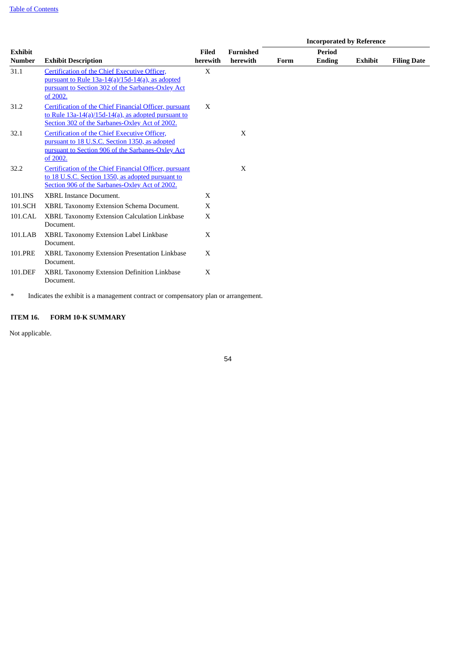|                                 |                                                                                                                                                                    |                          |                              |      | <b>Incorporated by Reference</b> |         |                    |
|---------------------------------|--------------------------------------------------------------------------------------------------------------------------------------------------------------------|--------------------------|------------------------------|------|----------------------------------|---------|--------------------|
| <b>Exhibit</b><br><b>Number</b> | <b>Exhibit Description</b>                                                                                                                                         | <b>Filed</b><br>herewith | <b>Furnished</b><br>herewith | Form | Period<br>Ending                 | Exhibit | <b>Filing Date</b> |
| 31.1                            | Certification of the Chief Executive Officer,<br>pursuant to Rule 13a-14(a)/15d-14(a), as adopted<br>pursuant to Section 302 of the Sarbanes-Oxley Act<br>of 2002. | X                        |                              |      |                                  |         |                    |
| 31.2                            | Certification of the Chief Financial Officer, pursuant<br>to Rule 13a-14(a)/15d-14(a), as adopted pursuant to<br>Section 302 of the Sarbanes-Oxley Act of 2002.    | X                        |                              |      |                                  |         |                    |
| 32.1                            | Certification of the Chief Executive Officer,<br>pursuant to 18 U.S.C. Section 1350, as adopted<br>pursuant to Section 906 of the Sarbanes-Oxley Act<br>of 2002.   |                          | X                            |      |                                  |         |                    |
| 32.2                            | Certification of the Chief Financial Officer, pursuant<br>to 18 U.S.C. Section 1350, as adopted pursuant to<br>Section 906 of the Sarbanes-Oxley Act of 2002.      |                          | X                            |      |                                  |         |                    |
| 101.INS                         | <b>XBRL Instance Document.</b>                                                                                                                                     | X                        |                              |      |                                  |         |                    |
| 101.SCH                         | XBRL Taxonomy Extension Schema Document.                                                                                                                           | X                        |                              |      |                                  |         |                    |
| 101.CAL                         | XBRL Taxonomy Extension Calculation Linkbase<br>Document.                                                                                                          | X                        |                              |      |                                  |         |                    |
| 101.LAB                         | XBRL Taxonomy Extension Label Linkbase<br>Document.                                                                                                                | X                        |                              |      |                                  |         |                    |
| 101.PRE                         | XBRL Taxonomy Extension Presentation Linkbase<br>Document.                                                                                                         | X                        |                              |      |                                  |         |                    |
| 101.DEF                         | <b>XBRL Taxonomy Extension Definition Linkbase</b><br>Document.                                                                                                    | X                        |                              |      |                                  |         |                    |

\* Indicates the exhibit is a management contract or compensatory plan or arrangement.

# **ITEM 16. FORM 10-K SUMMARY**

Not applicable.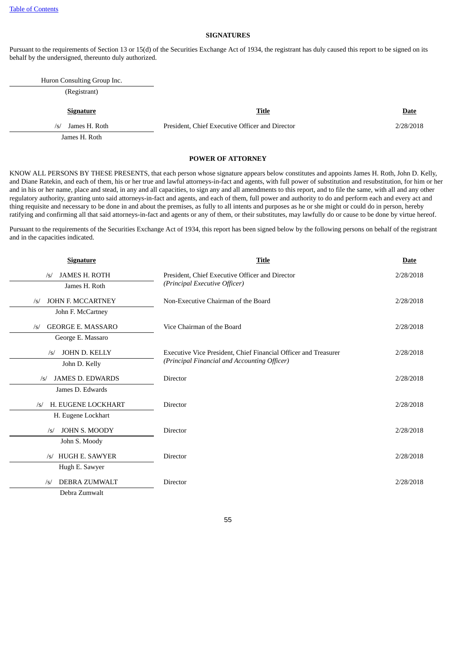#### **SIGNATURES**

Pursuant to the requirements of Section 13 or 15(d) of the Securities Exchange Act of 1934, the registrant has duly caused this report to be signed on its behalf by the undersigned, thereunto duly authorized.

Huron Consulting Group Inc. (Registrant) **Signature Title Date** /s/ James H. Roth President, Chief Executive Officer and Director 2/28/2018

James H. Roth

#### **POWER OF ATTORNEY**

KNOW ALL PERSONS BY THESE PRESENTS, that each person whose signature appears below constitutes and appoints James H. Roth, John D. Kelly, and Diane Ratekin, and each of them, his or her true and lawful attorneys-in-fact and agents, with full power of substitution and resubstitution, for him or her and in his or her name, place and stead, in any and all capacities, to sign any and all amendments to this report, and to file the same, with all and any other regulatory authority, granting unto said attorneys-in-fact and agents, and each of them, full power and authority to do and perform each and every act and thing requisite and necessary to be done in and about the premises, as fully to all intents and purposes as he or she might or could do in person, hereby ratifying and confirming all that said attorneys-in-fact and agents or any of them, or their substitutes, may lawfully do or cause to be done by virtue hereof.

Pursuant to the requirements of the Securities Exchange Act of 1934, this report has been signed below by the following persons on behalf of the registrant and in the capacities indicated.

| <b>Signature</b>                       | <b>Title</b>                                                    | <b>Date</b> |
|----------------------------------------|-----------------------------------------------------------------|-------------|
| <b>JAMES H. ROTH</b><br>/s/            | President, Chief Executive Officer and Director                 | 2/28/2018   |
| James H. Roth                          | (Principal Executive Officer)                                   |             |
| JOHN F. MCCARTNEY<br>/s/               | Non-Executive Chairman of the Board                             | 2/28/2018   |
| John F. McCartney                      |                                                                 |             |
| <b>GEORGE E. MASSARO</b><br>$\sqrt{s}$ | Vice Chairman of the Board                                      | 2/28/2018   |
| George E. Massaro                      |                                                                 |             |
| <b>JOHN D. KELLY</b><br>$\sqrt{s}$     | Executive Vice President, Chief Financial Officer and Treasurer | 2/28/2018   |
| John D. Kelly                          | (Principal Financial and Accounting Officer)                    |             |
| <b>JAMES D. EDWARDS</b><br>$\sqrt{s}$  | Director                                                        | 2/28/2018   |
| James D. Edwards                       |                                                                 |             |
| H. EUGENE LOCKHART<br>/s/              | <b>Director</b>                                                 | 2/28/2018   |
| H. Eugene Lockhart                     |                                                                 |             |
| JOHN S. MOODY<br>/s/                   | <b>Director</b>                                                 | 2/28/2018   |
| John S. Moody                          |                                                                 |             |
| <b>HUGH E. SAWYER</b><br>$\sqrt{s}$    | <b>Director</b>                                                 | 2/28/2018   |
| Hugh E. Sawyer                         |                                                                 |             |
| DEBRA ZUMWALT<br>/s/                   | Director                                                        | 2/28/2018   |
| Debra Zumwalt                          |                                                                 |             |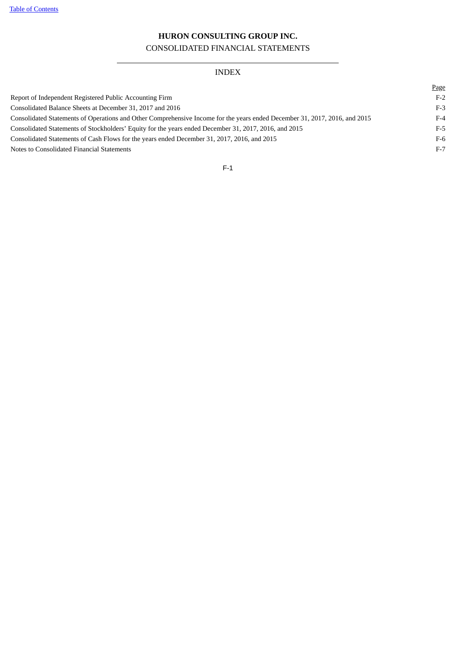# **HURON CONSULTING GROUP INC.** CONSOLIDATED FINANCIAL STATEMENTS

# INDEX

| <b>Page</b>                                                                                                                |       |
|----------------------------------------------------------------------------------------------------------------------------|-------|
| Report of Independent Registered Public Accounting Firm                                                                    | $F-2$ |
| Consolidated Balance Sheets at December 31, 2017 and 2016                                                                  | $F-3$ |
| Consolidated Statements of Operations and Other Comprehensive Income for the years ended December 31, 2017, 2016, and 2015 | $F-4$ |
| Consolidated Statements of Stockholders' Equity for the years ended December 31, 2017, 2016, and 2015                      | F-5   |
| Consolidated Statements of Cash Flows for the years ended December 31, 2017, 2016, and 2015                                | $F-6$ |
| Notes to Consolidated Financial Statements                                                                                 | $F-7$ |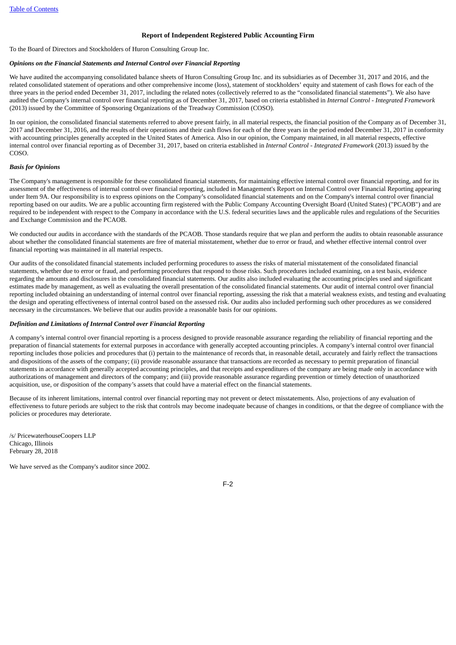#### **Report of Independent Registered Public Accounting Firm**

<span id="page-58-0"></span>To the Board of Directors and Stockholders of Huron Consulting Group Inc.

#### *Opinions on the Financial Statements and Internal Control over Financial Reporting*

We have audited the accompanying consolidated balance sheets of Huron Consulting Group Inc. and its subsidiaries as of December 31, 2017 and 2016, and the related consolidated statement of operations and other comprehensive income (loss), statement of stockholders' equity and statement of cash flows for each of the three years in the period ended December 31, 2017, including the related notes (collectively referred to as the "consolidated financial statements"). We also have audited the Company's internal control over financial reporting as of December 31, 2017, based on criteria established in *Internal Control - Integrated Framework* (2013) issued by the Committee of Sponsoring Organizations of the Treadway Commission (COSO).

In our opinion, the consolidated financial statements referred to above present fairly, in all material respects, the financial position of the Company as of December 31, 2017 and December 31, 2016, and the results of their operations and their cash flows for each of the three years in the period ended December 31, 2017 in conformity with accounting principles generally accepted in the United States of America. Also in our opinion, the Company maintained, in all material respects, effective internal control over financial reporting as of December 31, 2017, based on criteria established in *Internal Control - Integrated Framework* (2013) issued by the COSO.

#### *Basis for Opinions*

The Company's management is responsible for these consolidated financial statements, for maintaining effective internal control over financial reporting, and for its assessment of the effectiveness of internal control over financial reporting, included in Management's Report on Internal Control over Financial Reporting appearing under Item 9A. Our responsibility is to express opinions on the Company's consolidated financial statements and on the Company's internal control over financial reporting based on our audits. We are a public accounting firm registered with the Public Company Accounting Oversight Board (United States) ("PCAOB") and are required to be independent with respect to the Company in accordance with the U.S. federal securities laws and the applicable rules and regulations of the Securities and Exchange Commission and the PCAOB.

We conducted our audits in accordance with the standards of the PCAOB. Those standards require that we plan and perform the audits to obtain reasonable assurance about whether the consolidated financial statements are free of material misstatement, whether due to error or fraud, and whether effective internal control over financial reporting was maintained in all material respects.

Our audits of the consolidated financial statements included performing procedures to assess the risks of material misstatement of the consolidated financial statements, whether due to error or fraud, and performing procedures that respond to those risks. Such procedures included examining, on a test basis, evidence regarding the amounts and disclosures in the consolidated financial statements. Our audits also included evaluating the accounting principles used and significant estimates made by management, as well as evaluating the overall presentation of the consolidated financial statements. Our audit of internal control over financial reporting included obtaining an understanding of internal control over financial reporting, assessing the risk that a material weakness exists, and testing and evaluating the design and operating effectiveness of internal control based on the assessed risk. Our audits also included performing such other procedures as we considered necessary in the circumstances. We believe that our audits provide a reasonable basis for our opinions.

#### *Definition and Limitations of Internal Control over Financial Reporting*

A company's internal control over financial reporting is a process designed to provide reasonable assurance regarding the reliability of financial reporting and the preparation of financial statements for external purposes in accordance with generally accepted accounting principles. A company's internal control over financial reporting includes those policies and procedures that (i) pertain to the maintenance of records that, in reasonable detail, accurately and fairly reflect the transactions and dispositions of the assets of the company; (ii) provide reasonable assurance that transactions are recorded as necessary to permit preparation of financial statements in accordance with generally accepted accounting principles, and that receipts and expenditures of the company are being made only in accordance with authorizations of management and directors of the company; and (iii) provide reasonable assurance regarding prevention or timely detection of unauthorized acquisition, use, or disposition of the company's assets that could have a material effect on the financial statements.

Because of its inherent limitations, internal control over financial reporting may not prevent or detect misstatements. Also, projections of any evaluation of effectiveness to future periods are subject to the risk that controls may become inadequate because of changes in conditions, or that the degree of compliance with the policies or procedures may deteriorate.

/s/ PricewaterhouseCoopers LLP Chicago, Illinois February 28, 2018

We have served as the Company's auditor since 2002.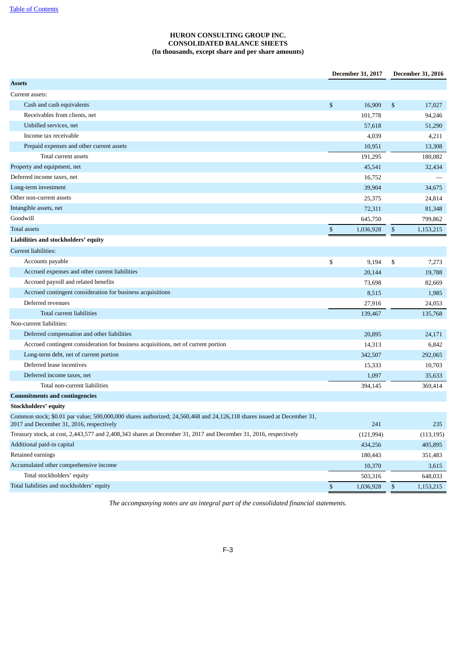# **HURON CONSULTING GROUP INC. CONSOLIDATED BALANCE SHEETS (In thousands, except share and per share amounts)**

<span id="page-59-0"></span>

|                                                                                                                                                                    |                | <b>December 31, 2017</b> |               | <b>December 31, 2016</b> |
|--------------------------------------------------------------------------------------------------------------------------------------------------------------------|----------------|--------------------------|---------------|--------------------------|
| <b>Assets</b>                                                                                                                                                      |                |                          |               |                          |
| Current assets:                                                                                                                                                    |                |                          |               |                          |
| Cash and cash equivalents                                                                                                                                          | \$             | 16,909                   | \$            | 17,027                   |
| Receivables from clients, net                                                                                                                                      |                | 101,778                  |               | 94,246                   |
| Unbilled services, net                                                                                                                                             |                | 57,618                   |               | 51,290                   |
| Income tax receivable                                                                                                                                              |                | 4,039                    |               | 4,211                    |
| Prepaid expenses and other current assets                                                                                                                          |                | 10,951                   |               | 13,308                   |
| Total current assets                                                                                                                                               |                | 191,295                  |               | 180,082                  |
| Property and equipment, net                                                                                                                                        |                | 45,541                   |               | 32,434                   |
| Deferred income taxes, net                                                                                                                                         |                | 16,752                   |               |                          |
| Long-term investment                                                                                                                                               |                | 39,904                   |               | 34,675                   |
| Other non-current assets                                                                                                                                           |                | 25,375                   |               | 24,814                   |
| Intangible assets, net                                                                                                                                             |                | 72,311                   |               | 81,348                   |
| Goodwill                                                                                                                                                           |                | 645,750                  |               | 799,862                  |
| Total assets                                                                                                                                                       | $\,$           | 1,036,928                | \$            | 1,153,215                |
| Liabilities and stockholders' equity                                                                                                                               |                |                          |               |                          |
| Current liabilities:                                                                                                                                               |                |                          |               |                          |
| Accounts payable                                                                                                                                                   | \$             | 9,194                    | \$            | 7,273                    |
| Accrued expenses and other current liabilities                                                                                                                     |                | 20,144                   |               | 19,788                   |
| Accrued payroll and related benefits                                                                                                                               |                | 73,698                   |               | 82,669                   |
| Accrued contingent consideration for business acquisitions                                                                                                         |                | 8,515                    |               | 1,985                    |
| Deferred revenues                                                                                                                                                  |                | 27,916                   |               | 24,053                   |
| Total current liabilities                                                                                                                                          |                | 139,467                  |               | 135,768                  |
| Non-current liabilities:                                                                                                                                           |                |                          |               |                          |
| Deferred compensation and other liabilities                                                                                                                        |                | 20,895                   |               | 24,171                   |
| Accrued contingent consideration for business acquisitions, net of current portion                                                                                 |                | 14,313                   |               | 6,842                    |
| Long-term debt, net of current portion                                                                                                                             |                | 342,507                  |               | 292,065                  |
| Deferred lease incentives                                                                                                                                          |                | 15,333                   |               | 10,703                   |
| Deferred income taxes, net                                                                                                                                         |                | 1,097                    |               | 35,633                   |
| Total non-current liabilities                                                                                                                                      |                | 394,145                  |               | 369,414                  |
| <b>Commitments and contingencies</b>                                                                                                                               |                |                          |               |                          |
| <b>Stockholders' equity</b>                                                                                                                                        |                |                          |               |                          |
| Common stock; \$0.01 par value; 500,000,000 shares authorized; 24,560,468 and 24,126,118 shares issued at December 31,<br>2017 and December 31, 2016, respectively |                | 241                      |               | 235                      |
| Treasury stock, at cost, 2,443,577 and 2,408,343 shares at December 31, 2017 and December 31, 2016, respectively                                                   |                | (121, 994)               |               | (113, 195)               |
| Additional paid-in capital                                                                                                                                         |                | 434,256                  |               | 405,895                  |
| Retained earnings                                                                                                                                                  |                | 180,443                  |               | 351,483                  |
| Accumulated other comprehensive income                                                                                                                             |                | 10,370                   |               | 3,615                    |
| Total stockholders' equity                                                                                                                                         |                | 503,316                  |               | 648,033                  |
| Total liabilities and stockholders' equity                                                                                                                         | $$\mathbb{S}$$ | 1,036,928                | $\frac{1}{2}$ | 1,153,215                |
|                                                                                                                                                                    |                |                          |               |                          |

*The accompanying notes are an integral part of the consolidated financial statements.*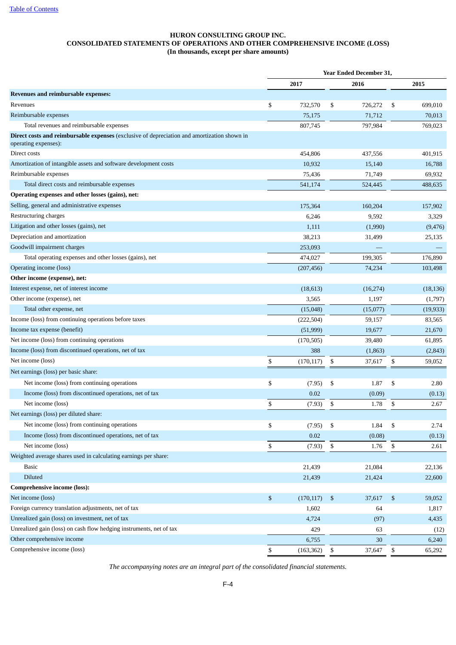# <span id="page-60-0"></span>**HURON CONSULTING GROUP INC. CONSOLIDATED STATEMENTS OF OPERATIONS AND OTHER COMPREHENSIVE INCOME (LOSS) (In thousands, except per share amounts)**

|                                                                                             | Year Ended December 31,   |            |     |           |              |           |
|---------------------------------------------------------------------------------------------|---------------------------|------------|-----|-----------|--------------|-----------|
|                                                                                             |                           | 2017       |     | 2016      |              | 2015      |
| Revenues and reimbursable expenses:                                                         |                           |            |     |           |              |           |
| Revenues                                                                                    | \$                        | 732,570    | \$  | 726,272   | \$           | 699,010   |
| Reimbursable expenses                                                                       |                           | 75,175     |     | 71,712    |              | 70,013    |
| Total revenues and reimbursable expenses                                                    |                           | 807,745    |     | 797,984   |              | 769,023   |
| Direct costs and reimbursable expenses (exclusive of depreciation and amortization shown in |                           |            |     |           |              |           |
| operating expenses):                                                                        |                           |            |     |           |              |           |
| Direct costs                                                                                |                           | 454,806    |     | 437,556   |              | 401,915   |
| Amortization of intangible assets and software development costs                            |                           | 10,932     |     | 15,140    |              | 16,788    |
| Reimbursable expenses                                                                       |                           | 75,436     |     | 71,749    |              | 69,932    |
| Total direct costs and reimbursable expenses                                                |                           | 541,174    |     | 524,445   |              | 488,635   |
| Operating expenses and other losses (gains), net:                                           |                           |            |     |           |              |           |
| Selling, general and administrative expenses                                                |                           | 175,364    |     | 160,204   |              | 157,902   |
| Restructuring charges                                                                       |                           | 6,246      |     | 9,592     |              | 3,329     |
| Litigation and other losses (gains), net                                                    |                           | 1,111      |     | (1,990)   |              | (9, 476)  |
| Depreciation and amortization                                                               |                           | 38,213     |     | 31,499    |              | 25,135    |
| Goodwill impairment charges                                                                 |                           | 253,093    |     |           |              |           |
| Total operating expenses and other losses (gains), net                                      |                           | 474,027    |     | 199,305   |              | 176,890   |
| Operating income (loss)                                                                     |                           | (207, 456) |     | 74,234    |              | 103,498   |
| Other income (expense), net:                                                                |                           |            |     |           |              |           |
| Interest expense, net of interest income                                                    |                           | (18, 613)  |     | (16, 274) |              | (18, 136) |
| Other income (expense), net                                                                 |                           | 3,565      |     | 1,197     |              | (1,797)   |
| Total other expense, net                                                                    |                           | (15,048)   |     | (15,077)  |              | (19, 933) |
| Income (loss) from continuing operations before taxes                                       |                           | (222, 504) |     | 59,157    |              | 83,565    |
| Income tax expense (benefit)                                                                |                           | (51,999)   |     | 19,677    |              | 21,670    |
| Net income (loss) from continuing operations                                                |                           | (170, 505) |     | 39,480    |              | 61,895    |
| Income (loss) from discontinued operations, net of tax                                      |                           | 388        |     | (1,863)   |              | (2,843)   |
| Net income (loss)                                                                           | \$                        | (170, 117) | \$  | 37,617    | \$           | 59,052    |
| Net earnings (loss) per basic share:                                                        |                           |            |     |           |              |           |
| Net income (loss) from continuing operations                                                | \$                        | (7.95)     | \$  | 1.87      | \$           | 2.80      |
| Income (loss) from discontinued operations, net of tax                                      |                           | 0.02       |     | (0.09)    |              | (0.13)    |
| Net income (loss)                                                                           | \$                        | (7.93)     | \$  | 1.78      | \$           | 2.67      |
| Net earnings (loss) per diluted share:                                                      |                           |            |     |           |              |           |
| Net income (loss) from continuing operations                                                | \$                        | (7.95)     | \$  | 1.84      | \$           | 2.74      |
| Income (loss) from discontinued operations, net of tax                                      |                           | 0.02       |     | (0.08)    |              | (0.13)    |
| Net income (loss)                                                                           | \$                        | (7.93)     | \$  | 1.76      | $\mathbb{S}$ | 2.61      |
| Weighted average shares used in calculating earnings per share:                             |                           |            |     |           |              |           |
| <b>Basic</b>                                                                                |                           | 21,439     |     | 21,084    |              | 22,136    |
| <b>Diluted</b>                                                                              |                           | 21,439     |     | 21,424    |              | 22,600    |
| Comprehensive income (loss):                                                                |                           |            |     |           |              |           |
| Net income (loss)                                                                           | $\boldsymbol{\mathsf{S}}$ | (170, 117) | \$  | 37,617    | \$           | 59,052    |
| Foreign currency translation adjustments, net of tax                                        |                           | 1,602      |     | 64        |              | 1,817     |
| Unrealized gain (loss) on investment, net of tax                                            |                           | 4,724      |     | (97)      |              | 4,435     |
| Unrealized gain (loss) on cash flow hedging instruments, net of tax                         |                           | 429        |     | 63        |              | (12)      |
| Other comprehensive income                                                                  |                           | 6,755      |     | 30        |              | 6,240     |
| Comprehensive income (loss)                                                                 | \$                        | (163, 362) | -\$ | 37,647    | -\$          | 65,292    |

*The accompanying notes are an integral part of the consolidated financial statements.*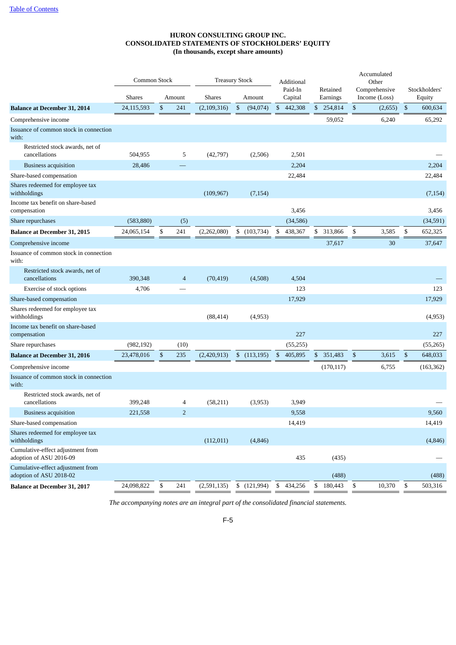# **HURON CONSULTING GROUP INC. CONSOLIDATED STATEMENTS OF STOCKHOLDERS' EQUITY (In thousands, except share amounts)**

<span id="page-61-0"></span>

|                                                              | Common Stock  |    | <b>Treasury Stock</b> |               |    | Additional<br>Paid-In |    | Retained  |    | Accumulated<br>Other<br>Comprehensive |    | Stockholders' |                |            |
|--------------------------------------------------------------|---------------|----|-----------------------|---------------|----|-----------------------|----|-----------|----|---------------------------------------|----|---------------|----------------|------------|
|                                                              | <b>Shares</b> |    | Amount                | <b>Shares</b> |    | Amount                |    | Capital   |    | Earnings                              |    | Income (Loss) |                | Equity     |
| <b>Balance at December 31, 2014</b>                          | 24,115,593    | \$ | 241                   | (2,109,316)   | \$ | (94,074)              | \$ | 442,308   | \$ | 254,814                               | \$ | (2,655)       | $\mathfrak{S}$ | 600,634    |
| Comprehensive income                                         |               |    |                       |               |    |                       |    |           |    | 59,052                                |    | 6,240         |                | 65,292     |
| Issuance of common stock in connection<br>with:              |               |    |                       |               |    |                       |    |           |    |                                       |    |               |                |            |
| Restricted stock awards, net of<br>cancellations             | 504,955       |    | 5                     | (42, 797)     |    | (2,506)               |    | 2,501     |    |                                       |    |               |                |            |
| <b>Business acquisition</b>                                  | 28,486        |    |                       |               |    |                       |    | 2,204     |    |                                       |    |               |                | 2,204      |
| Share-based compensation                                     |               |    |                       |               |    |                       |    | 22,484    |    |                                       |    |               |                | 22,484     |
| Shares redeemed for employee tax<br>withholdings             |               |    |                       | (109, 967)    |    | (7, 154)              |    |           |    |                                       |    |               |                | (7, 154)   |
| Income tax benefit on share-based<br>compensation            |               |    |                       |               |    |                       |    | 3,456     |    |                                       |    |               |                | 3,456      |
| Share repurchases                                            | (583, 880)    |    | (5)                   |               |    |                       |    | (34, 586) |    |                                       |    |               |                | (34,591)   |
| <b>Balance at December 31, 2015</b>                          | 24,065,154    | \$ | 241                   | (2,262,080)   |    | \$(103,734)           | \$ | 438,367   | S. | 313,866                               | \$ | 3,585         | \$             | 652,325    |
| Comprehensive income                                         |               |    |                       |               |    |                       |    |           |    | 37,617                                |    | 30            |                | 37,647     |
| Issuance of common stock in connection<br>with:              |               |    |                       |               |    |                       |    |           |    |                                       |    |               |                |            |
| Restricted stock awards, net of<br>cancellations             | 390,348       |    | $\overline{4}$        | (70, 419)     |    | (4,508)               |    | 4,504     |    |                                       |    |               |                |            |
| Exercise of stock options                                    | 4,706         |    |                       |               |    |                       |    | 123       |    |                                       |    |               |                | 123        |
| Share-based compensation                                     |               |    |                       |               |    |                       |    | 17,929    |    |                                       |    |               |                | 17,929     |
| Shares redeemed for employee tax<br>withholdings             |               |    |                       | (88, 414)     |    | (4,953)               |    |           |    |                                       |    |               |                | (4,953)    |
| Income tax benefit on share-based<br>compensation            |               |    |                       |               |    |                       |    | 227       |    |                                       |    |               |                | 227        |
| Share repurchases                                            | (982, 192)    |    | (10)                  |               |    |                       |    | (55,255)  |    |                                       |    |               |                | (55, 265)  |
| <b>Balance at December 31, 2016</b>                          | 23,478,016    | \$ | 235                   | (2,420,913)   | \$ | (113, 195)            | \$ | 405,895   | \$ | 351,483                               | \$ | 3,615         | \$             | 648,033    |
| Comprehensive income                                         |               |    |                       |               |    |                       |    |           |    | (170, 117)                            |    | 6,755         |                | (163, 362) |
| Issuance of common stock in connection<br>with:              |               |    |                       |               |    |                       |    |           |    |                                       |    |               |                |            |
| Restricted stock awards, net of<br>cancellations             | 399,248       |    | 4                     | (58, 211)     |    | (3,953)               |    | 3,949     |    |                                       |    |               |                |            |
| <b>Business acquisition</b>                                  | 221,558       |    | $\overline{z}$        |               |    |                       |    | 9,558     |    |                                       |    |               |                | 9,560      |
| Share-based compensation                                     |               |    |                       |               |    |                       |    | 14,419    |    |                                       |    |               |                | 14,419     |
| Shares redeemed for employee tax<br>withholdings             |               |    |                       | (112, 011)    |    | (4, 846)              |    |           |    |                                       |    |               |                | (4, 846)   |
| Cumulative-effect adjustment from<br>adoption of ASU 2016-09 |               |    |                       |               |    |                       |    | 435       |    | (435)                                 |    |               |                |            |
| Cumulative-effect adjustment from<br>adoption of ASU 2018-02 |               |    |                       |               |    |                       |    |           |    | (488)                                 |    |               |                | (488)      |
| <b>Balance at December 31, 2017</b>                          | 24,098,822    | \$ | 241                   | (2,591,135)   |    | \$(121,994)           | \$ | 434,256   |    | \$180,443                             | \$ | 10,370        | \$             | 503,316    |

*The accompanying notes are an integral part of the consolidated financial statements.*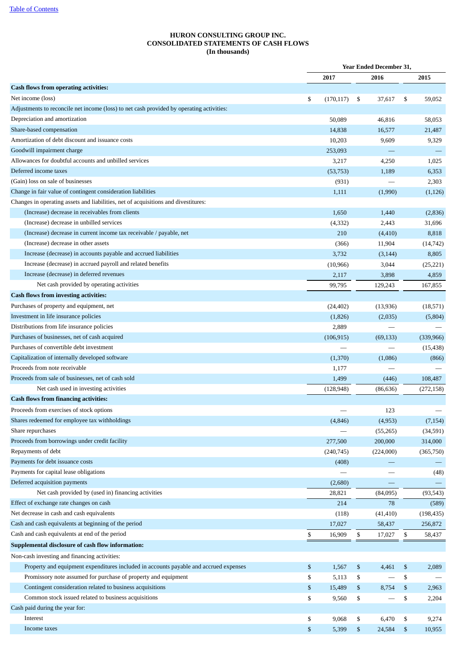# **HURON CONSULTING GROUP INC. CONSOLIDATED STATEMENTS OF CASH FLOWS (In thousands)**

<span id="page-62-0"></span>

|                                                                                          | <b>Year Ended December 31,</b> |    |           |    |            |  |
|------------------------------------------------------------------------------------------|--------------------------------|----|-----------|----|------------|--|
|                                                                                          | 2017                           |    | 2016      |    | 2015       |  |
| <b>Cash flows from operating activities:</b>                                             |                                |    |           |    |            |  |
| Net income (loss)                                                                        | \$<br>(170, 117)               | \$ | 37,617    | \$ | 59,052     |  |
| Adjustments to reconcile net income (loss) to net cash provided by operating activities: |                                |    |           |    |            |  |
| Depreciation and amortization                                                            | 50,089                         |    | 46,816    |    | 58,053     |  |
| Share-based compensation                                                                 | 14,838                         |    | 16,577    |    | 21,487     |  |
| Amortization of debt discount and issuance costs                                         | 10,203                         |    | 9,609     |    | 9,329      |  |
| Goodwill impairment charge                                                               | 253,093                        |    |           |    |            |  |
| Allowances for doubtful accounts and unbilled services                                   | 3,217                          |    | 4,250     |    | 1,025      |  |
| Deferred income taxes                                                                    | (53, 753)                      |    | 1,189     |    | 6,353      |  |
| (Gain) loss on sale of businesses                                                        | (931)                          |    |           |    | 2,303      |  |
| Change in fair value of contingent consideration liabilities                             | 1,111                          |    | (1,990)   |    | (1, 126)   |  |
| Changes in operating assets and liabilities, net of acquisitions and divestitures:       |                                |    |           |    |            |  |
| (Increase) decrease in receivables from clients                                          | 1,650                          |    | 1,440     |    | (2,836)    |  |
| (Increase) decrease in unbilled services                                                 | (4, 332)                       |    | 2,443     |    | 31,696     |  |
| (Increase) decrease in current income tax receivable / payable, net                      | 210                            |    | (4, 410)  |    | 8,818      |  |
| (Increase) decrease in other assets                                                      | (366)                          |    | 11,904    |    | (14, 742)  |  |
| Increase (decrease) in accounts payable and accrued liabilities                          | 3,732                          |    | (3, 144)  |    | 8,805      |  |
| Increase (decrease) in accrued payroll and related benefits                              | (10, 966)                      |    | 3,044     |    | (25, 221)  |  |
| Increase (decrease) in deferred revenues                                                 | 2,117                          |    | 3,898     |    | 4,859      |  |
| Net cash provided by operating activities                                                | 99,795                         |    | 129,243   |    | 167,855    |  |
| <b>Cash flows from investing activities:</b>                                             |                                |    |           |    |            |  |
| Purchases of property and equipment, net                                                 | (24, 402)                      |    | (13,936)  |    | (18, 571)  |  |
| Investment in life insurance policies                                                    | (1,826)                        |    | (2,035)   |    | (5,804)    |  |
| Distributions from life insurance policies                                               | 2,889                          |    |           |    |            |  |
| Purchases of businesses, net of cash acquired                                            | (106, 915)                     |    | (69, 133) |    | (339,966)  |  |
| Purchases of convertible debt investment                                                 |                                |    |           |    | (15, 438)  |  |
| Capitalization of internally developed software                                          | (1,370)                        |    | (1,086)   |    | (866)      |  |
| Proceeds from note receivable                                                            | 1,177                          |    |           |    |            |  |
| Proceeds from sale of businesses, net of cash sold                                       | 1,499                          |    | (446)     |    | 108,487    |  |
| Net cash used in investing activities                                                    | (128, 948)                     |    | (86, 636) |    | (272, 158) |  |
| <b>Cash flows from financing activities:</b>                                             |                                |    |           |    |            |  |
| Proceeds from exercises of stock options                                                 |                                |    | 123       |    |            |  |
| Shares redeemed for employee tax withholdings                                            | (4,846)                        |    | (4,953)   |    | (7, 154)   |  |
| Share repurchases                                                                        |                                |    | (55, 265) |    | (34, 591)  |  |
| Proceeds from borrowings under credit facility                                           | 277,500                        |    | 200,000   |    | 314,000    |  |
| Repayments of debt                                                                       | (240, 745)                     |    | (224,000) |    | (365, 750) |  |
| Payments for debt issuance costs                                                         | (408)                          |    | -         |    |            |  |
| Payments for capital lease obligations                                                   |                                |    |           |    | (48)       |  |
| Deferred acquisition payments                                                            | (2,680)                        |    |           |    |            |  |
| Net cash provided by (used in) financing activities                                      | 28,821                         |    | (84,095)  |    | (93, 543)  |  |
| Effect of exchange rate changes on cash                                                  | 214                            |    | 78        |    | (589)      |  |
| Net decrease in cash and cash equivalents                                                | (118)                          |    | (41, 410) |    | (198, 435) |  |
| Cash and cash equivalents at beginning of the period                                     | 17,027                         |    | 58,437    |    | 256,872    |  |
| Cash and cash equivalents at end of the period                                           | \$<br>16,909                   | \$ | 17,027    | \$ | 58,437     |  |
| Supplemental disclosure of cash flow information:                                        |                                |    |           |    |            |  |
| Non-cash investing and financing activities:                                             |                                |    |           |    |            |  |
| Property and equipment expenditures included in accounts payable and accrued expenses    | \$<br>1,567                    | \$ | 4,461     | \$ | 2,089      |  |
| Promissory note assumed for purchase of property and equipment                           | \$<br>5,113                    | \$ |           | \$ |            |  |
| Contingent consideration related to business acquisitions                                | \$<br>15,489                   | \$ | 8,754     | \$ | 2,963      |  |
| Common stock issued related to business acquisitions                                     | \$<br>9,560                    | \$ |           | \$ | 2,204      |  |
| Cash paid during the year for:                                                           |                                |    |           |    |            |  |
| Interest                                                                                 | \$<br>9,068                    | \$ | 6,470     | \$ | 9,274      |  |
| Income taxes                                                                             | \$<br>5,399                    | \$ | 24,584    | \$ | 10,955     |  |
|                                                                                          |                                |    |           |    |            |  |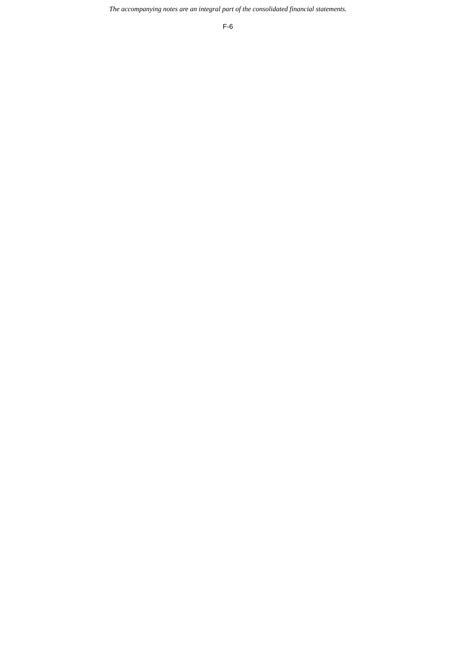*The accompanying notes are an integral part of the consolidated financial statements.*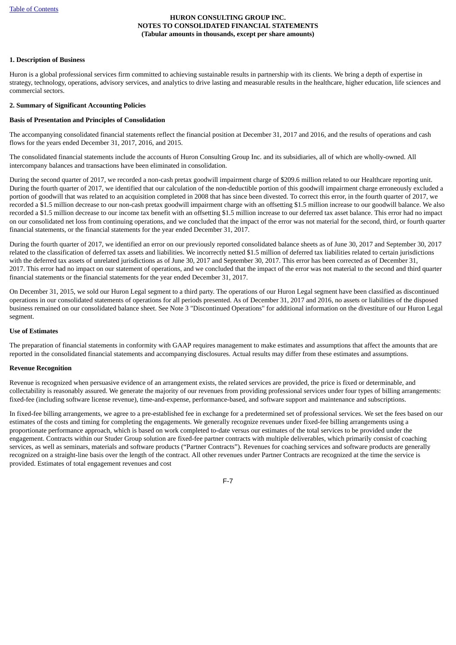## <span id="page-64-0"></span>**1. Description of Business**

Huron is a global professional services firm committed to achieving sustainable results in partnership with its clients. We bring a depth of expertise in strategy, technology, operations, advisory services, and analytics to drive lasting and measurable results in the healthcare, higher education, life sciences and commercial sectors.

#### **2. Summary of Significant Accounting Policies**

#### **Basis of Presentation and Principles of Consolidation**

The accompanying consolidated financial statements reflect the financial position at December 31, 2017 and 2016, and the results of operations and cash flows for the years ended December 31, 2017, 2016, and 2015.

The consolidated financial statements include the accounts of Huron Consulting Group Inc. and its subsidiaries, all of which are wholly-owned. All intercompany balances and transactions have been eliminated in consolidation.

During the second quarter of 2017, we recorded a non-cash pretax goodwill impairment charge of \$209.6 million related to our Healthcare reporting unit. During the fourth quarter of 2017, we identified that our calculation of the non-deductible portion of this goodwill impairment charge erroneously excluded a portion of goodwill that was related to an acquisition completed in 2008 that has since been divested. To correct this error, in the fourth quarter of 2017, we recorded a \$1.5 million decrease to our non-cash pretax goodwill impairment charge with an offsetting \$1.5 million increase to our goodwill balance. We also recorded a \$1.5 million decrease to our income tax benefit with an offsetting \$1.5 million increase to our deferred tax asset balance. This error had no impact on our consolidated net loss from continuing operations, and we concluded that the impact of the error was not material for the second, third, or fourth quarter financial statements, or the financial statements for the year ended December 31, 2017.

During the fourth quarter of 2017, we identified an error on our previously reported consolidated balance sheets as of June 30, 2017 and September 30, 2017 related to the classification of deferred tax assets and liabilities. We incorrectly netted \$1.5 million of deferred tax liabilities related to certain jurisdictions with the deferred tax assets of unrelated jurisdictions as of June 30, 2017 and September 30, 2017. This error has been corrected as of December 31, 2017. This error had no impact on our statement of operations, and we concluded that the impact of the error was not material to the second and third quarter financial statements or the financial statements for the year ended December 31, 2017.

On December 31, 2015, we sold our Huron Legal segment to a third party. The operations of our Huron Legal segment have been classified as discontinued operations in our consolidated statements of operations for all periods presented. As of December 31, 2017 and 2016, no assets or liabilities of the disposed business remained on our consolidated balance sheet. See Note 3 "Discontinued Operations" for additional information on the divestiture of our Huron Legal segment.

#### **Use of Estimates**

The preparation of financial statements in conformity with GAAP requires management to make estimates and assumptions that affect the amounts that are reported in the consolidated financial statements and accompanying disclosures. Actual results may differ from these estimates and assumptions.

## **Revenue Recognition**

Revenue is recognized when persuasive evidence of an arrangement exists, the related services are provided, the price is fixed or determinable, and collectability is reasonably assured. We generate the majority of our revenues from providing professional services under four types of billing arrangements: fixed-fee (including software license revenue), time-and-expense, performance-based, and software support and maintenance and subscriptions.

In fixed-fee billing arrangements, we agree to a pre-established fee in exchange for a predetermined set of professional services. We set the fees based on our estimates of the costs and timing for completing the engagements. We generally recognize revenues under fixed-fee billing arrangements using a proportionate performance approach, which is based on work completed to-date versus our estimates of the total services to be provided under the engagement. Contracts within our Studer Group solution are fixed-fee partner contracts with multiple deliverables, which primarily consist of coaching services, as well as seminars, materials and software products ("Partner Contracts"). Revenues for coaching services and software products are generally recognized on a straight-line basis over the length of the contract. All other revenues under Partner Contracts are recognized at the time the service is provided. Estimates of total engagement revenues and cost

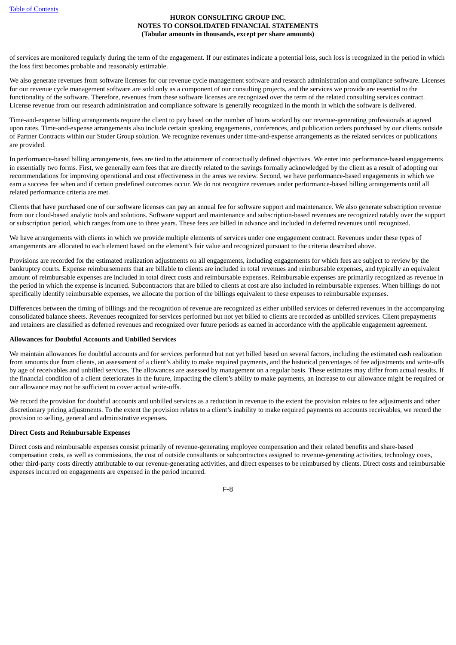of services are monitored regularly during the term of the engagement. If our estimates indicate a potential loss, such loss is recognized in the period in which the loss first becomes probable and reasonably estimable.

We also generate revenues from software licenses for our revenue cycle management software and research administration and compliance software. Licenses for our revenue cycle management software are sold only as a component of our consulting projects, and the services we provide are essential to the functionality of the software. Therefore, revenues from these software licenses are recognized over the term of the related consulting services contract. License revenue from our research administration and compliance software is generally recognized in the month in which the software is delivered.

Time-and-expense billing arrangements require the client to pay based on the number of hours worked by our revenue-generating professionals at agreed upon rates. Time-and-expense arrangements also include certain speaking engagements, conferences, and publication orders purchased by our clients outside of Partner Contracts within our Studer Group solution. We recognize revenues under time-and-expense arrangements as the related services or publications are provided.

In performance-based billing arrangements, fees are tied to the attainment of contractually defined objectives. We enter into performance-based engagements in essentially two forms. First, we generally earn fees that are directly related to the savings formally acknowledged by the client as a result of adopting our recommendations for improving operational and cost effectiveness in the areas we review. Second, we have performance-based engagements in which we earn a success fee when and if certain predefined outcomes occur. We do not recognize revenues under performance-based billing arrangements until all related performance criteria are met.

Clients that have purchased one of our software licenses can pay an annual fee for software support and maintenance. We also generate subscription revenue from our cloud-based analytic tools and solutions. Software support and maintenance and subscription-based revenues are recognized ratably over the support or subscription period, which ranges from one to three years. These fees are billed in advance and included in deferred revenues until recognized.

We have arrangements with clients in which we provide multiple elements of services under one engagement contract. Revenues under these types of arrangements are allocated to each element based on the element's fair value and recognized pursuant to the criteria described above.

Provisions are recorded for the estimated realization adjustments on all engagements, including engagements for which fees are subject to review by the bankruptcy courts. Expense reimbursements that are billable to clients are included in total revenues and reimbursable expenses, and typically an equivalent amount of reimbursable expenses are included in total direct costs and reimbursable expenses. Reimbursable expenses are primarily recognized as revenue in the period in which the expense is incurred. Subcontractors that are billed to clients at cost are also included in reimbursable expenses. When billings do not specifically identify reimbursable expenses, we allocate the portion of the billings equivalent to these expenses to reimbursable expenses.

Differences between the timing of billings and the recognition of revenue are recognized as either unbilled services or deferred revenues in the accompanying consolidated balance sheets. Revenues recognized for services performed but not yet billed to clients are recorded as unbilled services. Client prepayments and retainers are classified as deferred revenues and recognized over future periods as earned in accordance with the applicable engagement agreement.

# **Allowances for Doubtful Accounts and Unbilled Services**

We maintain allowances for doubtful accounts and for services performed but not yet billed based on several factors, including the estimated cash realization from amounts due from clients, an assessment of a client's ability to make required payments, and the historical percentages of fee adjustments and write-offs by age of receivables and unbilled services. The allowances are assessed by management on a regular basis. These estimates may differ from actual results. If the financial condition of a client deteriorates in the future, impacting the client's ability to make payments, an increase to our allowance might be required or our allowance may not be sufficient to cover actual write-offs.

We record the provision for doubtful accounts and unbilled services as a reduction in revenue to the extent the provision relates to fee adjustments and other discretionary pricing adjustments. To the extent the provision relates to a client's inability to make required payments on accounts receivables, we record the provision to selling, general and administrative expenses.

# **Direct Costs and Reimbursable Expenses**

Direct costs and reimbursable expenses consist primarily of revenue-generating employee compensation and their related benefits and share-based compensation costs, as well as commissions, the cost of outside consultants or subcontractors assigned to revenue-generating activities, technology costs, other third-party costs directly attributable to our revenue-generating activities, and direct expenses to be reimbursed by clients. Direct costs and reimbursable expenses incurred on engagements are expensed in the period incurred.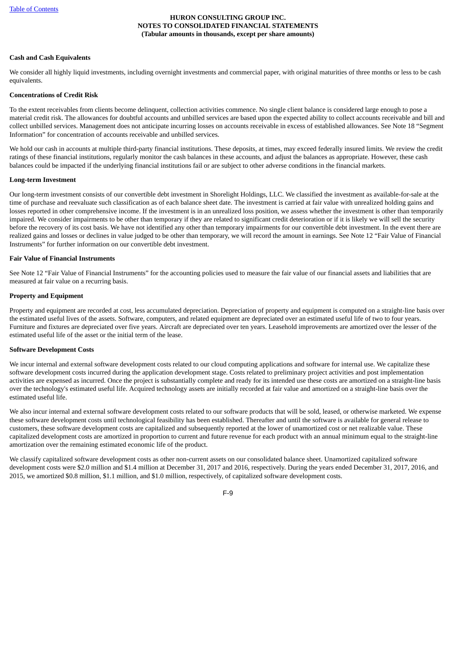# **Cash and Cash Equivalents**

We consider all highly liquid investments, including overnight investments and commercial paper, with original maturities of three months or less to be cash equivalents.

#### **Concentrations of Credit Risk**

To the extent receivables from clients become delinquent, collection activities commence. No single client balance is considered large enough to pose a material credit risk. The allowances for doubtful accounts and unbilled services are based upon the expected ability to collect accounts receivable and bill and collect unbilled services. Management does not anticipate incurring losses on accounts receivable in excess of established allowances. See Note 18 "Segment Information" for concentration of accounts receivable and unbilled services.

We hold our cash in accounts at multiple third-party financial institutions. These deposits, at times, may exceed federally insured limits. We review the credit ratings of these financial institutions, regularly monitor the cash balances in these accounts, and adjust the balances as appropriate. However, these cash balances could be impacted if the underlying financial institutions fail or are subject to other adverse conditions in the financial markets.

#### **Long-term Investment**

Our long-term investment consists of our convertible debt investment in Shorelight Holdings, LLC. We classified the investment as available-for-sale at the time of purchase and reevaluate such classification as of each balance sheet date. The investment is carried at fair value with unrealized holding gains and losses reported in other comprehensive income. If the investment is in an unrealized loss position, we assess whether the investment is other than temporarily impaired. We consider impairments to be other than temporary if they are related to significant credit deterioration or if it is likely we will sell the security before the recovery of its cost basis. We have not identified any other than temporary impairments for our convertible debt investment. In the event there are realized gains and losses or declines in value judged to be other than temporary, we will record the amount in earnings. See Note 12 "Fair Value of Financial Instruments" for further information on our convertible debt investment.

#### **Fair Value of Financial Instruments**

See Note 12 "Fair Value of Financial Instruments" for the accounting policies used to measure the fair value of our financial assets and liabilities that are measured at fair value on a recurring basis.

#### **Property and Equipment**

Property and equipment are recorded at cost, less accumulated depreciation. Depreciation of property and equipment is computed on a straight-line basis over the estimated useful lives of the assets. Software, computers, and related equipment are depreciated over an estimated useful life of two to four years. Furniture and fixtures are depreciated over five years. Aircraft are depreciated over ten years. Leasehold improvements are amortized over the lesser of the estimated useful life of the asset or the initial term of the lease.

#### **Software Development Costs**

We incur internal and external software development costs related to our cloud computing applications and software for internal use. We capitalize these software development costs incurred during the application development stage. Costs related to preliminary project activities and post implementation activities are expensed as incurred. Once the project is substantially complete and ready for its intended use these costs are amortized on a straight-line basis over the technology's estimated useful life. Acquired technology assets are initially recorded at fair value and amortized on a straight-line basis over the estimated useful life.

We also incur internal and external software development costs related to our software products that will be sold, leased, or otherwise marketed. We expense these software development costs until technological feasibility has been established. Thereafter and until the software is available for general release to customers, these software development costs are capitalized and subsequently reported at the lower of unamortized cost or net realizable value. These capitalized development costs are amortized in proportion to current and future revenue for each product with an annual minimum equal to the straight-line amortization over the remaining estimated economic life of the product.

We classify capitalized software development costs as other non-current assets on our consolidated balance sheet. Unamortized capitalized software development costs were \$2.0 million and \$1.4 million at December 31, 2017 and 2016, respectively. During the years ended December 31, 2017, 2016, and 2015, we amortized \$0.8 million, \$1.1 million, and \$1.0 million, respectively, of capitalized software development costs.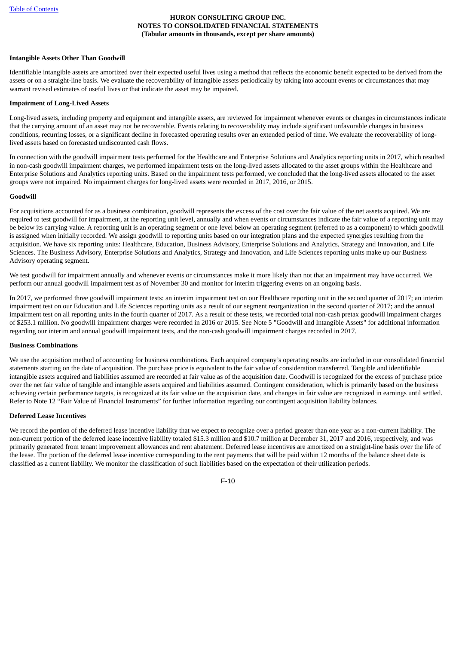# **Intangible Assets Other Than Goodwill**

Identifiable intangible assets are amortized over their expected useful lives using a method that reflects the economic benefit expected to be derived from the assets or on a straight-line basis. We evaluate the recoverability of intangible assets periodically by taking into account events or circumstances that may warrant revised estimates of useful lives or that indicate the asset may be impaired.

## **Impairment of Long-Lived Assets**

Long-lived assets, including property and equipment and intangible assets, are reviewed for impairment whenever events or changes in circumstances indicate that the carrying amount of an asset may not be recoverable. Events relating to recoverability may include significant unfavorable changes in business conditions, recurring losses, or a significant decline in forecasted operating results over an extended period of time. We evaluate the recoverability of longlived assets based on forecasted undiscounted cash flows.

In connection with the goodwill impairment tests performed for the Healthcare and Enterprise Solutions and Analytics reporting units in 2017, which resulted in non-cash goodwill impairment charges, we performed impairment tests on the long-lived assets allocated to the asset groups within the Healthcare and Enterprise Solutions and Analytics reporting units. Based on the impairment tests performed, we concluded that the long-lived assets allocated to the asset groups were not impaired. No impairment charges for long-lived assets were recorded in 2017, 2016, or 2015.

## **Goodwill**

For acquisitions accounted for as a business combination, goodwill represents the excess of the cost over the fair value of the net assets acquired. We are required to test goodwill for impairment, at the reporting unit level, annually and when events or circumstances indicate the fair value of a reporting unit may be below its carrying value. A reporting unit is an operating segment or one level below an operating segment (referred to as a component) to which goodwill is assigned when initially recorded. We assign goodwill to reporting units based on our integration plans and the expected synergies resulting from the acquisition. We have six reporting units: Healthcare, Education, Business Advisory, Enterprise Solutions and Analytics, Strategy and Innovation, and Life Sciences. The Business Advisory, Enterprise Solutions and Analytics, Strategy and Innovation, and Life Sciences reporting units make up our Business Advisory operating segment.

We test goodwill for impairment annually and whenever events or circumstances make it more likely than not that an impairment may have occurred. We perform our annual goodwill impairment test as of November 30 and monitor for interim triggering events on an ongoing basis.

In 2017, we performed three goodwill impairment tests: an interim impairment test on our Healthcare reporting unit in the second quarter of 2017; an interim impairment test on our Education and Life Sciences reporting units as a result of our segment reorganization in the second quarter of 2017; and the annual impairment test on all reporting units in the fourth quarter of 2017. As a result of these tests, we recorded total non-cash pretax goodwill impairment charges of \$253.1 million. No goodwill impairment charges were recorded in 2016 or 2015. See Note 5 "Goodwill and Intangible Assets" for additional information regarding our interim and annual goodwill impairment tests, and the non-cash goodwill impairment charges recorded in 2017.

## **Business Combinations**

We use the acquisition method of accounting for business combinations*.* Each acquired company's operating results are included in our consolidated financial statements starting on the date of acquisition. The purchase price is equivalent to the fair value of consideration transferred. Tangible and identifiable intangible assets acquired and liabilities assumed are recorded at fair value as of the acquisition date. Goodwill is recognized for the excess of purchase price over the net fair value of tangible and intangible assets acquired and liabilities assumed. Contingent consideration, which is primarily based on the business achieving certain performance targets, is recognized at its fair value on the acquisition date, and changes in fair value are recognized in earnings until settled. Refer to Note 12 "Fair Value of Financial Instruments" for further information regarding our contingent acquisition liability balances.

## **Deferred Lease Incentives**

We record the portion of the deferred lease incentive liability that we expect to recognize over a period greater than one year as a non-current liability. The non-current portion of the deferred lease incentive liability totaled \$15.3 million and \$10.7 million at December 31, 2017 and 2016, respectively, and was primarily generated from tenant improvement allowances and rent abatement. Deferred lease incentives are amortized on a straight-line basis over the life of the lease. The portion of the deferred lease incentive corresponding to the rent payments that will be paid within 12 months of the balance sheet date is classified as a current liability. We monitor the classification of such liabilities based on the expectation of their utilization periods.

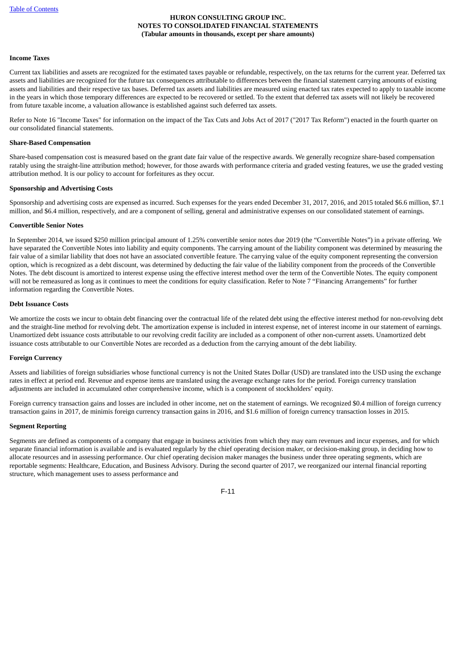#### **Income Taxes**

Current tax liabilities and assets are recognized for the estimated taxes payable or refundable, respectively, on the tax returns for the current year. Deferred tax assets and liabilities are recognized for the future tax consequences attributable to differences between the financial statement carrying amounts of existing assets and liabilities and their respective tax bases. Deferred tax assets and liabilities are measured using enacted tax rates expected to apply to taxable income in the years in which those temporary differences are expected to be recovered or settled. To the extent that deferred tax assets will not likely be recovered from future taxable income, a valuation allowance is established against such deferred tax assets.

Refer to Note 16 "Income Taxes" for information on the impact of the Tax Cuts and Jobs Act of 2017 ("2017 Tax Reform") enacted in the fourth quarter on our consolidated financial statements.

#### **Share-Based Compensation**

Share-based compensation cost is measured based on the grant date fair value of the respective awards. We generally recognize share-based compensation ratably using the straight-line attribution method; however, for those awards with performance criteria and graded vesting features, we use the graded vesting attribution method. It is our policy to account for forfeitures as they occur.

#### **Sponsorship and Advertising Costs**

Sponsorship and advertising costs are expensed as incurred. Such expenses for the years ended December 31, 2017, 2016, and 2015 totaled \$6.6 million, \$7.1 million, and \$6.4 million, respectively, and are a component of selling, general and administrative expenses on our consolidated statement of earnings.

# **Convertible Senior Notes**

In September 2014, we issued \$250 million principal amount of 1.25% convertible senior notes due 2019 (the "Convertible Notes") in a private offering. We have separated the Convertible Notes into liability and equity components. The carrying amount of the liability component was determined by measuring the fair value of a similar liability that does not have an associated convertible feature. The carrying value of the equity component representing the conversion option, which is recognized as a debt discount, was determined by deducting the fair value of the liability component from the proceeds of the Convertible Notes. The debt discount is amortized to interest expense using the effective interest method over the term of the Convertible Notes. The equity component will not be remeasured as long as it continues to meet the conditions for equity classification. Refer to Note 7 "Financing Arrangements" for further information regarding the Convertible Notes.

#### **Debt Issuance Costs**

We amortize the costs we incur to obtain debt financing over the contractual life of the related debt using the effective interest method for non-revolving debt and the straight-line method for revolving debt. The amortization expense is included in interest expense, net of interest income in our statement of earnings. Unamortized debt issuance costs attributable to our revolving credit facility are included as a component of other non-current assets. Unamortized debt issuance costs attributable to our Convertible Notes are recorded as a deduction from the carrying amount of the debt liability.

#### **Foreign Currency**

Assets and liabilities of foreign subsidiaries whose functional currency is not the United States Dollar (USD) are translated into the USD using the exchange rates in effect at period end. Revenue and expense items are translated using the average exchange rates for the period. Foreign currency translation adjustments are included in accumulated other comprehensive income, which is a component of stockholders' equity.

Foreign currency transaction gains and losses are included in other income, net on the statement of earnings. We recognized \$0.4 million of foreign currency transaction gains in 2017, de minimis foreign currency transaction gains in 2016, and \$1.6 million of foreign currency transaction losses in 2015.

#### **Segment Reporting**

Segments are defined as components of a company that engage in business activities from which they may earn revenues and incur expenses, and for which separate financial information is available and is evaluated regularly by the chief operating decision maker, or decision-making group, in deciding how to allocate resources and in assessing performance. Our chief operating decision maker manages the business under three operating segments, which are reportable segments: Healthcare, Education, and Business Advisory. During the second quarter of 2017, we reorganized our internal financial reporting structure, which management uses to assess performance and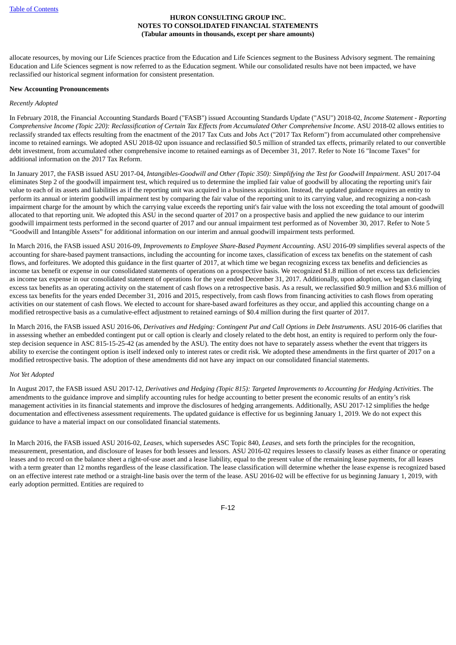allocate resources, by moving our Life Sciences practice from the Education and Life Sciences segment to the Business Advisory segment. The remaining Education and Life Sciences segment is now referred to as the Education segment. While our consolidated results have not been impacted, we have reclassified our historical segment information for consistent presentation.

#### **New Accounting Pronouncements**

# *Recently Adopted*

In February 2018, the Financial Accounting Standards Board ("FASB") issued Accounting Standards Update ("ASU") 2018-02, *Income Statement - Reporting* Comprehensive Income (Topic 220): Reclassification of Certain Tax Effects from Accumulated Other Comprehensive Income. ASU 2018-02 allows entities to reclassify stranded tax effects resulting from the enactment of the 2017 Tax Cuts and Jobs Act ("2017 Tax Reform") from accumulated other comprehensive income to retained earnings. We adopted ASU 2018-02 upon issuance and reclassified \$0.5 million of stranded tax effects, primarily related to our convertible debt investment, from accumulated other comprehensive income to retained earnings as of December 31, 2017. Refer to Note 16 "Income Taxes" for additional information on the 2017 Tax Reform.

In January 2017, the FASB issued ASU 2017-04, *Intangibles-Goodwill and Other (Topic 350): Simplifying the Test for Goodwill Impairment*. ASU 2017-04 eliminates Step 2 of the goodwill impairment test, which required us to determine the implied fair value of goodwill by allocating the reporting unit's fair value to each of its assets and liabilities as if the reporting unit was acquired in a business acquisition. Instead, the updated guidance requires an entity to perform its annual or interim goodwill impairment test by comparing the fair value of the reporting unit to its carrying value, and recognizing a non-cash impairment charge for the amount by which the carrying value exceeds the reporting unit's fair value with the loss not exceeding the total amount of goodwill allocated to that reporting unit. We adopted this ASU in the second quarter of 2017 on a prospective basis and applied the new guidance to our interim goodwill impairment tests performed in the second quarter of 2017 and our annual impairment test performed as of November 30, 2017. Refer to Note 5 "Goodwill and Intangible Assets" for additional information on our interim and annual goodwill impairment tests performed.

In March 2016, the FASB issued ASU 2016-09, *Improvements to Employee Share-Based Payment Accounting*. ASU 2016-09 simplifies several aspects of the accounting for share-based payment transactions, including the accounting for income taxes, classification of excess tax benefits on the statement of cash flows, and forfeitures. We adopted this guidance in the first quarter of 2017, at which time we began recognizing excess tax benefits and deficiencies as income tax benefit or expense in our consolidated statements of operations on a prospective basis. We recognized \$1.8 million of net excess tax deficiencies as income tax expense in our consolidated statement of operations for the year ended December 31, 2017. Additionally, upon adoption, we began classifying excess tax benefits as an operating activity on the statement of cash flows on a retrospective basis. As a result, we reclassified \$0.9 million and \$3.6 million of excess tax benefits for the years ended December 31, 2016 and 2015, respectively, from cash flows from financing activities to cash flows from operating activities on our statement of cash flows. We elected to account for share-based award forfeitures as they occur, and applied this accounting change on a modified retrospective basis as a cumulative-effect adjustment to retained earnings of \$0.4 million during the first quarter of 2017.

In March 2016, the FASB issued ASU 2016-06, Derivatives and Hedging: Contingent Put and Call Options in Debt Instruments. ASU 2016-06 clarifies that in assessing whether an embedded contingent put or call option is clearly and closely related to the debt host, an entity is required to perform only the fourstep decision sequence in ASC 815-15-25-42 (as amended by the ASU). The entity does not have to separately assess whether the event that triggers its ability to exercise the contingent option is itself indexed only to interest rates or credit risk. We adopted these amendments in the first quarter of 2017 on a modified retrospective basis. The adoption of these amendments did not have any impact on our consolidated financial statements.

## *Not Yet Adopted*

In August 2017, the FASB issued ASU 2017-12, Derivatives and Hedging (Topic 815): Targeted Improvements to Accounting for Hedging Activities. The amendments to the guidance improve and simplify accounting rules for hedge accounting to better present the economic results of an entity's risk management activities in its financial statements and improve the disclosures of hedging arrangements. Additionally, ASU 2017-12 simplifies the hedge documentation and effectiveness assessment requirements. The updated guidance is effective for us beginning January 1, 2019. We do not expect this guidance to have a material impact on our consolidated financial statements.

In March 2016, the FASB issued ASU 2016-02, *Leases*, which supersedes ASC Topic 840, *Leases*, and sets forth the principles for the recognition, measurement, presentation, and disclosure of leases for both lessees and lessors. ASU 2016-02 requires lessees to classify leases as either finance or operating leases and to record on the balance sheet a right-of-use asset and a lease liability, equal to the present value of the remaining lease payments, for all leases with a term greater than 12 months regardless of the lease classification. The lease classification will determine whether the lease expense is recognized based on an effective interest rate method or a straight-line basis over the term of the lease. ASU 2016-02 will be effective for us beginning January 1, 2019, with early adoption permitted. Entities are required to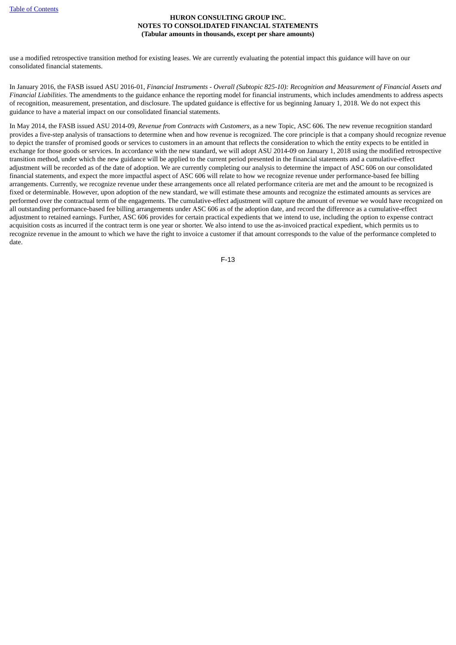use a modified retrospective transition method for existing leases. We are currently evaluating the potential impact this guidance will have on our consolidated financial statements.

In January 2016, the FASB issued ASU 2016-01, Financial Instruments - Overall (Subtopic 825-10): Recognition and Measurement of Financial Assets and *Financial Liabilities*. The amendments to the guidance enhance the reporting model for financial instruments, which includes amendments to address aspects of recognition, measurement, presentation, and disclosure. The updated guidance is effective for us beginning January 1, 2018. We do not expect this guidance to have a material impact on our consolidated financial statements.

In May 2014, the FASB issued ASU 2014-09, *Revenue from Contracts with Customers,* as a new Topic*,* ASC 606. The new revenue recognition standard provides a five-step analysis of transactions to determine when and how revenue is recognized. The core principle is that a company should recognize revenue to depict the transfer of promised goods or services to customers in an amount that reflects the consideration to which the entity expects to be entitled in exchange for those goods or services. In accordance with the new standard, we will adopt ASU 2014-09 on January 1, 2018 using the modified retrospective transition method, under which the new guidance will be applied to the current period presented in the financial statements and a cumulative-effect adjustment will be recorded as of the date of adoption. We are currently completing our analysis to determine the impact of ASC 606 on our consolidated financial statements, and expect the more impactful aspect of ASC 606 will relate to how we recognize revenue under performance-based fee billing arrangements. Currently, we recognize revenue under these arrangements once all related performance criteria are met and the amount to be recognized is fixed or determinable. However, upon adoption of the new standard, we will estimate these amounts and recognize the estimated amounts as services are performed over the contractual term of the engagements. The cumulative-effect adjustment will capture the amount of revenue we would have recognized on all outstanding performance-based fee billing arrangements under ASC 606 as of the adoption date, and record the difference as a cumulative-effect adjustment to retained earnings. Further, ASC 606 provides for certain practical expedients that we intend to use, including the option to expense contract acquisition costs as incurred if the contract term is one year or shorter. We also intend to use the as-invoiced practical expedient, which permits us to recognize revenue in the amount to which we have the right to invoice a customer if that amount corresponds to the value of the performance completed to date.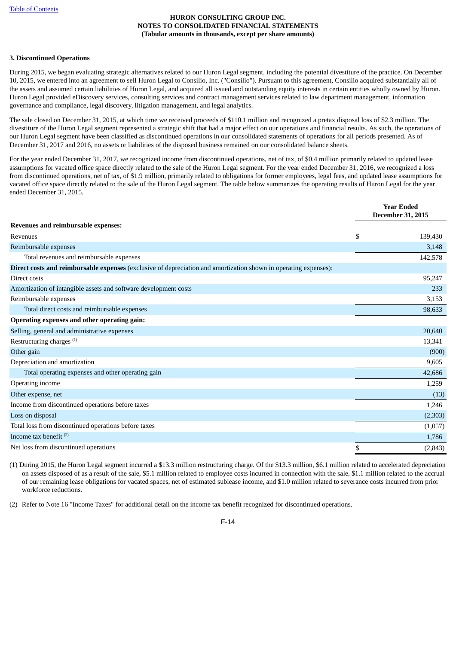# **3. Discontinued Operations**

During 2015, we began evaluating strategic alternatives related to our Huron Legal segment, including the potential divestiture of the practice. On December 10, 2015, we entered into an agreement to sell Huron Legal to Consilio, Inc. ("Consilio"). Pursuant to this agreement, Consilio acquired substantially all of the assets and assumed certain liabilities of Huron Legal, and acquired all issued and outstanding equity interests in certain entities wholly owned by Huron. Huron Legal provided eDiscovery services, consulting services and contract management services related to law department management, information governance and compliance, legal discovery, litigation management, and legal analytics.

The sale closed on December 31, 2015, at which time we received proceeds of \$110.1 million and recognized a pretax disposal loss of \$2.3 million. The divestiture of the Huron Legal segment represented a strategic shift that had a major effect on our operations and financial results. As such, the operations of our Huron Legal segment have been classified as discontinued operations in our consolidated statements of operations for all periods presented. As of December 31, 2017 and 2016, no assets or liabilities of the disposed business remained on our consolidated balance sheets.

For the year ended December 31, 2017, we recognized income from discontinued operations, net of tax, of \$0.4 million primarily related to updated lease assumptions for vacated office space directly related to the sale of the Huron Legal segment. For the year ended December 31, 2016, we recognized a loss from discontinued operations, net of tax, of \$1.9 million, primarily related to obligations for former employees, legal fees, and updated lease assumptions for vacated office space directly related to the sale of the Huron Legal segment. The table below summarizes the operating results of Huron Legal for the year ended December 31, 2015.

|                                                                                                                  | <b>Year Ended</b><br><b>December 31, 2015</b> |  |  |
|------------------------------------------------------------------------------------------------------------------|-----------------------------------------------|--|--|
| <b>Revenues and reimbursable expenses:</b>                                                                       |                                               |  |  |
| Revenues                                                                                                         | \$<br>139,430                                 |  |  |
| Reimbursable expenses                                                                                            | 3,148                                         |  |  |
| Total revenues and reimbursable expenses                                                                         | 142,578                                       |  |  |
| Direct costs and reimbursable expenses (exclusive of depreciation and amortization shown in operating expenses): |                                               |  |  |
| Direct costs                                                                                                     | 95,247                                        |  |  |
| Amortization of intangible assets and software development costs                                                 | 233                                           |  |  |
| Reimbursable expenses                                                                                            | 3,153                                         |  |  |
| Total direct costs and reimbursable expenses                                                                     | 98,633                                        |  |  |
| Operating expenses and other operating gain:                                                                     |                                               |  |  |
| Selling, general and administrative expenses                                                                     | 20,640                                        |  |  |
| Restructuring charges <sup>(1)</sup>                                                                             | 13,341                                        |  |  |
| Other gain                                                                                                       | (900)                                         |  |  |
| Depreciation and amortization                                                                                    | 9,605                                         |  |  |
| Total operating expenses and other operating gain                                                                | 42,686                                        |  |  |
| Operating income                                                                                                 | 1,259                                         |  |  |
| Other expense, net                                                                                               | (13)                                          |  |  |
| Income from discontinued operations before taxes                                                                 | 1,246                                         |  |  |
| Loss on disposal                                                                                                 | (2,303)                                       |  |  |
| Total loss from discontinued operations before taxes                                                             | (1,057)                                       |  |  |
| Income tax benefit $(2)$                                                                                         | 1,786                                         |  |  |
| Net loss from discontinued operations                                                                            | \$<br>(2,843)                                 |  |  |

(1) During 2015, the Huron Legal segment incurred a \$13.3 million restructuring charge. Of the \$13.3 million, \$6.1 million related to accelerated depreciation on assets disposed of as a result of the sale, \$5.1 million related to employee costs incurred in connection with the sale, \$1.1 million related to the accrual of our remaining lease obligations for vacated spaces, net of estimated sublease income, and \$1.0 million related to severance costs incurred from prior workforce reductions.

(2) Refer to Note 16 "Income Taxes" for additional detail on the income tax benefit recognized for discontinued operations.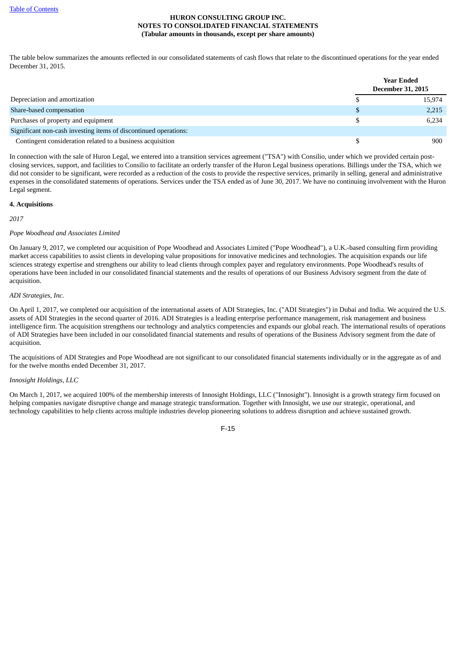The table below summarizes the amounts reflected in our consolidated statements of cash flows that relate to the discontinued operations for the year ended December 31, 2015.

|                                                                  | <b>Year Ended</b><br><b>December 31, 2015</b> |  |  |  |
|------------------------------------------------------------------|-----------------------------------------------|--|--|--|
| Depreciation and amortization                                    | 15,974                                        |  |  |  |
| Share-based compensation                                         | \$<br>2,215                                   |  |  |  |
| Purchases of property and equipment                              | 6.234                                         |  |  |  |
| Significant non-cash investing items of discontinued operations: |                                               |  |  |  |
| Contingent consideration related to a business acquisition       | 900                                           |  |  |  |

In connection with the sale of Huron Legal, we entered into a transition services agreement ("TSA") with Consilio, under which we provided certain postclosing services, support, and facilities to Consilio to facilitate an orderly transfer of the Huron Legal business operations. Billings under the TSA, which we did not consider to be significant, were recorded as a reduction of the costs to provide the respective services, primarily in selling, general and administrative expenses in the consolidated statements of operations. Services under the TSA ended as of June 30, 2017. We have no continuing involvement with the Huron Legal segment.

## **4. Acquisitions**

*2017*

## *Pope Woodhead and Associates Limited*

On January 9, 2017, we completed our acquisition of Pope Woodhead and Associates Limited ("Pope Woodhead"), a U.K.-based consulting firm providing market access capabilities to assist clients in developing value propositions for innovative medicines and technologies. The acquisition expands our life sciences strategy expertise and strengthens our ability to lead clients through complex payer and regulatory environments. Pope Woodhead's results of operations have been included in our consolidated financial statements and the results of operations of our Business Advisory segment from the date of acquisition.

#### *ADI Strategies, Inc.*

On April 1, 2017, we completed our acquisition of the international assets of ADI Strategies, Inc. ("ADI Strategies") in Dubai and India. We acquired the U.S. assets of ADI Strategies in the second quarter of 2016. ADI Strategies is a leading enterprise performance management, risk management and business intelligence firm. The acquisition strengthens our technology and analytics competencies and expands our global reach. The international results of operations of ADI Strategies have been included in our consolidated financial statements and results of operations of the Business Advisory segment from the date of acquisition.

The acquisitions of ADI Strategies and Pope Woodhead are not significant to our consolidated financial statements individually or in the aggregate as of and for the twelve months ended December 31, 2017.

## *Innosight Holdings, LLC*

On March 1, 2017, we acquired 100% of the membership interests of Innosight Holdings, LLC ("Innosight"). Innosight is a growth strategy firm focused on helping companies navigate disruptive change and manage strategic transformation. Together with Innosight, we use our strategic, operational, and technology capabilities to help clients across multiple industries develop pioneering solutions to address disruption and achieve sustained growth.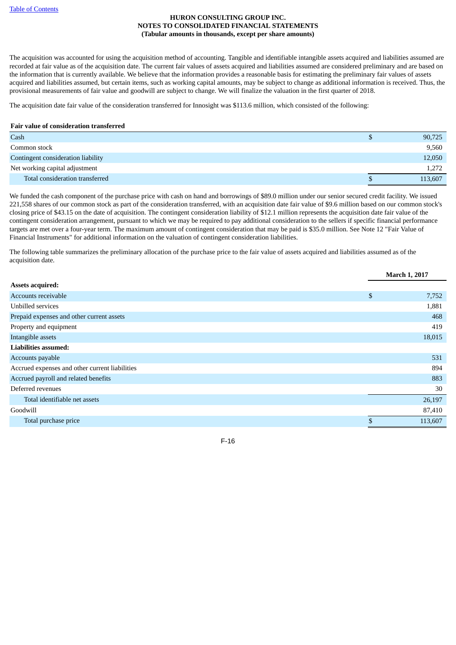The acquisition was accounted for using the acquisition method of accounting. Tangible and identifiable intangible assets acquired and liabilities assumed are recorded at fair value as of the acquisition date. The current fair values of assets acquired and liabilities assumed are considered preliminary and are based on the information that is currently available. We believe that the information provides a reasonable basis for estimating the preliminary fair values of assets acquired and liabilities assumed, but certain items, such as working capital amounts, may be subject to change as additional information is received. Thus, the provisional measurements of fair value and goodwill are subject to change. We will finalize the valuation in the first quarter of 2018.

The acquisition date fair value of the consideration transferred for Innosight was \$113.6 million, which consisted of the following:

#### **Fair value of consideration transferred**

| Cash                               | 90,725  |
|------------------------------------|---------|
| Common stock                       | 9,560   |
| Contingent consideration liability | 12,050  |
| Net working capital adjustment     | 1,272   |
| Total consideration transferred    | 113,607 |

We funded the cash component of the purchase price with cash on hand and borrowings of \$89.0 million under our senior secured credit facility. We issued 221,558 shares of our common stock as part of the consideration transferred, with an acquisition date fair value of \$9.6 million based on our common stock's closing price of \$43.15 on the date of acquisition. The contingent consideration liability of \$12.1 million represents the acquisition date fair value of the contingent consideration arrangement, pursuant to which we may be required to pay additional consideration to the sellers if specific financial performance targets are met over a four-year term. The maximum amount of contingent consideration that may be paid is \$35.0 million. See Note 12 "Fair Value of Financial Instruments" for additional information on the valuation of contingent consideration liabilities.

The following table summarizes the preliminary allocation of the purchase price to the fair value of assets acquired and liabilities assumed as of the acquisition date.

|                                                |                | <b>March 1, 2017</b> |
|------------------------------------------------|----------------|----------------------|
| <b>Assets acquired:</b>                        |                |                      |
| Accounts receivable                            | \$             | 7,752                |
| Unbilled services                              |                | 1,881                |
| Prepaid expenses and other current assets      |                | 468                  |
| Property and equipment                         |                | 419                  |
| Intangible assets                              |                | 18,015               |
| Liabilities assumed:                           |                |                      |
| Accounts payable                               |                | 531                  |
| Accrued expenses and other current liabilities |                | 894                  |
| Accrued payroll and related benefits           |                | 883                  |
| Deferred revenues                              |                | 30                   |
| Total identifiable net assets                  |                | 26,197               |
| Goodwill                                       |                | 87,410               |
| Total purchase price                           | $\mathfrak{L}$ | 113,607              |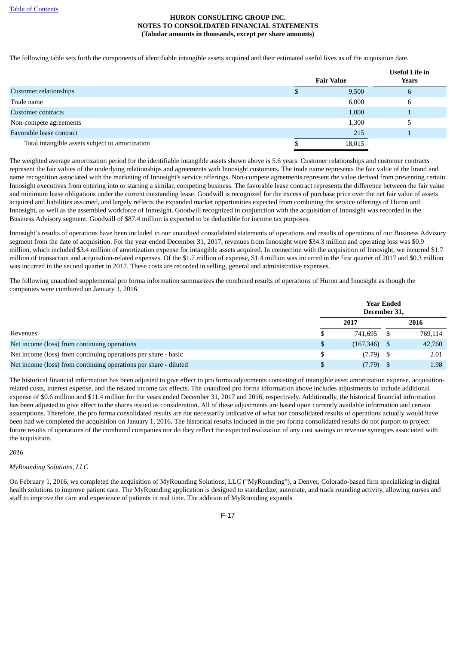**Useful Life in**

The following table sets forth the components of identifiable intangible assets acquired and their estimated useful lives as of the acquisition date.

|                                                 | <b>Fair Value</b> | Useful Life in<br><b>Years</b> |
|-------------------------------------------------|-------------------|--------------------------------|
|                                                 |                   |                                |
| Customer relationships                          | 9,500             | b                              |
| Trade name                                      | 6,000             | b                              |
| Customer contracts                              | 1,000             |                                |
| Non-compete agreements                          | 1,300             |                                |
| Favorable lease contract                        | 215               |                                |
| Total intangible assets subject to amortization | 18,015            |                                |

The weighted average amortization period for the identifiable intangible assets shown above is 5.6 years. Customer relationships and customer contracts represent the fair values of the underlying relationships and agreements with Innosight customers. The trade name represents the fair value of the brand and name recognition associated with the marketing of Innosight's service offerings. Non-compete agreements represent the value derived from preventing certain Innosight executives from entering into or starting a similar, competing business. The favorable lease contract represents the difference between the fair value and minimum lease obligations under the current outstanding lease. Goodwill is recognized for the excess of purchase price over the net fair value of assets acquired and liabilities assumed, and largely reflects the expanded market opportunities expected from combining the service offerings of Huron and Innosight, as well as the assembled workforce of Innosight. Goodwill recognized in conjunction with the acquisition of Innosight was recorded in the Business Advisory segment. Goodwill of \$87.4 million is expected to be deductible for income tax purposes.

Innosight's results of operations have been included in our unaudited consolidated statements of operations and results of operations of our Business Advisory segment from the date of acquisition. For the year ended December 31, 2017, revenues from Innosight were \$34.3 million and operating loss was \$0.9 million, which included \$3.4 million of amortization expense for intangible assets acquired. In connection with the acquisition of Innosight, we incurred \$1.7 million of transaction and acquisition-related expenses. Of the \$1.7 million of expense, \$1.4 million was incurred in the first quarter of 2017 and \$0.3 million was incurred in the second quarter in 2017. These costs are recorded in selling, general and administrative expenses.

The following unaudited supplemental pro forma information summarizes the combined results of operations of Huron and Innosight as though the companies were combined on January 1, 2016.

|                                                                  | <b>Year Ended</b><br>December 31, |  |         |  |
|------------------------------------------------------------------|-----------------------------------|--|---------|--|
|                                                                  | 2017                              |  | 2016    |  |
| Revenues                                                         | 741.695                           |  | 769,114 |  |
| Net income (loss) from continuing operations                     | $(167,346)$ \$                    |  | 42,760  |  |
| Net income (loss) from continuing operations per share - basic   | $(7.79)$ \$                       |  | 2.01    |  |
| Net income (loss) from continuing operations per share - diluted | $(7.79)$ \$                       |  | 1.98    |  |

The historical financial information has been adjusted to give effect to pro forma adjustments consisting of intangible asset amortization expense, acquisitionrelated costs, interest expense, and the related income tax effects. The unaudited pro forma information above includes adjustments to include additional expense of \$0.6 million and \$11.4 million for the years ended December 31, 2017 and 2016, respectively. Additionally, the historical financial information has been adjusted to give effect to the shares issued as consideration. All of these adjustments are based upon currently available information and certain assumptions. Therefore, the pro forma consolidated results are not necessarily indicative of what our consolidated results of operations actually would have been had we completed the acquisition on January 1, 2016. The historical results included in the pro forma consolidated results do not purport to project future results of operations of the combined companies nor do they reflect the expected realization of any cost savings or revenue synergies associated with the acquisition.

## *2016*

## *MyRounding Solutions, LLC*

On February 1, 2016, we completed the acquisition of MyRounding Solutions, LLC ("MyRounding"), a Denver, Colorado-based firm specializing in digital health solutions to improve patient care. The MyRounding application is designed to standardize, automate, and track rounding activity, allowing nurses and staff to improve the care and experience of patients in real time. The addition of MyRounding expands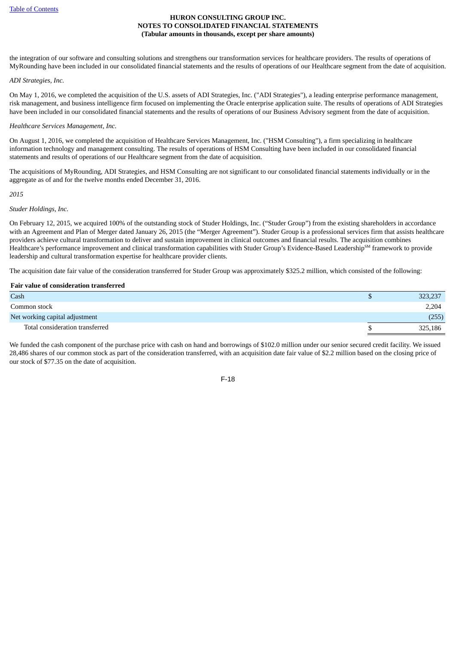the integration of our software and consulting solutions and strengthens our transformation services for healthcare providers. The results of operations of MyRounding have been included in our consolidated financial statements and the results of operations of our Healthcare segment from the date of acquisition.

*ADI Strategies, Inc.*

On May 1, 2016, we completed the acquisition of the U.S. assets of ADI Strategies, Inc. ("ADI Strategies"), a leading enterprise performance management, risk management, and business intelligence firm focused on implementing the Oracle enterprise application suite. The results of operations of ADI Strategies have been included in our consolidated financial statements and the results of operations of our Business Advisory segment from the date of acquisition.

#### *Healthcare Services Management, Inc.*

On August 1, 2016, we completed the acquisition of Healthcare Services Management, Inc. ("HSM Consulting"), a firm specializing in healthcare information technology and management consulting. The results of operations of HSM Consulting have been included in our consolidated financial statements and results of operations of our Healthcare segment from the date of acquisition.

The acquisitions of MyRounding, ADI Strategies, and HSM Consulting are not significant to our consolidated financial statements individually or in the aggregate as of and for the twelve months ended December 31, 2016.

*2015*

*Studer Holdings, Inc.*

On February 12, 2015, we acquired 100% of the outstanding stock of Studer Holdings, Inc. ("Studer Group") from the existing shareholders in accordance with an Agreement and Plan of Merger dated January 26, 2015 (the "Merger Agreement"). Studer Group is a professional services firm that assists healthcare providers achieve cultural transformation to deliver and sustain improvement in clinical outcomes and financial results. The acquisition combines Healthcare's performance improvement and clinical transformation capabilities with Studer Group's Evidence-Based Leadership<sup>sM</sup> framework to provide leadership and cultural transformation expertise for healthcare provider clients.

The acquisition date fair value of the consideration transferred for Studer Group was approximately \$325.2 million, which consisted of the following:

#### **Fair value of consideration transferred**

| Cash                            | 323,237 |
|---------------------------------|---------|
| Common stock                    | 2,204   |
| Net working capital adjustment  | (255)   |
| Total consideration transferred | 325,186 |

We funded the cash component of the purchase price with cash on hand and borrowings of \$102.0 million under our senior secured credit facility. We issued 28,486 shares of our common stock as part of the consideration transferred, with an acquisition date fair value of \$2.2 million based on the closing price of our stock of \$77.35 on the date of acquisition.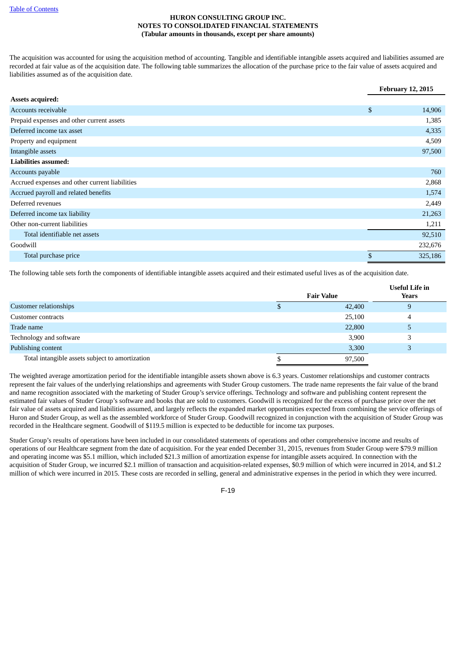The acquisition was accounted for using the acquisition method of accounting. Tangible and identifiable intangible assets acquired and liabilities assumed are recorded at fair value as of the acquisition date. The following table summarizes the allocation of the purchase price to the fair value of assets acquired and liabilities assumed as of the acquisition date.

|                                                | <b>February 12, 2015</b> |         |  |
|------------------------------------------------|--------------------------|---------|--|
| <b>Assets acquired:</b>                        |                          |         |  |
| Accounts receivable                            | \$                       | 14,906  |  |
| Prepaid expenses and other current assets      |                          | 1,385   |  |
| Deferred income tax asset                      |                          | 4,335   |  |
| Property and equipment                         |                          | 4,509   |  |
| Intangible assets                              |                          | 97,500  |  |
| Liabilities assumed:                           |                          |         |  |
| Accounts payable                               |                          | 760     |  |
| Accrued expenses and other current liabilities |                          | 2,868   |  |
| Accrued payroll and related benefits           |                          | 1,574   |  |
| Deferred revenues                              |                          | 2,449   |  |
| Deferred income tax liability                  |                          | 21,263  |  |
| Other non-current liabilities                  |                          | 1,211   |  |
| Total identifiable net assets                  |                          | 92,510  |  |
| Goodwill                                       |                          | 232,676 |  |
| Total purchase price                           | \$                       | 325,186 |  |

The following table sets forth the components of identifiable intangible assets acquired and their estimated useful lives as of the acquisition date.

|                                                 |                   |        | <b>Useful Life in</b> |
|-------------------------------------------------|-------------------|--------|-----------------------|
|                                                 | <b>Fair Value</b> |        | Years                 |
| Customer relationships                          | Φ                 | 42,400 | 9                     |
| Customer contracts                              |                   | 25,100 | 4                     |
| Trade name                                      |                   | 22,800 | Ь                     |
| Technology and software                         |                   | 3,900  | 3                     |
| Publishing content                              |                   | 3,300  |                       |
| Total intangible assets subject to amortization |                   | 97,500 |                       |

The weighted average amortization period for the identifiable intangible assets shown above is 6.3 years. Customer relationships and customer contracts represent the fair values of the underlying relationships and agreements with Studer Group customers. The trade name represents the fair value of the brand and name recognition associated with the marketing of Studer Group's service offerings. Technology and software and publishing content represent the estimated fair values of Studer Group's software and books that are sold to customers. Goodwill is recognized for the excess of purchase price over the net fair value of assets acquired and liabilities assumed, and largely reflects the expanded market opportunities expected from combining the service offerings of Huron and Studer Group, as well as the assembled workforce of Studer Group. Goodwill recognized in conjunction with the acquisition of Studer Group was recorded in the Healthcare segment. Goodwill of \$119.5 million is expected to be deductible for income tax purposes.

Studer Group's results of operations have been included in our consolidated statements of operations and other comprehensive income and results of operations of our Healthcare segment from the date of acquisition. For the year ended December 31, 2015, revenues from Studer Group were \$79.9 million and operating income was \$5.1 million, which included \$21.3 million of amortization expense for intangible assets acquired. In connection with the acquisition of Studer Group, we incurred \$2.1 million of transaction and acquisition-related expenses, \$0.9 million of which were incurred in 2014, and \$1.2 million of which were incurred in 2015. These costs are recorded in selling, general and administrative expenses in the period in which they were incurred.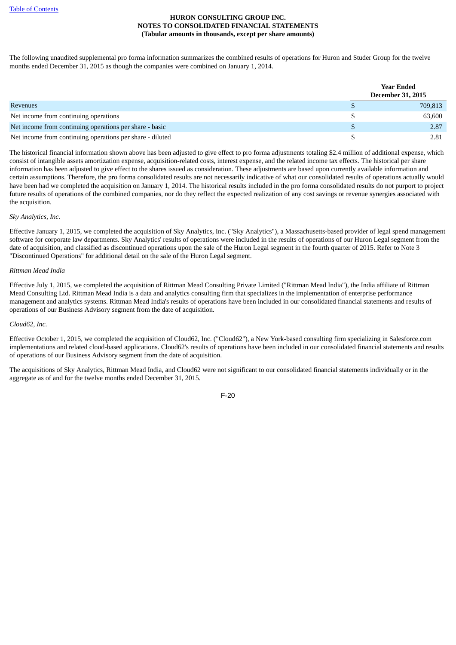The following unaudited supplemental pro forma information summarizes the combined results of operations for Huron and Studer Group for the twelve months ended December 31, 2015 as though the companies were combined on January 1, 2014.

|                                                           | Year Ended<br><b>December 31, 2015</b> |
|-----------------------------------------------------------|----------------------------------------|
| <b>Revenues</b>                                           | 709,813                                |
| Net income from continuing operations                     | 63,600                                 |
| Net income from continuing operations per share - basic   | 2.87                                   |
| Net income from continuing operations per share - diluted | 2.81                                   |

The historical financial information shown above has been adjusted to give effect to pro forma adjustments totaling \$2.4 million of additional expense, which consist of intangible assets amortization expense, acquisition-related costs, interest expense, and the related income tax effects. The historical per share information has been adjusted to give effect to the shares issued as consideration. These adjustments are based upon currently available information and certain assumptions. Therefore, the pro forma consolidated results are not necessarily indicative of what our consolidated results of operations actually would have been had we completed the acquisition on January 1, 2014. The historical results included in the pro forma consolidated results do not purport to project future results of operations of the combined companies, nor do they reflect the expected realization of any cost savings or revenue synergies associated with the acquisition.

## *Sky Analytics, Inc.*

Effective January 1, 2015, we completed the acquisition of Sky Analytics, Inc. ("Sky Analytics"), a Massachusetts-based provider of legal spend management software for corporate law departments. Sky Analytics' results of operations were included in the results of operations of our Huron Legal segment from the date of acquisition, and classified as discontinued operations upon the sale of the Huron Legal segment in the fourth quarter of 2015. Refer to Note 3 "Discontinued Operations" for additional detail on the sale of the Huron Legal segment.

#### *Rittman Mead India*

Effective July 1, 2015, we completed the acquisition of Rittman Mead Consulting Private Limited ("Rittman Mead India"), the India affiliate of Rittman Mead Consulting Ltd. Rittman Mead India is a data and analytics consulting firm that specializes in the implementation of enterprise performance management and analytics systems. Rittman Mead India's results of operations have been included in our consolidated financial statements and results of operations of our Business Advisory segment from the date of acquisition.

#### *Cloud62, Inc.*

Effective October 1, 2015, we completed the acquisition of Cloud62, Inc. ("Cloud62"), a New York-based consulting firm specializing in Salesforce.com implementations and related cloud-based applications. Cloud62's results of operations have been included in our consolidated financial statements and results of operations of our Business Advisory segment from the date of acquisition.

The acquisitions of Sky Analytics, Rittman Mead India, and Cloud62 were not significant to our consolidated financial statements individually or in the aggregate as of and for the twelve months ended December 31, 2015.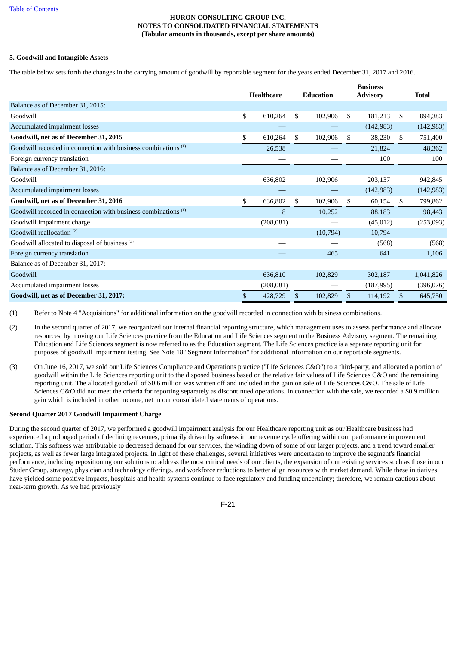# **5. Goodwill and Intangible Assets**

The table below sets forth the changes in the carrying amount of goodwill by reportable segment for the years ended December 31, 2017 and 2016.

|                                                                           |     | <b>Healthcare</b> |              | <b>Education</b> |     | <b>Business</b><br><b>Advisory</b> |     | Total      |
|---------------------------------------------------------------------------|-----|-------------------|--------------|------------------|-----|------------------------------------|-----|------------|
| Balance as of December 31, 2015:                                          |     |                   |              |                  |     |                                    |     |            |
|                                                                           |     |                   |              |                  |     |                                    |     |            |
| Goodwill                                                                  | \$  | 610,264           | \$           | 102,906          | \$  | 181,213                            | \$. | 894,383    |
| Accumulated impairment losses                                             |     |                   |              |                  |     | (142, 983)                         |     | (142, 983) |
| Goodwill, net as of December 31, 2015                                     | \$  | 610,264           | \$           | 102,906          | \$  | 38,230                             | \$  | 751,400    |
| Goodwill recorded in connection with business combinations <sup>(1)</sup> |     | 26,538            |              |                  |     | 21,824                             |     | 48,362     |
| Foreign currency translation                                              |     |                   |              |                  |     | 100                                |     | 100        |
| Balance as of December 31, 2016:                                          |     |                   |              |                  |     |                                    |     |            |
| Goodwill                                                                  |     | 636,802           |              | 102,906          |     | 203,137                            |     | 942,845    |
| Accumulated impairment losses                                             |     |                   |              |                  |     | (142, 983)                         |     | (142, 983) |
| Goodwill, net as of December 31, 2016                                     | \$. | 636,802           | S            | 102,906          | \$. | 60,154                             | S.  | 799,862    |
| Goodwill recorded in connection with business combinations (1)            |     | 8                 |              | 10,252           |     | 88,183                             |     | 98,443     |
| Goodwill impairment charge                                                |     | (208, 081)        |              |                  |     | (45, 012)                          |     | (253,093)  |
| Goodwill reallocation <sup>(2)</sup>                                      |     |                   |              | (10,794)         |     | 10,794                             |     |            |
| Goodwill allocated to disposal of business <sup>(3)</sup>                 |     |                   |              |                  |     | (568)                              |     | (568)      |
| Foreign currency translation                                              |     |                   |              | 465              |     | 641                                |     | 1,106      |
| Balance as of December 31, 2017:                                          |     |                   |              |                  |     |                                    |     |            |
| Goodwill                                                                  |     | 636,810           |              | 102,829          |     | 302,187                            |     | 1,041,826  |
| Accumulated impairment losses                                             |     | (208, 081)        |              |                  |     | (187, 995)                         |     | (396,076)  |
| Goodwill, net as of December 31, 2017:                                    | \$  | 428,729           | $\mathbb{S}$ | 102,829          | \$  | 114,192                            | \$  | 645,750    |

(1) Refer to Note 4 "Acquisitions" for additional information on the goodwill recorded in connection with business combinations.

(2) In the second quarter of 2017, we reorganized our internal financial reporting structure, which management uses to assess performance and allocate resources, by moving our Life Sciences practice from the Education and Life Sciences segment to the Business Advisory segment. The remaining Education and Life Sciences segment is now referred to as the Education segment. The Life Sciences practice is a separate reporting unit for purposes of goodwill impairment testing. See Note 18 "Segment Information" for additional information on our reportable segments.

(3) On June 16, 2017, we sold our Life Sciences Compliance and Operations practice ("Life Sciences C&O") to a third-party, and allocated a portion of goodwill within the Life Sciences reporting unit to the disposed business based on the relative fair values of Life Sciences C&O and the remaining reporting unit. The allocated goodwill of \$0.6 million was written off and included in the gain on sale of Life Sciences C&O. The sale of Life Sciences C&O did not meet the criteria for reporting separately as discontinued operations. In connection with the sale, we recorded a \$0.9 million gain which is included in other income, net in our consolidated statements of operations.

## **Second Quarter 2017 Goodwill Impairment Charge**

During the second quarter of 2017, we performed a goodwill impairment analysis for our Healthcare reporting unit as our Healthcare business had experienced a prolonged period of declining revenues, primarily driven by softness in our revenue cycle offering within our performance improvement solution. This softness was attributable to decreased demand for our services, the winding down of some of our larger projects, and a trend toward smaller projects, as well as fewer large integrated projects. In light of these challenges, several initiatives were undertaken to improve the segment's financial performance, including repositioning our solutions to address the most critical needs of our clients, the expansion of our existing services such as those in our Studer Group, strategy, physician and technology offerings, and workforce reductions to better align resources with market demand. While these initiatives have yielded some positive impacts, hospitals and health systems continue to face regulatory and funding uncertainty; therefore, we remain cautious about near-term growth. As we had previously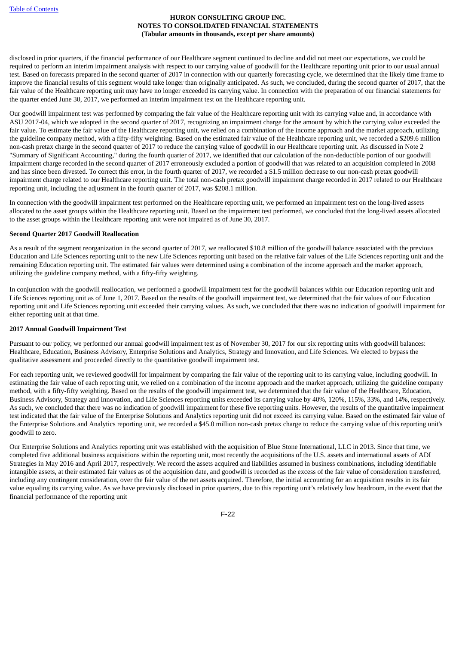disclosed in prior quarters, if the financial performance of our Healthcare segment continued to decline and did not meet our expectations, we could be required to perform an interim impairment analysis with respect to our carrying value of goodwill for the Healthcare reporting unit prior to our usual annual test. Based on forecasts prepared in the second quarter of 2017 in connection with our quarterly forecasting cycle, we determined that the likely time frame to improve the financial results of this segment would take longer than originally anticipated. As such, we concluded, during the second quarter of 2017, that the fair value of the Healthcare reporting unit may have no longer exceeded its carrying value. In connection with the preparation of our financial statements for the quarter ended June 30, 2017, we performed an interim impairment test on the Healthcare reporting unit.

Our goodwill impairment test was performed by comparing the fair value of the Healthcare reporting unit with its carrying value and, in accordance with ASU 2017-04, which we adopted in the second quarter of 2017, recognizing an impairment charge for the amount by which the carrying value exceeded the fair value. To estimate the fair value of the Healthcare reporting unit, we relied on a combination of the income approach and the market approach, utilizing the guideline company method, with a fifty-fifty weighting. Based on the estimated fair value of the Healthcare reporting unit, we recorded a \$209.6 million non-cash pretax charge in the second quarter of 2017 to reduce the carrying value of goodwill in our Healthcare reporting unit. As discussed in Note 2 "Summary of Significant Accounting," during the fourth quarter of 2017, we identified that our calculation of the non-deductible portion of our goodwill impairment charge recorded in the second quarter of 2017 erroneously excluded a portion of goodwill that was related to an acquisition completed in 2008 and has since been divested. To correct this error, in the fourth quarter of 2017, we recorded a \$1.5 million decrease to our non-cash pretax goodwill impairment charge related to our Healthcare reporting unit. The total non-cash pretax goodwill impairment charge recorded in 2017 related to our Healthcare reporting unit, including the adjustment in the fourth quarter of 2017, was \$208.1 million.

In connection with the goodwill impairment test performed on the Healthcare reporting unit, we performed an impairment test on the long-lived assets allocated to the asset groups within the Healthcare reporting unit. Based on the impairment test performed, we concluded that the long-lived assets allocated to the asset groups within the Healthcare reporting unit were not impaired as of June 30, 2017.

# **Second Quarter 2017 Goodwill Reallocation**

As a result of the segment reorganization in the second quarter of 2017, we reallocated \$10.8 million of the goodwill balance associated with the previous Education and Life Sciences reporting unit to the new Life Sciences reporting unit based on the relative fair values of the Life Sciences reporting unit and the remaining Education reporting unit. The estimated fair values were determined using a combination of the income approach and the market approach, utilizing the guideline company method, with a fifty-fifty weighting.

In conjunction with the goodwill reallocation, we performed a goodwill impairment test for the goodwill balances within our Education reporting unit and Life Sciences reporting unit as of June 1, 2017. Based on the results of the goodwill impairment test, we determined that the fair values of our Education reporting unit and Life Sciences reporting unit exceeded their carrying values. As such, we concluded that there was no indication of goodwill impairment for either reporting unit at that time.

# **2017 Annual Goodwill Impairment Test**

Pursuant to our policy, we performed our annual goodwill impairment test as of November 30, 2017 for our six reporting units with goodwill balances: Healthcare, Education, Business Advisory, Enterprise Solutions and Analytics, Strategy and Innovation, and Life Sciences. We elected to bypass the qualitative assessment and proceeded directly to the quantitative goodwill impairment test.

For each reporting unit, we reviewed goodwill for impairment by comparing the fair value of the reporting unit to its carrying value, including goodwill. In estimating the fair value of each reporting unit, we relied on a combination of the income approach and the market approach, utilizing the guideline company method, with a fifty-fifty weighting. Based on the results of the goodwill impairment test, we determined that the fair value of the Healthcare, Education, Business Advisory, Strategy and Innovation, and Life Sciences reporting units exceeded its carrying value by 40%, 120%, 115%, 33%, and 14%, respectively. As such, we concluded that there was no indication of goodwill impairment for these five reporting units. However, the results of the quantitative impairment test indicated that the fair value of the Enterprise Solutions and Analytics reporting unit did not exceed its carrying value. Based on the estimated fair value of the Enterprise Solutions and Analytics reporting unit, we recorded a \$45.0 million non-cash pretax charge to reduce the carrying value of this reporting unit's goodwill to zero.

Our Enterprise Solutions and Analytics reporting unit was established with the acquisition of Blue Stone International, LLC in 2013. Since that time, we completed five additional business acquisitions within the reporting unit, most recently the acquisitions of the U.S. assets and international assets of ADI Strategies in May 2016 and April 2017, respectively. We record the assets acquired and liabilities assumed in business combinations, including identifiable intangible assets, at their estimated fair values as of the acquisition date, and goodwill is recorded as the excess of the fair value of consideration transferred, including any contingent consideration, over the fair value of the net assets acquired. Therefore, the initial accounting for an acquisition results in its fair value equaling its carrying value. As we have previously disclosed in prior quarters, due to this reporting unit's relatively low headroom, in the event that the financial performance of the reporting unit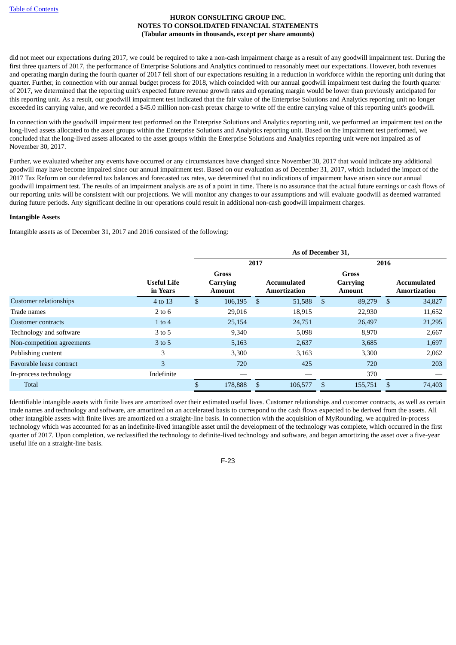did not meet our expectations during 2017, we could be required to take a non-cash impairment charge as a result of any goodwill impairment test. During the first three quarters of 2017, the performance of Enterprise Solutions and Analytics continued to reasonably meet our expectations. However, both revenues and operating margin during the fourth quarter of 2017 fell short of our expectations resulting in a reduction in workforce within the reporting unit during that quarter. Further, in connection with our annual budget process for 2018, which coincided with our annual goodwill impairment test during the fourth quarter of 2017, we determined that the reporting unit's expected future revenue growth rates and operating margin would be lower than previously anticipated for this reporting unit. As a result, our goodwill impairment test indicated that the fair value of the Enterprise Solutions and Analytics reporting unit no longer exceeded its carrying value, and we recorded a \$45.0 million non-cash pretax charge to write off the entire carrying value of this reporting unit's goodwill.

In connection with the goodwill impairment test performed on the Enterprise Solutions and Analytics reporting unit, we performed an impairment test on the long-lived assets allocated to the asset groups within the Enterprise Solutions and Analytics reporting unit. Based on the impairment test performed, we concluded that the long-lived assets allocated to the asset groups within the Enterprise Solutions and Analytics reporting unit were not impaired as of November 30, 2017.

Further, we evaluated whether any events have occurred or any circumstances have changed since November 30, 2017 that would indicate any additional goodwill may have become impaired since our annual impairment test. Based on our evaluation as of December 31, 2017, which included the impact of the 2017 Tax Reform on our deferred tax balances and forecasted tax rates, we determined that no indications of impairment have arisen since our annual goodwill impairment test. The results of an impairment analysis are as of a point in time. There is no assurance that the actual future earnings or cash flows of our reporting units will be consistent with our projections. We will monitor any changes to our assumptions and will evaluate goodwill as deemed warranted during future periods. Any significant decline in our operations could result in additional non-cash goodwill impairment charges.

#### **Intangible Assets**

Intangible assets as of December 31, 2017 and 2016 consisted of the following:

|                            |                                | As of December 31, |                                                  |      |                                           |            |                                                  |               |                                    |  |
|----------------------------|--------------------------------|--------------------|--------------------------------------------------|------|-------------------------------------------|------------|--------------------------------------------------|---------------|------------------------------------|--|
|                            |                                |                    | 2017                                             |      |                                           |            | 2016                                             |               |                                    |  |
|                            | <b>Useful Life</b><br>in Years |                    | <b>Gross</b><br><b>Carrying</b><br><b>Amount</b> |      | <b>Accumulated</b><br><b>Amortization</b> |            | <b>Gross</b><br><b>Carrying</b><br><b>Amount</b> |               | Accumulated<br><b>Amortization</b> |  |
| Customer relationships     | 4 to 13                        | \$                 | 106,195                                          | - \$ | 51,588                                    | $\sqrt{S}$ | 89,279                                           | <sup>\$</sup> | 34,827                             |  |
| Trade names                | $2$ to $6$                     |                    | 29,016                                           |      | 18,915                                    |            | 22,930                                           |               | 11,652                             |  |
| Customer contracts         | $1$ to $4$                     |                    | 25,154                                           |      | 24,751                                    |            | 26,497                                           |               | 21,295                             |  |
| Technology and software    | $3$ to 5                       |                    | 9,340                                            |      | 5,098                                     |            | 8,970                                            |               | 2,667                              |  |
| Non-competition agreements | 3 to 5                         |                    | 5,163                                            |      | 2,637                                     |            | 3,685                                            |               | 1,697                              |  |
| Publishing content         | 3                              |                    | 3,300                                            |      | 3,163                                     |            | 3,300                                            |               | 2,062                              |  |
| Favorable lease contract   | 3                              |                    | 720                                              |      | 425                                       |            | 720                                              |               | 203                                |  |
| In-process technology      | Indefinite                     |                    |                                                  |      |                                           |            | 370                                              |               |                                    |  |
| Total                      |                                | \$                 | 178,888                                          |      | 106,577                                   | -\$        | 155,751                                          | \$            | 74,403                             |  |

Identifiable intangible assets with finite lives are amortized over their estimated useful lives. Customer relationships and customer contracts, as well as certain trade names and technology and software, are amortized on an accelerated basis to correspond to the cash flows expected to be derived from the assets. All other intangible assets with finite lives are amortized on a straight-line basis. In connection with the acquisition of MyRounding, we acquired in-process technology which was accounted for as an indefinite-lived intangible asset until the development of the technology was complete, which occurred in the first quarter of 2017. Upon completion, we reclassified the technology to definite-lived technology and software, and began amortizing the asset over a five-year useful life on a straight-line basis.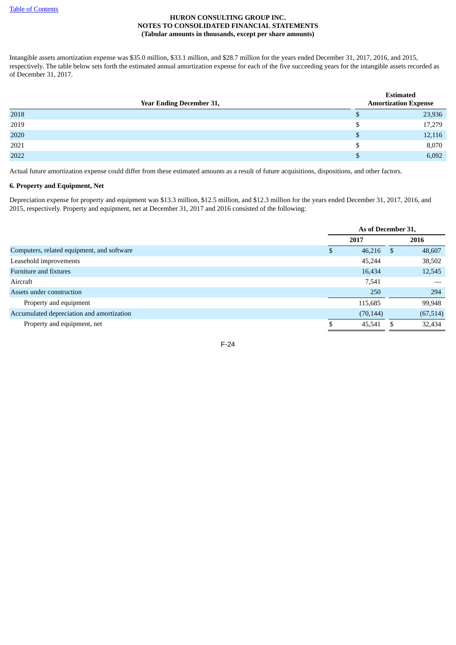Intangible assets amortization expense was \$35.0 million, \$33.1 million, and \$28.7 million for the years ended December 31, 2017, 2016, and 2015, respectively. The table below sets forth the estimated annual amortization expense for each of the five succeeding years for the intangible assets recorded as of December 31, 2017.

|      | <b>Year Ending December 31,</b> | <b>Estimated</b><br><b>Amortization Expense</b> |
|------|---------------------------------|-------------------------------------------------|
|      |                                 |                                                 |
| 2018 | Φ                               | 23,936                                          |
| 2019 | S                               | 17,279                                          |
| 2020 | \$                              | 12,116                                          |
| 2021 | \$                              | 8,070                                           |
| 2022 |                                 | 6,092                                           |

Actual future amortization expense could differ from these estimated amounts as a result of future acquisitions, dispositions, and other factors.

# **6. Property and Equipment, Net**

Depreciation expense for property and equipment was \$13.3 million, \$12.5 million, and \$12.3 million for the years ended December 31, 2017, 2016, and 2015, respectively. Property and equipment, net at December 31, 2017 and 2016 consisted of the following:

|                                            | As of December 31, |           |    |           |  |
|--------------------------------------------|--------------------|-----------|----|-----------|--|
|                                            | 2017               |           |    | 2016      |  |
| Computers, related equipment, and software |                    | 46,216    | -S | 48,607    |  |
| Leasehold improvements                     |                    | 45,244    |    | 38,502    |  |
| Furniture and fixtures                     |                    | 16,434    |    | 12,545    |  |
| Aircraft                                   |                    | 7,541     |    |           |  |
| Assets under construction                  |                    | 250       |    | 294       |  |
| Property and equipment                     |                    | 115,685   |    | 99,948    |  |
| Accumulated depreciation and amortization  |                    | (70, 144) |    | (67, 514) |  |
| Property and equipment, net                |                    | 45,541    | .S | 32,434    |  |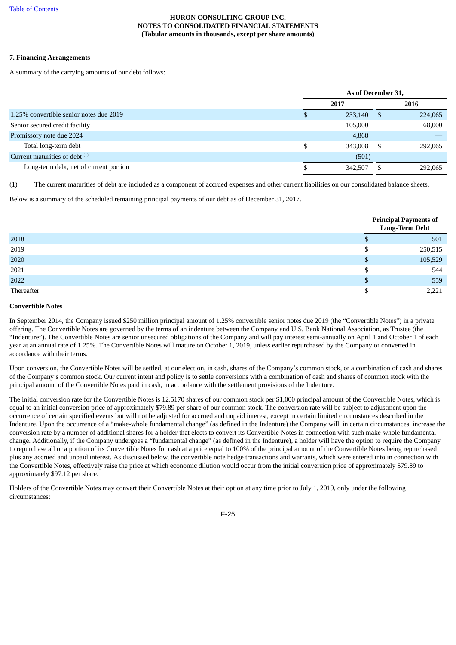# **7. Financing Arrangements**

A summary of the carrying amounts of our debt follows:

|                                         |   | As of December 31, |      |         |  |  |
|-----------------------------------------|---|--------------------|------|---------|--|--|
|                                         |   | 2017               |      | 2016    |  |  |
| 1.25% convertible senior notes due 2019 | Φ | 233,140            | - \$ | 224,065 |  |  |
| Senior secured credit facility          |   | 105,000            |      | 68,000  |  |  |
| Promissory note due 2024                |   | 4.868              |      |         |  |  |
| Total long-term debt                    |   | 343,008            | S    | 292,065 |  |  |
| Current maturities of debt (1)          |   | (501)              |      |         |  |  |
| Long-term debt, net of current portion  |   | 342,507            |      | 292,065 |  |  |

(1) The current maturities of debt are included as a component of accrued expenses and other current liabilities on our consolidated balance sheets.

Below is a summary of the scheduled remaining principal payments of our debt as of December 31, 2017.

|            | <b>Principal Payments of<br/>Long-Term Debt</b> |
|------------|-------------------------------------------------|
| 2018       | 501                                             |
| 2019       | 250,515                                         |
| 2020       | 105,529                                         |
| 2021       | 544                                             |
| 2022       | 559                                             |
| Thereafter | 2,221                                           |

## **Convertible Notes**

In September 2014, the Company issued \$250 million principal amount of 1.25% convertible senior notes due 2019 (the "Convertible Notes") in a private offering. The Convertible Notes are governed by the terms of an indenture between the Company and U.S. Bank National Association, as Trustee (the "Indenture"). The Convertible Notes are senior unsecured obligations of the Company and will pay interest semi-annually on April 1 and October 1 of each year at an annual rate of 1.25%. The Convertible Notes will mature on October 1, 2019, unless earlier repurchased by the Company or converted in accordance with their terms.

Upon conversion, the Convertible Notes will be settled, at our election, in cash, shares of the Company's common stock, or a combination of cash and shares of the Company's common stock. Our current intent and policy is to settle conversions with a combination of cash and shares of common stock with the principal amount of the Convertible Notes paid in cash, in accordance with the settlement provisions of the Indenture.

The initial conversion rate for the Convertible Notes is 12.5170 shares of our common stock per \$1,000 principal amount of the Convertible Notes, which is equal to an initial conversion price of approximately \$79.89 per share of our common stock. The conversion rate will be subject to adjustment upon the occurrence of certain specified events but will not be adjusted for accrued and unpaid interest, except in certain limited circumstances described in the Indenture. Upon the occurrence of a "make-whole fundamental change" (as defined in the Indenture) the Company will, in certain circumstances, increase the conversion rate by a number of additional shares for a holder that elects to convert its Convertible Notes in connection with such make-whole fundamental change. Additionally, if the Company undergoes a "fundamental change" (as defined in the Indenture), a holder will have the option to require the Company to repurchase all or a portion of its Convertible Notes for cash at a price equal to 100% of the principal amount of the Convertible Notes being repurchased plus any accrued and unpaid interest. As discussed below, the convertible note hedge transactions and warrants, which were entered into in connection with the Convertible Notes, effectively raise the price at which economic dilution would occur from the initial conversion price of approximately \$79.89 to approximately \$97.12 per share.

Holders of the Convertible Notes may convert their Convertible Notes at their option at any time prior to July 1, 2019, only under the following circumstances: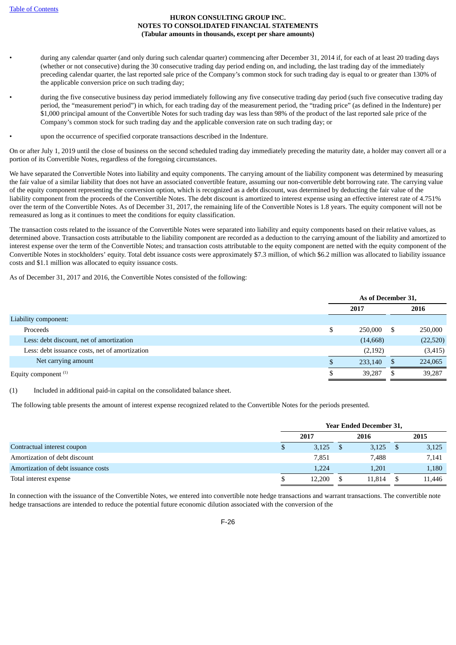• during any calendar quarter (and only during such calendar quarter) commencing after December 31, 2014 if, for each of at least 20 trading days (whether or not consecutive) during the 30 consecutive trading day period ending on, and including, the last trading day of the immediately preceding calendar quarter, the last reported sale price of the Company's common stock for such trading day is equal to or greater than 130% of the applicable conversion price on such trading day;

• during the five consecutive business day period immediately following any five consecutive trading day period (such five consecutive trading day period, the "measurement period") in which, for each trading day of the measurement period, the "trading price" (as defined in the Indenture) per \$1,000 principal amount of the Convertible Notes for such trading day was less than 98% of the product of the last reported sale price of the Company's common stock for such trading day and the applicable conversion rate on such trading day; or

upon the occurrence of specified corporate transactions described in the Indenture.

On or after July 1, 2019 until the close of business on the second scheduled trading day immediately preceding the maturity date, a holder may convert all or a portion of its Convertible Notes, regardless of the foregoing circumstances.

We have separated the Convertible Notes into liability and equity components. The carrying amount of the liability component was determined by measuring the fair value of a similar liability that does not have an associated convertible feature, assuming our non-convertible debt borrowing rate. The carrying value of the equity component representing the conversion option, which is recognized as a debt discount, was determined by deducting the fair value of the liability component from the proceeds of the Convertible Notes. The debt discount is amortized to interest expense using an effective interest rate of 4.751% over the term of the Convertible Notes. As of December 31, 2017, the remaining life of the Convertible Notes is 1.8 years. The equity component will not be remeasured as long as it continues to meet the conditions for equity classification.

The transaction costs related to the issuance of the Convertible Notes were separated into liability and equity components based on their relative values, as determined above. Transaction costs attributable to the liability component are recorded as a deduction to the carrying amount of the liability and amortized to interest expense over the term of the Convertible Notes; and transaction costs attributable to the equity component are netted with the equity component of the Convertible Notes in stockholders' equity. Total debt issuance costs were approximately \$7.3 million, of which \$6.2 million was allocated to liability issuance costs and \$1.1 million was allocated to equity issuance costs.

As of December 31, 2017 and 2016, the Convertible Notes consisted of the following:

|                                                | As of December 31, |           |     |           |
|------------------------------------------------|--------------------|-----------|-----|-----------|
|                                                | 2017               |           |     | 2016      |
| Liability component:                           |                    |           |     |           |
| Proceeds                                       |                    | 250,000   | -S  | 250,000   |
| Less: debt discount, net of amortization       |                    | (14, 668) |     | (22, 520) |
| Less: debt issuance costs, net of amortization |                    | (2, 192)  |     | (3, 415)  |
| Net carrying amount                            |                    | 233,140   | \$. | 224,065   |
| Equity component $(1)$                         |                    | 39,287    | S   | 39,287    |

(1) Included in additional paid-in capital on the consolidated balance sheet.

The following table presents the amount of interest expense recognized related to the Convertible Notes for the periods presented.

|                                     | <b>Year Ended December 31,</b> |        |  |        |      |        |
|-------------------------------------|--------------------------------|--------|--|--------|------|--------|
|                                     |                                | 2017   |  | 2016   | 2015 |        |
| Contractual interest coupon         |                                | 3,125  |  | 3,125  |      | 3,125  |
| Amortization of debt discount       |                                | 7,851  |  | 7,488  |      | 7,141  |
| Amortization of debt issuance costs |                                | 1,224  |  | 1,201  |      | 1,180  |
| Total interest expense              |                                | 12,200 |  | 11,814 |      | 11,446 |

In connection with the issuance of the Convertible Notes, we entered into convertible note hedge transactions and warrant transactions. The convertible note hedge transactions are intended to reduce the potential future economic dilution associated with the conversion of the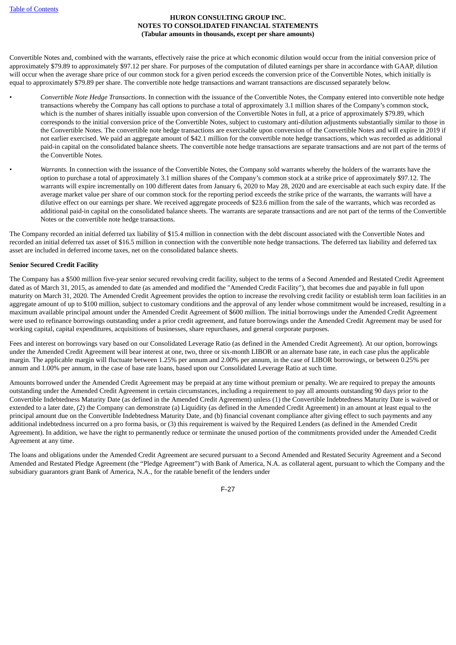Convertible Notes and, combined with the warrants, effectively raise the price at which economic dilution would occur from the initial conversion price of approximately \$79.89 to approximately \$97.12 per share. For purposes of the computation of diluted earnings per share in accordance with GAAP, dilution will occur when the average share price of our common stock for a given period exceeds the conversion price of the Convertible Notes, which initially is equal to approximately \$79.89 per share. The convertible note hedge transactions and warrant transactions are discussed separately below.

• *Convertible Note Hedge Transactions*. In connection with the issuance of the Convertible Notes, the Company entered into convertible note hedge transactions whereby the Company has call options to purchase a total of approximately 3.1 million shares of the Company's common stock, which is the number of shares initially issuable upon conversion of the Convertible Notes in full, at a price of approximately \$79.89, which corresponds to the initial conversion price of the Convertible Notes, subject to customary anti-dilution adjustments substantially similar to those in the Convertible Notes. The convertible note hedge transactions are exercisable upon conversion of the Convertible Notes and will expire in 2019 if not earlier exercised. We paid an aggregate amount of \$42.1 million for the convertible note hedge transactions, which was recorded as additional paid-in capital on the consolidated balance sheets. The convertible note hedge transactions are separate transactions and are not part of the terms of the Convertible Notes.

• *Warrants.* In connection with the issuance of the Convertible Notes, the Company sold warrants whereby the holders of the warrants have the option to purchase a total of approximately 3.1 million shares of the Company's common stock at a strike price of approximately \$97.12. The warrants will expire incrementally on 100 different dates from January 6, 2020 to May 28, 2020 and are exercisable at each such expiry date. If the average market value per share of our common stock for the reporting period exceeds the strike price of the warrants, the warrants will have a dilutive effect on our earnings per share. We received aggregate proceeds of \$23.6 million from the sale of the warrants, which was recorded as additional paid-in capital on the consolidated balance sheets. The warrants are separate transactions and are not part of the terms of the Convertible Notes or the convertible note hedge transactions.

The Company recorded an initial deferred tax liability of \$15.4 million in connection with the debt discount associated with the Convertible Notes and recorded an initial deferred tax asset of \$16.5 million in connection with the convertible note hedge transactions. The deferred tax liability and deferred tax asset are included in deferred income taxes, net on the consolidated balance sheets.

## **Senior Secured Credit Facility**

The Company has a \$500 million five-year senior secured revolving credit facility, subject to the terms of a Second Amended and Restated Credit Agreement dated as of March 31, 2015, as amended to date (as amended and modified the "Amended Credit Facility"), that becomes due and payable in full upon maturity on March 31, 2020. The Amended Credit Agreement provides the option to increase the revolving credit facility or establish term loan facilities in an aggregate amount of up to \$100 million, subject to customary conditions and the approval of any lender whose commitment would be increased, resulting in a maximum available principal amount under the Amended Credit Agreement of \$600 million. The initial borrowings under the Amended Credit Agreement were used to refinance borrowings outstanding under a prior credit agreement, and future borrowings under the Amended Credit Agreement may be used for working capital, capital expenditures, acquisitions of businesses, share repurchases, and general corporate purposes.

Fees and interest on borrowings vary based on our Consolidated Leverage Ratio (as defined in the Amended Credit Agreement). At our option, borrowings under the Amended Credit Agreement will bear interest at one, two, three or six-month LIBOR or an alternate base rate, in each case plus the applicable margin. The applicable margin will fluctuate between 1.25% per annum and 2.00% per annum, in the case of LIBOR borrowings, or between 0.25% per annum and 1.00% per annum, in the case of base rate loans, based upon our Consolidated Leverage Ratio at such time.

Amounts borrowed under the Amended Credit Agreement may be prepaid at any time without premium or penalty. We are required to prepay the amounts outstanding under the Amended Credit Agreement in certain circumstances, including a requirement to pay all amounts outstanding 90 days prior to the Convertible Indebtedness Maturity Date (as defined in the Amended Credit Agreement) unless (1) the Convertible Indebtedness Maturity Date is waived or extended to a later date, (2) the Company can demonstrate (a) Liquidity (as defined in the Amended Credit Agreement) in an amount at least equal to the principal amount due on the Convertible Indebtedness Maturity Date, and (b) financial covenant compliance after giving effect to such payments and any additional indebtedness incurred on a pro forma basis, or (3) this requirement is waived by the Required Lenders (as defined in the Amended Credit Agreement). In addition, we have the right to permanently reduce or terminate the unused portion of the commitments provided under the Amended Credit Agreement at any time.

The loans and obligations under the Amended Credit Agreement are secured pursuant to a Second Amended and Restated Security Agreement and a Second Amended and Restated Pledge Agreement (the "Pledge Agreement") with Bank of America, N.A. as collateral agent, pursuant to which the Company and the subsidiary guarantors grant Bank of America, N.A., for the ratable benefit of the lenders under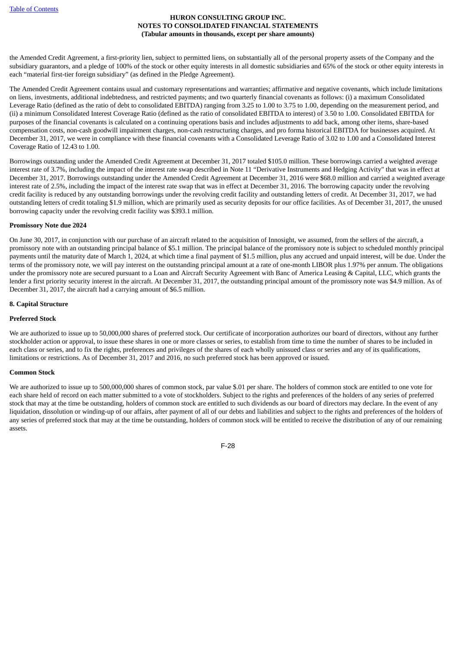the Amended Credit Agreement, a first-priority lien, subject to permitted liens, on substantially all of the personal property assets of the Company and the subsidiary guarantors, and a pledge of 100% of the stock or other equity interests in all domestic subsidiaries and 65% of the stock or other equity interests in each "material first-tier foreign subsidiary" (as defined in the Pledge Agreement).

The Amended Credit Agreement contains usual and customary representations and warranties; affirmative and negative covenants, which include limitations on liens, investments, additional indebtedness, and restricted payments; and two quarterly financial covenants as follows: (i) a maximum Consolidated Leverage Ratio (defined as the ratio of debt to consolidated EBITDA) ranging from 3.25 to 1.00 to 3.75 to 1.00, depending on the measurement period, and (ii) a minimum Consolidated Interest Coverage Ratio (defined as the ratio of consolidated EBITDA to interest) of 3.50 to 1.00. Consolidated EBITDA for purposes of the financial covenants is calculated on a continuing operations basis and includes adjustments to add back, among other items, share-based compensation costs, non-cash goodwill impairment charges, non-cash restructuring charges, and pro forma historical EBITDA for businesses acquired. At December 31, 2017, we were in compliance with these financial covenants with a Consolidated Leverage Ratio of 3.02 to 1.00 and a Consolidated Interest Coverage Ratio of 12.43 to 1.00.

Borrowings outstanding under the Amended Credit Agreement at December 31, 2017 totaled \$105.0 million. These borrowings carried a weighted average interest rate of 3.7%, including the impact of the interest rate swap described in Note 11 "Derivative Instruments and Hedging Activity" that was in effect at December 31, 2017. Borrowings outstanding under the Amended Credit Agreement at December 31, 2016 were \$68.0 million and carried a weighted average interest rate of 2.5%, including the impact of the interest rate swap that was in effect at December 31, 2016. The borrowing capacity under the revolving credit facility is reduced by any outstanding borrowings under the revolving credit facility and outstanding letters of credit. At December 31, 2017, we had outstanding letters of credit totaling \$1.9 million, which are primarily used as security deposits for our office facilities. As of December 31, 2017, the unused borrowing capacity under the revolving credit facility was \$393.1 million.

## **Promissory Note due 2024**

On June 30, 2017, in conjunction with our purchase of an aircraft related to the acquisition of Innosight, we assumed, from the sellers of the aircraft, a promissory note with an outstanding principal balance of \$5.1 million. The principal balance of the promissory note is subject to scheduled monthly principal payments until the maturity date of March 1, 2024, at which time a final payment of \$1.5 million, plus any accrued and unpaid interest, will be due. Under the terms of the promissory note, we will pay interest on the outstanding principal amount at a rate of one-month LIBOR plus 1.97% per annum. The obligations under the promissory note are secured pursuant to a Loan and Aircraft Security Agreement with Banc of America Leasing & Capital, LLC, which grants the lender a first priority security interest in the aircraft. At December 31, 2017, the outstanding principal amount of the promissory note was \$4.9 million. As of December 31, 2017, the aircraft had a carrying amount of \$6.5 million.

## **8. Capital Structure**

## **Preferred Stock**

We are authorized to issue up to 50,000,000 shares of preferred stock. Our certificate of incorporation authorizes our board of directors, without any further stockholder action or approval, to issue these shares in one or more classes or series, to establish from time to time the number of shares to be included in each class or series, and to fix the rights, preferences and privileges of the shares of each wholly unissued class or series and any of its qualifications, limitations or restrictions. As of December 31, 2017 and 2016, no such preferred stock has been approved or issued.

## **Common Stock**

We are authorized to issue up to 500,000,000 shares of common stock, par value \$.01 per share. The holders of common stock are entitled to one vote for each share held of record on each matter submitted to a vote of stockholders. Subject to the rights and preferences of the holders of any series of preferred stock that may at the time be outstanding, holders of common stock are entitled to such dividends as our board of directors may declare. In the event of any liquidation, dissolution or winding-up of our affairs, after payment of all of our debts and liabilities and subject to the rights and preferences of the holders of any series of preferred stock that may at the time be outstanding, holders of common stock will be entitled to receive the distribution of any of our remaining assets.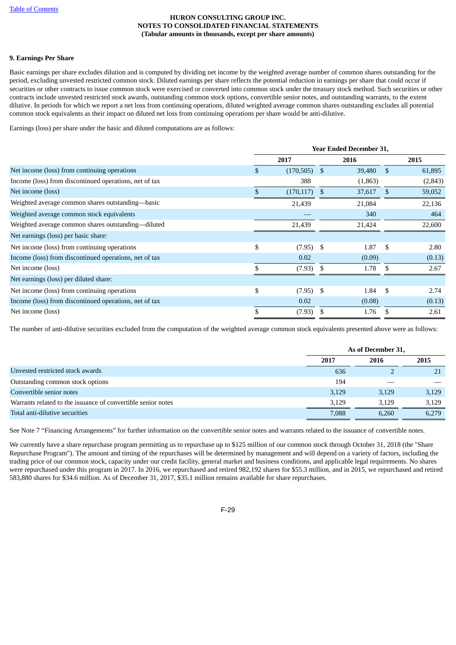# **9. Earnings Per Share**

Basic earnings per share excludes dilution and is computed by dividing net income by the weighted average number of common shares outstanding for the period, excluding unvested restricted common stock. Diluted earnings per share reflects the potential reduction in earnings per share that could occur if securities or other contracts to issue common stock were exercised or converted into common stock under the treasury stock method. Such securities or other contracts include unvested restricted stock awards, outstanding common stock options, convertible senior notes, and outstanding warrants, to the extent dilutive. In periods for which we report a net loss from continuing operations, diluted weighted average common shares outstanding excludes all potential common stock equivalents as their impact on diluted net loss from continuing operations per share would be anti-dilutive.

Earnings (loss) per share under the basic and diluted computations are as follows:

|                                                        | <b>Year Ended December 31,</b> |                 |  |         |    |          |
|--------------------------------------------------------|--------------------------------|-----------------|--|---------|----|----------|
|                                                        |                                | 2017            |  | 2016    |    | 2015     |
| Net income (loss) from continuing operations           | \$                             | $(170,505)$ \$  |  | 39,480  | \$ | 61,895   |
| Income (loss) from discontinued operations, net of tax |                                | 388             |  | (1,863) |    | (2, 843) |
| Net income (loss)                                      | \$                             | $(170, 117)$ \$ |  | 37,617  |    | 59,052   |
| Weighted average common shares outstanding-basic       |                                | 21,439          |  | 21,084  |    | 22,136   |
| Weighted average common stock equivalents              |                                |                 |  | 340     |    | 464      |
| Weighted average common shares outstanding-diluted     |                                | 21,439          |  | 21,424  |    | 22,600   |
| Net earnings (loss) per basic share:                   |                                |                 |  |         |    |          |
| Net income (loss) from continuing operations           | \$                             | $(7.95)$ \$     |  | 1.87    | -S | 2.80     |
| Income (loss) from discontinued operations, net of tax |                                | 0.02            |  | (0.09)  |    | (0.13)   |
| Net income (loss)                                      | \$                             | $(7.93)$ \$     |  | 1.78    |    | 2.67     |
| Net earnings (loss) per diluted share:                 |                                |                 |  |         |    |          |
| Net income (loss) from continuing operations           | \$                             | $(7.95)$ \$     |  | 1.84    | -S | 2.74     |
| Income (loss) from discontinued operations, net of tax |                                | 0.02            |  | (0.08)  |    | (0.13)   |
| Net income (loss)                                      | \$                             | (7.93)          |  | 1.76    |    | 2.61     |

The number of anti-dilutive securities excluded from the computation of the weighted average common stock equivalents presented above were as follows:

|                                                              | As of December 31, |       |       |  |  |
|--------------------------------------------------------------|--------------------|-------|-------|--|--|
|                                                              | 2017               | 2016  | 2015  |  |  |
| Unvested restricted stock awards                             | 636                |       | 21    |  |  |
| Outstanding common stock options                             | 194                |       |       |  |  |
| Convertible senior notes                                     | 3,129              | 3,129 | 3,129 |  |  |
| Warrants related to the issuance of convertible senior notes | 3.129              | 3.129 | 3.129 |  |  |
| Total anti-dilutive securities                               | 7.088              | 6,260 | 6.279 |  |  |

See Note 7 "Financing Arrangements" for further information on the convertible senior notes and warrants related to the issuance of convertible notes.

We currently have a share repurchase program permitting us to repurchase up to \$125 million of our common stock through October 31, 2018 (the "Share Repurchase Program"). The amount and timing of the repurchases will be determined by management and will depend on a variety of factors, including the trading price of our common stock, capacity under our credit facility, general market and business conditions, and applicable legal requirements. No shares were repurchased under this program in 2017. In 2016, we repurchased and retired 982,192 shares for \$55.3 million, and in 2015, we repurchased and retired 583,880 shares for \$34.6 million. As of December 31, 2017, \$35.1 million remains available for share repurchases.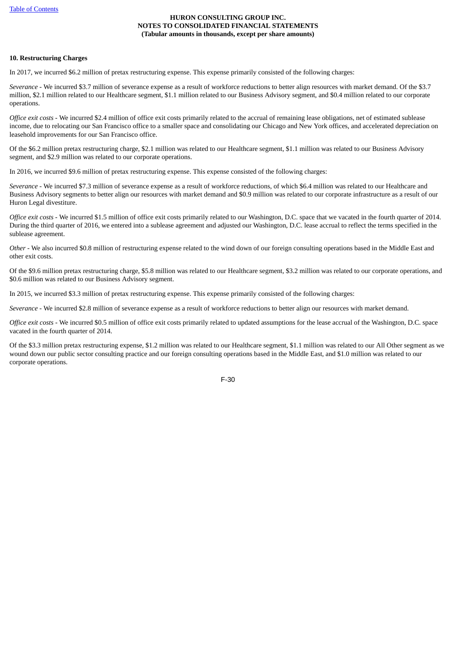# **10. Restructuring Charges**

In 2017, we incurred \$6.2 million of pretax restructuring expense. This expense primarily consisted of the following charges:

*Severance -* We incurred \$3.7 million of severance expense as a result of workforce reductions to better align resources with market demand. Of the \$3.7 million, \$2.1 million related to our Healthcare segment, \$1.1 million related to our Business Advisory segment, and \$0.4 million related to our corporate operations.

*Office exit costs* - We incurred \$2.4 million of office exit costs primarily related to the accrual of remaining lease obligations, net of estimated sublease income, due to relocating our San Francisco office to a smaller space and consolidating our Chicago and New York offices, and accelerated depreciation on leasehold improvements for our San Francisco office.

Of the \$6.2 million pretax restructuring charge, \$2.1 million was related to our Healthcare segment, \$1.1 million was related to our Business Advisory segment, and \$2.9 million was related to our corporate operations.

In 2016, we incurred \$9.6 million of pretax restructuring expense. This expense consisted of the following charges:

*Severance* - We incurred \$7.3 million of severance expense as a result of workforce reductions, of which \$6.4 million was related to our Healthcare and Business Advisory segments to better align our resources with market demand and \$0.9 million was related to our corporate infrastructure as a result of our Huron Legal divestiture.

*Office exit costs* - We incurred \$1.5 million of office exit costs primarily related to our Washington, D.C. space that we vacated in the fourth quarter of 2014. During the third quarter of 2016, we entered into a sublease agreement and adjusted our Washington, D.C. lease accrual to reflect the terms specified in the sublease agreement.

*Other* - We also incurred \$0.8 million of restructuring expense related to the wind down of our foreign consulting operations based in the Middle East and other exit costs.

Of the \$9.6 million pretax restructuring charge, \$5.8 million was related to our Healthcare segment, \$3.2 million was related to our corporate operations, and \$0.6 million was related to our Business Advisory segment.

In 2015, we incurred \$3.3 million of pretax restructuring expense. This expense primarily consisted of the following charges:

*Severance -* We incurred \$2.8 million of severance expense as a result of workforce reductions to better align our resources with market demand.

*Office exit costs -* We incurred \$0.5 million of office exit costs primarily related to updated assumptions for the lease accrual of the Washington, D.C. space vacated in the fourth quarter of 2014.

Of the \$3.3 million pretax restructuring expense, \$1.2 million was related to our Healthcare segment, \$1.1 million was related to our All Other segment as we wound down our public sector consulting practice and our foreign consulting operations based in the Middle East, and \$1.0 million was related to our corporate operations.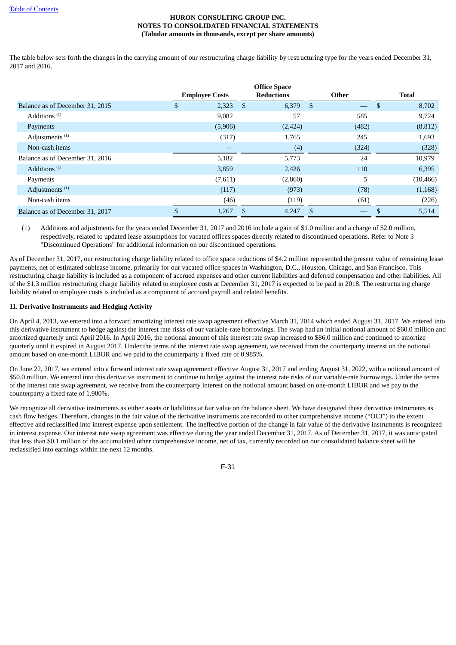The table below sets forth the changes in the carrying amount of our restructuring charge liability by restructuring type for the years ended December 31, 2017 and 2016.

|                                 | <b>Office Space</b> |                       |    |                   |      |       |               |              |
|---------------------------------|---------------------|-----------------------|----|-------------------|------|-------|---------------|--------------|
|                                 |                     | <b>Employee Costs</b> |    | <b>Reductions</b> |      | Other |               | <b>Total</b> |
| Balance as of December 31, 2015 | \$                  | 2,323                 | \$ | 6,379             | - \$ |       | <sup>\$</sup> | 8,702        |
| Additions <sup>(1)</sup>        |                     | 9,082                 |    | 57                |      | 585   |               | 9.724        |
| Payments                        |                     | (5,906)               |    | (2, 424)          |      | (482) |               | (8, 812)     |
| Adjustments <sup>(1)</sup>      |                     | (317)                 |    | 1,765             |      | 245   |               | 1,693        |
| Non-cash items                  |                     |                       |    | (4)               |      | (324) |               | (328)        |
| Balance as of December 31, 2016 |                     | 5,182                 |    | 5,773             |      | 24    |               | 10,979       |
| Additions <sup>(1)</sup>        |                     | 3,859                 |    | 2,426             |      | 110   |               | 6,395        |
| Payments                        |                     | (7,611)               |    | (2,860)           |      | 5     |               | (10, 466)    |
| Adjustments <sup>(1)</sup>      |                     | (117)                 |    | (973)             |      | (78)  |               | (1, 168)     |
| Non-cash items                  |                     | (46)                  |    | (119)             |      | (61)  |               | (226)        |
| Balance as of December 31, 2017 | \$                  | 1,267                 | -S | 4,247             | S    |       |               | 5,514        |

(1) Additions and adjustments for the years ended December 31, 2017 and 2016 include a gain of \$1.0 million and a charge of \$2.0 million, respectively, related to updated lease assumptions for vacated offices spaces directly related to discontinued operations. Refer to Note 3 "Discontinued Operations" for additional information on our discontinued operations.

As of December 31, 2017, our restructuring charge liability related to office space reductions of \$4.2 million represented the present value of remaining lease payments, net of estimated sublease income, primarily for our vacated office spaces in Washington, D.C., Houston, Chicago, and San Francisco. This restructuring charge liability is included as a component of accrued expenses and other current liabilities and deferred compensation and other liabilities. All of the \$1.3 million restructuring charge liability related to employee costs at December 31, 2017 is expected to be paid in 2018. The restructuring charge liability related to employee costs is included as a component of accrued payroll and related benefits.

# **11. Derivative Instruments and Hedging Activity**

On April 4, 2013, we entered into a forward amortizing interest rate swap agreement effective March 31, 2014 which ended August 31, 2017. We entered into this derivative instrument to hedge against the interest rate risks of our variable-rate borrowings. The swap had an initial notional amount of \$60.0 million and amortized quarterly until April 2016. In April 2016, the notional amount of this interest rate swap increased to \$86.0 million and continued to amortize quarterly until it expired in August 2017. Under the terms of the interest rate swap agreement, we received from the counterparty interest on the notional amount based on one-month LIBOR and we paid to the counterparty a fixed rate of 0.985%.

On June 22, 2017, we entered into a forward interest rate swap agreement effective August 31, 2017 and ending August 31, 2022, with a notional amount of \$50.0 million. We entered into this derivative instrument to continue to hedge against the interest rate risks of our variable-rate borrowings. Under the terms of the interest rate swap agreement, we receive from the counterparty interest on the notional amount based on one-month LIBOR and we pay to the counterparty a fixed rate of 1.900%.

We recognize all derivative instruments as either assets or liabilities at fair value on the balance sheet. We have designated these derivative instruments as cash flow hedges. Therefore, changes in the fair value of the derivative instruments are recorded to other comprehensive income ("OCI") to the extent effective and reclassified into interest expense upon settlement. The ineffective portion of the change in fair value of the derivative instruments is recognized in interest expense. Our interest rate swap agreement was effective during the year ended December 31, 2017. As of December 31, 2017, it was anticipated that less than \$0.1 million of the accumulated other comprehensive income, net of tax, currently recorded on our consolidated balance sheet will be reclassified into earnings within the next 12 months.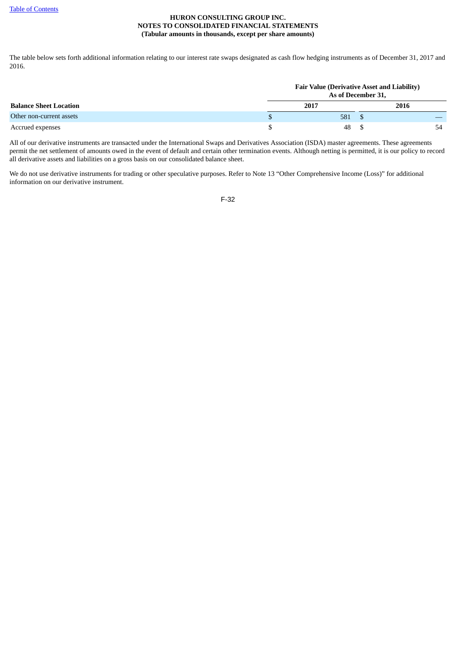The table below sets forth additional information relating to our interest rate swaps designated as cash flow hedging instruments as of December 31, 2017 and 2016.

|                               | <b>Fair Value (Derivative Asset and Liability)</b><br>As of December 31, |      |  |      |  |  |  |  |  |
|-------------------------------|--------------------------------------------------------------------------|------|--|------|--|--|--|--|--|
| <b>Balance Sheet Location</b> |                                                                          | 2017 |  | 2016 |  |  |  |  |  |
| Other non-current assets      | Φ                                                                        | 581  |  |      |  |  |  |  |  |
| Accrued expenses              |                                                                          | 48   |  | 54   |  |  |  |  |  |

All of our derivative instruments are transacted under the International Swaps and Derivatives Association (ISDA) master agreements. These agreements permit the net settlement of amounts owed in the event of default and certain other termination events. Although netting is permitted, it is our policy to record all derivative assets and liabilities on a gross basis on our consolidated balance sheet.

We do not use derivative instruments for trading or other speculative purposes. Refer to Note 13 "Other Comprehensive Income (Loss)" for additional information on our derivative instrument.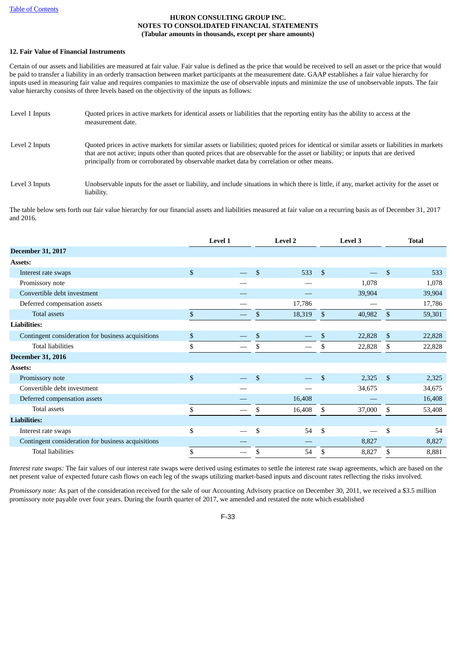## **12. Fair Value of Financial Instruments**

Certain of our assets and liabilities are measured at fair value. Fair value is defined as the price that would be received to sell an asset or the price that would be paid to transfer a liability in an orderly transaction between market participants at the measurement date. GAAP establishes a fair value hierarchy for inputs used in measuring fair value and requires companies to maximize the use of observable inputs and minimize the use of unobservable inputs. The fair value hierarchy consists of three levels based on the objectivity of the inputs as follows:

| Level 1 Inputs | Quoted prices in active markets for identical assets or liabilities that the reporting entity has the ability to access at the<br>measurement date.                                                                                                                                                                                                                        |
|----------------|----------------------------------------------------------------------------------------------------------------------------------------------------------------------------------------------------------------------------------------------------------------------------------------------------------------------------------------------------------------------------|
| Level 2 Inputs | Quoted prices in active markets for similar assets or liabilities; quoted prices for identical or similar assets or liabilities in markets<br>that are not active; inputs other than quoted prices that are observable for the asset or liability; or inputs that are derived<br>principally from or corroborated by observable market data by correlation or other means. |
| Level 3 Inputs | Unobservable inputs for the asset or liability, and include situations in which there is little, if any, market activity for the asset or<br>liability.                                                                                                                                                                                                                    |

The table below sets forth our fair value hierarchy for our financial assets and liabilities measured at fair value on a recurring basis as of December 31, 2017 and 2016.

|                                                    |                | <b>Level 1</b> | <b>Level 2</b> |        | <b>Level 3</b> |        | <b>Total</b>   |        |
|----------------------------------------------------|----------------|----------------|----------------|--------|----------------|--------|----------------|--------|
| <b>December 31, 2017</b>                           |                |                |                |        |                |        |                |        |
| Assets:                                            |                |                |                |        |                |        |                |        |
| Interest rate swaps                                | $\sqrt[6]{3}$  |                | \$             | 533    | $\mathfrak{S}$ |        | \$             | 533    |
| Promissory note                                    |                |                |                |        |                | 1,078  |                | 1,078  |
| Convertible debt investment                        |                |                |                |        |                | 39,904 |                | 39,904 |
| Deferred compensation assets                       |                |                |                | 17,786 |                |        |                | 17,786 |
| Total assets                                       | \$             |                | \$             | 18,319 | $\mathfrak{S}$ | 40,982 | $\mathfrak{S}$ | 59,301 |
| <b>Liabilities:</b>                                |                |                |                |        |                |        |                |        |
| Contingent consideration for business acquisitions | $\mathfrak{S}$ |                | \$             |        | \$             | 22,828 | $\mathfrak{S}$ | 22,828 |
| <b>Total liabilities</b>                           | \$             |                | \$             |        | \$             | 22,828 | \$             | 22,828 |
| <b>December 31, 2016</b>                           |                |                |                |        |                |        |                |        |
| Assets:                                            |                |                |                |        |                |        |                |        |
| Promissory note                                    | \$             |                | $\mathbb{S}$   |        | \$             | 2,325  | $\mathfrak{S}$ | 2,325  |
| Convertible debt investment                        |                |                |                |        |                | 34,675 |                | 34,675 |
| Deferred compensation assets                       |                |                |                | 16,408 |                |        |                | 16,408 |
| Total assets                                       | \$             |                | \$             | 16,408 | \$             | 37,000 | \$             | 53,408 |
| <b>Liabilities:</b>                                |                |                |                |        |                |        |                |        |
| Interest rate swaps                                | \$             |                | \$             | 54     | <sup>\$</sup>  |        | \$             | 54     |
| Contingent consideration for business acquisitions |                |                |                |        |                | 8,827  |                | 8,827  |
| <b>Total liabilities</b>                           | \$             |                | \$             | 54     | \$             | 8,827  | \$             | 8,881  |
|                                                    |                |                |                |        |                |        |                |        |

*Interest rate swaps:* The fair values of our interest rate swaps were derived using estimates to settle the interest rate swap agreements, which are based on the net present value of expected future cash flows on each leg of the swaps utilizing market-based inputs and discount rates reflecting the risks involved.

*Promissory note*: As part of the consideration received for the sale of our Accounting Advisory practice on December 30, 2011, we received a \$3.5 million promissory note payable over four years. During the fourth quarter of 2017, we amended and restated the note which established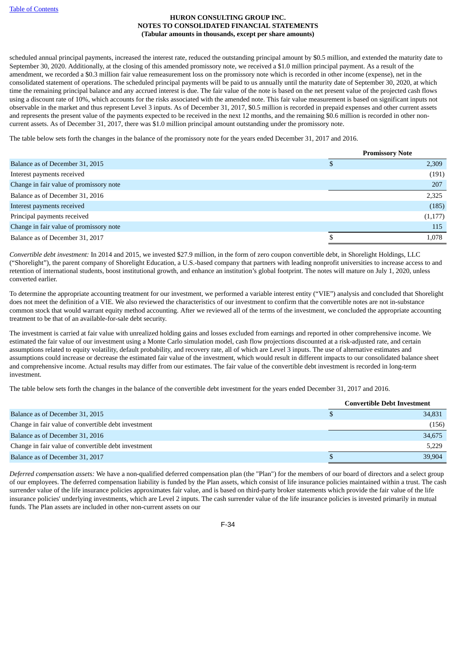scheduled annual principal payments, increased the interest rate, reduced the outstanding principal amount by \$0.5 million, and extended the maturity date to September 30, 2020. Additionally, at the closing of this amended promissory note, we received a \$1.0 million principal payment. As a result of the amendment, we recorded a \$0.3 million fair value remeasurement loss on the promissory note which is recorded in other income (expense), net in the consolidated statement of operations. The scheduled principal payments will be paid to us annually until the maturity date of September 30, 2020, at which time the remaining principal balance and any accrued interest is due. The fair value of the note is based on the net present value of the projected cash flows using a discount rate of 10%, which accounts for the risks associated with the amended note. This fair value measurement is based on significant inputs not observable in the market and thus represent Level 3 inputs. As of December 31, 2017, \$0.5 million is recorded in prepaid expenses and other current assets and represents the present value of the payments expected to be received in the next 12 months, and the remaining \$0.6 million is recorded in other noncurrent assets. As of December 31, 2017, there was \$1.0 million principal amount outstanding under the promissory note.

The table below sets forth the changes in the balance of the promissory note for the years ended December 31, 2017 and 2016.

|                                         | <b>Promissory Note</b> |         |
|-----------------------------------------|------------------------|---------|
| Balance as of December 31, 2015         |                        | 2,309   |
| Interest payments received              |                        | (191)   |
| Change in fair value of promissory note |                        | 207     |
| Balance as of December 31, 2016         |                        | 2,325   |
| Interest payments received              |                        | (185)   |
| Principal payments received             |                        | (1,177) |
| Change in fair value of promissory note |                        | 115     |
| Balance as of December 31, 2017         |                        | 1,078   |

*Convertible debt investment:* In 2014 and 2015, we invested \$27.9 million, in the form of zero coupon convertible debt, in Shorelight Holdings, LLC ("Shorelight"), the parent company of Shorelight Education, a U.S.-based company that partners with leading nonprofit universities to increase access to and retention of international students, boost institutional growth, and enhance an institution's global footprint. The notes will mature on July 1, 2020, unless converted earlier.

To determine the appropriate accounting treatment for our investment, we performed a variable interest entity ("VIE") analysis and concluded that Shorelight does not meet the definition of a VIE. We also reviewed the characteristics of our investment to confirm that the convertible notes are not in-substance common stock that would warrant equity method accounting. After we reviewed all of the terms of the investment, we concluded the appropriate accounting treatment to be that of an available-for-sale debt security.

The investment is carried at fair value with unrealized holding gains and losses excluded from earnings and reported in other comprehensive income. We estimated the fair value of our investment using a Monte Carlo simulation model, cash flow projections discounted at a risk-adjusted rate, and certain assumptions related to equity volatility, default probability, and recovery rate, all of which are Level 3 inputs. The use of alternative estimates and assumptions could increase or decrease the estimated fair value of the investment, which would result in different impacts to our consolidated balance sheet and comprehensive income. Actual results may differ from our estimates. The fair value of the convertible debt investment is recorded in long-term investment.

The table below sets forth the changes in the balance of the convertible debt investment for the years ended December 31, 2017 and 2016.

|                                                     | <b>Convertible Debt Investment</b> |        |  |  |  |
|-----------------------------------------------------|------------------------------------|--------|--|--|--|
| Balance as of December 31, 2015                     |                                    | 34,831 |  |  |  |
| Change in fair value of convertible debt investment |                                    | (156)  |  |  |  |
| Balance as of December 31, 2016                     |                                    | 34,675 |  |  |  |
| Change in fair value of convertible debt investment |                                    | 5,229  |  |  |  |
| Balance as of December 31, 2017                     |                                    | 39,904 |  |  |  |

*Deferred compensation assets:* We have a non-qualified deferred compensation plan (the "Plan") for the members of our board of directors and a select group of our employees. The deferred compensation liability is funded by the Plan assets, which consist of life insurance policies maintained within a trust. The cash surrender value of the life insurance policies approximates fair value, and is based on third-party broker statements which provide the fair value of the life insurance policies' underlying investments, which are Level 2 inputs. The cash surrender value of the life insurance policies is invested primarily in mutual funds. The Plan assets are included in other non-current assets on our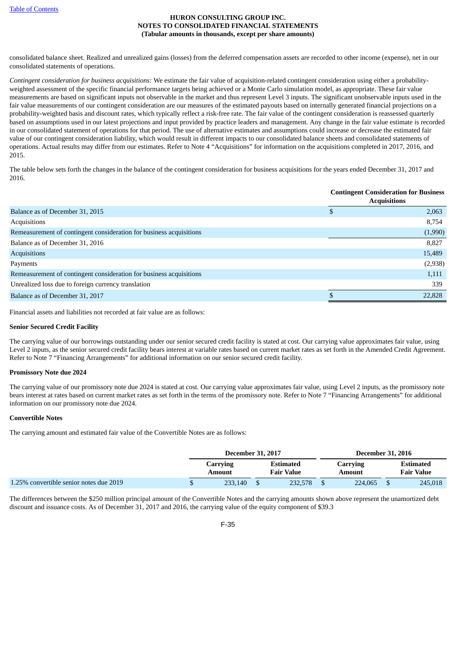consolidated balance sheet. Realized and unrealized gains (losses) from the deferred compensation assets are recorded to other income (expense), net in our consolidated statements of operations.

*Contingent consideration for business acquisitions:* We estimate the fair value of acquisition-related contingent consideration using either a probabilityweighted assessment of the specific financial performance targets being achieved or a Monte Carlo simulation model, as appropriate. These fair value measurements are based on significant inputs not observable in the market and thus represent Level 3 inputs. The significant unobservable inputs used in the fair value measurements of our contingent consideration are our measures of the estimated payouts based on internally generated financial projections on a probability-weighted basis and discount rates, which typically reflect a risk-free rate. The fair value of the contingent consideration is reassessed quarterly based on assumptions used in our latest projections and input provided by practice leaders and management. Any change in the fair value estimate is recorded in our consolidated statement of operations for that period. The use of alternative estimates and assumptions could increase or decrease the estimated fair value of our contingent consideration liability, which would result in different impacts to our consolidated balance sheets and consolidated statements of operations. Actual results may differ from our estimates. Refer to Note 4 "Acquisitions" for information on the acquisitions completed in 2017, 2016, and 2015.

The table below sets forth the changes in the balance of the contingent consideration for business acquisitions for the years ended December 31, 2017 and 2016.

|                                                                     | <b>Contingent Consideration for Business</b><br><b>Acquisitions</b> |         |  |  |  |
|---------------------------------------------------------------------|---------------------------------------------------------------------|---------|--|--|--|
| Balance as of December 31, 2015                                     |                                                                     | 2,063   |  |  |  |
| Acquisitions                                                        |                                                                     | 8,754   |  |  |  |
| Remeasurement of contingent consideration for business acquisitions |                                                                     | (1,990) |  |  |  |
| Balance as of December 31, 2016                                     |                                                                     | 8,827   |  |  |  |
| <b>Acquisitions</b>                                                 |                                                                     | 15,489  |  |  |  |
| Payments                                                            |                                                                     | (2,938) |  |  |  |
| Remeasurement of contingent consideration for business acquisitions |                                                                     | 1,111   |  |  |  |
| Unrealized loss due to foreign currency translation                 |                                                                     | 339     |  |  |  |
| Balance as of December 31, 2017                                     |                                                                     | 22,828  |  |  |  |

Financial assets and liabilities not recorded at fair value are as follows:

## **Senior Secured Credit Facility**

The carrying value of our borrowings outstanding under our senior secured credit facility is stated at cost. Our carrying value approximates fair value, using Level 2 inputs, as the senior secured credit facility bears interest at variable rates based on current market rates as set forth in the Amended Credit Agreement. Refer to Note 7 "Financing Arrangements" for additional information on our senior secured credit facility.

## **Promissory Note due 2024**

The carrying value of our promissory note due 2024 is stated at cost. Our carrying value approximates fair value, using Level 2 inputs, as the promissory note bears interest at rates based on current market rates as set forth in the terms of the promissory note. Refer to Note 7 "Financing Arrangements" for additional information on our promissory note due 2024.

## **Convertible Notes**

The carrying amount and estimated fair value of the Convertible Notes are as follows:

|                                         | <b>December 31, 2017</b> |  |                                       |  | <b>December 31, 2016</b> |  |                                |
|-----------------------------------------|--------------------------|--|---------------------------------------|--|--------------------------|--|--------------------------------|
|                                         | Carrying<br>Amount       |  | <b>Estimated</b><br><b>Fair Value</b> |  | Carrying<br>Amount       |  | Estimated<br><b>Fair Value</b> |
| 1.25% convertible senior notes due 2019 | 233,140                  |  | 232,578                               |  | 224,065                  |  | 245,018                        |

The differences between the \$250 million principal amount of the Convertible Notes and the carrying amounts shown above represent the unamortized debt discount and issuance costs. As of December 31, 2017 and 2016, the carrying value of the equity component of \$39.3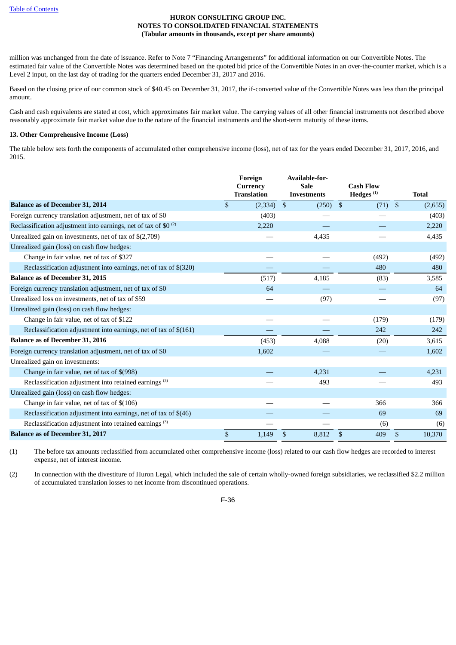million was unchanged from the date of issuance. Refer to Note 7 "Financing Arrangements" for additional information on our Convertible Notes. The estimated fair value of the Convertible Notes was determined based on the quoted bid price of the Convertible Notes in an over-the-counter market, which is a Level 2 input, on the last day of trading for the quarters ended December 31, 2017 and 2016.

Based on the closing price of our common stock of \$40.45 on December 31, 2017, the if-converted value of the Convertible Notes was less than the principal amount.

Cash and cash equivalents are stated at cost, which approximates fair market value. The carrying values of all other financial instruments not described above reasonably approximate fair market value due to the nature of the financial instruments and the short-term maturity of these items.

# **13. Other Comprehensive Income (Loss)**

The table below sets forth the components of accumulated other comprehensive income (loss), net of tax for the years ended December 31, 2017, 2016, and 2015.

|                                                                             | Foreign<br><b>Currency</b><br><b>Translation</b> | <b>Available-for-</b><br><b>Sale</b><br><b>Investments</b> |              | <b>Cash Flow</b><br>Hedges <sup>(1)</sup> |                | <b>Total</b> |
|-----------------------------------------------------------------------------|--------------------------------------------------|------------------------------------------------------------|--------------|-------------------------------------------|----------------|--------------|
| <b>Balance as of December 31, 2014</b>                                      | \$<br>(2, 334)                                   | $\mathbb{S}$<br>(250)                                      | $\mathbf{s}$ | (71)                                      | $\mathfrak{s}$ | (2,655)      |
| Foreign currency translation adjustment, net of tax of \$0                  | (403)                                            |                                                            |              |                                           |                | (403)        |
| Reclassification adjustment into earnings, net of tax of \$0 <sup>(2)</sup> | 2,220                                            |                                                            |              |                                           |                | 2,220        |
| Unrealized gain on investments, net of tax of \$(2,709)                     |                                                  | 4,435                                                      |              |                                           |                | 4,435        |
| Unrealized gain (loss) on cash flow hedges:                                 |                                                  |                                                            |              |                                           |                |              |
| Change in fair value, net of tax of \$327                                   |                                                  |                                                            |              | (492)                                     |                | (492)        |
| Reclassification adjustment into earnings, net of tax of \$(320)            |                                                  |                                                            |              | 480                                       |                | 480          |
| <b>Balance as of December 31, 2015</b>                                      | (517)                                            | 4,185                                                      |              | (83)                                      |                | 3,585        |
| Foreign currency translation adjustment, net of tax of \$0                  | 64                                               |                                                            |              |                                           |                | 64           |
| Unrealized loss on investments, net of tax of \$59                          |                                                  | (97)                                                       |              |                                           |                | (97)         |
| Unrealized gain (loss) on cash flow hedges:                                 |                                                  |                                                            |              |                                           |                |              |
| Change in fair value, net of tax of \$122                                   |                                                  |                                                            |              | (179)                                     |                | (179)        |
| Reclassification adjustment into earnings, net of tax of \$(161)            |                                                  |                                                            |              | 242                                       |                | 242          |
| <b>Balance as of December 31, 2016</b>                                      | (453)                                            | 4,088                                                      |              | (20)                                      |                | 3,615        |
| Foreign currency translation adjustment, net of tax of \$0                  | 1,602                                            |                                                            |              |                                           |                | 1,602        |
| Unrealized gain on investments:                                             |                                                  |                                                            |              |                                           |                |              |
| Change in fair value, net of tax of \$(998)                                 |                                                  | 4,231                                                      |              |                                           |                | 4,231        |
| Reclassification adjustment into retained earnings <sup>(3)</sup>           |                                                  | 493                                                        |              |                                           |                | 493          |
| Unrealized gain (loss) on cash flow hedges:                                 |                                                  |                                                            |              |                                           |                |              |
| Change in fair value, net of tax of \$(106)                                 |                                                  |                                                            |              | 366                                       |                | 366          |
| Reclassification adjustment into earnings, net of tax of \$(46)             |                                                  |                                                            |              | 69                                        |                | 69           |
| Reclassification adjustment into retained earnings <sup>(3)</sup>           |                                                  |                                                            |              | (6)                                       |                | (6)          |
| <b>Balance as of December 31, 2017</b>                                      | \$<br>1,149                                      | 8,812<br>\$                                                | \$           | 409                                       | $\mathbb{S}$   | 10,370       |
|                                                                             |                                                  |                                                            |              |                                           |                |              |

(1) The before tax amounts reclassified from accumulated other comprehensive income (loss) related to our cash flow hedges are recorded to interest expense, net of interest income.

(2) In connection with the divestiture of Huron Legal, which included the sale of certain wholly-owned foreign subsidiaries, we reclassified \$2.2 million of accumulated translation losses to net income from discontinued operations.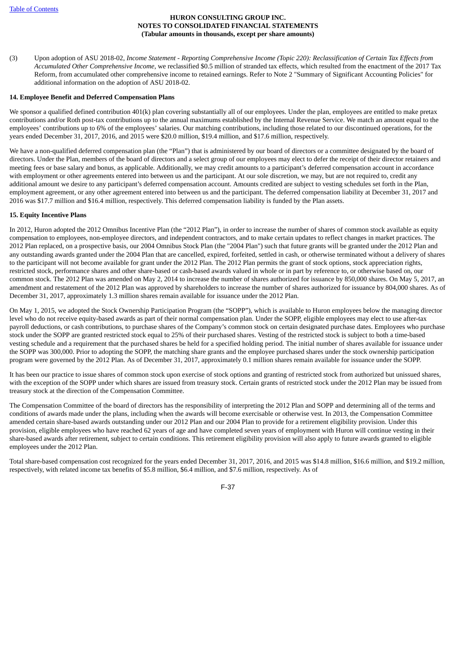(3) Upon adoption of ASU 2018-02, Income Statement - Reporting Comprehensive Income (Topic 220): Reclassification of Certain Tax Effects from *Accumulated Other Comprehensive Income,* we reclassified \$0.5 million of stranded tax effects, which resulted from the enactment of the 2017 Tax Reform, from accumulated other comprehensive income to retained earnings. Refer to Note 2 "Summary of Significant Accounting Policies" for additional information on the adoption of ASU 2018-02.

#### **14. Employee Benefit and Deferred Compensation Plans**

We sponsor a qualified defined contribution 401(k) plan covering substantially all of our employees. Under the plan, employees are entitled to make pretax contributions and/or Roth post-tax contributions up to the annual maximums established by the Internal Revenue Service. We match an amount equal to the employees' contributions up to 6% of the employees' salaries. Our matching contributions, including those related to our discontinued operations, for the years ended December 31, 2017, 2016, and 2015 were \$20.0 million, \$19.4 million, and \$17.6 million, respectively.

We have a non-qualified deferred compensation plan (the "Plan") that is administered by our board of directors or a committee designated by the board of directors. Under the Plan, members of the board of directors and a select group of our employees may elect to defer the receipt of their director retainers and meeting fees or base salary and bonus, as applicable. Additionally, we may credit amounts to a participant's deferred compensation account in accordance with employment or other agreements entered into between us and the participant. At our sole discretion, we may, but are not required to, credit any additional amount we desire to any participant's deferred compensation account. Amounts credited are subject to vesting schedules set forth in the Plan, employment agreement, or any other agreement entered into between us and the participant. The deferred compensation liability at December 31, 2017 and 2016 was \$17.7 million and \$16.4 million, respectively. This deferred compensation liability is funded by the Plan assets.

#### **15. Equity Incentive Plans**

In 2012, Huron adopted the 2012 Omnibus Incentive Plan (the "2012 Plan"), in order to increase the number of shares of common stock available as equity compensation to employees, non-employee directors, and independent contractors, and to make certain updates to reflect changes in market practices. The 2012 Plan replaced, on a prospective basis, our 2004 Omnibus Stock Plan (the "2004 Plan") such that future grants will be granted under the 2012 Plan and any outstanding awards granted under the 2004 Plan that are cancelled, expired, forfeited, settled in cash, or otherwise terminated without a delivery of shares to the participant will not become available for grant under the 2012 Plan. The 2012 Plan permits the grant of stock options, stock appreciation rights, restricted stock, performance shares and other share-based or cash-based awards valued in whole or in part by reference to, or otherwise based on, our common stock. The 2012 Plan was amended on May 2, 2014 to increase the number of shares authorized for issuance by 850,000 shares. On May 5, 2017, an amendment and restatement of the 2012 Plan was approved by shareholders to increase the number of shares authorized for issuance by 804,000 shares. As of December 31, 2017, approximately 1.3 million shares remain available for issuance under the 2012 Plan.

On May 1, 2015, we adopted the Stock Ownership Participation Program (the "SOPP"), which is available to Huron employees below the managing director level who do not receive equity-based awards as part of their normal compensation plan. Under the SOPP, eligible employees may elect to use after-tax payroll deductions, or cash contributions, to purchase shares of the Company's common stock on certain designated purchase dates. Employees who purchase stock under the SOPP are granted restricted stock equal to 25% of their purchased shares. Vesting of the restricted stock is subject to both a time-based vesting schedule and a requirement that the purchased shares be held for a specified holding period. The initial number of shares available for issuance under the SOPP was 300,000. Prior to adopting the SOPP, the matching share grants and the employee purchased shares under the stock ownership participation program were governed by the 2012 Plan. As of December 31, 2017, approximately 0.1 million shares remain available for issuance under the SOPP.

It has been our practice to issue shares of common stock upon exercise of stock options and granting of restricted stock from authorized but unissued shares, with the exception of the SOPP under which shares are issued from treasury stock. Certain grants of restricted stock under the 2012 Plan may be issued from treasury stock at the direction of the Compensation Committee.

The Compensation Committee of the board of directors has the responsibility of interpreting the 2012 Plan and SOPP and determining all of the terms and conditions of awards made under the plans, including when the awards will become exercisable or otherwise vest. In 2013, the Compensation Committee amended certain share-based awards outstanding under our 2012 Plan and our 2004 Plan to provide for a retirement eligibility provision. Under this provision, eligible employees who have reached 62 years of age and have completed seven years of employment with Huron will continue vesting in their share-based awards after retirement, subject to certain conditions. This retirement eligibility provision will also apply to future awards granted to eligible employees under the 2012 Plan.

Total share-based compensation cost recognized for the years ended December 31, 2017, 2016, and 2015 was \$14.8 million, \$16.6 million, and \$19.2 million, respectively, with related income tax benefits of \$5.8 million, \$6.4 million, and \$7.6 million, respectively. As of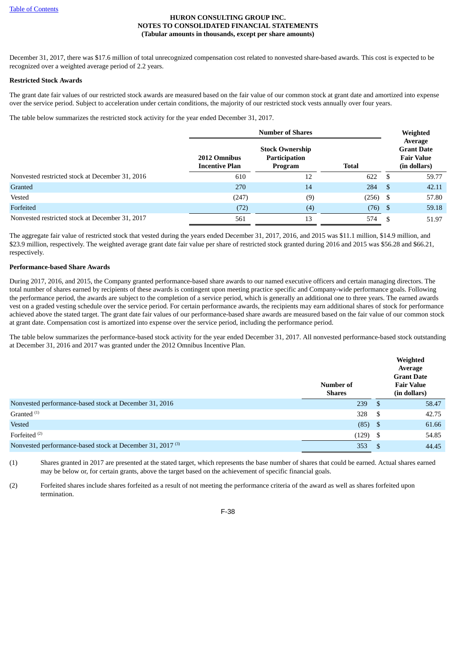December 31, 2017, there was \$17.6 million of total unrecognized compensation cost related to nonvested share-based awards. This cost is expected to be recognized over a weighted average period of 2.2 years.

#### **Restricted Stock Awards**

The grant date fair values of our restricted stock awards are measured based on the fair value of our common stock at grant date and amortized into expense over the service period. Subject to acceleration under certain conditions, the majority of our restricted stock vests annually over four years.

The table below summarizes the restricted stock activity for the year ended December 31, 2017.

|                                                 |                                       |                                                    | Weighted     |            |                                                                   |
|-------------------------------------------------|---------------------------------------|----------------------------------------------------|--------------|------------|-------------------------------------------------------------------|
|                                                 | 2012 Omnibus<br><b>Incentive Plan</b> | <b>Stock Ownership</b><br>Participation<br>Program | <b>Total</b> |            | Average<br><b>Grant Date</b><br><b>Fair Value</b><br>(in dollars) |
| Nonvested restricted stock at December 31, 2016 | 610                                   | 12                                                 | 622          | -S         | 59.77                                                             |
| Granted                                         | 270                                   | 14                                                 | 284          | - \$       | 42.11                                                             |
| Vested                                          | (247)                                 | (9)                                                | (256)        | - S        | 57.80                                                             |
| Forfeited                                       | (72)                                  | (4)                                                | (76)         | $\sqrt{s}$ | 59.18                                                             |
| Nonvested restricted stock at December 31, 2017 | 561                                   | 13                                                 | 574          |            | 51.97                                                             |

The aggregate fair value of restricted stock that vested during the years ended December 31, 2017, 2016, and 2015 was \$11.1 million, \$14.9 million, and \$23.9 million, respectively. The weighted average grant date fair value per share of restricted stock granted during 2016 and 2015 was \$56.28 and \$66.21, respectively.

## **Performance-based Share Awards**

During 2017, 2016, and 2015, the Company granted performance-based share awards to our named executive officers and certain managing directors. The total number of shares earned by recipients of these awards is contingent upon meeting practice specific and Company-wide performance goals. Following the performance period, the awards are subject to the completion of a service period, which is generally an additional one to three years. The earned awards vest on a graded vesting schedule over the service period. For certain performance awards, the recipients may earn additional shares of stock for performance achieved above the stated target. The grant date fair values of our performance-based share awards are measured based on the fair value of our common stock at grant date. Compensation cost is amortized into expense over the service period, including the performance period.

The table below summarizes the performance-based stock activity for the year ended December 31, 2017. All nonvested performance-based stock outstanding at December 31, 2016 and 2017 was granted under the 2012 Omnibus Incentive Plan.

|                                                                       | Number of<br><b>Shares</b> |      | Weighted<br>Average<br><b>Grant Date</b><br><b>Fair Value</b><br>(in dollars) |
|-----------------------------------------------------------------------|----------------------------|------|-------------------------------------------------------------------------------|
| Nonvested performance-based stock at December 31, 2016                | 239                        | -\$  | 58.47                                                                         |
| Granted <sup>(1)</sup>                                                | 328                        | \$   | 42.75                                                                         |
| Vested                                                                | (85)                       | - \$ | 61.66                                                                         |
| Forfeited <sup>(2)</sup>                                              | (129)                      | - \$ | 54.85                                                                         |
| Nonvested performance-based stock at December 31, 2017 <sup>(3)</sup> | 353                        | -S   | 44.45                                                                         |

(1) Shares granted in 2017 are presented at the stated target, which represents the base number of shares that could be earned. Actual shares earned may be below or, for certain grants, above the target based on the achievement of specific financial goals.

(2) Forfeited shares include shares forfeited as a result of not meeting the performance criteria of the award as well as shares forfeited upon termination.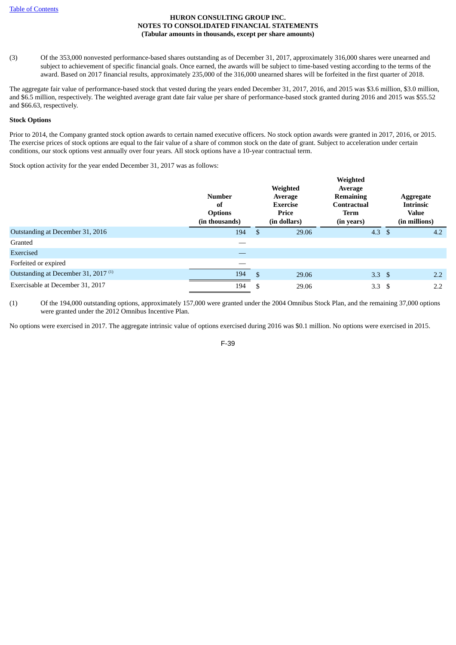(3) Of the 353,000 nonvested performance-based shares outstanding as of December 31, 2017, approximately 316,000 shares were unearned and subject to achievement of specific financial goals. Once earned, the awards will be subject to time-based vesting according to the terms of the award. Based on 2017 financial results, approximately 235,000 of the 316,000 unearned shares will be forfeited in the first quarter of 2018.

The aggregate fair value of performance-based stock that vested during the years ended December 31, 2017, 2016, and 2015 was \$3.6 million, \$3.0 million, and \$6.5 million, respectively. The weighted average grant date fair value per share of performance-based stock granted during 2016 and 2015 was \$55.52 and \$66.63, respectively.

#### **Stock Options**

Prior to 2014, the Company granted stock option awards to certain named executive officers. No stock option awards were granted in 2017, 2016, or 2015. The exercise prices of stock options are equal to the fair value of a share of common stock on the date of grant. Subject to acceleration under certain conditions, our stock options vest annually over four years. All stock options have a 10-year contractual term.

Stock option activity for the year ended December 31, 2017 was as follows:

|                                                 | <b>Number</b><br>0f<br><b>Options</b><br>(in thousands) |      | Weighted<br>Average<br><b>Exercise</b><br>Price<br>(in dollars) | Weighted<br>Average<br><b>Remaining</b><br><b>Contractual</b><br>Term<br>(in years) | Aggregate<br><b>Intrinsic</b><br>Value<br>(in millions) |
|-------------------------------------------------|---------------------------------------------------------|------|-----------------------------------------------------------------|-------------------------------------------------------------------------------------|---------------------------------------------------------|
| Outstanding at December 31, 2016                | 194                                                     | \$   | 29.06                                                           | 4.3 \$                                                                              | 4.2                                                     |
| Granted                                         |                                                         |      |                                                                 |                                                                                     |                                                         |
| Exercised                                       |                                                         |      |                                                                 |                                                                                     |                                                         |
| Forfeited or expired                            |                                                         |      |                                                                 |                                                                                     |                                                         |
| Outstanding at December 31, 2017 <sup>(1)</sup> | 194                                                     | - \$ | 29.06                                                           | 3.3 <sup>5</sup>                                                                    | $2.2\phantom{0}$                                        |
| Exercisable at December 31, 2017                | 194                                                     | S    | 29.06                                                           | 3.3 <sup>5</sup>                                                                    | 2.2                                                     |

(1) Of the 194,000 outstanding options, approximately 157,000 were granted under the 2004 Omnibus Stock Plan, and the remaining 37,000 options were granted under the 2012 Omnibus Incentive Plan.

No options were exercised in 2017. The aggregate intrinsic value of options exercised during 2016 was \$0.1 million. No options were exercised in 2015.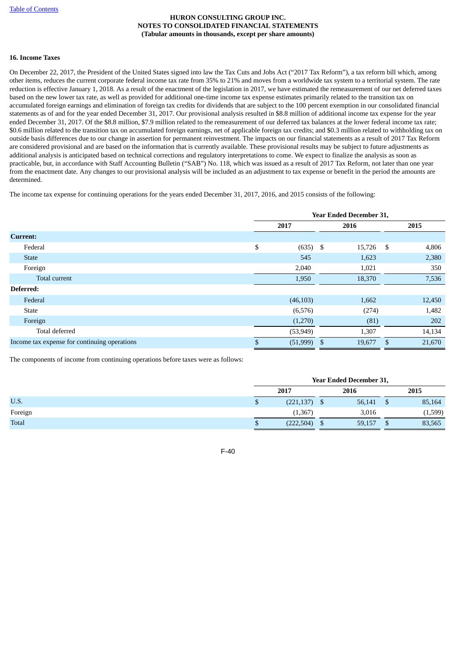# **16. Income Taxes**

On December 22, 2017, the President of the United States signed into law the Tax Cuts and Jobs Act ("2017 Tax Reform"), a tax reform bill which, among other items, reduces the current corporate federal income tax rate from 35% to 21% and moves from a worldwide tax system to a territorial system. The rate reduction is effective January 1, 2018. As a result of the enactment of the legislation in 2017, we have estimated the remeasurement of our net deferred taxes based on the new lower tax rate, as well as provided for additional one-time income tax expense estimates primarily related to the transition tax on accumulated foreign earnings and elimination of foreign tax credits for dividends that are subject to the 100 percent exemption in our consolidated financial statements as of and for the year ended December 31, 2017. Our provisional analysis resulted in \$8.8 million of additional income tax expense for the year ended December 31, 2017. Of the \$8.8 million, \$7.9 million related to the remeasurement of our deferred tax balances at the lower federal income tax rate; \$0.6 million related to the transition tax on accumulated foreign earnings, net of applicable foreign tax credits; and \$0.3 million related to withholding tax on outside basis differences due to our change in assertion for permanent reinvestment. The impacts on our financial statements as a result of 2017 Tax Reform are considered provisional and are based on the information that is currently available. These provisional results may be subject to future adjustments as additional analysis is anticipated based on technical corrections and regulatory interpretations to come. We expect to finalize the analysis as soon as practicable, but, in accordance with Staff Accounting Bulletin ("SAB") No. 118, which was issued as a result of 2017 Tax Reform, not later than one year from the enactment date. Any changes to our provisional analysis will be included as an adjustment to tax expense or benefit in the period the amounts are determined.

The income tax expense for continuing operations for the years ended December 31, 2017, 2016, and 2015 consists of the following:

|                                              | <b>Year Ended December 31,</b> |        |               |        |  |  |
|----------------------------------------------|--------------------------------|--------|---------------|--------|--|--|
|                                              | 2017                           | 2016   |               | 2015   |  |  |
| <b>Current:</b>                              |                                |        |               |        |  |  |
| Federal                                      | \$<br>$(635)$ \$               | 15,726 | - \$          | 4,806  |  |  |
| <b>State</b>                                 | 545                            | 1,623  |               | 2,380  |  |  |
| Foreign                                      | 2,040                          | 1,021  |               | 350    |  |  |
| <b>Total current</b>                         | 1,950                          | 18,370 |               | 7,536  |  |  |
| Deferred:                                    |                                |        |               |        |  |  |
| Federal                                      | (46, 103)                      | 1,662  |               | 12,450 |  |  |
| State                                        | (6, 576)                       | (274)  |               | 1,482  |  |  |
| Foreign                                      | (1,270)                        | (81)   |               | 202    |  |  |
| Total deferred                               | (53, 949)                      | 1,307  |               | 14,134 |  |  |
| Income tax expense for continuing operations | \$<br>$(51,999)$ \$            | 19,677 | <sup>\$</sup> | 21,670 |  |  |

The components of income from continuing operations before taxes were as follows:

|              |   | <b>Year Ended December 31,</b> |  |        |  |         |  |
|--------------|---|--------------------------------|--|--------|--|---------|--|
|              |   | 2017                           |  | 2016   |  | 2015    |  |
| U.S.         | Ψ | (221, 137)                     |  | 56,141 |  | 85,164  |  |
| Foreign      |   | (1,367)                        |  | 3,016  |  | (1,599) |  |
| <b>Total</b> | Ψ | (222, 504)                     |  | 59,157 |  | 83,565  |  |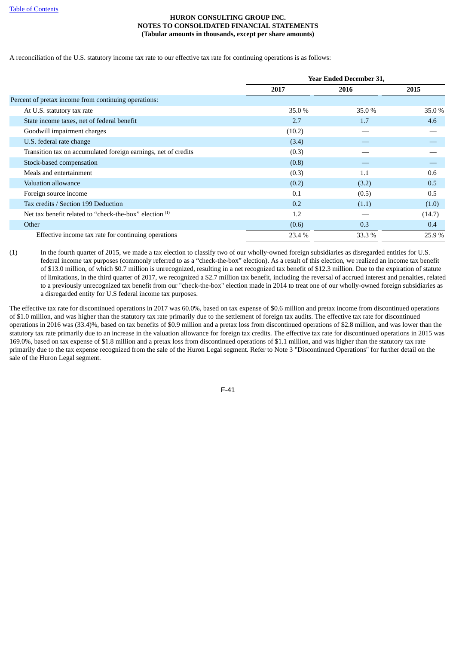A reconciliation of the U.S. statutory income tax rate to our effective tax rate for continuing operations is as follows:

|                                                                    | <b>Year Ended December 31,</b> |        |        |  |  |
|--------------------------------------------------------------------|--------------------------------|--------|--------|--|--|
|                                                                    | 2017                           | 2016   | 2015   |  |  |
| Percent of pretax income from continuing operations:               |                                |        |        |  |  |
| At U.S. statutory tax rate                                         | 35.0 %                         | 35.0 % | 35.0%  |  |  |
| State income taxes, net of federal benefit                         | 2.7                            | 1.7    | 4.6    |  |  |
| Goodwill impairment charges                                        | (10.2)                         |        |        |  |  |
| U.S. federal rate change                                           | (3.4)                          |        |        |  |  |
| Transition tax on accumulated foreign earnings, net of credits     | (0.3)                          |        |        |  |  |
| Stock-based compensation                                           | (0.8)                          |        |        |  |  |
| Meals and entertainment                                            | (0.3)                          | 1.1    | 0.6    |  |  |
| Valuation allowance                                                | (0.2)                          | (3.2)  | 0.5    |  |  |
| Foreign source income                                              | 0.1                            | (0.5)  | 0.5    |  |  |
| Tax credits / Section 199 Deduction                                | 0.2                            | (1.1)  | (1.0)  |  |  |
| Net tax benefit related to "check-the-box" election <sup>(1)</sup> | 1.2                            |        | (14.7) |  |  |
| Other                                                              | (0.6)                          | 0.3    | 0.4    |  |  |
| Effective income tax rate for continuing operations                | 23.4 %                         | 33.3 % | 25.9%  |  |  |

(1) In the fourth quarter of 2015, we made a tax election to classify two of our wholly-owned foreign subsidiaries as disregarded entities for U.S. federal income tax purposes (commonly referred to as a "check-the-box" election). As a result of this election, we realized an income tax benefit of \$13.0 million, of which \$0.7 million is unrecognized, resulting in a net recognized tax benefit of \$12.3 million. Due to the expiration of statute of limitations, in the third quarter of 2017, we recognized a \$2.7 million tax benefit, including the reversal of accrued interest and penalties, related to a previously unrecognized tax benefit from our "check-the-box" election made in 2014 to treat one of our wholly-owned foreign subsidiaries as a disregarded entity for U.S federal income tax purposes.

The effective tax rate for discontinued operations in 2017 was 60.0%, based on tax expense of \$0.6 million and pretax income from discontinued operations of \$1.0 million, and was higher than the statutory tax rate primarily due to the settlement of foreign tax audits. The effective tax rate for discontinued operations in 2016 was (33.4)%, based on tax benefits of \$0.9 million and a pretax loss from discontinued operations of \$2.8 million, and was lower than the statutory tax rate primarily due to an increase in the valuation allowance for foreign tax credits. The effective tax rate for discontinued operations in 2015 was 169.0%, based on tax expense of \$1.8 million and a pretax loss from discontinued operations of \$1.1 million, and was higher than the statutory tax rate primarily due to the tax expense recognized from the sale of the Huron Legal segment. Refer to Note 3 "Discontinued Operations" for further detail on the sale of the Huron Legal segment.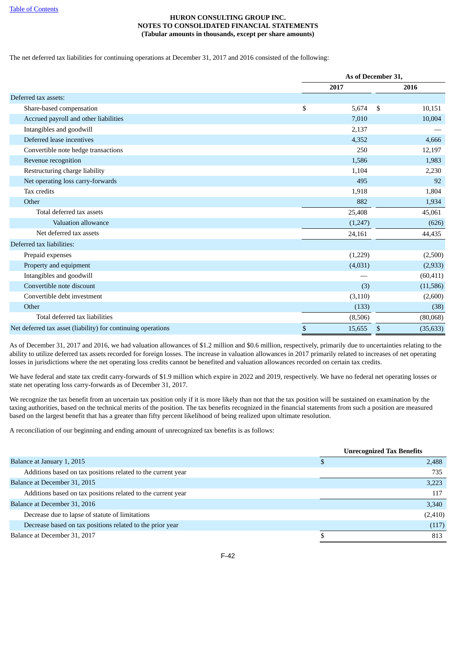The net deferred tax liabilities for continuing operations at December 31, 2017 and 2016 consisted of the following:

|                                                              | As of December 31, |    |           |  |
|--------------------------------------------------------------|--------------------|----|-----------|--|
|                                                              | 2017               |    | 2016      |  |
| Deferred tax assets:                                         |                    |    |           |  |
| Share-based compensation                                     | \$<br>5,674        | \$ | 10,151    |  |
| Accrued payroll and other liabilities                        | 7,010              |    | 10,004    |  |
| Intangibles and goodwill                                     | 2,137              |    |           |  |
| Deferred lease incentives                                    | 4,352              |    | 4,666     |  |
| Convertible note hedge transactions                          | 250                |    | 12,197    |  |
| Revenue recognition                                          | 1,586              |    | 1,983     |  |
| Restructuring charge liability                               | 1,104              |    | 2,230     |  |
| Net operating loss carry-forwards                            | 495                |    | 92        |  |
| Tax credits                                                  | 1,918              |    | 1,804     |  |
| Other                                                        | 882                |    | 1,934     |  |
| Total deferred tax assets                                    | 25,408             |    | 45,061    |  |
| <b>Valuation allowance</b>                                   | (1,247)            |    | (626)     |  |
| Net deferred tax assets                                      | 24,161             |    | 44,435    |  |
| Deferred tax liabilities:                                    |                    |    |           |  |
| Prepaid expenses                                             | (1,229)            |    | (2,500)   |  |
| Property and equipment                                       | (4,031)            |    | (2, 933)  |  |
| Intangibles and goodwill                                     |                    |    | (60, 411) |  |
| Convertible note discount                                    | (3)                |    | (11,586)  |  |
| Convertible debt investment                                  | (3, 110)           |    | (2,600)   |  |
| Other                                                        | (133)              |    | (38)      |  |
| Total deferred tax liabilities                               | (8,506)            |    | (80,068)  |  |
| Net deferred tax asset (liability) for continuing operations | \$<br>15,655       | \$ | (35, 633) |  |

As of December 31, 2017 and 2016, we had valuation allowances of \$1.2 million and \$0.6 million, respectively, primarily due to uncertainties relating to the ability to utilize deferred tax assets recorded for foreign losses. The increase in valuation allowances in 2017 primarily related to increases of net operating losses in jurisdictions where the net operating loss credits cannot be benefited and valuation allowances recorded on certain tax credits.

We have federal and state tax credit carry-forwards of \$1.9 million which expire in 2022 and 2019, respectively. We have no federal net operating losses or state net operating loss carry-forwards as of December 31, 2017.

We recognize the tax benefit from an uncertain tax position only if it is more likely than not that the tax position will be sustained on examination by the taxing authorities, based on the technical merits of the position. The tax benefits recognized in the financial statements from such a position are measured based on the largest benefit that has a greater than fifty percent likelihood of being realized upon ultimate resolution.

A reconciliation of our beginning and ending amount of unrecognized tax benefits is as follows:

|                                                              | <b>Unrecognized Tax Benefits</b> |          |  |
|--------------------------------------------------------------|----------------------------------|----------|--|
| Balance at January 1, 2015                                   |                                  | 2,488    |  |
| Additions based on tax positions related to the current year |                                  | 735      |  |
| Balance at December 31, 2015                                 |                                  | 3,223    |  |
| Additions based on tax positions related to the current year |                                  | 117      |  |
| Balance at December 31, 2016                                 |                                  | 3,340    |  |
| Decrease due to lapse of statute of limitations              |                                  | (2, 410) |  |
| Decrease based on tax positions related to the prior year    |                                  | (117)    |  |
| Balance at December 31, 2017                                 |                                  | 813      |  |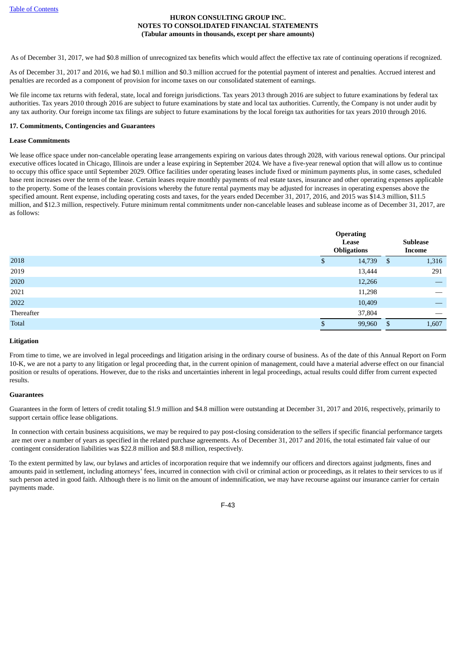As of December 31, 2017, we had \$0.8 million of unrecognized tax benefits which would affect the effective tax rate of continuing operations if recognized.

As of December 31, 2017 and 2016, we had \$0.1 million and \$0.3 million accrued for the potential payment of interest and penalties. Accrued interest and penalties are recorded as a component of provision for income taxes on our consolidated statement of earnings.

We file income tax returns with federal, state, local and foreign jurisdictions. Tax years 2013 through 2016 are subject to future examinations by federal tax authorities. Tax years 2010 through 2016 are subject to future examinations by state and local tax authorities. Currently, the Company is not under audit by any tax authority. Our foreign income tax filings are subject to future examinations by the local foreign tax authorities for tax years 2010 through 2016.

#### **17. Commitments, Contingencies and Guarantees**

#### **Lease Commitments**

We lease office space under non-cancelable operating lease arrangements expiring on various dates through 2028, with various renewal options. Our principal executive offices located in Chicago, Illinois are under a lease expiring in September 2024. We have a five-year renewal option that will allow us to continue to occupy this office space until September 2029. Office facilities under operating leases include fixed or minimum payments plus, in some cases, scheduled base rent increases over the term of the lease. Certain leases require monthly payments of real estate taxes, insurance and other operating expenses applicable to the property. Some of the leases contain provisions whereby the future rental payments may be adjusted for increases in operating expenses above the specified amount. Rent expense, including operating costs and taxes, for the years ended December 31, 2017, 2016, and 2015 was \$14.3 million, \$11.5 million, and \$12.3 million, respectively. Future minimum rental commitments under non-cancelable leases and sublease income as of December 31, 2017, are as follows:

|              | <b>Operating</b><br>Lease<br><b>Obligations</b> | <b>Sublease</b><br><b>Income</b> |       |  |
|--------------|-------------------------------------------------|----------------------------------|-------|--|
| 2018         | \$<br>14,739                                    | - \$                             | 1,316 |  |
| 2019         | 13,444                                          |                                  | 291   |  |
| 2020         | 12,266                                          |                                  | __    |  |
| 2021         | 11,298                                          |                                  |       |  |
| 2022         | 10,409                                          |                                  |       |  |
| Thereafter   | 37,804                                          |                                  |       |  |
| <b>Total</b> | \$<br>99,960                                    | -\$                              | 1,607 |  |

#### **Litigation**

From time to time, we are involved in legal proceedings and litigation arising in the ordinary course of business. As of the date of this Annual Report on Form 10-K, we are not a party to any litigation or legal proceeding that, in the current opinion of management, could have a material adverse effect on our financial position or results of operations. However, due to the risks and uncertainties inherent in legal proceedings, actual results could differ from current expected results.

#### **Guarantees**

Guarantees in the form of letters of credit totaling \$1.9 million and \$4.8 million were outstanding at December 31, 2017 and 2016, respectively, primarily to support certain office lease obligations.

In connection with certain business acquisitions, we may be required to pay post-closing consideration to the sellers if specific financial performance targets are met over a number of years as specified in the related purchase agreements. As of December 31, 2017 and 2016, the total estimated fair value of our contingent consideration liabilities was \$22.8 million and \$8.8 million, respectively.

To the extent permitted by law, our bylaws and articles of incorporation require that we indemnify our officers and directors against judgments, fines and amounts paid in settlement, including attorneys' fees, incurred in connection with civil or criminal action or proceedings, as it relates to their services to us if such person acted in good faith. Although there is no limit on the amount of indemnification, we may have recourse against our insurance carrier for certain payments made.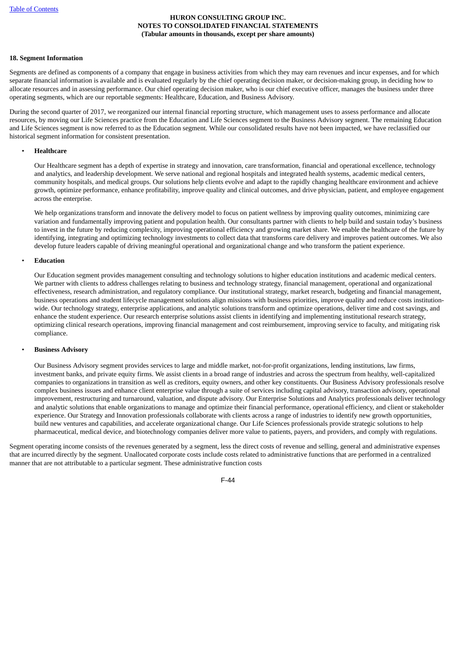## **18. Segment Information**

Segments are defined as components of a company that engage in business activities from which they may earn revenues and incur expenses, and for which separate financial information is available and is evaluated regularly by the chief operating decision maker, or decision-making group, in deciding how to allocate resources and in assessing performance. Our chief operating decision maker, who is our chief executive officer, manages the business under three operating segments, which are our reportable segments: Healthcare, Education, and Business Advisory.

During the second quarter of 2017, we reorganized our internal financial reporting structure, which management uses to assess performance and allocate resources, by moving our Life Sciences practice from the Education and Life Sciences segment to the Business Advisory segment. The remaining Education and Life Sciences segment is now referred to as the Education segment. While our consolidated results have not been impacted, we have reclassified our historical segment information for consistent presentation.

### • **Healthcare**

Our Healthcare segment has a depth of expertise in strategy and innovation, care transformation, financial and operational excellence, technology and analytics, and leadership development. We serve national and regional hospitals and integrated health systems, academic medical centers, community hospitals, and medical groups. Our solutions help clients evolve and adapt to the rapidly changing healthcare environment and achieve growth, optimize performance, enhance profitability, improve quality and clinical outcomes, and drive physician, patient, and employee engagement across the enterprise.

We help organizations transform and innovate the delivery model to focus on patient wellness by improving quality outcomes, minimizing care variation and fundamentally improving patient and population health. Our consultants partner with clients to help build and sustain today's business to invest in the future by reducing complexity, improving operational efficiency and growing market share. We enable the healthcare of the future by identifying, integrating and optimizing technology investments to collect data that transforms care delivery and improves patient outcomes. We also develop future leaders capable of driving meaningful operational and organizational change and who transform the patient experience.

#### • **Education**

Our Education segment provides management consulting and technology solutions to higher education institutions and academic medical centers. We partner with clients to address challenges relating to business and technology strategy, financial management, operational and organizational effectiveness, research administration, and regulatory compliance. Our institutional strategy, market research, budgeting and financial management, business operations and student lifecycle management solutions align missions with business priorities, improve quality and reduce costs institutionwide. Our technology strategy, enterprise applications, and analytic solutions transform and optimize operations, deliver time and cost savings, and enhance the student experience. Our research enterprise solutions assist clients in identifying and implementing institutional research strategy, optimizing clinical research operations, improving financial management and cost reimbursement, improving service to faculty, and mitigating risk compliance.

#### • **Business Advisory**

Our Business Advisory segment provides services to large and middle market, not-for-profit organizations, lending institutions, law firms, investment banks, and private equity firms. We assist clients in a broad range of industries and across the spectrum from healthy, well-capitalized companies to organizations in transition as well as creditors, equity owners, and other key constituents. Our Business Advisory professionals resolve complex business issues and enhance client enterprise value through a suite of services including capital advisory, transaction advisory, operational improvement, restructuring and turnaround, valuation, and dispute advisory. Our Enterprise Solutions and Analytics professionals deliver technology and analytic solutions that enable organizations to manage and optimize their financial performance, operational efficiency, and client or stakeholder experience. Our Strategy and Innovation professionals collaborate with clients across a range of industries to identify new growth opportunities, build new ventures and capabilities, and accelerate organizational change. Our Life Sciences professionals provide strategic solutions to help pharmaceutical, medical device, and biotechnology companies deliver more value to patients, payers, and providers, and comply with regulations.

Segment operating income consists of the revenues generated by a segment, less the direct costs of revenue and selling, general and administrative expenses that are incurred directly by the segment. Unallocated corporate costs include costs related to administrative functions that are performed in a centralized manner that are not attributable to a particular segment. These administrative function costs

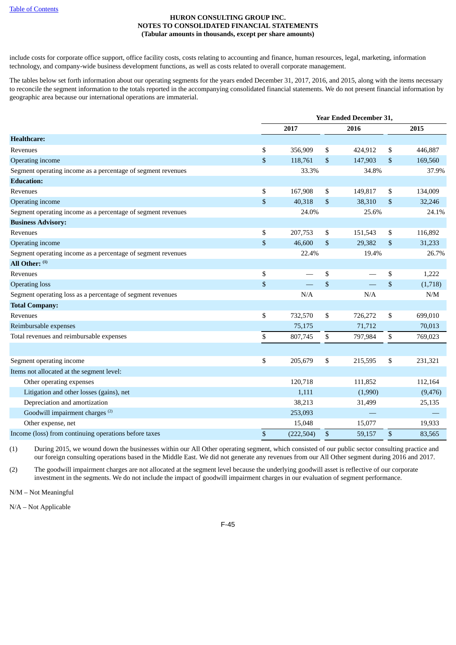include costs for corporate office support, office facility costs, costs relating to accounting and finance, human resources, legal, marketing, information technology, and company-wide business development functions, as well as costs related to overall corporate management.

The tables below set forth information about our operating segments for the years ended December 31, 2017, 2016, and 2015, along with the items necessary to reconcile the segment information to the totals reported in the accompanying consolidated financial statements. We do not present financial information by geographic area because our international operations are immaterial.

|                                                              |      | <b>Year Ended December 31,</b> |      |         |      |                         |  |  |
|--------------------------------------------------------------|------|--------------------------------|------|---------|------|-------------------------|--|--|
|                                                              |      | 2017                           |      | 2016    |      | 2015                    |  |  |
| <b>Healthcare:</b>                                           |      |                                |      |         |      |                         |  |  |
| Revenues                                                     | \$   | 356,909                        | \$   | 424,912 | \$   | 446,887                 |  |  |
| Operating income                                             | $\$$ | 118,761                        | \$   | 147,903 | \$   | 169,560                 |  |  |
| Segment operating income as a percentage of segment revenues |      | 33.3%                          |      | 34.8%   |      | 37.9%                   |  |  |
| <b>Education:</b>                                            |      |                                |      |         |      |                         |  |  |
| Revenues                                                     | \$   | 167,908                        | \$   | 149,817 | \$   | 134,009                 |  |  |
| Operating income                                             | \$   | 40,318                         | \$   | 38,310  | \$   | 32,246                  |  |  |
| Segment operating income as a percentage of segment revenues |      | 24.0%                          |      | 25.6%   |      | 24.1%                   |  |  |
| <b>Business Advisory:</b>                                    |      |                                |      |         |      |                         |  |  |
| Revenues                                                     | \$   | 207,753                        | \$   | 151,543 | \$   | 116,892                 |  |  |
| Operating income                                             | \$   | 46,600                         | $\$$ | 29,382  | \$   | 31,233                  |  |  |
| Segment operating income as a percentage of segment revenues |      | 22.4%                          |      | 19.4%   |      | 26.7%                   |  |  |
| All Other: (1)                                               |      |                                |      |         |      |                         |  |  |
| Revenues                                                     | \$   |                                | \$   |         | \$   | 1,222                   |  |  |
| <b>Operating loss</b>                                        | \$   |                                | $\$$ |         | $\$$ | (1,718)                 |  |  |
| Segment operating loss as a percentage of segment revenues   |      | N/A                            |      | N/A     |      | $\mathrm{N}/\mathrm{M}$ |  |  |
| <b>Total Company:</b>                                        |      |                                |      |         |      |                         |  |  |
| Revenues                                                     | \$   | 732,570                        | \$   | 726,272 | \$   | 699,010                 |  |  |
| Reimbursable expenses                                        |      | 75,175                         |      | 71,712  |      | 70,013                  |  |  |
| Total revenues and reimbursable expenses                     | \$   | 807,745                        | \$   | 797,984 | \$   | 769,023                 |  |  |
|                                                              |      |                                |      |         |      |                         |  |  |
| Segment operating income                                     | \$   | 205,679                        | \$   | 215,595 | \$   | 231,321                 |  |  |
| Items not allocated at the segment level:                    |      |                                |      |         |      |                         |  |  |
| Other operating expenses                                     |      | 120,718                        |      | 111,852 |      | 112,164                 |  |  |
| Litigation and other losses (gains), net                     |      | 1,111                          |      | (1,990) |      | (9, 476)                |  |  |
| Depreciation and amortization                                |      | 38,213                         |      | 31,499  |      | 25,135                  |  |  |
| Goodwill impairment charges <sup>(2)</sup>                   |      | 253,093                        |      |         |      |                         |  |  |
| Other expense, net                                           |      | 15,048                         |      | 15,077  |      | 19,933                  |  |  |
| Income (loss) from continuing operations before taxes        | \$   | (222, 504)                     | \$   | 59,157  | \$   | 83,565                  |  |  |

(1) During 2015, we wound down the businesses within our All Other operating segment, which consisted of our public sector consulting practice and our foreign consulting operations based in the Middle East. We did not generate any revenues from our All Other segment during 2016 and 2017.

(2) The goodwill impairment charges are not allocated at the segment level because the underlying goodwill asset is reflective of our corporate investment in the segments. We do not include the impact of goodwill impairment charges in our evaluation of segment performance.

N/M – Not Meaningful

N/A – Not Applicable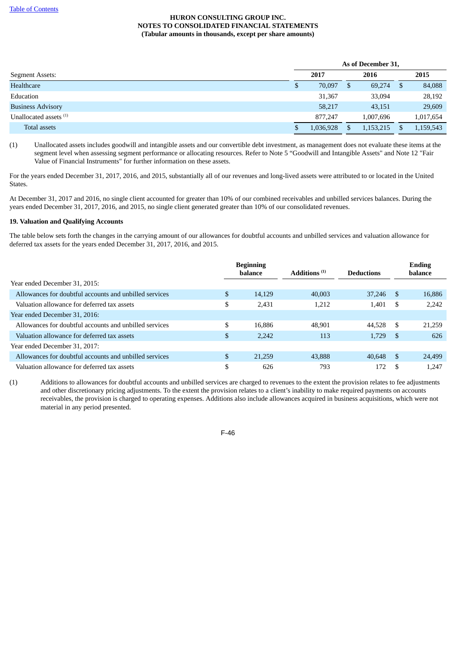|                                   | As of December 31, |           |               |           |    |           |  |  |  |
|-----------------------------------|--------------------|-----------|---------------|-----------|----|-----------|--|--|--|
| Segment Assets:                   |                    | 2017      |               | 2016      |    | 2015      |  |  |  |
| Healthcare                        | Ф                  | 70,097    | <sup>\$</sup> | 69,274    | \$ | 84,088    |  |  |  |
| Education                         |                    | 31,367    |               | 33,094    |    | 28,192    |  |  |  |
| <b>Business Advisory</b>          |                    | 58,217    |               | 43,151    |    | 29,609    |  |  |  |
| Unallocated assets <sup>(1)</sup> |                    | 877,247   |               | 1,007,696 |    | 1,017,654 |  |  |  |
| <b>Total assets</b>               |                    | 1,036,928 | \$            | 1,153,215 |    | 1,159,543 |  |  |  |

(1) Unallocated assets includes goodwill and intangible assets and our convertible debt investment, as management does not evaluate these items at the segment level when assessing segment performance or allocating resources. Refer to Note 5 "Goodwill and Intangible Assets" and Note 12 "Fair Value of Financial Instruments" for further information on these assets.

For the years ended December 31, 2017, 2016, and 2015, substantially all of our revenues and long-lived assets were attributed to or located in the United States.

At December 31, 2017 and 2016, no single client accounted for greater than 10% of our combined receivables and unbilled services balances. During the years ended December 31, 2017, 2016, and 2015, no single client generated greater than 10% of our consolidated revenues.

## **19. Valuation and Qualifying Accounts**

The table below sets forth the changes in the carrying amount of our allowances for doubtful accounts and unbilled services and valuation allowance for deferred tax assets for the years ended December 31, 2017, 2016, and 2015.

|                                                        | <b>Beginning</b><br>balance | Additions <sup>(1)</sup> | <b>Deductions</b> |               | Ending<br>balance |  |
|--------------------------------------------------------|-----------------------------|--------------------------|-------------------|---------------|-------------------|--|
| Year ended December 31, 2015:                          |                             |                          |                   |               |                   |  |
| Allowances for doubtful accounts and unbilled services | \$<br>14,129                | 40,003                   | 37,246            | - \$          | 16,886            |  |
| Valuation allowance for deferred tax assets            | \$<br>2.431                 | 1.212                    | 1.401             | S             | 2.242             |  |
| Year ended December 31, 2016:                          |                             |                          |                   |               |                   |  |
| Allowances for doubtful accounts and unbilled services | \$<br>16.886                | 48.901                   | 44.528            | -S            | 21.259            |  |
| Valuation allowance for deferred tax assets            | \$<br>2.242                 | 113                      | 1.729             | -\$           | 626               |  |
| Year ended December 31, 2017:                          |                             |                          |                   |               |                   |  |
| Allowances for doubtful accounts and unbilled services | \$<br>21.259                | 43,888                   | 40.648            | <sup>\$</sup> | 24,499            |  |
| Valuation allowance for deferred tax assets            | \$<br>626                   | 793                      | 172               | \$.           | 1,247             |  |

(1) Additions to allowances for doubtful accounts and unbilled services are charged to revenues to the extent the provision relates to fee adjustments and other discretionary pricing adjustments. To the extent the provision relates to a client's inability to make required payments on accounts receivables, the provision is charged to operating expenses. Additions also include allowances acquired in business acquisitions, which were not material in any period presented.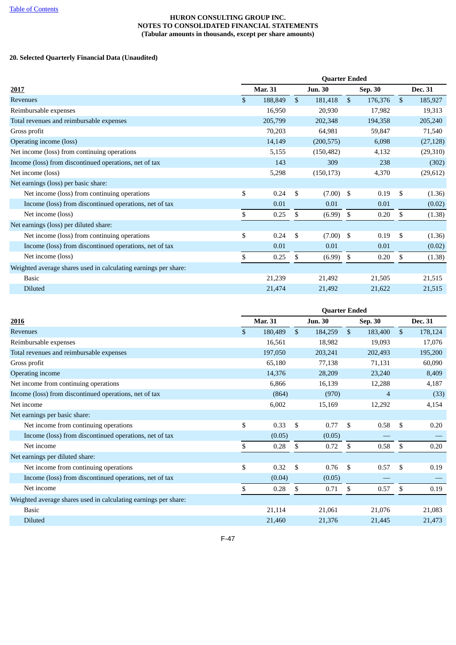# **20. Selected Quarterly Financial Data (Unaudited)**

|                                                                 | <b>Quarter Ended</b> |                |              |                |              |                |              |                |
|-----------------------------------------------------------------|----------------------|----------------|--------------|----------------|--------------|----------------|--------------|----------------|
| 2017                                                            |                      | <b>Mar. 31</b> |              | <b>Jun. 30</b> |              | <b>Sep. 30</b> |              | <b>Dec. 31</b> |
| <b>Revenues</b>                                                 | $\mathfrak{S}$       | 188,849        | $\mathbb{S}$ | 181,418        | $\mathbb{S}$ | 176,376        | $\mathbb{S}$ | 185,927        |
| Reimbursable expenses                                           |                      | 16,950         |              | 20,930         |              | 17,982         |              | 19,313         |
| Total revenues and reimbursable expenses                        |                      | 205,799        |              | 202,348        |              | 194,358        |              | 205,240        |
| Gross profit                                                    |                      | 70,203         |              | 64,981         |              | 59,847         |              | 71,540         |
| Operating income (loss)                                         |                      | 14,149         |              | (200, 575)     |              | 6,098          |              | (27, 128)      |
| Net income (loss) from continuing operations                    |                      | 5,155          |              | (150, 482)     |              | 4,132          |              | (29, 310)      |
| Income (loss) from discontinued operations, net of tax          |                      | 143            |              | 309            |              | 238            |              | (302)          |
| Net income (loss)                                               |                      | 5,298          |              | (150, 173)     |              | 4,370          |              | (29, 612)      |
| Net earnings (loss) per basic share:                            |                      |                |              |                |              |                |              |                |
| Net income (loss) from continuing operations                    | \$                   | 0.24           | \$           | $(7.00)$ \$    |              | 0.19           | S            | (1.36)         |
| Income (loss) from discontinued operations, net of tax          |                      | 0.01           |              | 0.01           |              | 0.01           |              | (0.02)         |
| Net income (loss)                                               | \$                   | 0.25           | \$           | (6.99)         | \$           | 0.20           | \$           | (1.38)         |
| Net earnings (loss) per diluted share:                          |                      |                |              |                |              |                |              |                |
| Net income (loss) from continuing operations                    | \$                   | 0.24           | \$           | (7.00)         | -\$          | 0.19           | \$           | (1.36)         |
| Income (loss) from discontinued operations, net of tax          |                      | 0.01           |              | 0.01           |              | 0.01           |              | (0.02)         |
| Net income (loss)                                               | \$                   | 0.25           | \$           | (6.99)         | \$           | 0.20           | \$           | (1.38)         |
| Weighted average shares used in calculating earnings per share: |                      |                |              |                |              |                |              |                |
| <b>Basic</b>                                                    |                      | 21,239         |              | 21,492         |              | 21,505         |              | 21,515         |
| <b>Diluted</b>                                                  |                      | 21,474         |              | 21,492         |              | 21,622         |              | 21,515         |

|                                                                 | <b>Quarter Ended</b> |                |              |                |              |                |              |                |
|-----------------------------------------------------------------|----------------------|----------------|--------------|----------------|--------------|----------------|--------------|----------------|
| 2016                                                            |                      | <b>Mar. 31</b> |              | <b>Jun. 30</b> |              | <b>Sep. 30</b> |              | <b>Dec. 31</b> |
| Revenues                                                        | \$                   | 180,489        | $\mathbb{S}$ | 184,259        | $\mathbb{S}$ | 183,400        | $\mathbb{S}$ | 178,124        |
| Reimbursable expenses                                           |                      | 16,561         |              | 18,982         |              | 19,093         |              | 17,076         |
| Total revenues and reimbursable expenses                        |                      | 197,050        |              | 203,241        |              | 202,493        |              | 195,200        |
| Gross profit                                                    |                      | 65,180         |              | 77,138         |              | 71,131         |              | 60,090         |
| Operating income                                                |                      | 14,376         |              | 28,209         |              | 23,240         |              | 8,409          |
| Net income from continuing operations                           |                      | 6,866          |              | 16,139         |              | 12,288         |              | 4,187          |
| Income (loss) from discontinued operations, net of tax          |                      | (864)          |              | (970)          |              | $\overline{4}$ |              | (33)           |
| Net income                                                      |                      | 6,002          |              | 15,169         |              | 12,292         |              | 4,154          |
| Net earnings per basic share:                                   |                      |                |              |                |              |                |              |                |
| Net income from continuing operations                           | \$                   | 0.33           | \$           | 0.77           | \$           | 0.58           | \$           | 0.20           |
| Income (loss) from discontinued operations, net of tax          |                      | (0.05)         |              | (0.05)         |              |                |              |                |
| Net income                                                      | \$                   | 0.28           | \$           | 0.72           | \$           | 0.58           | \$           | 0.20           |
| Net earnings per diluted share:                                 |                      |                |              |                |              |                |              |                |
| Net income from continuing operations                           | \$                   | 0.32           | \$           | 0.76           | \$           | 0.57           | \$           | 0.19           |
| Income (loss) from discontinued operations, net of tax          |                      | (0.04)         |              | (0.05)         |              |                |              |                |
| Net income                                                      | \$                   | 0.28           | \$           | 0.71           | \$           | 0.57           | \$           | 0.19           |
| Weighted average shares used in calculating earnings per share: |                      |                |              |                |              |                |              |                |
| Basic                                                           |                      | 21,114         |              | 21,061         |              | 21,076         |              | 21,083         |
| <b>Diluted</b>                                                  |                      | 21,460         |              | 21,376         |              | 21,445         |              | 21,473         |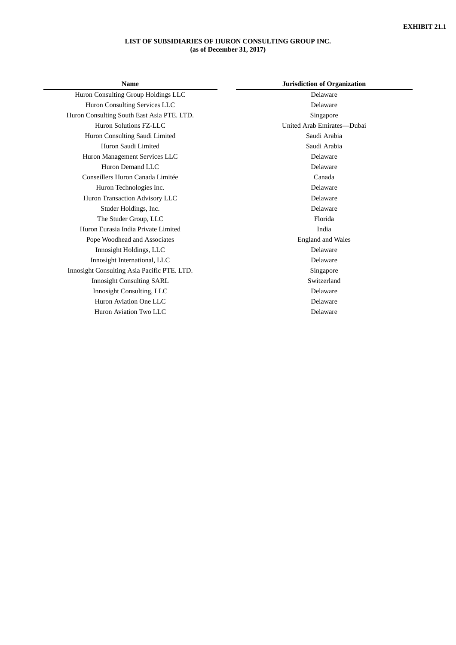# **LIST OF SUBSIDIARIES OF HURON CONSULTING GROUP INC. (as of December 31, 2017)**

| <b>Name</b>                                 | <b>Jurisdiction of Organization</b> |
|---------------------------------------------|-------------------------------------|
| Huron Consulting Group Holdings LLC         | Delaware                            |
| Huron Consulting Services LLC               | Delaware                            |
| Huron Consulting South East Asia PTE. LTD.  | Singapore                           |
| Huron Solutions FZ-LLC                      | United Arab Emirates-Dubai          |
| Huron Consulting Saudi Limited              | Saudi Arabia                        |
| Huron Saudi Limited                         | Saudi Arabia                        |
| Huron Management Services LLC               | Delaware                            |
| Huron Demand LLC                            | Delaware                            |
| Conseillers Huron Canada Limitée            | Canada                              |
| Huron Technologies Inc.                     | Delaware                            |
| Huron Transaction Advisory LLC              | Delaware                            |
| Studer Holdings, Inc.                       | Delaware                            |
| The Studer Group, LLC                       | Florida                             |
| Huron Eurasia India Private Limited         | India                               |
| Pope Woodhead and Associates                | <b>England and Wales</b>            |
| Innosight Holdings, LLC                     | Delaware                            |
| Innosight International, LLC                | Delaware                            |
| Innosight Consulting Asia Pacific PTE. LTD. | Singapore                           |
| <b>Innosight Consulting SARL</b>            | Switzerland                         |
| Innosight Consulting, LLC                   | Delaware                            |
| <b>Huron Aviation One LLC</b>               | Delaware                            |
| Huron Aviation Two LLC                      | Delaware                            |
|                                             |                                     |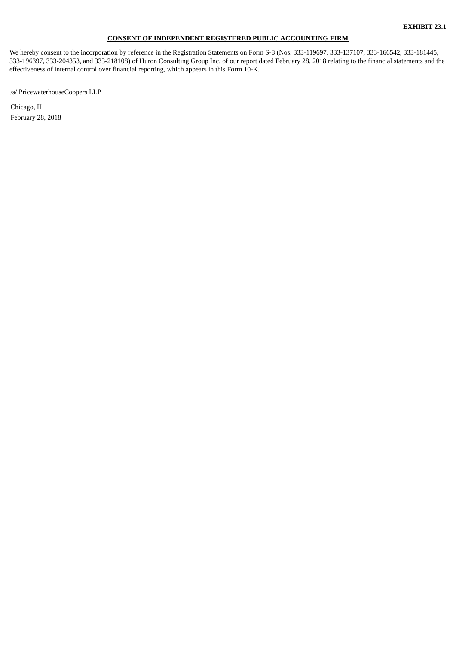## **CONSENT OF INDEPENDENT REGISTERED PUBLIC ACCOUNTING FIRM**

We hereby consent to the incorporation by reference in the Registration Statements on Form S-8 (Nos. 333-119697, 333-137107, 333-166542, 333-181445, 333-196397, 333-204353, and 333-218108) of Huron Consulting Group Inc. of our report dated February 28, 2018 relating to the financial statements and the effectiveness of internal control over financial reporting, which appears in this Form 10-K.

/s/ PricewaterhouseCoopers LLP

Chicago, IL February 28, 2018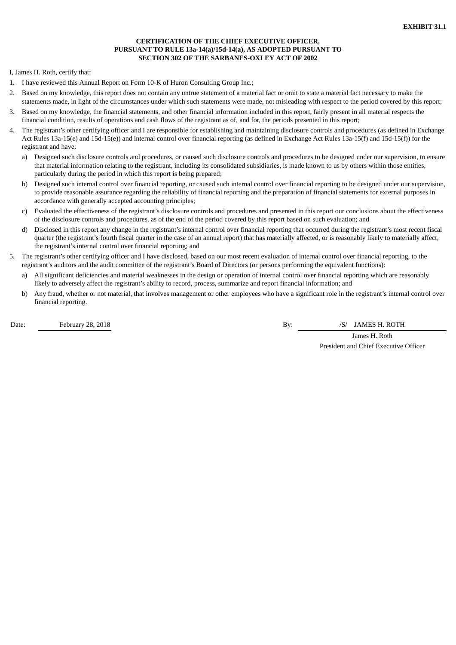# **CERTIFICATION OF THE CHIEF EXECUTIVE OFFICER, PURSUANT TO RULE 13a-14(a)/15d-14(a), AS ADOPTED PURSUANT TO SECTION 302 OF THE SARBANES-OXLEY ACT OF 2002**

I, James H. Roth, certify that:

- 1. I have reviewed this Annual Report on Form 10-K of Huron Consulting Group Inc.;
- 2. Based on my knowledge, this report does not contain any untrue statement of a material fact or omit to state a material fact necessary to make the statements made, in light of the circumstances under which such statements were made, not misleading with respect to the period covered by this report;
- 3. Based on my knowledge, the financial statements, and other financial information included in this report, fairly present in all material respects the financial condition, results of operations and cash flows of the registrant as of, and for, the periods presented in this report;
- 4. The registrant's other certifying officer and I are responsible for establishing and maintaining disclosure controls and procedures (as defined in Exchange Act Rules 13a-15(e) and 15d-15(e)) and internal control over financial reporting (as defined in Exchange Act Rules 13a-15(f) and 15d-15(f)) for the registrant and have:
	- a) Designed such disclosure controls and procedures, or caused such disclosure controls and procedures to be designed under our supervision, to ensure that material information relating to the registrant, including its consolidated subsidiaries, is made known to us by others within those entities, particularly during the period in which this report is being prepared;
	- b) Designed such internal control over financial reporting, or caused such internal control over financial reporting to be designed under our supervision, to provide reasonable assurance regarding the reliability of financial reporting and the preparation of financial statements for external purposes in accordance with generally accepted accounting principles;
	- c) Evaluated the effectiveness of the registrant's disclosure controls and procedures and presented in this report our conclusions about the effectiveness of the disclosure controls and procedures, as of the end of the period covered by this report based on such evaluation; and
	- d) Disclosed in this report any change in the registrant's internal control over financial reporting that occurred during the registrant's most recent fiscal quarter (the registrant's fourth fiscal quarter in the case of an annual report) that has materially affected, or is reasonably likely to materially affect, the registrant's internal control over financial reporting; and
- 5. The registrant's other certifying officer and I have disclosed, based on our most recent evaluation of internal control over financial reporting, to the registrant's auditors and the audit committee of the registrant's Board of Directors (or persons performing the equivalent functions):
	- a) All significant deficiencies and material weaknesses in the design or operation of internal control over financial reporting which are reasonably likely to adversely affect the registrant's ability to record, process, summarize and report financial information; and
	- b) Any fraud, whether or not material, that involves management or other employees who have a significant role in the registrant's internal control over financial reporting.

Date: February 28, 2018 **By:** *February 28, 2018* **By:** *February 28, 2018* 

James H. Roth President and Chief Executive Officer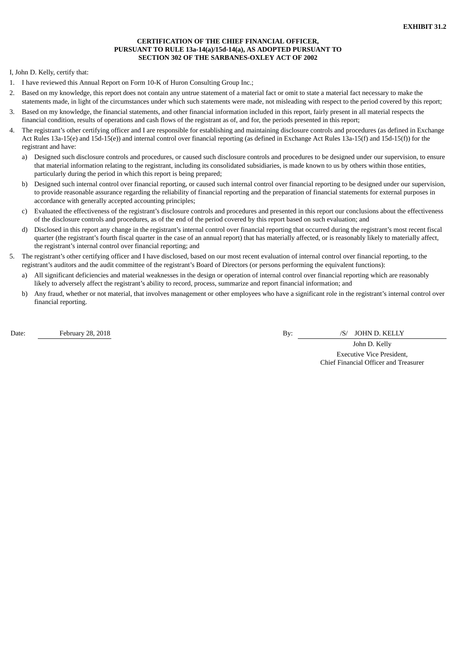## **CERTIFICATION OF THE CHIEF FINANCIAL OFFICER, PURSUANT TO RULE 13a-14(a)/15d-14(a), AS ADOPTED PURSUANT TO SECTION 302 OF THE SARBANES-OXLEY ACT OF 2002**

I, John D. Kelly, certify that:

- 1. I have reviewed this Annual Report on Form 10-K of Huron Consulting Group Inc.;
- 2. Based on my knowledge, this report does not contain any untrue statement of a material fact or omit to state a material fact necessary to make the statements made, in light of the circumstances under which such statements were made, not misleading with respect to the period covered by this report;
- 3. Based on my knowledge, the financial statements, and other financial information included in this report, fairly present in all material respects the financial condition, results of operations and cash flows of the registrant as of, and for, the periods presented in this report;
- 4. The registrant's other certifying officer and I are responsible for establishing and maintaining disclosure controls and procedures (as defined in Exchange Act Rules 13a-15(e) and 15d-15(e)) and internal control over financial reporting (as defined in Exchange Act Rules 13a-15(f) and 15d-15(f)) for the registrant and have:
	- a) Designed such disclosure controls and procedures, or caused such disclosure controls and procedures to be designed under our supervision, to ensure that material information relating to the registrant, including its consolidated subsidiaries, is made known to us by others within those entities, particularly during the period in which this report is being prepared;
	- b) Designed such internal control over financial reporting, or caused such internal control over financial reporting to be designed under our supervision, to provide reasonable assurance regarding the reliability of financial reporting and the preparation of financial statements for external purposes in accordance with generally accepted accounting principles;
	- c) Evaluated the effectiveness of the registrant's disclosure controls and procedures and presented in this report our conclusions about the effectiveness of the disclosure controls and procedures, as of the end of the period covered by this report based on such evaluation; and
	- d) Disclosed in this report any change in the registrant's internal control over financial reporting that occurred during the registrant's most recent fiscal quarter (the registrant's fourth fiscal quarter in the case of an annual report) that has materially affected, or is reasonably likely to materially affect, the registrant's internal control over financial reporting; and
- 5. The registrant's other certifying officer and I have disclosed, based on our most recent evaluation of internal control over financial reporting, to the registrant's auditors and the audit committee of the registrant's Board of Directors (or persons performing the equivalent functions):
	- a) All significant deficiencies and material weaknesses in the design or operation of internal control over financial reporting which are reasonably likely to adversely affect the registrant's ability to record, process, summarize and report financial information; and
	- b) Any fraud, whether or not material, that involves management or other employees who have a significant role in the registrant's internal control over financial reporting.

Date: February 28, 2018 **By:** /S/ JOHN D. KELLY

John D. Kelly Executive Vice President, Chief Financial Officer and Treasurer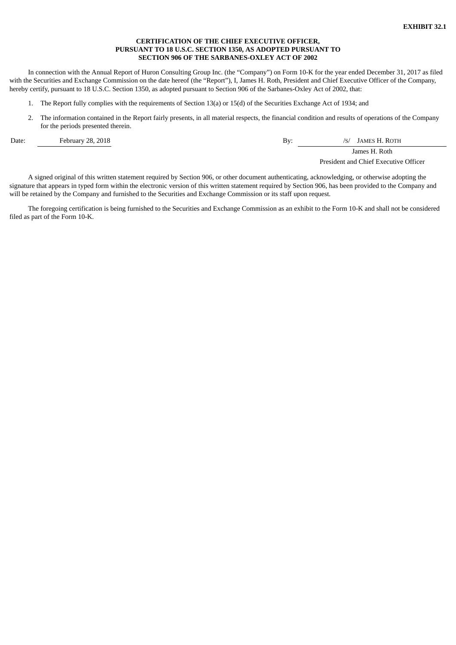## **CERTIFICATION OF THE CHIEF EXECUTIVE OFFICER, PURSUANT TO 18 U.S.C. SECTION 1350, AS ADOPTED PURSUANT TO SECTION 906 OF THE SARBANES-OXLEY ACT OF 2002**

In connection with the Annual Report of Huron Consulting Group Inc. (the "Company") on Form 10-K for the year ended December 31, 2017 as filed with the Securities and Exchange Commission on the date hereof (the "Report"), I, James H. Roth, President and Chief Executive Officer of the Company, hereby certify, pursuant to 18 U.S.C. Section 1350, as adopted pursuant to Section 906 of the Sarbanes-Oxley Act of 2002, that:

- 1. The Report fully complies with the requirements of Section 13(a) or 15(d) of the Securities Exchange Act of 1934; and
- 2. The information contained in the Report fairly presents, in all material respects, the financial condition and results of operations of the Company for the periods presented therein.

Date: February 28, 2018 **By:** *Simus By: Simus By: Simus By: Simus By: Simus H. ROTH* 

James H. Roth

President and Chief Executive Officer

A signed original of this written statement required by Section 906, or other document authenticating, acknowledging, or otherwise adopting the signature that appears in typed form within the electronic version of this written statement required by Section 906, has been provided to the Company and will be retained by the Company and furnished to the Securities and Exchange Commission or its staff upon request.

The foregoing certification is being furnished to the Securities and Exchange Commission as an exhibit to the Form 10-K and shall not be considered filed as part of the Form 10-K.